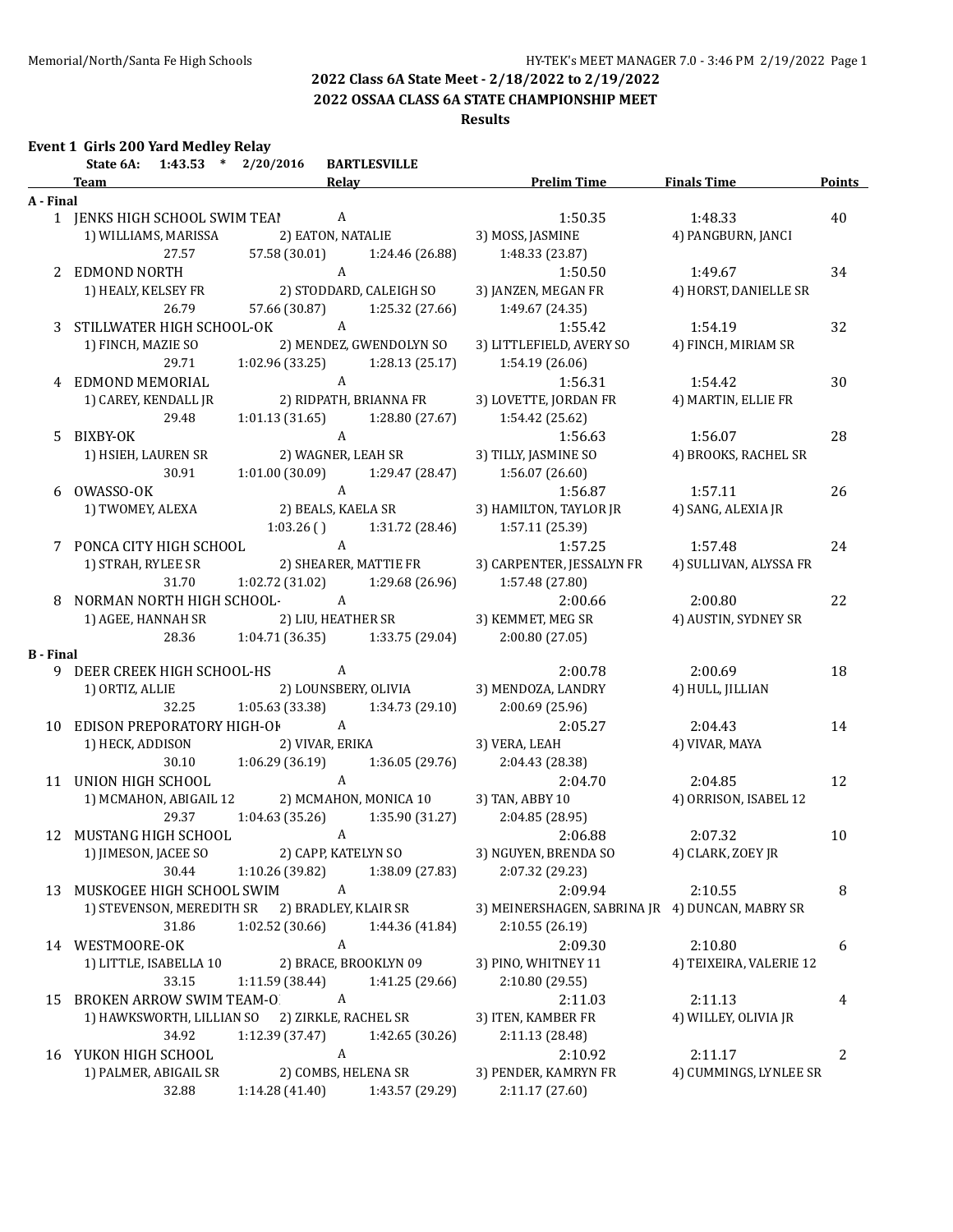**2022 OSSAA CLASS 6A STATE CHAMPIONSHIP MEET**

### **Results**

| State 6A: 1:43.53 * 2/20/2016 BARTLESVILLE<br><b>Example 2018</b> Relay <b>Security Relay Relay Prelim Time</b> Finals Time<br><b>Team</b><br>A - Final<br>1 JENKS HIGH SCHOOL SWIM TEA! A<br>1:50.35<br>1:48.33<br>1) WILLIAMS, MARISSA 2) EATON, NATALIE 3) MOSS, JASMINE<br>4) PANGBURN, JANCI<br>57.58 (30.01) 1:24.46 (26.88)<br>27.57<br>1:48.33 (23.87)<br>$\mathbf{A}$<br>2 EDMOND NORTH<br>1:50.50<br>1:49.67<br>1) HEALY, KELSEY FR 2) STODDARD, CALEIGH SO<br>3) JANZEN, MEGAN FR<br>4) HORST, DANIELLE SR<br>26.79<br>57.66 (30.87) 1:25.32 (27.66)<br>1:49.67 (24.35)<br>3 STILLWATER HIGH SCHOOL-OK A<br>1:55.42<br>1:54.19<br>2) MENDEZ, GWENDOLYN SO<br>4) FINCH, MIRIAM SR<br>1) FINCH, MAZIE SO<br>3) LITTLEFIELD, AVERY SO<br>29.71<br>$1:02.96(33.25)$ $1:28.13(25.17)$<br>1:54.19 (26.06)<br>$\overline{A}$<br>4 EDMOND MEMORIAL<br>1:56.31<br>1:54.42<br>2) RIDPATH, BRIANNA FR<br>4) MARTIN, ELLIE FR<br>1) CAREY, KENDALL JR<br>3) LOVETTE, JORDAN FR<br>1:01.13 (31.65) 1:28.80 (27.67) 1:54.42 (25.62)<br>29.48<br>5 BIXBY-OK<br>1:56.07<br>1) HSIEH, LAUREN SR<br>4) BROOKS, RACHEL SR<br>$1:01.00(30.09)$ $1:29.47(28.47)$ $1:56.07(26.60)$<br>30.91<br>000 VMASSO-OK<br>1 TWOMEY, ALEXA 2) BEALS, KAELA SR 3) HAMILTON, TAYLOR JR<br>6 OWASSO-OK<br>1:57.11<br>4) SANG, ALEXIA JR<br>$1:03.26$ () $1:31.72$ (28.46) $1:57.11$ (25.39)<br>7 PONCA CITY HIGH SCHOOL A<br>1:57.25<br>1:57.48<br>1.37.25<br>1) STRAH, RYLEE SR 2) SHEARER, MATTIE FR 3) CARPENTER, JESSALYN FR<br>4) SULLIVAN, ALYSSA FR<br>31.70   1:02.72 (31.02)   1:29.68 (26.96)   1:57.48 (27.80)<br>8 NORMAN NORTH HIGH SCHOOL-A<br>2:00.80<br>2:00.66<br>1) AGEE, HANNAH SR 2) LIU, HEATHER SR 3) KEMMET, MEG SR | <b>Points</b><br>40 |
|-------------------------------------------------------------------------------------------------------------------------------------------------------------------------------------------------------------------------------------------------------------------------------------------------------------------------------------------------------------------------------------------------------------------------------------------------------------------------------------------------------------------------------------------------------------------------------------------------------------------------------------------------------------------------------------------------------------------------------------------------------------------------------------------------------------------------------------------------------------------------------------------------------------------------------------------------------------------------------------------------------------------------------------------------------------------------------------------------------------------------------------------------------------------------------------------------------------------------------------------------------------------------------------------------------------------------------------------------------------------------------------------------------------------------------------------------------------------------------------------------------------------------------------------------------------------------------------------------------------------------------------------------------------------------------------------------------------------|---------------------|
|                                                                                                                                                                                                                                                                                                                                                                                                                                                                                                                                                                                                                                                                                                                                                                                                                                                                                                                                                                                                                                                                                                                                                                                                                                                                                                                                                                                                                                                                                                                                                                                                                                                                                                                   |                     |
|                                                                                                                                                                                                                                                                                                                                                                                                                                                                                                                                                                                                                                                                                                                                                                                                                                                                                                                                                                                                                                                                                                                                                                                                                                                                                                                                                                                                                                                                                                                                                                                                                                                                                                                   |                     |
|                                                                                                                                                                                                                                                                                                                                                                                                                                                                                                                                                                                                                                                                                                                                                                                                                                                                                                                                                                                                                                                                                                                                                                                                                                                                                                                                                                                                                                                                                                                                                                                                                                                                                                                   |                     |
|                                                                                                                                                                                                                                                                                                                                                                                                                                                                                                                                                                                                                                                                                                                                                                                                                                                                                                                                                                                                                                                                                                                                                                                                                                                                                                                                                                                                                                                                                                                                                                                                                                                                                                                   |                     |
|                                                                                                                                                                                                                                                                                                                                                                                                                                                                                                                                                                                                                                                                                                                                                                                                                                                                                                                                                                                                                                                                                                                                                                                                                                                                                                                                                                                                                                                                                                                                                                                                                                                                                                                   |                     |
|                                                                                                                                                                                                                                                                                                                                                                                                                                                                                                                                                                                                                                                                                                                                                                                                                                                                                                                                                                                                                                                                                                                                                                                                                                                                                                                                                                                                                                                                                                                                                                                                                                                                                                                   |                     |
|                                                                                                                                                                                                                                                                                                                                                                                                                                                                                                                                                                                                                                                                                                                                                                                                                                                                                                                                                                                                                                                                                                                                                                                                                                                                                                                                                                                                                                                                                                                                                                                                                                                                                                                   | 34                  |
|                                                                                                                                                                                                                                                                                                                                                                                                                                                                                                                                                                                                                                                                                                                                                                                                                                                                                                                                                                                                                                                                                                                                                                                                                                                                                                                                                                                                                                                                                                                                                                                                                                                                                                                   |                     |
|                                                                                                                                                                                                                                                                                                                                                                                                                                                                                                                                                                                                                                                                                                                                                                                                                                                                                                                                                                                                                                                                                                                                                                                                                                                                                                                                                                                                                                                                                                                                                                                                                                                                                                                   |                     |
|                                                                                                                                                                                                                                                                                                                                                                                                                                                                                                                                                                                                                                                                                                                                                                                                                                                                                                                                                                                                                                                                                                                                                                                                                                                                                                                                                                                                                                                                                                                                                                                                                                                                                                                   | 32                  |
|                                                                                                                                                                                                                                                                                                                                                                                                                                                                                                                                                                                                                                                                                                                                                                                                                                                                                                                                                                                                                                                                                                                                                                                                                                                                                                                                                                                                                                                                                                                                                                                                                                                                                                                   |                     |
|                                                                                                                                                                                                                                                                                                                                                                                                                                                                                                                                                                                                                                                                                                                                                                                                                                                                                                                                                                                                                                                                                                                                                                                                                                                                                                                                                                                                                                                                                                                                                                                                                                                                                                                   |                     |
|                                                                                                                                                                                                                                                                                                                                                                                                                                                                                                                                                                                                                                                                                                                                                                                                                                                                                                                                                                                                                                                                                                                                                                                                                                                                                                                                                                                                                                                                                                                                                                                                                                                                                                                   | 30                  |
|                                                                                                                                                                                                                                                                                                                                                                                                                                                                                                                                                                                                                                                                                                                                                                                                                                                                                                                                                                                                                                                                                                                                                                                                                                                                                                                                                                                                                                                                                                                                                                                                                                                                                                                   |                     |
|                                                                                                                                                                                                                                                                                                                                                                                                                                                                                                                                                                                                                                                                                                                                                                                                                                                                                                                                                                                                                                                                                                                                                                                                                                                                                                                                                                                                                                                                                                                                                                                                                                                                                                                   |                     |
|                                                                                                                                                                                                                                                                                                                                                                                                                                                                                                                                                                                                                                                                                                                                                                                                                                                                                                                                                                                                                                                                                                                                                                                                                                                                                                                                                                                                                                                                                                                                                                                                                                                                                                                   | 28                  |
|                                                                                                                                                                                                                                                                                                                                                                                                                                                                                                                                                                                                                                                                                                                                                                                                                                                                                                                                                                                                                                                                                                                                                                                                                                                                                                                                                                                                                                                                                                                                                                                                                                                                                                                   |                     |
|                                                                                                                                                                                                                                                                                                                                                                                                                                                                                                                                                                                                                                                                                                                                                                                                                                                                                                                                                                                                                                                                                                                                                                                                                                                                                                                                                                                                                                                                                                                                                                                                                                                                                                                   |                     |
|                                                                                                                                                                                                                                                                                                                                                                                                                                                                                                                                                                                                                                                                                                                                                                                                                                                                                                                                                                                                                                                                                                                                                                                                                                                                                                                                                                                                                                                                                                                                                                                                                                                                                                                   | 26                  |
|                                                                                                                                                                                                                                                                                                                                                                                                                                                                                                                                                                                                                                                                                                                                                                                                                                                                                                                                                                                                                                                                                                                                                                                                                                                                                                                                                                                                                                                                                                                                                                                                                                                                                                                   |                     |
|                                                                                                                                                                                                                                                                                                                                                                                                                                                                                                                                                                                                                                                                                                                                                                                                                                                                                                                                                                                                                                                                                                                                                                                                                                                                                                                                                                                                                                                                                                                                                                                                                                                                                                                   |                     |
|                                                                                                                                                                                                                                                                                                                                                                                                                                                                                                                                                                                                                                                                                                                                                                                                                                                                                                                                                                                                                                                                                                                                                                                                                                                                                                                                                                                                                                                                                                                                                                                                                                                                                                                   | 24                  |
|                                                                                                                                                                                                                                                                                                                                                                                                                                                                                                                                                                                                                                                                                                                                                                                                                                                                                                                                                                                                                                                                                                                                                                                                                                                                                                                                                                                                                                                                                                                                                                                                                                                                                                                   |                     |
|                                                                                                                                                                                                                                                                                                                                                                                                                                                                                                                                                                                                                                                                                                                                                                                                                                                                                                                                                                                                                                                                                                                                                                                                                                                                                                                                                                                                                                                                                                                                                                                                                                                                                                                   |                     |
|                                                                                                                                                                                                                                                                                                                                                                                                                                                                                                                                                                                                                                                                                                                                                                                                                                                                                                                                                                                                                                                                                                                                                                                                                                                                                                                                                                                                                                                                                                                                                                                                                                                                                                                   | 22                  |
| 4) AUSTIN, SYDNEY SR                                                                                                                                                                                                                                                                                                                                                                                                                                                                                                                                                                                                                                                                                                                                                                                                                                                                                                                                                                                                                                                                                                                                                                                                                                                                                                                                                                                                                                                                                                                                                                                                                                                                                              |                     |
| 28.36 1:04.71 (36.35) 1:33.75 (29.04) 2:00.80 (27.05)                                                                                                                                                                                                                                                                                                                                                                                                                                                                                                                                                                                                                                                                                                                                                                                                                                                                                                                                                                                                                                                                                                                                                                                                                                                                                                                                                                                                                                                                                                                                                                                                                                                             |                     |
| <b>B</b> - Final                                                                                                                                                                                                                                                                                                                                                                                                                                                                                                                                                                                                                                                                                                                                                                                                                                                                                                                                                                                                                                                                                                                                                                                                                                                                                                                                                                                                                                                                                                                                                                                                                                                                                                  |                     |
| 9 DEER CREEK HIGH SCHOOL-HS A<br>2:00.78<br>2:00.69                                                                                                                                                                                                                                                                                                                                                                                                                                                                                                                                                                                                                                                                                                                                                                                                                                                                                                                                                                                                                                                                                                                                                                                                                                                                                                                                                                                                                                                                                                                                                                                                                                                               | 18                  |
| 2) LOUNSBERY, OLIVIA 3) MENDOZA, LANDRY<br>1) ORTIZ, ALLIE<br>4) HULL, JILLIAN                                                                                                                                                                                                                                                                                                                                                                                                                                                                                                                                                                                                                                                                                                                                                                                                                                                                                                                                                                                                                                                                                                                                                                                                                                                                                                                                                                                                                                                                                                                                                                                                                                    |                     |
| 32.25 1:05.63 (33.38) 1:34.73 (29.10)<br>2:00.69(25.96)                                                                                                                                                                                                                                                                                                                                                                                                                                                                                                                                                                                                                                                                                                                                                                                                                                                                                                                                                                                                                                                                                                                                                                                                                                                                                                                                                                                                                                                                                                                                                                                                                                                           |                     |
| 10 EDISON PREPORATORY HIGH-OF A<br>2:05.27<br>2:04.43                                                                                                                                                                                                                                                                                                                                                                                                                                                                                                                                                                                                                                                                                                                                                                                                                                                                                                                                                                                                                                                                                                                                                                                                                                                                                                                                                                                                                                                                                                                                                                                                                                                             | 14                  |
| 3) VERA, LEAH<br>2) VIVAR, ERIKA<br>1) HECK, ADDISON<br>4) VIVAR, MAYA                                                                                                                                                                                                                                                                                                                                                                                                                                                                                                                                                                                                                                                                                                                                                                                                                                                                                                                                                                                                                                                                                                                                                                                                                                                                                                                                                                                                                                                                                                                                                                                                                                            |                     |
| 30.10 1:06.29 (36.19) 1:36.05 (29.76) 2:04.43 (28.38)                                                                                                                                                                                                                                                                                                                                                                                                                                                                                                                                                                                                                                                                                                                                                                                                                                                                                                                                                                                                                                                                                                                                                                                                                                                                                                                                                                                                                                                                                                                                                                                                                                                             |                     |
| 11 UNION HIGH SCHOOL<br>$\mathbf{A}$<br>2:04.70<br>2:04.85                                                                                                                                                                                                                                                                                                                                                                                                                                                                                                                                                                                                                                                                                                                                                                                                                                                                                                                                                                                                                                                                                                                                                                                                                                                                                                                                                                                                                                                                                                                                                                                                                                                        | 12                  |
| 1) MCMAHON, ABIGAIL 12 2) MCMAHON, MONICA 10 3) TAN, ABBY 10<br>4) ORRISON, ISABEL 12                                                                                                                                                                                                                                                                                                                                                                                                                                                                                                                                                                                                                                                                                                                                                                                                                                                                                                                                                                                                                                                                                                                                                                                                                                                                                                                                                                                                                                                                                                                                                                                                                             |                     |
| 29.37 1:04.63 (35.26) 1:35.90 (31.27) 2:04.85 (28.95)                                                                                                                                                                                                                                                                                                                                                                                                                                                                                                                                                                                                                                                                                                                                                                                                                                                                                                                                                                                                                                                                                                                                                                                                                                                                                                                                                                                                                                                                                                                                                                                                                                                             |                     |
| 2:06.88<br>12 MUSTANG HIGH SCHOOL A<br>2:07.32                                                                                                                                                                                                                                                                                                                                                                                                                                                                                                                                                                                                                                                                                                                                                                                                                                                                                                                                                                                                                                                                                                                                                                                                                                                                                                                                                                                                                                                                                                                                                                                                                                                                    | 10                  |
| 1) JIMESON, JACEE SO<br>2) CAPP, KATELYN SO<br>3) NGUYEN, BRENDA SO<br>4) CLARK, ZOEY JR                                                                                                                                                                                                                                                                                                                                                                                                                                                                                                                                                                                                                                                                                                                                                                                                                                                                                                                                                                                                                                                                                                                                                                                                                                                                                                                                                                                                                                                                                                                                                                                                                          |                     |
| 30.44<br>2:07.32 (29.23)<br>1:10.26 (39.82)<br>1:38.09 (27.83)                                                                                                                                                                                                                                                                                                                                                                                                                                                                                                                                                                                                                                                                                                                                                                                                                                                                                                                                                                                                                                                                                                                                                                                                                                                                                                                                                                                                                                                                                                                                                                                                                                                    |                     |
| 13 MUSKOGEE HIGH SCHOOL SWIM<br>A<br>2:09.94<br>2:10.55                                                                                                                                                                                                                                                                                                                                                                                                                                                                                                                                                                                                                                                                                                                                                                                                                                                                                                                                                                                                                                                                                                                                                                                                                                                                                                                                                                                                                                                                                                                                                                                                                                                           | 8                   |
| 1) STEVENSON, MEREDITH SR<br>2) BRADLEY, KLAIR SR<br>3) MEINERSHAGEN, SABRINA JR 4) DUNCAN, MABRY SR                                                                                                                                                                                                                                                                                                                                                                                                                                                                                                                                                                                                                                                                                                                                                                                                                                                                                                                                                                                                                                                                                                                                                                                                                                                                                                                                                                                                                                                                                                                                                                                                              |                     |
| 1:02.52 (30.66)<br>2:10.55 (26.19)<br>31.86<br>1:44.36 (41.84)                                                                                                                                                                                                                                                                                                                                                                                                                                                                                                                                                                                                                                                                                                                                                                                                                                                                                                                                                                                                                                                                                                                                                                                                                                                                                                                                                                                                                                                                                                                                                                                                                                                    |                     |
| $\boldsymbol{A}$<br>2:09.30<br>2:10.80<br>14 WESTMOORE-OK                                                                                                                                                                                                                                                                                                                                                                                                                                                                                                                                                                                                                                                                                                                                                                                                                                                                                                                                                                                                                                                                                                                                                                                                                                                                                                                                                                                                                                                                                                                                                                                                                                                         | 6                   |
| 2) BRACE, BROOKLYN 09<br>4) TEIXEIRA, VALERIE 12<br>1) LITTLE, ISABELLA 10<br>3) PINO, WHITNEY 11                                                                                                                                                                                                                                                                                                                                                                                                                                                                                                                                                                                                                                                                                                                                                                                                                                                                                                                                                                                                                                                                                                                                                                                                                                                                                                                                                                                                                                                                                                                                                                                                                 |                     |
| 33.15<br>1:11.59 (38.44)<br>1:41.25 (29.66)<br>2:10.80 (29.55)                                                                                                                                                                                                                                                                                                                                                                                                                                                                                                                                                                                                                                                                                                                                                                                                                                                                                                                                                                                                                                                                                                                                                                                                                                                                                                                                                                                                                                                                                                                                                                                                                                                    |                     |
| A<br><b>BROKEN ARROW SWIM TEAM-O</b><br>2:11.03<br>2:11.13<br>15                                                                                                                                                                                                                                                                                                                                                                                                                                                                                                                                                                                                                                                                                                                                                                                                                                                                                                                                                                                                                                                                                                                                                                                                                                                                                                                                                                                                                                                                                                                                                                                                                                                  | 4                   |
| 1) HAWKSWORTH, LILLIAN SO<br>2) ZIRKLE, RACHEL SR<br>4) WILLEY, OLIVIA JR<br>3) ITEN, KAMBER FR                                                                                                                                                                                                                                                                                                                                                                                                                                                                                                                                                                                                                                                                                                                                                                                                                                                                                                                                                                                                                                                                                                                                                                                                                                                                                                                                                                                                                                                                                                                                                                                                                   |                     |
| 34.92<br>1:12.39 (37.47)<br>1:42.65 (30.26)<br>2:11.13 (28.48)                                                                                                                                                                                                                                                                                                                                                                                                                                                                                                                                                                                                                                                                                                                                                                                                                                                                                                                                                                                                                                                                                                                                                                                                                                                                                                                                                                                                                                                                                                                                                                                                                                                    |                     |
| A<br>16 YUKON HIGH SCHOOL<br>2:10.92<br>2:11.17                                                                                                                                                                                                                                                                                                                                                                                                                                                                                                                                                                                                                                                                                                                                                                                                                                                                                                                                                                                                                                                                                                                                                                                                                                                                                                                                                                                                                                                                                                                                                                                                                                                                   | 2                   |
| 1) PALMER, ABIGAIL SR<br>2) COMBS, HELENA SR<br>4) CUMMINGS, LYNLEE SR<br>3) PENDER, KAMRYN FR                                                                                                                                                                                                                                                                                                                                                                                                                                                                                                                                                                                                                                                                                                                                                                                                                                                                                                                                                                                                                                                                                                                                                                                                                                                                                                                                                                                                                                                                                                                                                                                                                    |                     |
| 32.88<br>1:14.28 (41.40)<br>1:43.57 (29.29)<br>2:11.17 (27.60)                                                                                                                                                                                                                                                                                                                                                                                                                                                                                                                                                                                                                                                                                                                                                                                                                                                                                                                                                                                                                                                                                                                                                                                                                                                                                                                                                                                                                                                                                                                                                                                                                                                    |                     |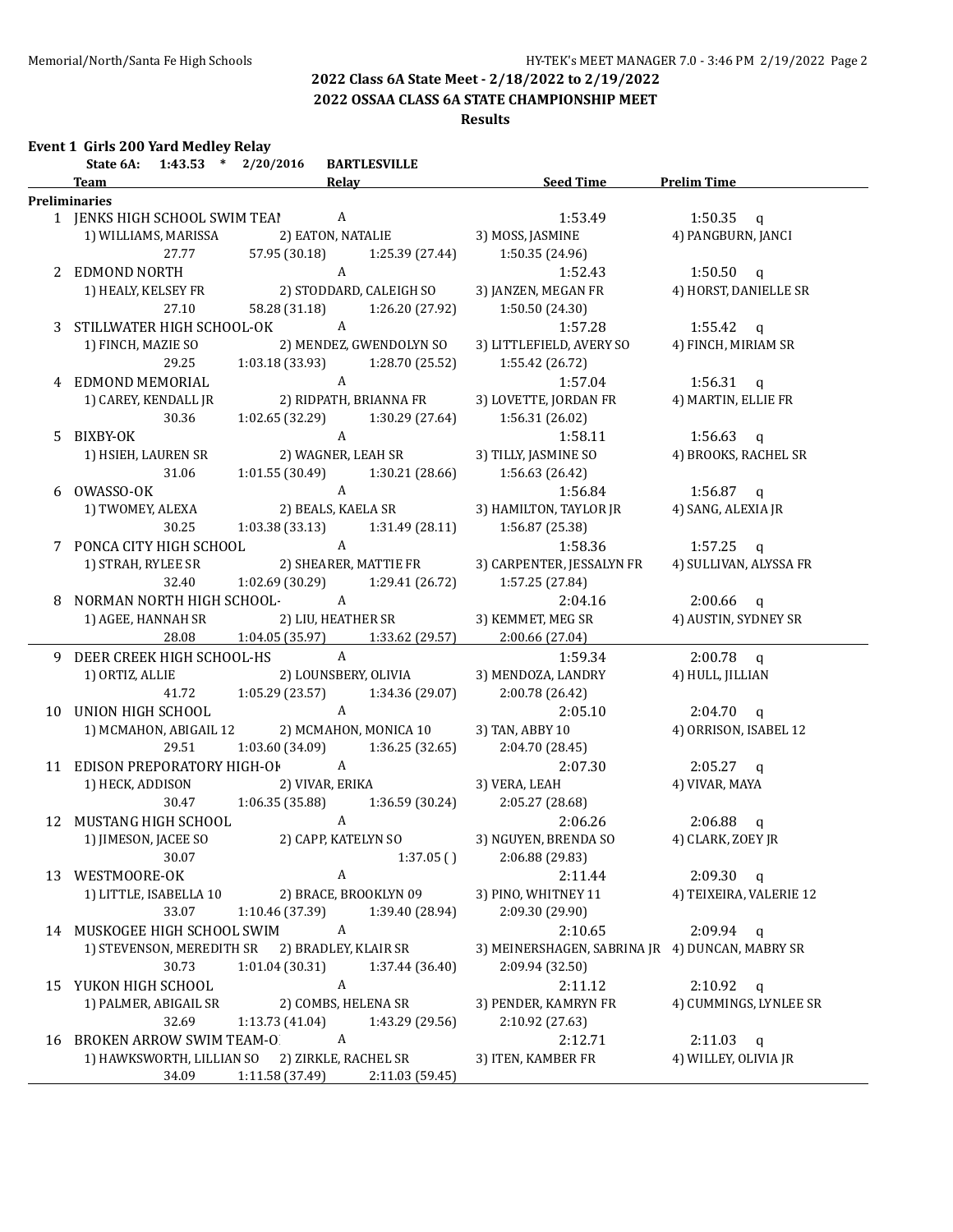**2022 OSSAA CLASS 6A STATE CHAMPIONSHIP MEET**

### **Results**

|    | Event 1 Girls 200 Yard Medley Relay<br>State 6A: 1:43.53 * 2/20/2016 |                 | <b>BARTLESVILLE</b>                                |                                                 |                         |
|----|----------------------------------------------------------------------|-----------------|----------------------------------------------------|-------------------------------------------------|-------------------------|
|    | <b>Team</b>                                                          |                 | <b>Relay</b>                                       | <b>Example 15 Seed Time 5 Prelim Time</b>       |                         |
|    | <b>Preliminaries</b>                                                 |                 |                                                    |                                                 |                         |
|    | 1 JENKS HIGH SCHOOL SWIM TEA! A                                      |                 |                                                    | 1:53.49                                         | 1:50.35 $q$             |
|    | 1) WILLIAMS, MARISSA                                                 |                 | 2) EATON, NATALIE                                  | 3) MOSS, JASMINE                                | 4) PANGBURN, JANCI      |
|    | 27.77                                                                | 57.95 (30.18)   | 1:25.39 (27.44)                                    | 1:50.35 (24.96)                                 |                         |
|    | 2 EDMOND NORTH                                                       |                 | $\boldsymbol{A}$                                   | 1:52.43                                         | $1:50.50$ q             |
|    | 1) HEALY, KELSEY FR                                                  |                 | 2) STODDARD, CALEIGH SO                            | 3) JANZEN, MEGAN FR                             | 4) HORST, DANIELLE SR   |
|    | 27.10                                                                | 58.28 (31.18)   | 1:26.20 (27.92)                                    | 1:50.50 (24.30)                                 |                         |
|    | 3 STILLWATER HIGH SCHOOL-OK                                          |                 | A                                                  | 1:57.28                                         | 1:55.42 $q$             |
|    | 1) FINCH, MAZIE SO                                                   |                 | 2) MENDEZ, GWENDOLYN SO                            | 3) LITTLEFIELD, AVERY SO                        | 4) FINCH, MIRIAM SR     |
|    | 29.25                                                                | 1:03.18 (33.93) | 1:28.70 (25.52)                                    | 1:55.42 (26.72)                                 |                         |
|    | 4 EDMOND MEMORIAL                                                    |                 | A                                                  | 1:57.04                                         | 1:56.31 $q$             |
|    | 1) CAREY, KENDALL JR                                                 |                 | 2) RIDPATH, BRIANNA FR                             | 3) LOVETTE, JORDAN FR                           | 4) MARTIN, ELLIE FR     |
|    | 30.36                                                                |                 | $1:02.65(32.29)$ $1:30.29(27.64)$                  | 1:56.31 (26.02)                                 |                         |
|    | 5 BIXBY-OK                                                           |                 | A                                                  | 1:58.11                                         | 1:56.63 $q$             |
|    | 1) HSIEH, LAUREN SR                                                  |                 | 2) WAGNER, LEAH SR                                 | 3) TILLY, JASMINE SO                            | 4) BROOKS, RACHEL SR    |
|    | 31.06                                                                |                 | $1:01.55(30.49)$ $1:30.21(28.66)$ $1:56.63(26.42)$ |                                                 |                         |
|    | 6 OWASSO-OK                                                          |                 |                                                    | 1:56.84                                         | 1:56.87 $q$             |
|    | 1) TWOMEY, ALEXA                                                     |                 | A<br>2) BEALS, KAELA SR                            | 3) HAMILTON, TAYLOR JR                          | 4) SANG, ALEXIA JR      |
|    | 30.25                                                                |                 | $1:03.38(33.13)$ $1:31.49(28.11)$ $1:56.87(25.38)$ |                                                 |                         |
|    | 7 PONCA CITY HIGH SCHOOL                                             | $\overline{A}$  |                                                    | 1:58.36                                         | 1:57.25 $q$             |
|    | 1) STRAH, RYLEE SR                                                   |                 | 2) SHEARER, MATTIE FR                              | 3) CARPENTER, JESSALYN FR                       | 4) SULLIVAN, ALYSSA FR  |
|    | 32.40                                                                |                 | $1:02.69$ (30.29) $1:29.41$ (26.72)                | 1:57.25 (27.84)                                 |                         |
|    | 8 NORMAN NORTH HIGH SCHOOL- A                                        |                 |                                                    | 2:04.16                                         | $2:00.66$ q             |
|    | 1) AGEE, HANNAH SR                                                   |                 | 2) LIU, HEATHER SR                                 | 3) KEMMET, MEG SR                               | 4) AUSTIN, SYDNEY SR    |
|    | 28.08                                                                |                 | $1:04.05(35.97)$ $1:33.62(29.57)$                  | 2:00.66 (27.04)                                 |                         |
|    | 9 DEER CREEK HIGH SCHOOL-HS                                          |                 | $\mathbf{A}$                                       | 1:59.34                                         | $2:00.78$ q             |
|    | 1) ORTIZ, ALLIE                                                      |                 | 2) LOUNSBERY, OLIVIA                               | 3) MENDOZA, LANDRY                              | 4) HULL, JILLIAN        |
|    | 41.72                                                                | 1:05.29 (23.57) | 1:34.36 (29.07)                                    | 2:00.78 (26.42)                                 |                         |
|    | 10 UNION HIGH SCHOOL                                                 |                 | $\mathbf{A}$                                       | 2:05.10                                         | $2:04.70$ q             |
|    | 1) MCMAHON, ABIGAIL 12                                               |                 | 2) MCMAHON, MONICA 10                              | 3) TAN, ABBY 10                                 | 4) ORRISON, ISABEL 12   |
|    | 29.51                                                                | 1:03.60 (34.09) | 1:36.25(32.65)                                     | 2:04.70 (28.45)                                 |                         |
|    | 11 EDISON PREPORATORY HIGH-OF A                                      |                 |                                                    | 2:07.30                                         | $2:05.27$ q             |
|    | 1) HECK, ADDISON                                                     |                 | 2) VIVAR, ERIKA                                    | 3) VERA, LEAH                                   | 4) VIVAR, MAYA          |
|    | 30.47                                                                | 1:06.35(35.88)  | 1:36.59 (30.24)                                    | 2:05.27(28.68)                                  |                         |
|    | 12 MUSTANG HIGH SCHOOL                                               |                 | A                                                  | 2:06.26                                         | $2:06.88$ q             |
|    | 1) JIMESON, JACEE SO                                                 |                 | 2) CAPP, KATELYN SO                                | 3) NGUYEN, BRENDA SO                            | 4) CLARK, ZOEY JR       |
|    | 30.07                                                                |                 | 1:37.05()                                          | 2:06.88 (29.83)                                 |                         |
| 13 | WESTMOORE-OK                                                         |                 | A                                                  | 2:11.44                                         | $2:09.30$ q             |
|    | 1) LITTLE, ISABELLA 10                                               |                 | 2) BRACE, BROOKLYN 09                              | 3) PINO, WHITNEY 11                             | 4) TEIXEIRA, VALERIE 12 |
|    | 33.07                                                                | 1:10.46 (37.39) | 1:39.40 (28.94)                                    | 2:09.30 (29.90)                                 |                         |
|    | 14 MUSKOGEE HIGH SCHOOL SWIM                                         |                 | A                                                  | 2:10.65                                         | $2:09.94$ q             |
|    | 1) STEVENSON, MEREDITH SR                                            |                 | 2) BRADLEY, KLAIR SR                               | 3) MEINERSHAGEN, SABRINA JR 4) DUNCAN, MABRY SR |                         |
|    | 30.73                                                                | 1:01.04 (30.31) | 1:37.44 (36.40)                                    | 2:09.94 (32.50)                                 |                         |
|    | 15 YUKON HIGH SCHOOL                                                 |                 | A                                                  | 2:11.12                                         | $2:10.92$ q             |
|    | 1) PALMER, ABIGAIL SR                                                |                 | 2) COMBS, HELENA SR                                | 3) PENDER, KAMRYN FR                            | 4) CUMMINGS, LYNLEE SR  |
|    | 32.69                                                                | 1:13.73 (41.04) | 1:43.29 (29.56)                                    | 2:10.92 (27.63)                                 |                         |
| 16 | <b>BROKEN ARROW SWIM TEAM-O</b>                                      |                 | $\boldsymbol{A}$                                   | 2:12.71                                         | $2:11.03$ q             |
|    | 1) HAWKSWORTH, LILLIAN SO                                            |                 | 2) ZIRKLE, RACHEL SR                               | 3) ITEN, KAMBER FR                              | 4) WILLEY, OLIVIA JR    |
|    | 34.09                                                                | 1:11.58 (37.49) | 2:11.03 (59.45)                                    |                                                 |                         |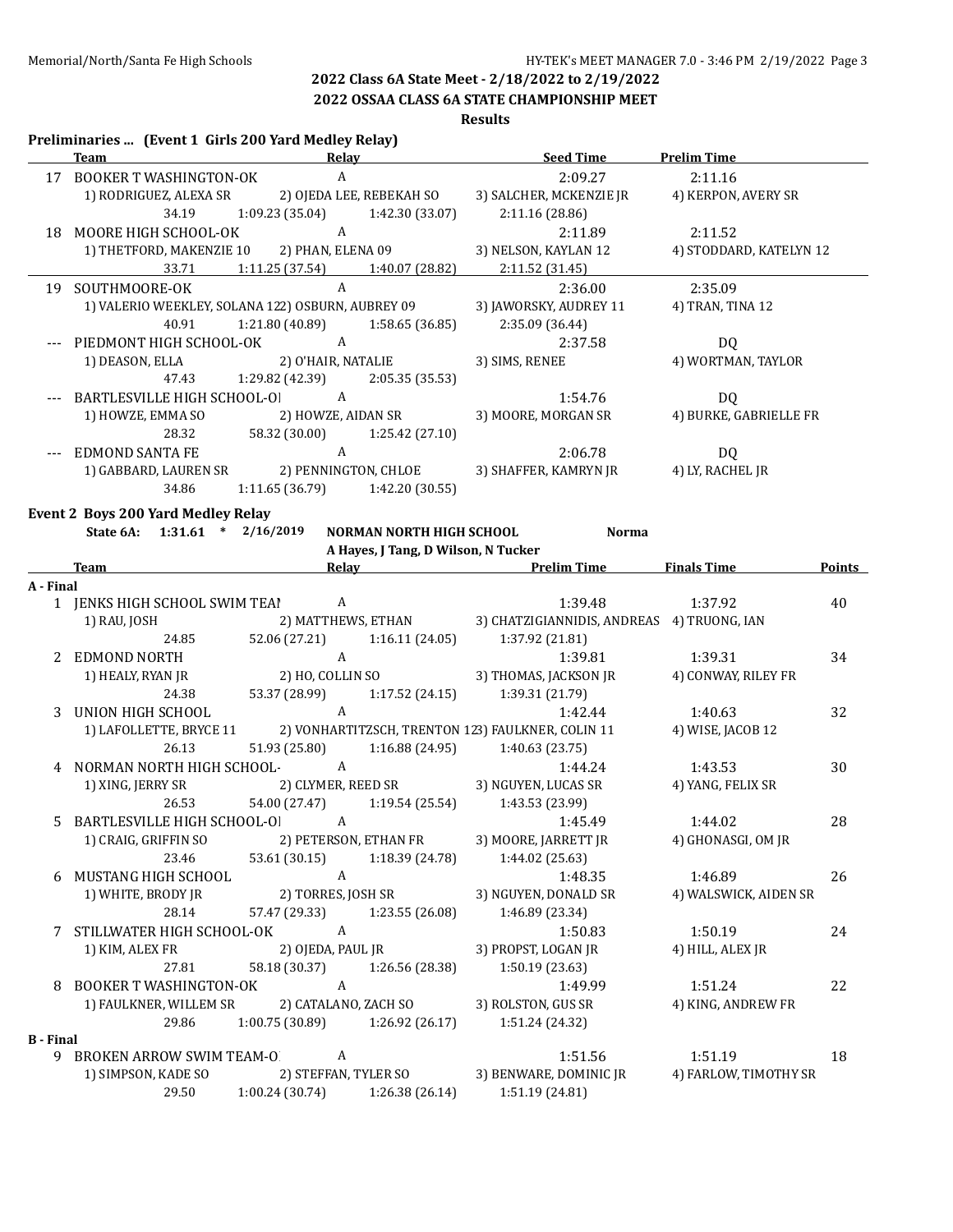## **2022 OSSAA CLASS 6A STATE CHAMPIONSHIP MEET**

## **Results**

### **Preliminaries ... (Event 1 Girls 200 Yard Medley Relay) Team Relay Seed Time Prelim Time** 17 BOOKER T WASHINGTON-OK A 2:09.27 2:11.16 1) RODRIGUEZ, ALEXA SR 2) OJEDA LEE, REBEKAH SO 3) SALCHER, MCKENZIE JR 4) KERPON, AVERY SR 34.19 1:09.23 (35.04) 1:42.30 (33.07) 2:11.16 (28.86) 18 MOORE HIGH SCHOOL-OK A 2:11.89 2:11.52 1) THETFORD, MAKENZIE 10 2) PHAN, ELENA 09 3) NELSON, KAYLAN 12 4) STODDARD, KATELYN 12 33.71 1:11.25 (37.54) 1:40.07 (28.82) 2:11.52 (31.45) 19 SOUTHMOORE-OK A 2:36.00 2:35.09 1) VALERIO WEEKLEY, SOLANA 122) OSBURN, AUBREY 09 3) JAWORSKY, AUDREY 11 4) TRAN, TINA 12 40.91 1:21.80 (40.89) 1:58.65 (36.85) 2:35.09 (36.44) --- PIEDMONT HIGH SCHOOL-OK A 2:37.58 DQ 1) DEASON, ELLA 2) O'HAIR, NATALIE 3) SIMS, RENEE 4) WORTMAN, TAYLOR 47.43 1:29.82 (42.39) 2:05.35 (35.53) --- BARTLESVILLE HIGH SCHOOL-OK A 1:54.76 DO 1) HOWZE, EMMA SO 2) HOWZE, AIDAN SR 3) MOORE, MORGAN SR 4) BURKE, GABRIELLE FR 28.32 58.32 (30.00) 1:25.42 (27.10) --- EDMOND SANTA FE A 2:06.78 DQ 1) GABBARD, LAUREN SR 2) PENNINGTON, CHLOE 3) SHAFFER, KAMRYN JR 34.86 1:11.65 (36.79) 1:42.20 (30.55) **Event 2 Boys 200 Yard Medley Relay State 6A: 1:31.61 \* 2/16/2019 NORMAN NORTH HIGH SCHOOL Norma A Hayes, J Tang, D Wilson, N Tucker Team Relay Prelim Time Finals Time Points A - Final** 1 IENKS HIGH SCHOOL SWIM TEAI A 1:39.48 1:39.48 1:37.92 40 1) RAU, JOSH 2) MATTHEWS, ETHAN 3) CHATZIGIANNIDIS, ANDREAS 4) TRUONG, IAN 24.85 52.06 (27.21) 1:16.11 (24.05) 1:37.92 (21.81) 2 EDMOND NORTH A 2.6 A 2.6 A 2.6 A 2.6 A 2.6 A 2.6 A 2.6 A 2.6 A 2.6 A 2.6 A 2.6 A 2.6 A 2.6 A 2.6 A 2.6 A 2.6 A 2.6 A 2.6 A 2.6 A 2.6 A 2.6 A 2.6 A 2.6 A 2.6 A 2.6 A 2.6 A 2.6 A 2.6 A 2.6 A 2.6 A 2.6 A 2.6 A 2.6 A 2.6 A 2 1) HEALY, RYAN JR 2) HO, COLLIN SO 3) THOMAS, JACKSON JR 4) CONWAY, RILEY FR 24.38 53.37 (28.99) 1:17.52 (24.15) 1:39.31 (21.79) 3 UNION HIGH SCHOOL A A 1:42.44 1:40.63 32 1) LAFOLLETTE, BRYCE 11 2) VONHARTITZSCH, TRENTON 123) FAULKNER, COLIN 11 4) WISE, JACOB 12 26.13 51.93 (25.80) 1:16.88 (24.95) 1:40.63 (23.75) 4 NORMAN NORTH HIGH SCHOOL- A 1:44.24 1:43.53 30 1) XING, JERRY SR 2) CLYMER, REED SR 3) NGUYEN, LUCAS SR 4) YANG, FELIX SR 26.53 54.00 (27.47) 1:19.54 (25.54) 1:43.53 (23.99) 5 BARTLESVILLE HIGH SCHOOL-O A 1:45.49 1:44.02 28 1) CRAIG, GRIFFIN SO 2) PETERSON, ETHAN FR 3) MOORE, JARRETT JR 4) GHONASGI, OM JR 23.46 53.61 (30.15) 1:18.39 (24.78) 1:44.02 (25.63) 6 MUSTANG HIGH SCHOOL A 1:48.35 1:46.89 26 1) WHITE, BRODY JR 2) TORRES, JOSH SR 3) NGUYEN, DONALD SR 4) WALSWICK, AIDEN SR 28.14 57.47 (29.33) 1:23.55 (26.08) 1:46.89 (23.34) 7 STILLWATER HIGH SCHOOL-OK A 1:50.83 1:50.19 24 1) KIM, ALEX FR 2) OJEDA, PAUL JR 3) PROPST, LOGAN JR 4) HILL, ALEX JR 27.81 58.18 (30.37) 1:26.56 (28.38) 1:50.19 (23.63) 8 BOOKER T WASHINGTON-OK A 22 1) FAULKNER, WILLEM SR 2) CATALANO, ZACH SO 3) ROLSTON, GUS SR 4) KING, ANDREW FR 29.86 1:00.75 (30.89) 1:26.92 (26.17) 1:51.24 (24.32) **B - Final** 9 BROKEN ARROW SWIM TEAM-O A 1:51.56 1:51.19 18 1) SIMPSON, KADE SO 2) STEFFAN, TYLER SO 3) BENWARE, DOMINIC JR 4) FARLOW, TIMOTHY SR 29.50 1:00.24 (30.74) 1:26.38 (26.14) 1:51.19 (24.81)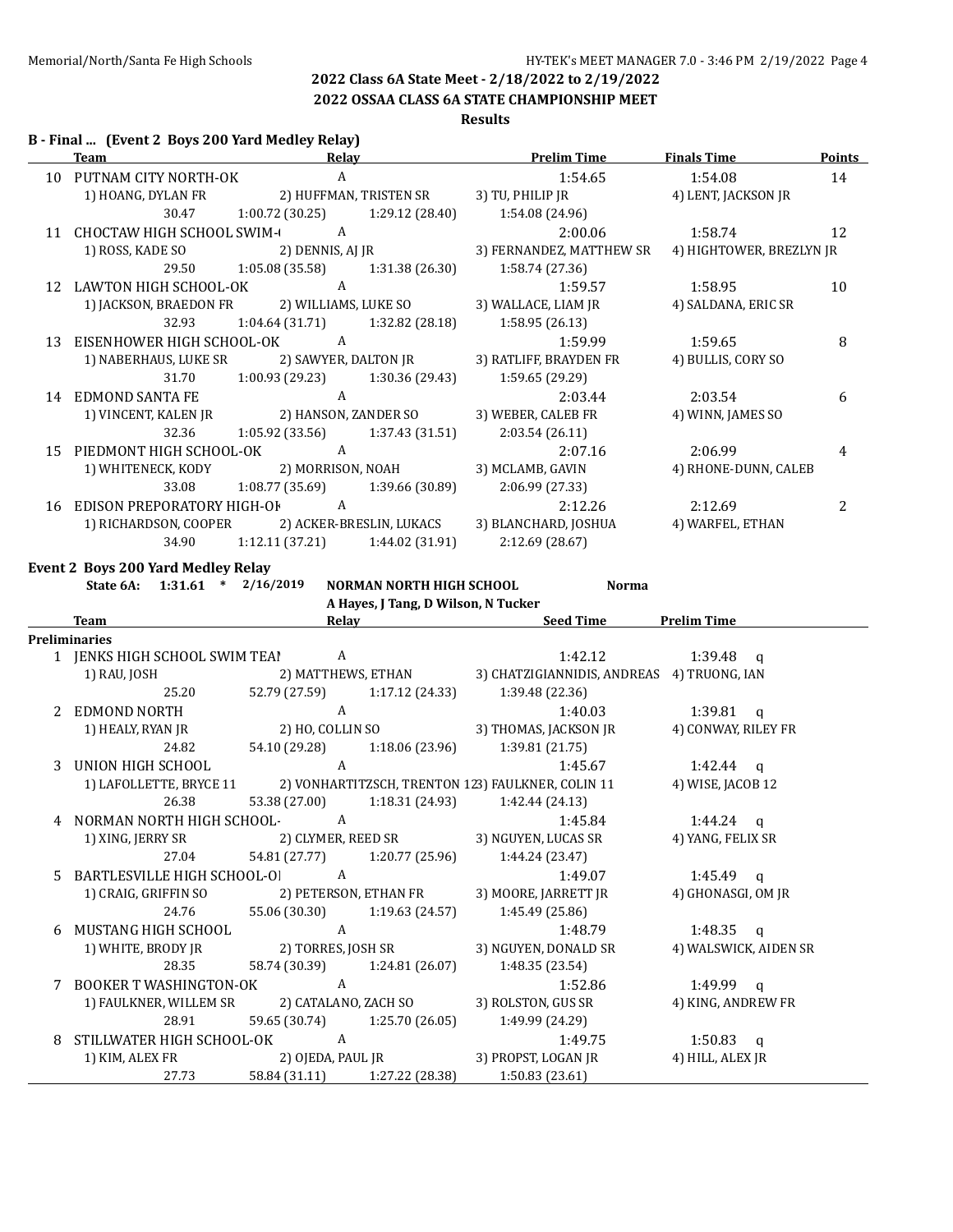# **2022 OSSAA CLASS 6A STATE CHAMPIONSHIP MEET**

### **Results**

### **B - Final ... (Event 2 Boys 200 Yard Medley Relay)**

|     | Team                             | Relav                  |                          | <b>Prelim Time</b>       | <b>Finals Time</b>       | <b>Points</b> |
|-----|----------------------------------|------------------------|--------------------------|--------------------------|--------------------------|---------------|
| 10  | PUTNAM CITY NORTH-OK             | A                      |                          | 1:54.65                  | 1:54.08                  | 14            |
|     | 1) HOANG, DYLAN FR               | 2) HUFFMAN, TRISTEN SR |                          | 3) TU, PHILIP JR         | 4) LENT, JACKSON JR      |               |
|     | 30.47                            | 1:00.72 (30.25)        | 1:29.12(28.40)           | 1:54.08 (24.96)          |                          |               |
| 11  | <b>CHOCTAW HIGH SCHOOL SWIM-</b> | A                      |                          | 2:00.06                  | 1:58.74                  | 12            |
|     | 1) ROSS, KADE SO                 | 2) DENNIS, AJ JR       |                          | 3) FERNANDEZ, MATTHEW SR | 4) HIGHTOWER, BREZLYN JR |               |
|     | 29.50                            | 1:05.08(35.58)         | 1:31.38 (26.30)          | 1:58.74 (27.36)          |                          |               |
| 12  | LAWTON HIGH SCHOOL-OK            | A                      |                          | 1:59.57                  | 1:58.95                  | 10            |
|     | 1) JACKSON, BRAEDON FR           | 2) WILLIAMS, LUKE SO   |                          | 3) WALLACE, LIAM JR      | 4) SALDANA, ERIC SR      |               |
|     | 32.93                            | 1:04.64 (31.71)        | 1:32.82 (28.18)          | 1:58.95(26.13)           |                          |               |
| 13  | EISENHOWER HIGH SCHOOL-OK        | A                      |                          | 1:59.99                  | 1:59.65                  | 8             |
|     | 1) NABERHAUS, LUKE SR            | 2) SAWYER, DALTON JR   |                          | 3) RATLIFF, BRAYDEN FR   | 4) BULLIS, CORY SO       |               |
|     | 31.70                            | 1:00.93 (29.23)        | 1:30.36 (29.43)          | 1:59.65(29.29)           |                          |               |
|     | 14 EDMOND SANTA FE               | A                      |                          | 2:03.44                  | 2:03.54                  | 6             |
|     | 1) VINCENT, KALEN JR             | 2) HANSON, ZANDER SO   |                          | 3) WEBER, CALEB FR       | 4) WINN, JAMES SO        |               |
|     | 32.36                            | 1:05.92 (33.56)        | 1:37.43(31.51)           | 2:03.54(26.11)           |                          |               |
| 15. | PIEDMONT HIGH SCHOOL-OK          | A                      |                          | 2:07.16                  | 2:06.99                  | 4             |
|     | 1) WHITENECK, KODY               | 2) MORRISON, NOAH      |                          | 3) MCLAMB, GAVIN         | 4) RHONE-DUNN, CALEB     |               |
|     | 33.08                            | 1:08.77(35.69)         | 1:39.66 (30.89)          | 2:06.99 (27.33)          |                          |               |
| 16  | EDISON PREPORATORY HIGH-OF       | A                      |                          | 2:12.26                  | 2:12.69                  | 2             |
|     | 1) RICHARDSON, COOPER            |                        | 2) ACKER-BRESLIN, LUKACS | 3) BLANCHARD, JOSHUA     | 4) WARFEL, ETHAN         |               |
|     | 34.90                            | 1:12.11(37.21)         | 1:44.02 (31.91)          | 2:12.69 (28.67)          |                          |               |
|     |                                  |                        |                          |                          |                          |               |

## **Event 2 Boys 200 Yard Medley Relay**

**State 6A: 1:31.61 \* 2/16/2019 NORMAN NORTH HIGH SCHOOL Norma**

**A Hayes, J Tang, D Wilson, N Tucker**

|    | Team                                                                      | Relay          |                               | <b>Seed Time</b>                              | <b>Prelim Time</b>    |  |
|----|---------------------------------------------------------------------------|----------------|-------------------------------|-----------------------------------------------|-----------------------|--|
|    | Preliminaries                                                             |                |                               |                                               |                       |  |
|    | 1 JENKS HIGH SCHOOL SWIM TEAI                                             | A              |                               | 1:42.12                                       | $1:39.48$ q           |  |
|    | 1) RAU, JOSH                                                              |                | 2) MATTHEWS, ETHAN            | 3) CHATZIGIANNIDIS, ANDREAS 4) TRUONG, IAN    |                       |  |
|    | 25.20                                                                     | 52.79 (27.59)  | 1:17.12 (24.33)               | 1:39.48 (22.36)                               |                       |  |
|    | EDMOND NORTH                                                              | $\mathbf{A}$   |                               | 1:40.03                                       | $1:39.81$ q           |  |
|    | 1) HEALY, RYAN JR                                                         |                | 2) HO, COLLIN SO              | 3) THOMAS, JACKSON JR                         | 4) CONWAY, RILEY FR   |  |
|    | 24.82                                                                     |                |                               | 54.10 (29.28) 1:18.06 (23.96) 1:39.81 (21.75) |                       |  |
|    | 3 UNION HIGH SCHOOL                                                       | $\mathsf{A}$   |                               | 1:45.67                                       | 1:42.44 $q$           |  |
|    | 1) LAFOLLETTE, BRYCE 11 2) VONHARTITZSCH, TRENTON 123) FAULKNER, COLIN 11 |                |                               |                                               | 4) WISE, JACOB 12     |  |
|    | 26.38                                                                     | 53.38 (27.00)  | 1:18.31 (24.93)               | 1:42.44 (24.13)                               |                       |  |
|    | NORMAN NORTH HIGH SCHOOL-                                                 | A              |                               | 1:45.84                                       | 1:44.24 $q$           |  |
|    | 1) XING, JERRY SR 2) CLYMER, REED SR                                      |                |                               | 3) NGUYEN, LUCAS SR                           | 4) YANG, FELIX SR     |  |
|    | 27.04                                                                     | 54.81 (27.77)  |                               | $1:20.77(25.96)$ $1:44.24(23.47)$             |                       |  |
| 5. | BARTLESVILLE HIGH SCHOOL-OI A                                             |                |                               | 1:49.07                                       | 1:45.49 a             |  |
|    | 1) CRAIG, GRIFFIN SO 2) PETERSON, ETHAN FR 3) MOORE, JARRETT JR           |                |                               |                                               | 4) GHONASGI, OM JR    |  |
|    | 24.76                                                                     |                |                               | 55.06 (30.30) 1:19.63 (24.57) 1:45.49 (25.86) |                       |  |
| 6  | MUSTANG HIGH SCHOOL                                                       | A              |                               | 1:48.79                                       | 1:48.35 $q$           |  |
|    | 1) WHITE, BRODY JR                                                        |                | 2) TORRES, JOSH SR            | 3) NGUYEN, DONALD SR                          | 4) WALSWICK, AIDEN SR |  |
|    | 28.35                                                                     |                | 58.74 (30.39) 1:24.81 (26.07) | 1:48.35 (23.54)                               |                       |  |
| 7  | BOOKER T WASHINGTON-OK                                                    | $\overline{A}$ |                               | 1:52.86                                       | 1:49.99 $q$           |  |
|    | 1) FAULKNER, WILLEM SR                                                    |                | 2) CATALANO, ZACH SO          | 3) ROLSTON, GUS SR                            | 4) KING, ANDREW FR    |  |
|    | 28.91                                                                     | 59.65 (30.74)  | 1:25.70 (26.05)               | 1:49.99 (24.29)                               |                       |  |
| 8  | STILLWATER HIGH SCHOOL-OK A                                               |                |                               | 1:49.75                                       | 1:50.83 a             |  |
|    | 1) KIM, ALEX FR                                                           |                | 2) OJEDA, PAUL JR             | 3) PROPST, LOGAN JR                           | 4) HILL, ALEX JR      |  |
|    | 27.73                                                                     |                | 58.84 (31.11) 1:27.22 (28.38) | 1:50.83(23.61)                                |                       |  |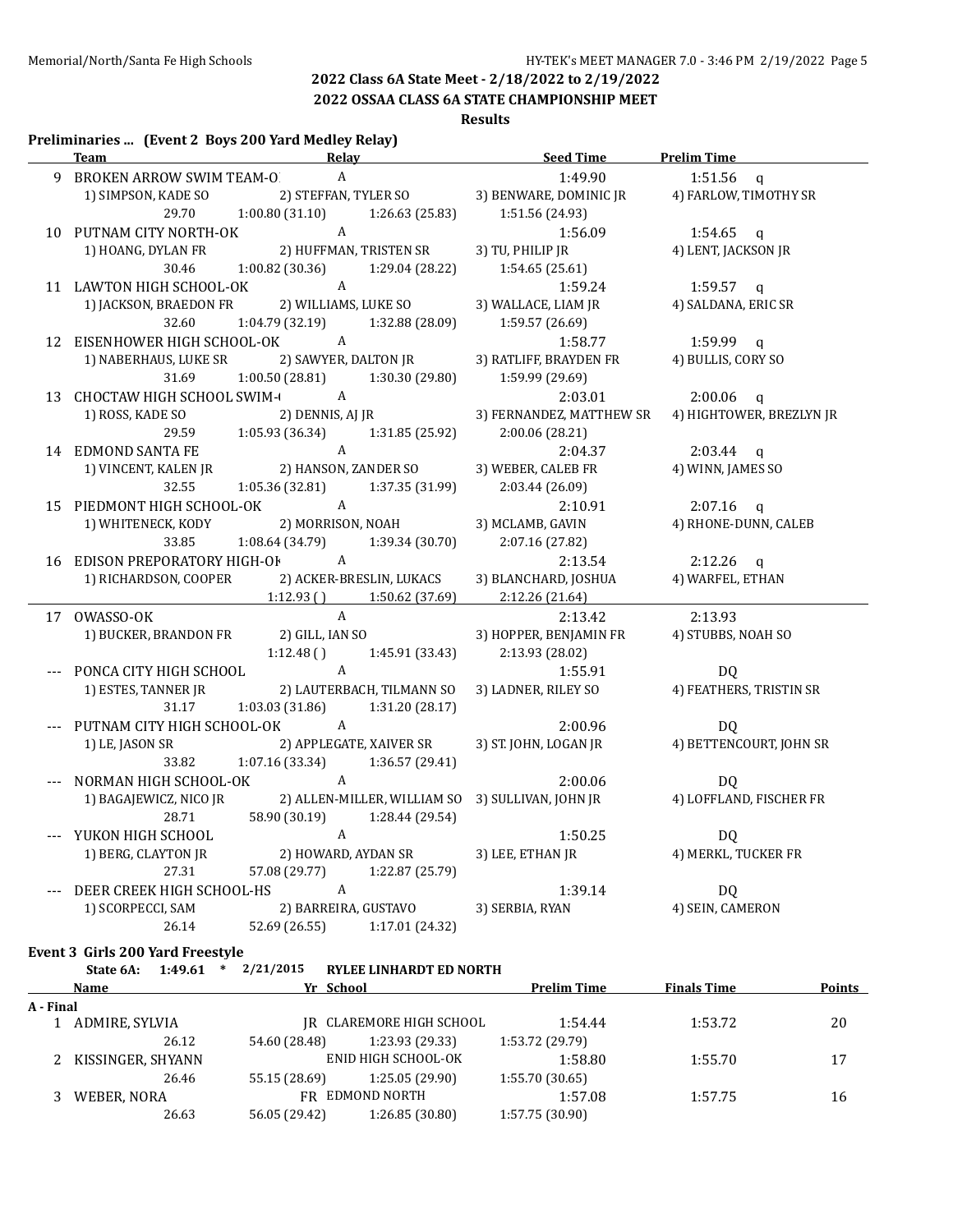**2022 OSSAA CLASS 6A STATE CHAMPIONSHIP MEET**

## **Results**

### **Preliminaries ... (Event 2 Boys 200 Yard Medley Relay)**

| <b>Team</b><br><b>Relay</b>                                                                         | Seed Time Prelim Time                                  |                                                   |
|-----------------------------------------------------------------------------------------------------|--------------------------------------------------------|---------------------------------------------------|
| A<br>9 BROKEN ARROW SWIM TEAM-O                                                                     | 1:49.90                                                | 1:51.56 $q$                                       |
| 1) SIMPSON, KADE SO 2) STEFFAN, TYLER SO 3) BENWARE, DOMINIC JR 4) FARLOW, TIMOTHY SR               |                                                        |                                                   |
| 29.70 1:00.80 (31.10) 1:26.63 (25.83) 1:51.56 (24.93)                                               |                                                        |                                                   |
| 10 PUTNAM CITY NORTH-OK A<br>1) HOANG, DYLAN FR 2) HUFFMAN, TRISTEN SR                              | 1:56.09                                                | $1:54.65$ q                                       |
|                                                                                                     | 3) TU, PHILIP JR                                       | 4) LENT, JACKSON JR                               |
| 30.46 1:00.82 (30.36)<br>1:29.04 (28.22)                                                            | 1:54.65(25.61)                                         |                                                   |
| 11 LAWTON HIGH SCHOOL-OK A                                                                          | 1:59.24                                                | $1:59.57$ q                                       |
| 1) JACKSON, BRAEDON FR 2) WILLIAMS, LUKE SO                                                         | 3) WALLACE, LIAM JR                                    | 4) SALDANA, ERIC SR                               |
| $1:04.79(32.19)$ $1:32.88(28.09)$<br>32.60                                                          | 1:59.57 (26.69)                                        |                                                   |
| 12 EISENHOWER HIGH SCHOOL-OK A                                                                      | 1:58.77                                                | $1:59.99$ q                                       |
| 1) NABERHAUS, LUKE SR 2) SAWYER, DALTON JR                                                          | 3) RATLIFF, BRAYDEN FR                                 | 4) BULLIS, CORY SO                                |
| 31.69<br>1:00.50 (28.81) 1:30.30 (29.80) 1:59.99 (29.69)                                            |                                                        |                                                   |
| 13 CHOCTAW HIGH SCHOOL SWIM-                                                                        | 2:03.01                                                | $2:00.06$ q                                       |
| 2) DENNIS, AJ JR<br>1) ROSS, KADE SO                                                                |                                                        | 3) FERNANDEZ, MATTHEW SR 4) HIGHTOWER, BREZLYN JR |
| 29.59 1:05.93 (36.34) 1:31.85 (25.92)                                                               | 2:00.06(28.21)                                         |                                                   |
| 14 EDMOND SANTA FE A<br>1) VINCENT, KALEN JR 2) HANSON, ZANDER SO                                   | 2:04.37                                                | $2:03.44$ q                                       |
|                                                                                                     | 3) WEBER, CALEB FR                                     | 4) WINN, JAMES SO                                 |
| 1:05.36 (32.81) 1:37.35 (31.99)<br>32.55                                                            | 2:03.44(26.09)                                         |                                                   |
| 15 PIEDMONT HIGH SCHOOL-OK A<br>1 YIEDMONT HIGH SCHOOL-OK A<br>1) WHITENECK, KODY 2) MORRISON, NOAH | 2:10.91                                                | $2:07.16$ q                                       |
|                                                                                                     | 3) MCLAMB, GAVIN                                       | 4) RHONE-DUNN, CALEB                              |
| 33.85<br>1:08.64 (34.79)<br>1:39.34 (30.70)                                                         | 2:07.16 (27.82)                                        |                                                   |
| 16 EDISON PREPORATORY HIGH-OF A                                                                     | 2:13.54                                                | $2:12.26$ q                                       |
| 1) RICHARDSON, COOPER 2) ACKER-BRESLIN, LUKACS                                                      | 3) BLANCHARD, JOSHUA                                   | 4) WARFEL, ETHAN                                  |
| $1:12.93$ () $1:50.62$ (37.69)                                                                      | 2:12.26 (21.64)                                        |                                                   |
| $\mathbf{A}$<br>17 OWASSO-OK                                                                        | 2:13.42                                                | 2:13.93                                           |
| 1) BUCKER, BRANDON FR 2) GILL, IAN SO                                                               | 3) HOPPER, BENJAMIN FR                                 | 4) STUBBS, NOAH SO                                |
| $1:12.48()$ $1:45.91(33.43)$                                                                        | 2:13.93(28.02)                                         |                                                   |
| --- PONCA CITY HIGH SCHOOL A<br>1) ESTES, TANNER JR<br>2) LAUTERBACH, TILMANN SO                    | 1:55.91<br>3) LADNER, RILEY SO                         | DQ<br>4) FEATHERS, TRISTIN SR                     |
| 31.17<br>$1:03.03(31.86)$ $1:31.20(28.17)$                                                          |                                                        |                                                   |
| --- PUTNAM CITY HIGH SCHOOL-OK A                                                                    | 2:00.96                                                | DQ                                                |
| 1) LE, JASON SR<br>2) APPLEGATE, XAIVER SR                                                          | 3) ST. JOHN, LOGAN JR                                  | 4) BETTENCOURT, JOHN SR                           |
| $1:07.16(33.34)$ $1:36.57(29.41)$<br>33.82                                                          |                                                        |                                                   |
| NORMAN HIGH SCHOOL-OK A                                                                             | 2:00.06                                                | DQ                                                |
| 1) BAGAJEWICZ, NICO JR<br>2) ALLEN-MILLER, WILLIAM SO                                               | 3) SULLIVAN, JOHN JR (2009)<br>4) LOFFLAND, FISCHER FR |                                                   |
| 58.90 (30.19)<br>28.71<br>1:28.44 (29.54)                                                           |                                                        |                                                   |
| $\mathbf{A}$<br>--- YUKON HIGH SCHOOL                                                               | 1:50.25                                                | DQ                                                |
| 1) BERG, CLAYTON JR<br>2) HOWARD, AYDAN SR                                                          | 3) LEE, ETHAN JR                                       | DQ<br>4) MERKL, TUCKER FR                         |
| 57.08 (29.77) 1:22.87 (25.79)<br>27.31                                                              |                                                        |                                                   |
| DEER CREEK HIGH SCHOOL-HS A                                                                         | 1:39.14                                                | DQ                                                |
| 2) BARREIRA, GUSTAVO<br>1) SCORPECCI, SAM                                                           | 3) SERBIA, RYAN 4) SEIN, CAMERON                       |                                                   |
| 52.69 (26.55) 1:17.01 (24.32)<br>26.14                                                              |                                                        |                                                   |

**Event 3 Girls 200 Yard Freestyle**

**State 6A: 1:49.61 \* 2/21/2015 RYLEE LINHARDT ED NORTH**

| Name<br>A - Final |                     | Yr School     |                          | <b>Prelim Time</b> | <b>Finals Time</b> | <b>Points</b> |
|-------------------|---------------------|---------------|--------------------------|--------------------|--------------------|---------------|
|                   |                     |               |                          |                    |                    |               |
|                   | 1 ADMIRE, SYLVIA    |               | IR CLAREMORE HIGH SCHOOL | 1:54.44            | 1:53.72            | 20            |
|                   | 26.12               | 54.60 (28.48) | 1:23.93 (29.33)          | 1:53.72 (29.79)    |                    |               |
|                   | 2 KISSINGER, SHYANN |               | ENID HIGH SCHOOL-OK      | 1:58.80            | 1:55.70            | 17            |
|                   | 26.46               | 55.15 (28.69) | 1:25.05 (29.90)          | 1:55.70(30.65)     |                    |               |
|                   | WEBER, NORA         |               | FR EDMOND NORTH          | 1:57.08            | 1:57.75            | 16            |
|                   | 26.63               | 56.05 (29.42) | 1:26.85 (30.80)          | 1:57.75(30.90)     |                    |               |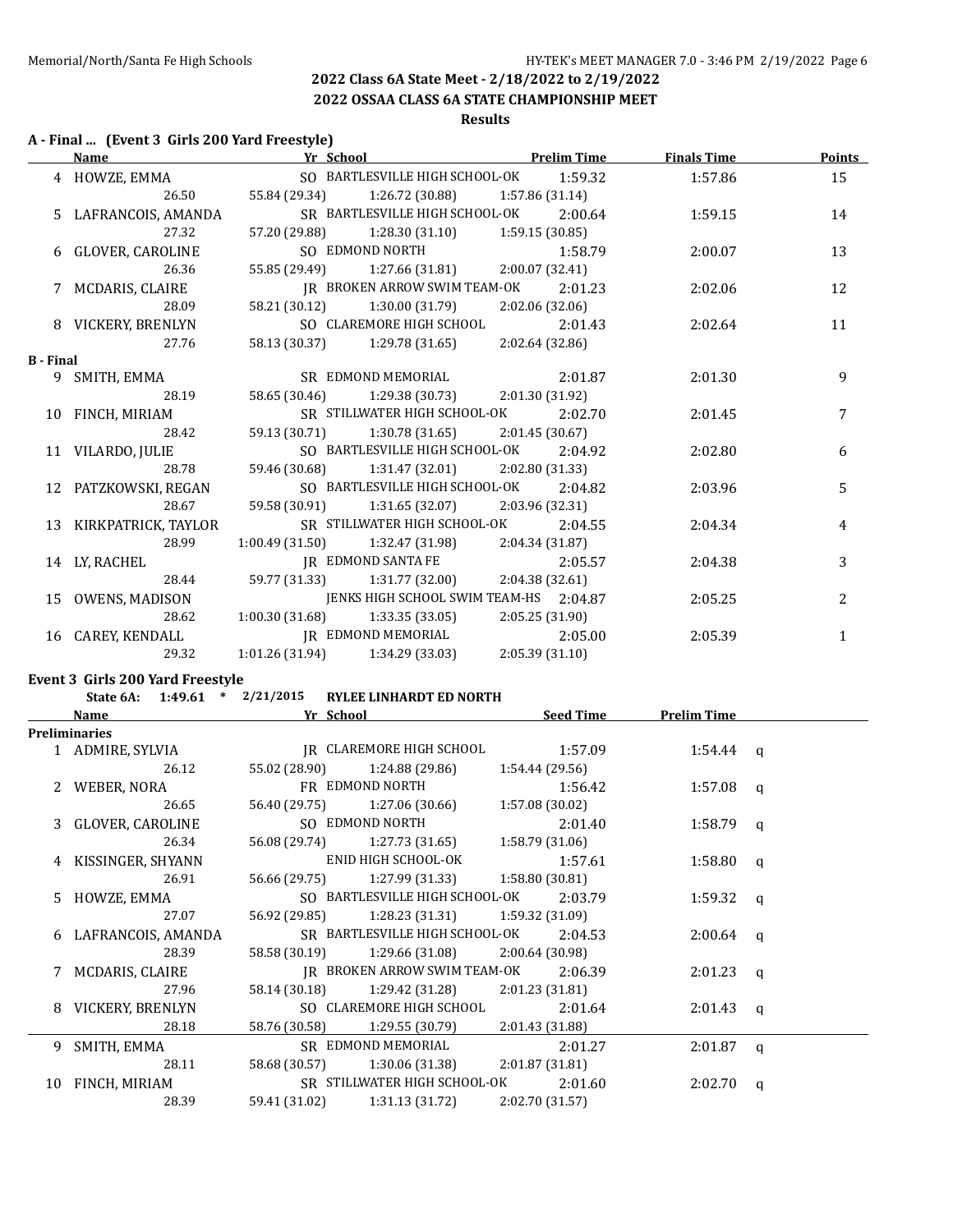**2022 OSSAA CLASS 6A STATE CHAMPIONSHIP MEET**

# **Results**

## **A - Final ... (Event 3 Girls 200 Yard Freestyle)**

|                  | <b>Name</b>            | <b>The School Prelim Time</b>                      |                 | <b>Finals Time</b> | <b>Points</b> |
|------------------|------------------------|----------------------------------------------------|-----------------|--------------------|---------------|
|                  | 4 HOWZE, EMMA          | SO BARTLESVILLE HIGH SCHOOL-OK 1:59.32             |                 | 1:57.86            | 15            |
|                  | 26.50                  | 55.84 (29.34) 1:26.72 (30.88) 1:57.86 (31.14)      |                 |                    |               |
|                  | 5 LAFRANCOIS, AMANDA   | SR BARTLESVILLE HIGH SCHOOL-OK 2:00.64             |                 | 1:59.15            | 14            |
|                  | 27.32                  | 57.20 (29.88) 1:28.30 (31.10) 1:59.15 (30.85)      |                 |                    |               |
|                  | 6 GLOVER, CAROLINE     | SO EDMOND NORTH 1:58.79                            |                 | 2:00.07            | 13            |
|                  | 26.36                  | 55.85 (29.49) 1:27.66 (31.81) 2:00.07 (32.41)      |                 |                    |               |
|                  | 7 MCDARIS, CLAIRE      | IR BROKEN ARROW SWIM TEAM-OK 2:01.23               |                 | 2:02.06            | 12            |
|                  | 28.09                  | 58.21 (30.12) 1:30.00 (31.79) 2:02.06 (32.06)      |                 |                    |               |
|                  | 8 VICKERY, BRENLYN     | SO CLAREMORE HIGH SCHOOL 2:01.43                   |                 | 2:02.64            | 11            |
|                  | 27.76                  | 58.13 (30.37) 1:29.78 (31.65) 2:02.64 (32.86)      |                 |                    |               |
| <b>B</b> - Final |                        |                                                    |                 |                    |               |
|                  | 9 SMITH, EMMA          | SR EDMOND MEMORIAL 2:01.87                         |                 | 2:01.30            | 9             |
|                  | 28.19                  | 58.65 (30.46) 1:29.38 (30.73) 2:01.30 (31.92)      |                 |                    |               |
|                  | 10 FINCH, MIRIAM       | SR STILLWATER HIGH SCHOOL-OK 2:02.70               |                 | 2:01.45            | 7             |
|                  | 28.42                  | 59.13 (30.71) 1:30.78 (31.65) 2:01.45 (30.67)      |                 |                    |               |
|                  | 11 VILARDO, JULIE      | SO BARTLESVILLE HIGH SCHOOL-OK 2:04.92             |                 | 2:02.80            | 6             |
|                  | 28.78                  | 59.46 (30.68) 1:31.47 (32.01) 2:02.80 (31.33)      |                 |                    |               |
|                  | 12 PATZKOWSKI, REGAN   | SO BARTLESVILLE HIGH SCHOOL-OK                     | 2:04.82         | 2:03.96            | 5             |
|                  | 28.67                  | 59.58 (30.91) 1:31.65 (32.07) 2:03.96 (32.31)      |                 |                    |               |
|                  | 13 KIRKPATRICK, TAYLOR | SR STILLWATER HIGH SCHOOL-OK 2:04.55               |                 | 2:04.34            | 4             |
|                  | 28.99                  | $1:00.49(31.50)$ $1:32.47(31.98)$ $2:04.34(31.87)$ |                 |                    |               |
|                  | 14 LY, RACHEL          | IR EDMOND SANTA FE                                 | 2:05.57         | 2:04.38            | 3             |
|                  | 28.44                  | 59.77 (31.33) 1:31.77 (32.00) 2:04.38 (32.61)      |                 |                    |               |
|                  | 15 OWENS, MADISON      | JENKS HIGH SCHOOL SWIM TEAM-HS 2:04.87             |                 | 2:05.25            | 2             |
|                  | 28.62                  | $1:00.30(31.68)$ $1:33.35(33.05)$                  | 2:05.25 (31.90) |                    |               |
|                  | 16 CAREY, KENDALL      | <b>IR EDMOND MEMORIAL</b>                          | 2:05.00         | 2:05.39            | $\mathbf{1}$  |
|                  | 29.32                  | $1:01.26(31.94)$ $1:34.29(33.03)$ $2:05.39(31.10)$ |                 |                    |               |

## **Event 3 Girls 200 Yard Freestyle**

| State 6A: $1:49.61$ * $2/21/2015$ | <b>RYLEE LINHARDT ED NORTH</b>                |                 |                    |  |
|-----------------------------------|-----------------------------------------------|-----------------|--------------------|--|
| Name                              | Yr School <u>and the second</u>               | Seed Time       | <b>Prelim Time</b> |  |
| <b>Preliminaries</b>              |                                               |                 |                    |  |
| 1 ADMIRE, SYLVIA                  | JR CLAREMORE HIGH SCHOOL 1:57.09              |                 | $1:54.44$ a        |  |
| 26.12                             | 55.02 (28.90) 1:24.88 (29.86)                 | 1:54.44 (29.56) |                    |  |
| 2 WEBER, NORA                     | FR EDMOND NORTH 1:56.42                       |                 | $1:57.08$ q        |  |
| 26.65                             | 56.40 (29.75) 1:27.06 (30.66) 1:57.08 (30.02) |                 |                    |  |
| 3 GLOVER, CAROLINE                | SO EDMOND NORTH                               | 2:01.40         | $1:58.79$ q        |  |
| 26.34                             | 56.08 (29.74) 1:27.73 (31.65) 1:58.79 (31.06) |                 |                    |  |
| 4 KISSINGER, SHYANN               | ENID HIGH SCHOOL-OK 1:57.61                   |                 | $1:58.80$ q        |  |
| 26.91                             | 56.66 (29.75) 1:27.99 (31.33) 1:58.80 (30.81) |                 |                    |  |
| 5 HOWZE, EMMA                     | SO BARTLESVILLE HIGH SCHOOL-OK 2:03.79        |                 | 1:59.32 $q$        |  |
| 27.07                             | 56.92 (29.85) 1:28.23 (31.31) 1:59.32 (31.09) |                 |                    |  |
| 6 LAFRANCOIS, AMANDA              | SR BARTLESVILLE HIGH SCHOOL-OK 2:04.53        |                 | $2:00.64$ a        |  |
| 28.39                             | 58.58 (30.19) 1:29.66 (31.08) 2:00.64 (30.98) |                 |                    |  |
| MCDARIS, CLAIRE                   | IR BROKEN ARROW SWIM TEAM-OK 2:06.39          |                 | $2:01.23$ q        |  |
| 27.96                             | 58.14 (30.18) 1:29.42 (31.28) 2:01.23 (31.81) |                 |                    |  |
| 8 VICKERY, BRENLYN                | SO CLAREMORE HIGH SCHOOL                      | 2:01.64         | $2:01.43$ q        |  |
| 28.18                             | 58.76 (30.58) 1:29.55 (30.79)                 | 2:01.43 (31.88) |                    |  |
| 9 SMITH, EMMA                     | SR EDMOND MEMORIAL 2:01.27                    |                 | $2:01.87$ q        |  |
| 28.11                             | 58.68 (30.57) 1:30.06 (31.38) 2:01.87 (31.81) |                 |                    |  |
| 10 FINCH, MIRIAM                  | SR STILLWATER HIGH SCHOOL-OK 2:01.60          |                 | $2:02.70$ q        |  |
| 28.39                             | 59.41 (31.02) 1:31.13 (31.72)                 | 2:02.70 (31.57) |                    |  |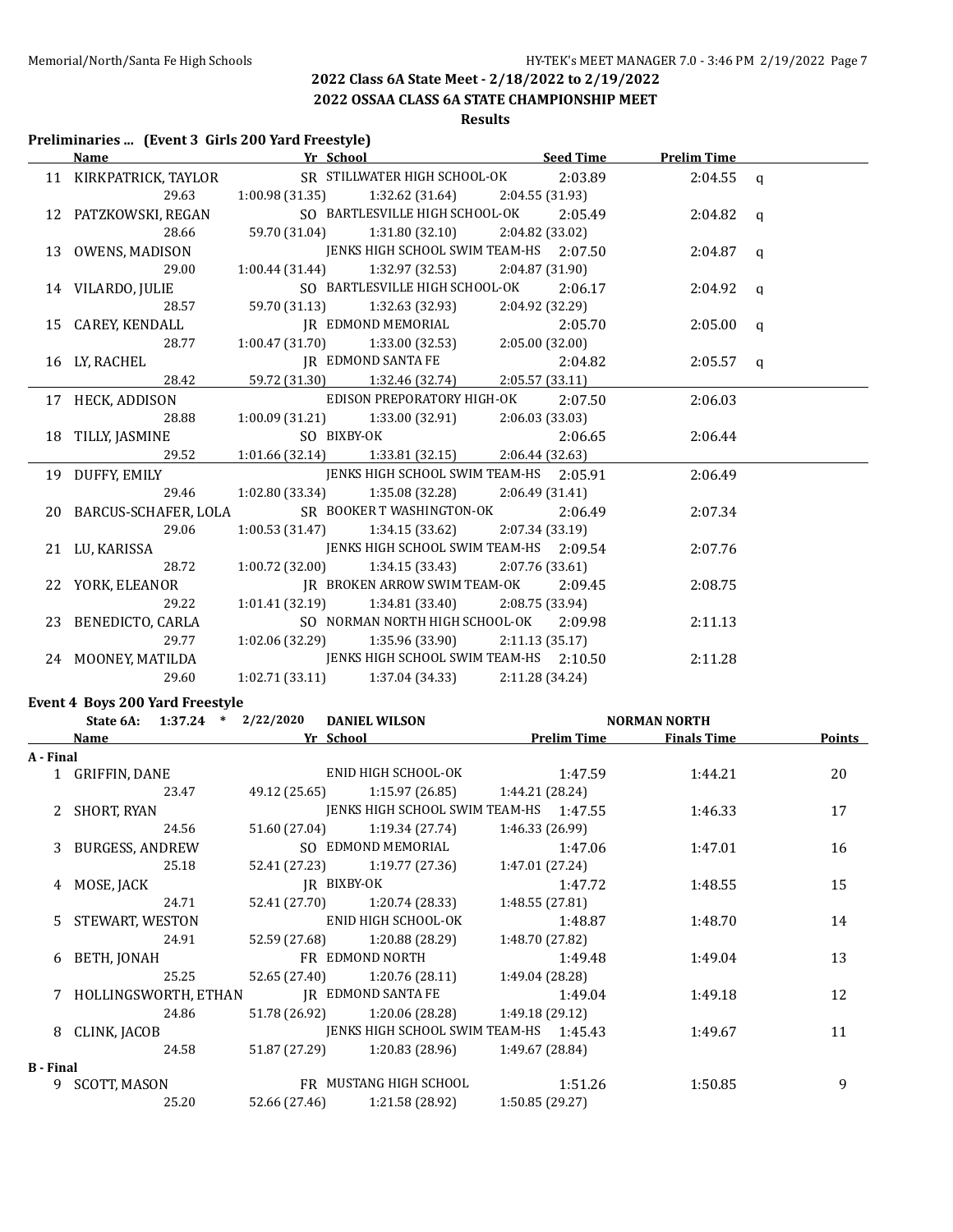**2022 OSSAA CLASS 6A STATE CHAMPIONSHIP MEET**

# **Results**

### **Preliminaries ... (Event 3 Girls 200 Yard Freestyle)**

|                         | Name Marine Prelim Time Name Prelim Time Name Prelim Time |                 |             |  |
|-------------------------|-----------------------------------------------------------|-----------------|-------------|--|
| 11 KIRKPATRICK, TAYLOR  | SR STILLWATER HIGH SCHOOL-OK                              | 2:03.89         | $2:04.55$ q |  |
| 29.63                   | $1:00.98(31.35)$ $1:32.62(31.64)$ $2:04.55(31.93)$        |                 |             |  |
| 12 PATZKOWSKI, REGAN    | SO BARTLESVILLE HIGH SCHOOL-OK                            | 2:05.49         | $2:04.82$ q |  |
| 28.66                   | 59.70 (31.04) 1:31.80 (32.10) 2:04.82 (33.02)             |                 |             |  |
|                         | 13 OWENS, MADISON JENKS HIGH SCHOOL SWIM TEAM-HS 2:07.50  |                 | $2:04.87$ q |  |
| 29.00                   | 1:00.44 (31.44) $1:32.97$ (32.53) $2:04.87$ (31.90)       |                 |             |  |
| 14 VILARDO, JULIE       | SO BARTLESVILLE HIGH SCHOOL-OK                            | 2:06.17         | $2:04.92$ a |  |
| 28.57                   | 59.70 (31.13) 1:32.63 (32.93) 2:04.92 (32.29)             |                 |             |  |
|                         | 15 CAREY, KENDALL JR EDMOND MEMORIAL 2:05.70              |                 | $2:05.00$ q |  |
| 28.77                   | $1:00.47(31.70)$ $1:33.00(32.53)$ $2:05.00(32.00)$        |                 |             |  |
| 16 LY, RACHEL           | JR EDMOND SANTA FE 2:04.82                                |                 | $2:05.57$ q |  |
| 28.42                   | 59.72 (31.30) 1:32.46 (32.74) 2:05.57 (33.11)             |                 |             |  |
| 17 HECK, ADDISON        | EDISON PREPORATORY HIGH-OK 2:07.50                        |                 | 2:06.03     |  |
| 28.88                   | $1:00.09$ (31.21) $1:33.00$ (32.91) $2:06.03$ (33.03)     |                 |             |  |
| 18 TILLY, JASMINE       | SO BIXBY-OK                                               | 2:06.65         | 2:06.44     |  |
| 29.52                   | $1:01.66$ (32.14) $1:33.81$ (32.15) $2:06.44$ (32.63)     |                 |             |  |
| 19 DUFFY, EMILY         | JENKS HIGH SCHOOL SWIM TEAM-HS 2:05.91                    |                 | 2:06.49     |  |
| 29.46                   | $1:02.80(33.34)$ $1:35.08(32.28)$ $2:06.49(31.41)$        |                 |             |  |
| 20 BARCUS-SCHAFER, LOLA | SR BOOKER T WASHINGTON-OK                                 | 2:06.49         | 2:07.34     |  |
| 29.06                   | $1:00.53(31.47)$ $1:34.15(33.62)$ $2:07.34(33.19)$        |                 |             |  |
| 21 LU, KARISSA          | JENKS HIGH SCHOOL SWIM TEAM-HS 2:09.54                    |                 | 2:07.76     |  |
| 28.72                   | $1:00.72$ (32.00) $1:34.15$ (33.43) $2:07.76$ (33.61)     |                 |             |  |
| 22 YORK, ELEANOR        | IR BROKEN ARROW SWIM TEAM-OK 2:09.45                      |                 | 2:08.75     |  |
| 29.22                   | $1:01.41(32.19)$ $1:34.81(33.40)$                         | 2:08.75 (33.94) |             |  |
| 23 BENEDICTO, CARLA     | SO NORMAN NORTH HIGH SCHOOL-OK 2:09.98                    |                 | 2:11.13     |  |
| 29.77                   | $1:02.06(32.29)$ $1:35.96(33.90)$ $2:11.13(35.17)$        |                 |             |  |
| 24 MOONEY, MATILDA      | JENKS HIGH SCHOOL SWIM TEAM-HS 2:10.50                    |                 | 2:11.28     |  |
| 29.60                   | $1:02.71(33.11)$ $1:37.04(34.33)$                         | 2:11.28 (34.24) |             |  |

## **Event 4 Boys 200 Yard Freestyle**

|                  | State 6A: $1:37.24$ * $2/22/2020$ |               | <b>DANIEL WILSON</b>                             | <b>NORMAN NORTH</b> |         |                                |               |  |
|------------------|-----------------------------------|---------------|--------------------------------------------------|---------------------|---------|--------------------------------|---------------|--|
|                  | Name                              |               | Yr School                                        |                     |         | <b>Prelim Time</b> Finals Time | <b>Points</b> |  |
| A - Final        |                                   |               |                                                  |                     |         |                                |               |  |
|                  | 1 GRIFFIN, DANE                   |               | ENID HIGH SCHOOL-OK 1:47.59                      |                     |         | 1:44.21                        | 20            |  |
|                  | 23.47                             |               | 49.12 (25.65) 1:15.97 (26.85) 1:44.21 (28.24)    |                     |         |                                |               |  |
|                  | 2 SHORT, RYAN                     |               | JENKS HIGH SCHOOL SWIM TEAM-HS 1:47.55           |                     |         | 1:46.33                        | 17            |  |
|                  | 24.56                             |               | $51.60(27.04)$ $1:19.34(27.74)$                  | 1:46.33 (26.99)     |         |                                |               |  |
|                  | 3 BURGESS, ANDREW                 |               | SO EDMOND MEMORIAL                               |                     | 1:47.06 | 1:47.01                        | 16            |  |
|                  | 25.18                             |               | 52.41 (27.23) 1:19.77 (27.36)                    | 1:47.01 (27.24)     |         |                                |               |  |
|                  | 4 MOSE, JACK                      |               | IR BIXBY-OK                                      |                     | 1:47.72 | 1:48.55                        | 15            |  |
|                  | 24.71                             |               | 52.41 (27.70) 1:20.74 (28.33)                    | 1:48.55(27.81)      |         |                                |               |  |
|                  | 5 STEWART, WESTON                 |               | ENID HIGH SCHOOL-OK                              |                     | 1:48.87 | 1:48.70                        | 14            |  |
|                  | 24.91                             |               | 52.59 (27.68) 1:20.88 (28.29)                    | 1:48.70 (27.82)     |         |                                |               |  |
|                  | 6 BETH, JONAH                     |               | FR EDMOND NORTH                                  |                     | 1:49.48 | 1:49.04                        | 13            |  |
|                  | 25.25                             |               | $52.65(27.40)$ $1:20.76(28.11)$ $1:49.04(28.28)$ |                     |         |                                |               |  |
|                  | 7 HOLLINGSWORTH, ETHAN            |               | IR EDMOND SANTA FE 1:49.04                       |                     |         | 1:49.18                        | 12            |  |
|                  | 24.86                             |               | 51.78 (26.92) 1:20.06 (28.28) 1:49.18 (29.12)    |                     |         |                                |               |  |
|                  | 8 CLINK, JACOB                    |               | JENKS HIGH SCHOOL SWIM TEAM-HS 1:45.43           |                     |         | 1:49.67                        | 11            |  |
|                  | 24.58                             | 51.87 (27.29) | $1:20.83$ (28.96) $1:49.67$ (28.84)              |                     |         |                                |               |  |
| <b>B</b> - Final |                                   |               |                                                  |                     |         |                                |               |  |
|                  | 9 SCOTT, MASON                    |               | FR MUSTANG HIGH SCHOOL 1:51.26                   |                     |         | 1:50.85                        | 9             |  |
|                  | 25.20                             |               | $52.66(27.46)$ $1:21.58(28.92)$ $1:50.85(29.27)$ |                     |         |                                |               |  |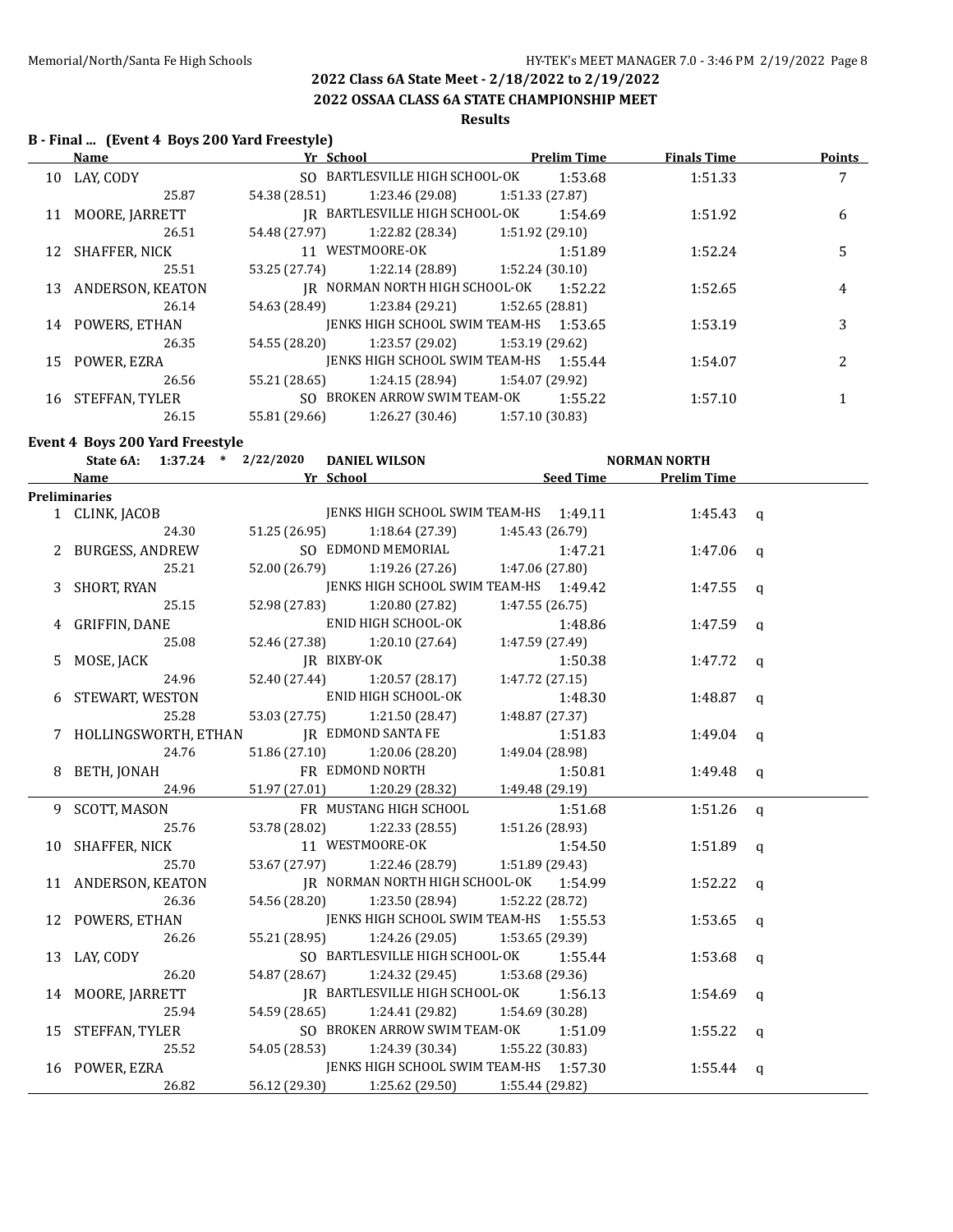**2022 OSSAA CLASS 6A STATE CHAMPIONSHIP MEET**

# **Results**

## **B - Final ... (Event 4 Boys 200 Yard Freestyle)**

|    | Name                | Yr_School     |                                        |                 | <b>Prelim Time</b> | <b>Finals Time</b> | <b>Points</b> |
|----|---------------------|---------------|----------------------------------------|-----------------|--------------------|--------------------|---------------|
|    | 10 LAY, CODY        |               | SO BARTLESVILLE HIGH SCHOOL-OK         |                 | 1:53.68            | 1:51.33            | 7             |
|    | 25.87               | 54.38 (28.51) | 1:23.46 (29.08)                        | 1:51.33 (27.87) |                    |                    |               |
| 11 | MOORE, JARRETT      |               | IR BARTLESVILLE HIGH SCHOOL-OK         |                 | 1:54.69            | 1:51.92            | 6             |
|    | 26.51               | 54.48 (27.97) | 1:22.82 (28.34)                        | 1:51.92 (29.10) |                    |                    |               |
|    | 12 SHAFFER, NICK    |               | 11 WESTMOORE-OK                        |                 | 1:51.89            | 1:52.24            | 5             |
|    | 25.51               | 53.25 (27.74) | 1:22.14 (28.89)                        | 1:52.24(30.10)  |                    |                    |               |
|    | 13 ANDERSON, KEATON |               | IR NORMAN NORTH HIGH SCHOOL-OK 1:52.22 |                 |                    | 1:52.65            | 4             |
|    | 26.14               | 54.63 (28.49) | 1:23.84 (29.21)                        | 1:52.65 (28.81) |                    |                    |               |
|    | 14 POWERS, ETHAN    |               | JENKS HIGH SCHOOL SWIM TEAM-HS 1:53.65 |                 |                    | 1:53.19            | 3             |
|    | 26.35               | 54.55 (28.20) | 1:23.57 (29.02)                        | 1:53.19 (29.62) |                    |                    |               |
|    | 15 POWER, EZRA      |               | IENKS HIGH SCHOOL SWIM TEAM-HS 1:55.44 |                 |                    | 1:54.07            | 2             |
|    | 26.56               | 55.21 (28.65) | 1:24.15 (28.94)                        | 1:54.07 (29.92) |                    |                    |               |
| 16 | STEFFAN, TYLER      |               | SO BROKEN ARROW SWIM TEAM-OK           |                 | 1:55.22            | 1:57.10            |               |
|    | 26.15               | 55.81 (29.66) | 1:26.27 (30.46)                        | 1:57.10 (30.83) |                    |                    |               |

## **Event 4 Boys 200 Yard Freestyle**

| State 6A: 1:37.24 * 2/22/2020 DANIEL WILSON |               |                                               |                 |         | <b>NORMAN NORTH</b>   |  |
|---------------------------------------------|---------------|-----------------------------------------------|-----------------|---------|-----------------------|--|
| <b>Name</b>                                 |               | <b>Example 12 Yr School</b>                   |                 |         | Seed Time Prelim Time |  |
| <b>Preliminaries</b>                        |               |                                               |                 |         |                       |  |
| 1 CLINK, JACOB                              |               | JENKS HIGH SCHOOL SWIM TEAM-HS 1:49.11        |                 |         | 1:45.43 $q$           |  |
| 24.30                                       |               | 51.25 (26.95) 1:18.64 (27.39)                 | 1:45.43 (26.79) |         |                       |  |
| 2 BURGESS, ANDREW                           |               | SO EDMOND MEMORIAL                            |                 | 1:47.21 | $1:47.06$ q           |  |
| 25.21                                       | 52.00 (26.79) | 1:19.26 (27.26)                               | 1:47.06 (27.80) |         |                       |  |
| 3 SHORT, RYAN                               |               | JENKS HIGH SCHOOL SWIM TEAM-HS 1:49.42        |                 |         | 1:47.55 q             |  |
| 25.15                                       | 52.98 (27.83) | 1:20.80 (27.82)                               | 1:47.55(26.75)  |         |                       |  |
| 4 GRIFFIN, DANE                             |               | ENID HIGH SCHOOL-OK                           |                 | 1:48.86 | $1:47.59$ q           |  |
| 25.08                                       | 52.46 (27.38) | 1:20.10 (27.64)                               | 1:47.59 (27.49) |         |                       |  |
| 5 MOSE, JACK                                |               | JR BIXBY-OK                                   |                 | 1:50.38 | 1:47.72 $q$           |  |
| 24.96                                       |               | 52.40 (27.44) 1:20.57 (28.17)                 | 1:47.72(27.15)  |         |                       |  |
| 6 STEWART, WESTON                           |               | ENID HIGH SCHOOL-OK                           |                 | 1:48.30 | 1:48.87 $q$           |  |
| 25.28                                       | 53.03 (27.75) | 1:21.50 (28.47)                               | 1:48.87 (27.37) |         |                       |  |
| 7 HOLLINGSWORTH, ETHAN                      |               | JR EDMOND SANTA FE                            |                 | 1:51.83 | $1:49.04$ q           |  |
| 24.76                                       |               | 51.86 (27.10) 1:20.06 (28.20)                 | 1:49.04 (28.98) |         |                       |  |
| 8 BETH, JONAH                               |               | FR EDMOND NORTH                               |                 | 1:50.81 | $1:49.48$ a           |  |
| 24.96                                       | 51.97 (27.01) | 1:20.29 (28.32)                               | 1:49.48 (29.19) |         |                       |  |
| 9 SCOTT, MASON                              |               | FR MUSTANG HIGH SCHOOL                        |                 | 1:51.68 | $1:51.26$ q           |  |
| 25.76                                       | 53.78 (28.02) | 1:22.33 (28.55)                               | 1:51.26 (28.93) |         |                       |  |
| 10 SHAFFER, NICK                            |               | 11 WESTMOORE-OK                               |                 | 1:54.50 | 1:51.89 $q$           |  |
| 25.70                                       |               | 53.67 (27.97) 1:22.46 (28.79) 1:51.89 (29.43) |                 |         |                       |  |
| 11 ANDERSON, KEATON                         |               | IR NORMAN NORTH HIGH SCHOOL-OK 1:54.99        |                 |         | 1:52.22 $q$           |  |
| 26.36                                       |               | 54.56 (28.20) 1:23.50 (28.94)                 | 1:52.22 (28.72) |         |                       |  |
| 12 POWERS, ETHAN                            |               | JENKS HIGH SCHOOL SWIM TEAM-HS 1:55.53        |                 |         | $1:53.65$ q           |  |
| 26.26                                       | 55.21 (28.95) | 1:24.26 (29.05)                               | 1:53.65 (29.39) |         |                       |  |
| 13 LAY, CODY                                |               | SO BARTLESVILLE HIGH SCHOOL-OK                |                 | 1:55.44 | $1:53.68$ q           |  |
| 26.20                                       |               | 54.87 (28.67) 1:24.32 (29.45) 1:53.68 (29.36) |                 |         |                       |  |
| 14 MOORE, JARRETT                           |               | IR BARTLESVILLE HIGH SCHOOL-OK                |                 | 1:56.13 | $1:54.69$ q           |  |
| 25.94                                       | 54.59 (28.65) | $1:24.41(29.82)$ $1:54.69(30.28)$             |                 |         |                       |  |
| 15 STEFFAN, TYLER                           |               | SO BROKEN ARROW SWIM TEAM-OK                  |                 | 1:51.09 | 1:55.22 $q$           |  |
| 25.52                                       | 54.05 (28.53) | $1:24.39(30.34)$ $1:55.22(30.83)$             |                 |         |                       |  |
| 16 POWER, EZRA                              |               | JENKS HIGH SCHOOL SWIM TEAM-HS 1:57.30        |                 |         | 1:55.44 $q$           |  |
| 26.82                                       | 56.12 (29.30) | 1:25.62 (29.50)                               | 1:55.44 (29.82) |         |                       |  |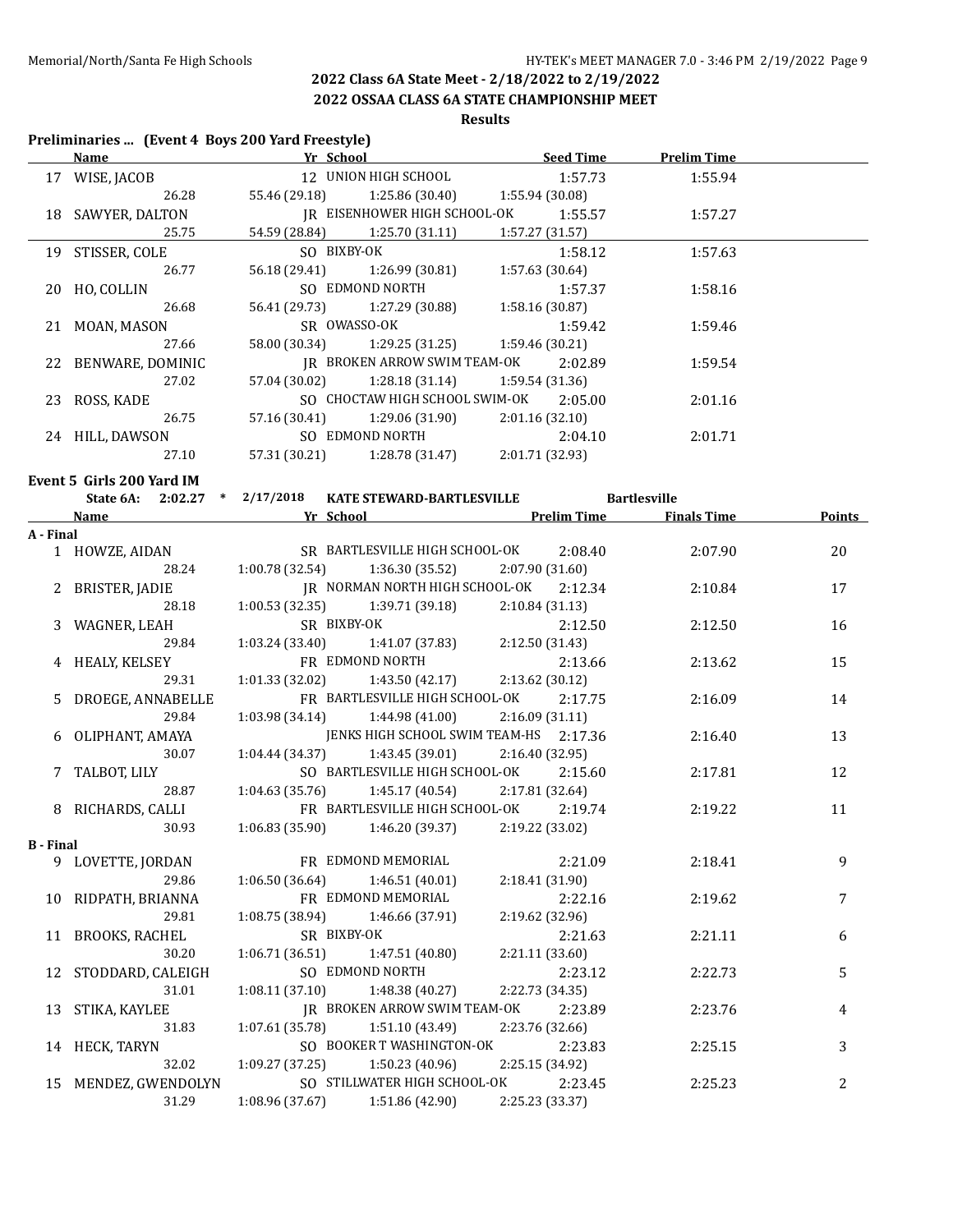**2022 OSSAA CLASS 6A STATE CHAMPIONSHIP MEET**

### **Results**

## **Preliminaries ... (Event 4 Boys 200 Yard Freestyle)**

|                  | Name Yr School                                                                                                                                                                                                                |                                                                     | <u>Seed Time Prelim Time</u> |                     |               |
|------------------|-------------------------------------------------------------------------------------------------------------------------------------------------------------------------------------------------------------------------------|---------------------------------------------------------------------|------------------------------|---------------------|---------------|
|                  | 17 WISE, JACOB                                                                                                                                                                                                                | 12 UNION HIGH SCHOOL                                                | 1:57.73                      | 1:55.94             |               |
|                  |                                                                                                                                                                                                                               | 26.28 55.46 (29.18) 1:25.86 (30.40) 1:55.94 (30.08)                 |                              |                     |               |
|                  | 18 SAWYER, DALTON                                                                                                                                                                                                             | JR EISENHOWER HIGH SCHOOL-OK 1:55.57                                |                              | 1:57.27             |               |
|                  | 25.75                                                                                                                                                                                                                         | 54.59 (28.84) 1:25.70 (31.11)                                       | 1:57.27 (31.57)              |                     |               |
|                  | 19 STISSER, COLE                                                                                                                                                                                                              | SO BIXBY-OK                                                         | 1:58.12                      | 1:57.63             |               |
|                  | 26.77                                                                                                                                                                                                                         | $1:26.99(30.81)$ $1:57.63(30.64)$<br>56.18 (29.41)                  |                              |                     |               |
|                  | 20 HO, COLLIN                                                                                                                                                                                                                 | SO EDMOND NORTH                                                     | 1:57.37                      | 1:58.16             |               |
|                  | 26.68                                                                                                                                                                                                                         | 1:27.29 (30.88) 1:58.16 (30.87)<br>56.41 (29.73)                    |                              |                     |               |
|                  | 21 MOAN, MASON                                                                                                                                                                                                                | SR OWASSO-OK                                                        | 1:59.42                      | 1:59.46             |               |
|                  | 27.66                                                                                                                                                                                                                         | $1:29.25(31.25)$ $1:59.46(30.21)$<br>58.00 (30.34)                  |                              |                     |               |
|                  | 22 BENWARE, DOMINIC                                                                                                                                                                                                           | JR BROKEN ARROW SWIM TEAM-OK                                        | 2:02.89                      | 1:59.54             |               |
|                  | 27.02                                                                                                                                                                                                                         | 57.04 (30.02) 1:28.18 (31.14)                                       | 1:59.54 (31.36)              |                     |               |
|                  | 23 ROSS, KADE                                                                                                                                                                                                                 | SO CHOCTAW HIGH SCHOOL SWIM-OK                                      | 2:05.00                      | 2:01.16             |               |
|                  | 26.75                                                                                                                                                                                                                         | 1:29.06 (31.90)<br>57.16 (30.41)                                    | 2:01.16 (32.10)              |                     |               |
|                  | 24 HILL, DAWSON                                                                                                                                                                                                               | SO EDMOND NORTH                                                     | 2:04.10                      | 2:01.71             |               |
|                  | 27.10                                                                                                                                                                                                                         | 57.31 (30.21) 1:28.78 (31.47) 2:01.71 (32.93)                       |                              |                     |               |
|                  |                                                                                                                                                                                                                               |                                                                     |                              |                     |               |
|                  | Event 5 Girls 200 Yard IM                                                                                                                                                                                                     | State 6A: 2:02.27 * 2/17/2018 KATE STEWARD-BARTLESVILLE             |                              |                     |               |
|                  |                                                                                                                                                                                                                               | <b>Example 25 Yr School Prelim Time 5 Finals Time</b> 5 Finals Time |                              | <b>Bartlesville</b> | <b>Points</b> |
| A - Final        | Name and the same state of the state of the state of the state of the state of the state of the state of the state of the state of the state of the state of the state of the state of the state of the state of the state of |                                                                     |                              |                     |               |
|                  | 1 HOWZE, AIDAN                                                                                                                                                                                                                | SR BARTLESVILLE HIGH SCHOOL-OK                                      | 2:08.40                      | 2:07.90             | 20            |
|                  | 28.24                                                                                                                                                                                                                         | $1:00.78(32.54)$ $1:36.30(35.52)$                                   | 2:07.90 (31.60)              |                     |               |
|                  | 2 BRISTER, JADIE                                                                                                                                                                                                              | JR NORMAN NORTH HIGH SCHOOL-OK                                      | 2:12.34                      | 2:10.84             | 17            |
|                  | 28.18                                                                                                                                                                                                                         | 1:00.53 (32.35)<br>$1:39.71(39.18)$ $2:10.84(31.13)$                |                              |                     |               |
|                  | 3 WAGNER, LEAH                                                                                                                                                                                                                | SR BIXBY-OK                                                         | 2:12.50                      | 2:12.50             | 16            |
|                  | 29.84                                                                                                                                                                                                                         | $1:03.24(33.40)$ $1:41.07(37.83)$ $2:12.50(31.43)$                  |                              |                     |               |
|                  | 4 HEALY, KELSEY                                                                                                                                                                                                               | FR EDMOND NORTH                                                     | 2:13.66                      | 2:13.62             | 15            |
|                  | 29.31                                                                                                                                                                                                                         | $1:01.33(32.02)$ $1:43.50(42.17)$                                   | 2:13.62 (30.12)              |                     |               |
|                  | 5 DROEGE, ANNABELLE                                                                                                                                                                                                           | FR BARTLESVILLE HIGH SCHOOL-OK                                      | 2:17.75                      | 2:16.09             | 14            |
|                  | 29.84                                                                                                                                                                                                                         | 1:03.98 (34.14)<br>1:44.98 (41.00)                                  | 2:16.09(31.11)               |                     |               |
|                  | 6 OLIPHANT, AMAYA                                                                                                                                                                                                             | JENKS HIGH SCHOOL SWIM TEAM-HS 2:17.36                              |                              | 2:16.40             | 13            |
|                  | 30.07                                                                                                                                                                                                                         | 1:43.45 (39.01)<br>1:04.44 (34.37)                                  | 2:16.40(32.95)               |                     |               |
|                  | 7 TALBOT, LILY                                                                                                                                                                                                                | SO BARTLESVILLE HIGH SCHOOL-OK                                      | 2:15.60                      | 2:17.81             | 12            |
|                  | 28.87                                                                                                                                                                                                                         | 1:04.63 (35.76)<br>$1:45.17(40.54)$ $2:17.81(32.64)$                |                              |                     |               |
|                  | 8 RICHARDS, CALLI                                                                                                                                                                                                             | FR BARTLESVILLE HIGH SCHOOL-OK                                      | 2:19.74                      | 2:19.22             | 11            |
|                  | 30.93                                                                                                                                                                                                                         | $1:06.83$ (35.90) $1:46.20$ (39.37) $2:19.22$ (33.02)               |                              |                     |               |
| <b>B</b> - Final |                                                                                                                                                                                                                               |                                                                     |                              |                     |               |
|                  | 9 LOVETTE, JORDAN                                                                                                                                                                                                             | FR EDMOND MEMORIAL                                                  | 2:21.09                      | 2:18.41             | 9             |
|                  | 29.86                                                                                                                                                                                                                         | 1:06.50(36.64)<br>1:46.51 (40.01)                                   | 2:18.41 (31.90)              |                     |               |
|                  | 10 RIDPATH, BRIANNA                                                                                                                                                                                                           | FR EDMOND MEMORIAL                                                  | 2:22.16                      | 2:19.62             | 7             |
|                  | 29.81                                                                                                                                                                                                                         | 1:08.75 (38.94)<br>1:46.66 (37.91)                                  | 2:19.62 (32.96)              |                     |               |
| 11               | BROOKS, RACHEL                                                                                                                                                                                                                | SR BIXBY-OK                                                         | 2:21.63                      | 2:21.11             | 6             |
|                  | 30.20                                                                                                                                                                                                                         | 1:06.71(36.51)<br>1:47.51 (40.80)                                   | 2:21.11 (33.60)              |                     |               |
| 12               | STODDARD, CALEIGH                                                                                                                                                                                                             | SO EDMOND NORTH                                                     | 2:23.12                      | 2:22.73             | 5             |
|                  | 31.01                                                                                                                                                                                                                         | 1:08.11 (37.10)<br>1:48.38 (40.27)                                  | 2:22.73 (34.35)              |                     |               |
|                  | 13 STIKA, KAYLEE                                                                                                                                                                                                              | JR BROKEN ARROW SWIM TEAM-OK                                        | 2:23.89                      | 2:23.76             | 4             |
|                  | 31.83                                                                                                                                                                                                                         | 1:07.61 (35.78)<br>1:51.10 (43.49)                                  | 2:23.76 (32.66)              |                     |               |
|                  | 14 HECK, TARYN                                                                                                                                                                                                                | SO BOOKER T WASHINGTON-OK                                           | 2:23.83                      | 2:25.15             | 3             |
|                  | 32.02                                                                                                                                                                                                                         | 1:09.27 (37.25)<br>1:50.23 (40.96)                                  | 2:25.15 (34.92)              |                     |               |
|                  | 15 MENDEZ, GWENDOLYN                                                                                                                                                                                                          | SO STILLWATER HIGH SCHOOL-OK                                        | 2:23.45                      | 2:25.23             | 2             |
|                  | 31.29                                                                                                                                                                                                                         | 1:08.96 (37.67)<br>1:51.86 (42.90)                                  | 2:25.23 (33.37)              |                     |               |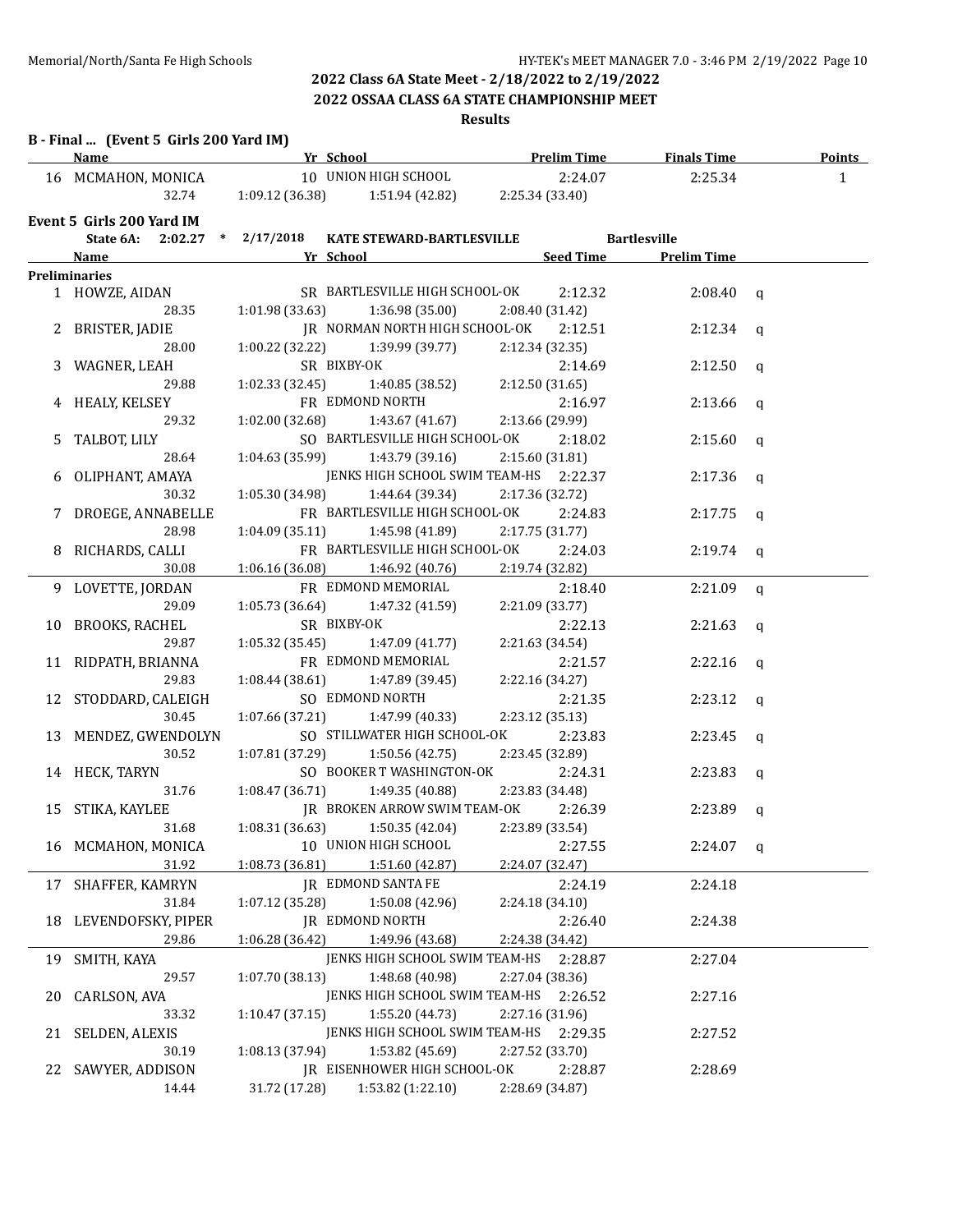### **2022 OSSAA CLASS 6A STATE CHAMPIONSHIP MEET**

## **Results**

## **B - Final ... (Event 5 Girls 200 Yard IM)**

|    | <u>Name</u>                   | <b>Example 19 In School 2.1 And School 2.1 And School 2.1 And School 2.1 And School 2.1 And School 2.1 And School</b>                                                                                                                       |                       |             |  |
|----|-------------------------------|---------------------------------------------------------------------------------------------------------------------------------------------------------------------------------------------------------------------------------------------|-----------------------|-------------|--|
|    |                               | 16 MCMAHON, MONICA 10 UNION HIGH SCHOOL 2:24.07 2:25.34 1                                                                                                                                                                                   |                       |             |  |
|    |                               | 32.74 1:09.12 (36.38) 1:51.94 (42.82) 2:25.34 (33.40)                                                                                                                                                                                       |                       |             |  |
|    | Event 5 Girls 200 Yard IM     |                                                                                                                                                                                                                                             |                       |             |  |
|    |                               | State 6A: 2:02.27 * 2/17/2018 KATE STEWARD-BARTLESVILLE Bartlesville                                                                                                                                                                        |                       |             |  |
|    |                               | <b>Example 2018</b> Name <b>Seed Time Seed Time Prelim Time Prelim Time</b>                                                                                                                                                                 |                       |             |  |
|    | Preliminaries                 |                                                                                                                                                                                                                                             |                       |             |  |
|    |                               | <b>EXECUTE:</b><br>1 HOWZE, AIDAN SR BARTLESVILLE HIGH SCHOOL-OK 2:12.32 2:08.40 q<br>28.35 1:01.98 (33.63) 1:36.98 (35.00) 2:08.40 (31.42)<br>2 BRISTER, JADIE JR NORMAN NORTH HIGH SCHOOL-OK 2:12.51 2:12.34 q<br>28.00 1:00.22 (32.22) 1 |                       |             |  |
|    |                               |                                                                                                                                                                                                                                             |                       |             |  |
|    |                               |                                                                                                                                                                                                                                             |                       |             |  |
|    |                               |                                                                                                                                                                                                                                             |                       |             |  |
|    |                               |                                                                                                                                                                                                                                             |                       |             |  |
|    |                               | 3 WAGNER, LEAH SR BIXBY-OK 2:12.54 (32.55)<br>4 HEALY, KELSEY PR EDMOND NORTH 2:16.97<br>29.32 1:02.00 (32.68) 1:43.67 (41.67) 2:13.66 (29.99)                                                                                              |                       |             |  |
|    |                               |                                                                                                                                                                                                                                             |                       |             |  |
|    |                               |                                                                                                                                                                                                                                             | 2:16.97               | $2:13.66$ q |  |
|    | 29.32                         |                                                                                                                                                                                                                                             |                       |             |  |
|    | 5 TALBOT, LILY                | SO BARTLESVILLE HIGH SCHOOL-OK 2:18.02                                                                                                                                                                                                      |                       | $2:15.60$ q |  |
|    | 28.64                         | $1:04.63$ (35.99) $1:43.79$ (39.16) $2:15.60$ (31.81)                                                                                                                                                                                       |                       |             |  |
| 6  | OLIPHANT, AMAYA               | JENKS HIGH SCHOOL SWIM TEAM-HS 2:22.37                                                                                                                                                                                                      |                       | $2:17.36$ q |  |
|    | 30.32                         | $1:05.30(34.98)$ $1:44.64(39.34)$ $2:17.36(32.72)$                                                                                                                                                                                          |                       |             |  |
|    | 7 DROEGE, ANNABELLE           | FR BARTLESVILLE HIGH SCHOOL-OK 2:24.83                                                                                                                                                                                                      |                       | $2:17.75$ q |  |
|    | 28.98                         | 1:04.09 (35.11) 1:45.98 (41.89) 2:17.75 (31.77)                                                                                                                                                                                             |                       |             |  |
|    | 8 RICHARDS, CALLI             | FR BARTLESVILLE HIGH SCHOOL-OK 2:24.03                                                                                                                                                                                                      |                       | $2:19.74$ q |  |
|    | 30.08                         | $1:06.16(36.08)$ $1:46.92(40.76)$ $2:19.74(32.82)$                                                                                                                                                                                          |                       |             |  |
|    |                               | 9 LOVETTE, JORDAN FR EDMOND MEMORIAL 2:18.40 2:21.09 q                                                                                                                                                                                      |                       |             |  |
|    | 29.09                         | 1:05.73 (36.64) 1:47.32 (41.59) 2:21.09 (33.77)                                                                                                                                                                                             |                       |             |  |
|    | 10 BROOKS, RACHEL SR BIXBY-OK |                                                                                                                                                                                                                                             | $2:22.13$ $2:21.63$ q |             |  |
|    | 29.87                         | 1:05.32 (35.45) $1:47.09 (41.77)$ $2:21.63 (34.54)$                                                                                                                                                                                         |                       |             |  |
|    | 11 RIDPATH, BRIANNA           | FR EDMOND MEMORIAL 2:21.57 2:22.16 q                                                                                                                                                                                                        |                       |             |  |
|    | 29.83                         | $1:08.44(38.61)$ $1:47.89(39.45)$ $2:22.16(34.27)$                                                                                                                                                                                          |                       |             |  |
|    | 12 STODDARD, CALEIGH          | SO EDMOND NORTH                                                                                                                                                                                                                             | 2:21.35               | $2:23.12$ q |  |
|    | 30.45                         | $1:07.66(37.21)$ $1:47.99(40.33)$ $2:23.12(35.13)$                                                                                                                                                                                          |                       |             |  |
|    | 13 MENDEZ, GWENDOLYN          | SO STILLWATER HIGH SCHOOL-OK 2:23.83 2:23.45 q                                                                                                                                                                                              |                       |             |  |
|    | 30.52                         | $1:07.81(37.29)$ $1:50.56(42.75)$ $2:23.45(32.89)$                                                                                                                                                                                          |                       |             |  |
|    |                               | 14 HECK, TARYN SO BOOKER T WASHINGTON-OK 2:24.31 2:23.83 q                                                                                                                                                                                  |                       |             |  |
|    |                               | 31.76   1:08.47 (36.71)   1:49.35 (40.88)   2:23.83 (34.48)                                                                                                                                                                                 |                       |             |  |
|    |                               | 15 STIKA, KAYLEE JR BROKEN ARROW SWIM TEAM-OK 2:26.39 2:23.89 q                                                                                                                                                                             |                       |             |  |
|    |                               | 31.68 1:08.31 (36.63) 1:50.35 (42.04) 2:23.89 (33.54)                                                                                                                                                                                       |                       |             |  |
|    |                               | 16 MCMAHON, MONICA 10 UNION HIGH SCHOOL 2:27.55                                                                                                                                                                                             |                       | $2:24.07$ q |  |
|    | 31.92                         | 1:08.73 (36.81)<br>1:51.60 (42.87)                                                                                                                                                                                                          | 2:24.07 (32.47)       |             |  |
| 17 | SHAFFER, KAMRYN               | <b>IR EDMOND SANTA FE</b>                                                                                                                                                                                                                   | 2:24.19               | 2:24.18     |  |
|    | 31.84                         | 1:07.12 (35.28)<br>1:50.08 (42.96)                                                                                                                                                                                                          | 2:24.18 (34.10)       |             |  |
| 18 | LEVENDOFSKY, PIPER            | JR EDMOND NORTH                                                                                                                                                                                                                             | 2:26.40               | 2:24.38     |  |
|    | 29.86                         | 1:06.28 (36.42)<br>1:49.96 (43.68)                                                                                                                                                                                                          | 2:24.38 (34.42)       |             |  |
|    |                               |                                                                                                                                                                                                                                             |                       |             |  |
| 19 | SMITH, KAYA                   | JENKS HIGH SCHOOL SWIM TEAM-HS                                                                                                                                                                                                              | 2:28.87               | 2:27.04     |  |
|    | 29.57                         | 1:48.68 (40.98)<br>1:07.70 (38.13)                                                                                                                                                                                                          | 2:27.04 (38.36)       |             |  |
| 20 | CARLSON, AVA                  | JENKS HIGH SCHOOL SWIM TEAM-HS                                                                                                                                                                                                              | 2:26.52               | 2:27.16     |  |
|    | 33.32                         | 1:55.20 (44.73)<br>1:10.47(37.15)                                                                                                                                                                                                           | 2:27.16 (31.96)       |             |  |
| 21 | SELDEN, ALEXIS                | JENKS HIGH SCHOOL SWIM TEAM-HS 2:29.35                                                                                                                                                                                                      |                       | 2:27.52     |  |
|    | 30.19                         | 1:08.13 (37.94)<br>1:53.82 (45.69)                                                                                                                                                                                                          | 2:27.52 (33.70)       |             |  |
| 22 | SAWYER, ADDISON               | JR EISENHOWER HIGH SCHOOL-OK                                                                                                                                                                                                                | 2:28.87               | 2:28.69     |  |
|    | 14.44                         | 31.72 (17.28)<br>1:53.82 (1:22.10)                                                                                                                                                                                                          | 2:28.69 (34.87)       |             |  |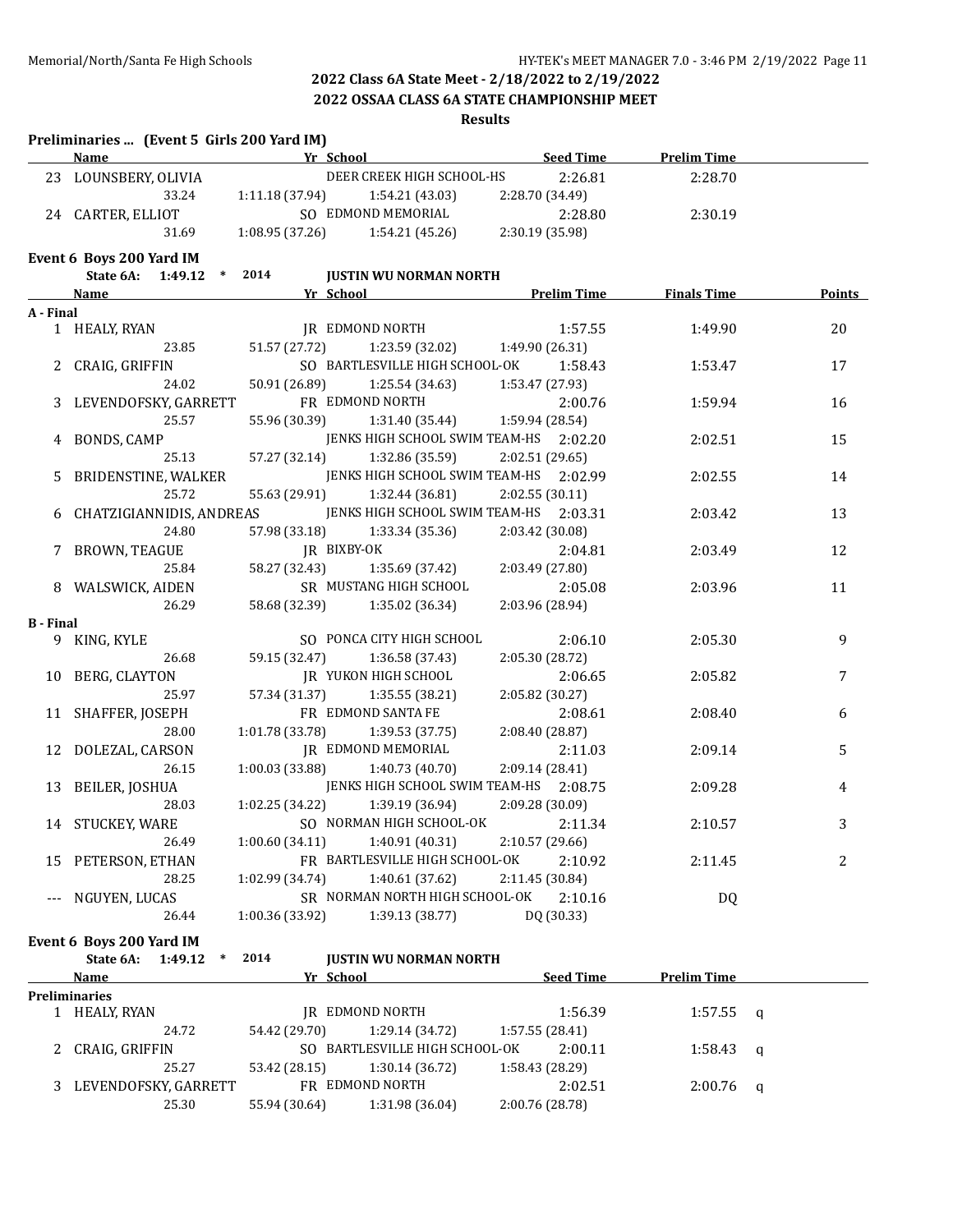### **2022 OSSAA CLASS 6A STATE CHAMPIONSHIP MEET**

### **Results**

|                  | Preliminaries  (Event 5 Girls 200 Yard IM)<br><b>Name</b>                                                                                                                                                                     |                        | <u>representative and the School Service and the School Service and the School Service and the School Service and the School Service and the School Service and the School Service and the School Service and the School Service</u> | <b>Seed Time</b>                                                                        | <b>Prelim Time</b> |               |
|------------------|-------------------------------------------------------------------------------------------------------------------------------------------------------------------------------------------------------------------------------|------------------------|--------------------------------------------------------------------------------------------------------------------------------------------------------------------------------------------------------------------------------------|-----------------------------------------------------------------------------------------|--------------------|---------------|
|                  | 23 LOUNSBERY, OLIVIA                                                                                                                                                                                                          |                        | DEER CREEK HIGH SCHOOL-HS                                                                                                                                                                                                            | 2:26.81                                                                                 | 2:28.70            |               |
|                  | 33.24                                                                                                                                                                                                                         |                        | $1:11.18(37.94)$ $1:54.21(43.03)$                                                                                                                                                                                                    | 2:28.70 (34.49)                                                                         |                    |               |
|                  | 24 CARTER, ELLIOT                                                                                                                                                                                                             |                        | SO EDMOND MEMORIAL                                                                                                                                                                                                                   | 2:28.80                                                                                 | 2:30.19            |               |
|                  | 31.69                                                                                                                                                                                                                         |                        | $1:08.95(37.26)$ $1:54.21(45.26)$ $2:30.19(35.98)$                                                                                                                                                                                   |                                                                                         |                    |               |
|                  | Event 6 Boys 200 Yard IM                                                                                                                                                                                                      |                        |                                                                                                                                                                                                                                      |                                                                                         |                    |               |
|                  | State 6A: 1:49.12 * 2014                                                                                                                                                                                                      |                        | <b>JUSTIN WU NORMAN NORTH</b>                                                                                                                                                                                                        |                                                                                         |                    |               |
|                  | Name and the same state of the state of the state of the state of the state of the state of the state of the state of the state of the state of the state of the state of the state of the state of the state of the state of |                        |                                                                                                                                                                                                                                      | <b>Example 18 Yr School Street Example 2 Yr School Street Prelim Time 5 Finals Time</b> |                    | <b>Points</b> |
| A - Final        |                                                                                                                                                                                                                               |                        |                                                                                                                                                                                                                                      |                                                                                         |                    |               |
|                  | 1 HEALY, RYAN                                                                                                                                                                                                                 | <b>IR EDMOND NORTH</b> |                                                                                                                                                                                                                                      | 1:57.55                                                                                 | 1:49.90            | 20            |
|                  | 23.85                                                                                                                                                                                                                         | 51.57 (27.72)          | 1:23.59 (32.02) 1:49.90 (26.31)                                                                                                                                                                                                      |                                                                                         |                    |               |
|                  | 2 CRAIG, GRIFFIN                                                                                                                                                                                                              |                        | SO BARTLESVILLE HIGH SCHOOL-OK                                                                                                                                                                                                       | 1:58.43                                                                                 | 1:53.47            | 17            |
|                  | 24.02                                                                                                                                                                                                                         | 50.91 (26.89)          | 1:25.54 (34.63)                                                                                                                                                                                                                      | 1:53.47 (27.93)                                                                         |                    |               |
|                  | 3 LEVENDOFSKY, GARRETT                                                                                                                                                                                                        |                        | FR EDMOND NORTH                                                                                                                                                                                                                      | 2:00.76                                                                                 | 1:59.94            | 16            |
|                  | 25.57                                                                                                                                                                                                                         |                        | 55.96 (30.39) 1:31.40 (35.44) 1:59.94 (28.54)                                                                                                                                                                                        |                                                                                         |                    |               |
|                  | BONDS, CAMP                                                                                                                                                                                                                   |                        | JENKS HIGH SCHOOL SWIM TEAM-HS 2:02.20                                                                                                                                                                                               |                                                                                         | 2:02.51            | 15            |
|                  | 25.13                                                                                                                                                                                                                         | 57.27 (32.14)          | 1:32.86 (35.59)                                                                                                                                                                                                                      | 2:02.51(29.65)                                                                          |                    |               |
|                  | BRIDENSTINE, WALKER                                                                                                                                                                                                           |                        | JENKS HIGH SCHOOL SWIM TEAM-HS 2:02.99                                                                                                                                                                                               |                                                                                         | 2:02.55            | 14            |
|                  | 25.72                                                                                                                                                                                                                         | 55.63 (29.91)          | 1:32.44 (36.81)                                                                                                                                                                                                                      | 2:02.55(30.11)                                                                          |                    |               |
|                  | CHATZIGIANNIDIS, ANDREAS                                                                                                                                                                                                      |                        | JENKS HIGH SCHOOL SWIM TEAM-HS 2:03.31                                                                                                                                                                                               |                                                                                         | 2:03.42            | 13            |
|                  | 24.80                                                                                                                                                                                                                         | 57.98 (33.18)          | 1:33.34 (35.36)                                                                                                                                                                                                                      | 2:03.42 (30.08)                                                                         |                    |               |
| 7                | BROWN, TEAGUE                                                                                                                                                                                                                 | JR BIXBY-OK            |                                                                                                                                                                                                                                      | 2:04.81                                                                                 | 2:03.49            | 12            |
|                  | 25.84                                                                                                                                                                                                                         | 58.27 (32.43)          | 1:35.69 (37.42)                                                                                                                                                                                                                      | 2:03.49 (27.80)                                                                         |                    |               |
|                  | 8 WALSWICK, AIDEN                                                                                                                                                                                                             |                        | SR MUSTANG HIGH SCHOOL                                                                                                                                                                                                               | 2:05.08                                                                                 | 2:03.96            | 11            |
|                  | 26.29                                                                                                                                                                                                                         |                        | 58.68 (32.39) 1:35.02 (36.34)                                                                                                                                                                                                        | 2:03.96 (28.94)                                                                         |                    |               |
| <b>B</b> - Final |                                                                                                                                                                                                                               |                        |                                                                                                                                                                                                                                      |                                                                                         |                    |               |
|                  | 9 KING, KYLE                                                                                                                                                                                                                  |                        | SO PONCA CITY HIGH SCHOOL                                                                                                                                                                                                            | 2:06.10                                                                                 | 2:05.30            | 9             |
|                  | 26.68                                                                                                                                                                                                                         |                        | 59.15 (32.47) 1:36.58 (37.43)                                                                                                                                                                                                        | 2:05.30 (28.72)                                                                         |                    |               |
|                  | 10 BERG, CLAYTON                                                                                                                                                                                                              |                        | JR YUKON HIGH SCHOOL                                                                                                                                                                                                                 | 2:06.65                                                                                 | 2:05.82            | 7             |
|                  | 25.97                                                                                                                                                                                                                         |                        | 57.34 (31.37) 1:35.55 (38.21)                                                                                                                                                                                                        | 2:05.82 (30.27)                                                                         |                    |               |
|                  | 11 SHAFFER, JOSEPH                                                                                                                                                                                                            |                        | FR EDMOND SANTA FE                                                                                                                                                                                                                   | 2:08.61                                                                                 | 2:08.40            | 6             |
|                  | 28.00                                                                                                                                                                                                                         |                        | $1:01.78(33.78)$ $1:39.53(37.75)$                                                                                                                                                                                                    | 2:08.40 (28.87)                                                                         |                    |               |
|                  | 12 DOLEZAL, CARSON                                                                                                                                                                                                            |                        | JR EDMOND MEMORIAL                                                                                                                                                                                                                   | 2:11.03                                                                                 | 2:09.14            | 5             |
|                  | 26.15                                                                                                                                                                                                                         |                        | $1:00.03$ (33.88) $1:40.73$ (40.70)                                                                                                                                                                                                  | 2:09.14 (28.41)                                                                         |                    |               |
|                  | 13 BEILER, JOSHUA                                                                                                                                                                                                             |                        | JENKS HIGH SCHOOL SWIM TEAM-HS 2:08.75                                                                                                                                                                                               |                                                                                         | 2:09.28            | 4             |
|                  | 28.03                                                                                                                                                                                                                         |                        | $1:02.25(34.22)$ $1:39.19(36.94)$                                                                                                                                                                                                    | 2:09.28 (30.09)                                                                         |                    |               |
|                  | 14 STUCKEY, WARE                                                                                                                                                                                                              |                        | SO NORMAN HIGH SCHOOL-OK 2:11.34                                                                                                                                                                                                     |                                                                                         | 2:10.57            | 3             |
|                  | 26.49                                                                                                                                                                                                                         |                        | $1:00.60(34.11)$ $1:40.91(40.31)$                                                                                                                                                                                                    | 2:10.57(29.66)                                                                          |                    |               |
| 15               | PETERSON, ETHAN                                                                                                                                                                                                               |                        | FR BARTLESVILLE HIGH SCHOOL-OK                                                                                                                                                                                                       | 2:10.92                                                                                 | 2:11.45            | 2             |
|                  | 28.25                                                                                                                                                                                                                         | 1:02.99(34.74)         | 1:40.61 (37.62)                                                                                                                                                                                                                      | 2:11.45 (30.84)                                                                         |                    |               |
|                  | NGUYEN, LUCAS                                                                                                                                                                                                                 |                        | SR NORMAN NORTH HIGH SCHOOL-OK                                                                                                                                                                                                       | 2:10.16                                                                                 | DQ                 |               |
|                  | 26.44                                                                                                                                                                                                                         | 1:00.36 (33.92)        | 1:39.13 (38.77)                                                                                                                                                                                                                      | DQ (30.33)                                                                              |                    |               |
|                  | Event 6 Boys 200 Yard IM                                                                                                                                                                                                      |                        |                                                                                                                                                                                                                                      |                                                                                         |                    |               |
|                  | State 6A: 1:49.12<br>$\ast$                                                                                                                                                                                                   | 2014                   | <b>JUSTIN WU NORMAN NORTH</b>                                                                                                                                                                                                        |                                                                                         |                    |               |
|                  | <u>Name</u>                                                                                                                                                                                                                   | Yr School              |                                                                                                                                                                                                                                      | Seed Time                                                                               | <b>Prelim Time</b> |               |
|                  | Preliminaries                                                                                                                                                                                                                 |                        |                                                                                                                                                                                                                                      |                                                                                         |                    |               |
|                  | 1 HEALY, RYAN                                                                                                                                                                                                                 |                        | JR EDMOND NORTH                                                                                                                                                                                                                      | 1:56.39                                                                                 | $1:57.55$ q        |               |
|                  |                                                                                                                                                                                                                               |                        |                                                                                                                                                                                                                                      |                                                                                         |                    |               |

24.72 54.42 (29.70) 1:29.14 (34.72) 1:57.55 (28.41)

25.27 53.42 (28.15) 1:30.14 (36.72) 1:58.43 (28.29)

25.30 55.94 (30.64) 1:31.98 (36.04) 2:00.76 (28.78)

2 CRAIG, GRIFFIN SO BARTLESVILLE HIGH SCHOOL-OK 2:00.11 1:58.43 q

3 LEVENDOFSKY, GARRETT FR EDMOND NORTH 2:02.51 2:00.76 q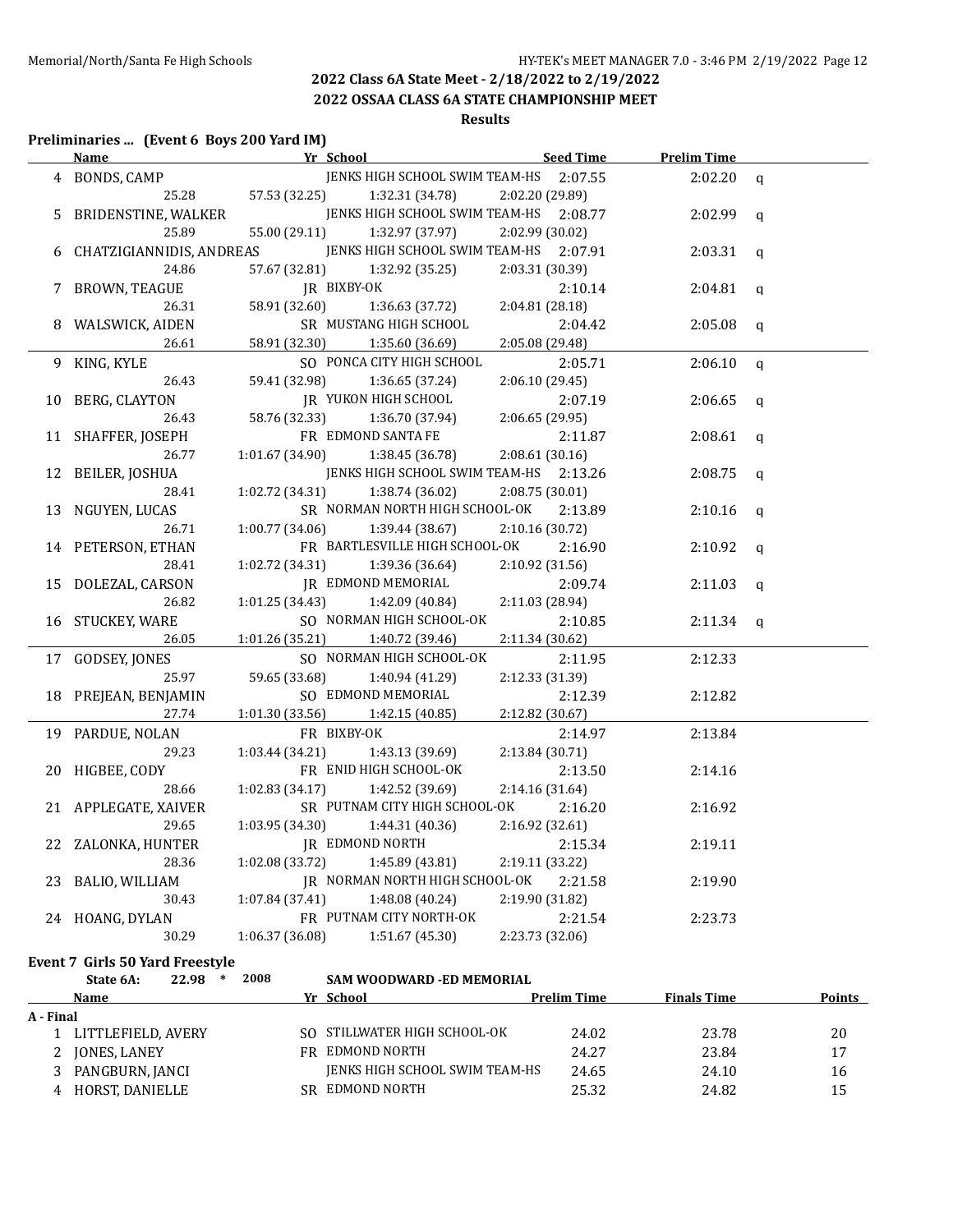**2022 OSSAA CLASS 6A STATE CHAMPIONSHIP MEET**

## **Results**

# **Preliminaries ... (Event 6 Boys 200 Yard IM)**

|   | <u>Name</u>              | Yr School                              | Seed Time       | <b>Prelim Time</b> |              |
|---|--------------------------|----------------------------------------|-----------------|--------------------|--------------|
|   | 4 BONDS, CAMP            | JENKS HIGH SCHOOL SWIM TEAM-HS 2:07.55 |                 | 2:02.20            | $\mathbf q$  |
|   | 25.28                    | 57.53 (32.25)<br>1:32.31 (34.78)       | 2:02.20 (29.89) |                    |              |
| 5 | BRIDENSTINE, WALKER      | JENKS HIGH SCHOOL SWIM TEAM-HS 2:08.77 |                 | 2:02.99            | $\mathbf q$  |
|   | 25.89                    | 55.00 (29.11)<br>1:32.97 (37.97)       | 2:02.99 (30.02) |                    |              |
| 6 | CHATZIGIANNIDIS, ANDREAS | JENKS HIGH SCHOOL SWIM TEAM-HS 2:07.91 |                 | 2:03.31            | $\mathbf q$  |
|   | 24.86                    | 57.67 (32.81)<br>1:32.92 (35.25)       | 2:03.31 (30.39) |                    |              |
| 7 | BROWN, TEAGUE            | JR BIXBY-OK                            | 2:10.14         | 2:04.81            | $\mathbf q$  |
|   | 26.31                    | 58.91 (32.60)<br>1:36.63(37.72)        | 2:04.81 (28.18) |                    |              |
| 8 | WALSWICK, AIDEN          | SR MUSTANG HIGH SCHOOL                 | 2:04.42         | 2:05.08            | $\mathsf{q}$ |
|   | 26.61                    | 58.91 (32.30)<br>1:35.60 (36.69)       | 2:05.08 (29.48) |                    |              |
|   | 9 KING, KYLE             | SO PONCA CITY HIGH SCHOOL              | 2:05.71         | 2:06.10            | $\mathbf q$  |
|   | 26.43                    | 59.41 (32.98)<br>1:36.65(37.24)        | 2:06.10(29.45)  |                    |              |
|   | 10 BERG, CLAYTON         | <b>JR YUKON HIGH SCHOOL</b>            | 2:07.19         | 2:06.65            | $\mathbf q$  |
|   | 26.43                    | 58.76 (32.33)<br>1:36.70 (37.94)       | 2:06.65 (29.95) |                    |              |
|   | 11 SHAFFER, JOSEPH       | FR EDMOND SANTA FE                     | 2:11.87         | 2:08.61            | $\mathsf{q}$ |
|   | 26.77                    | 1:01.67(34.90)<br>1:38.45 (36.78)      | 2:08.61 (30.16) |                    |              |
|   | 12 BEILER, JOSHUA        | JENKS HIGH SCHOOL SWIM TEAM-HS         | 2:13.26         | 2:08.75            | $\mathsf{q}$ |
|   | 28.41                    | 1:02.72 (34.31)<br>1:38.74 (36.02)     | 2:08.75 (30.01) |                    |              |
|   | 13 NGUYEN, LUCAS         | SR NORMAN NORTH HIGH SCHOOL-OK         | 2:13.89         | 2:10.16            | $\mathbf q$  |
|   | 26.71                    | 1:00.77 (34.06)<br>1:39.44 (38.67)     | 2:10.16 (30.72) |                    |              |
|   | 14 PETERSON, ETHAN       | FR BARTLESVILLE HIGH SCHOOL-OK         | 2:16.90         | 2:10.92            | $\mathbf q$  |
|   | 28.41                    | 1:02.72 (34.31)<br>1:39.36 (36.64)     | 2:10.92 (31.56) |                    |              |
|   | 15 DOLEZAL, CARSON       | JR EDMOND MEMORIAL                     | 2:09.74         | 2:11.03            | q            |
|   | 26.82                    | 1:01.25(34.43)<br>1:42.09 (40.84)      | 2:11.03 (28.94) |                    |              |
|   | 16 STUCKEY, WARE         | SO NORMAN HIGH SCHOOL-OK               | 2:10.85         | 2:11.34            | $\mathsf{q}$ |
|   | 26.05                    | 1:01.26 (35.21)<br>1:40.72 (39.46)     | 2:11.34 (30.62) |                    |              |
|   | 17 GODSEY, JONES         | SO NORMAN HIGH SCHOOL-OK               | 2:11.95         | 2:12.33            |              |
|   | 25.97                    | 59.65 (33.68)<br>1:40.94 (41.29)       | 2:12.33 (31.39) |                    |              |
|   | 18 PREJEAN, BENJAMIN     | SO EDMOND MEMORIAL                     | 2:12.39         | 2:12.82            |              |
|   | 27.74                    | 1:01.30 (33.56)<br>1:42.15(40.85)      | 2:12.82 (30.67) |                    |              |
|   | 19 PARDUE, NOLAN         | FR BIXBY-OK                            | 2:14.97         | 2:13.84            |              |
|   | 29.23                    | 1:03.44(34.21)<br>1:43.13 (39.69)      | 2:13.84 (30.71) |                    |              |
|   | 20 HIGBEE, CODY          | FR ENID HIGH SCHOOL-OK                 | 2:13.50         | 2:14.16            |              |
|   | 28.66                    | 1:02.83(34.17)<br>1:42.52 (39.69)      | 2:14.16 (31.64) |                    |              |
|   | 21 APPLEGATE, XAIVER     | SR PUTNAM CITY HIGH SCHOOL-OK          | 2:16.20         | 2:16.92            |              |
|   | 29.65                    | 1:03.95(34.30)<br>1:44.31 (40.36)      | 2:16.92 (32.61) |                    |              |
|   | 22 ZALONKA, HUNTER       | JR EDMOND NORTH                        | 2:15.34         | 2:19.11            |              |
|   | 28.36                    | 1:02.08(33.72)<br>1:45.89 (43.81)      | 2:19.11 (33.22) |                    |              |
|   | 23 BALIO, WILLIAM        | JR NORMAN NORTH HIGH SCHOOL-OK         | 2:21.58         | 2:19.90            |              |
|   | 30.43                    | 1:07.84(37.41)<br>1:48.08(40.24)       | 2:19.90 (31.82) |                    |              |
|   | 24 HOANG, DYLAN          | FR PUTNAM CITY NORTH-OK                | 2:21.54         | 2:23.73            |              |
|   | 30.29                    | 1:06.37 (36.08)<br>1:51.67 (45.30)     | 2:23.73 (32.06) |                    |              |

### **Event 7 Girls 50 Yard Freestyle**

|           | State 6A:          | 22.98<br>∗ | 2008 | <b>SAM WOODWARD -ED MEMORIAL</b> |                    |                    |        |
|-----------|--------------------|------------|------|----------------------------------|--------------------|--------------------|--------|
|           | Name               |            |      | Yr School                        | <b>Prelim Time</b> | <b>Finals Time</b> | Points |
| A - Final |                    |            |      |                                  |                    |                    |        |
|           | LITTLEFIELD, AVERY |            |      | SO STILLWATER HIGH SCHOOL-OK     | 24.02              | 23.78              | 20     |
|           | JONES, LANEY       |            |      | FR EDMOND NORTH                  | 24.27              | 23.84              | 17     |
|           | PANGBURN, JANCI    |            |      | JENKS HIGH SCHOOL SWIM TEAM-HS   | 24.65              | 24.10              | 16     |
| 4         | HORST, DANIELLE    |            |      | SR EDMOND NORTH                  | 25.32              | 24.82              | 15     |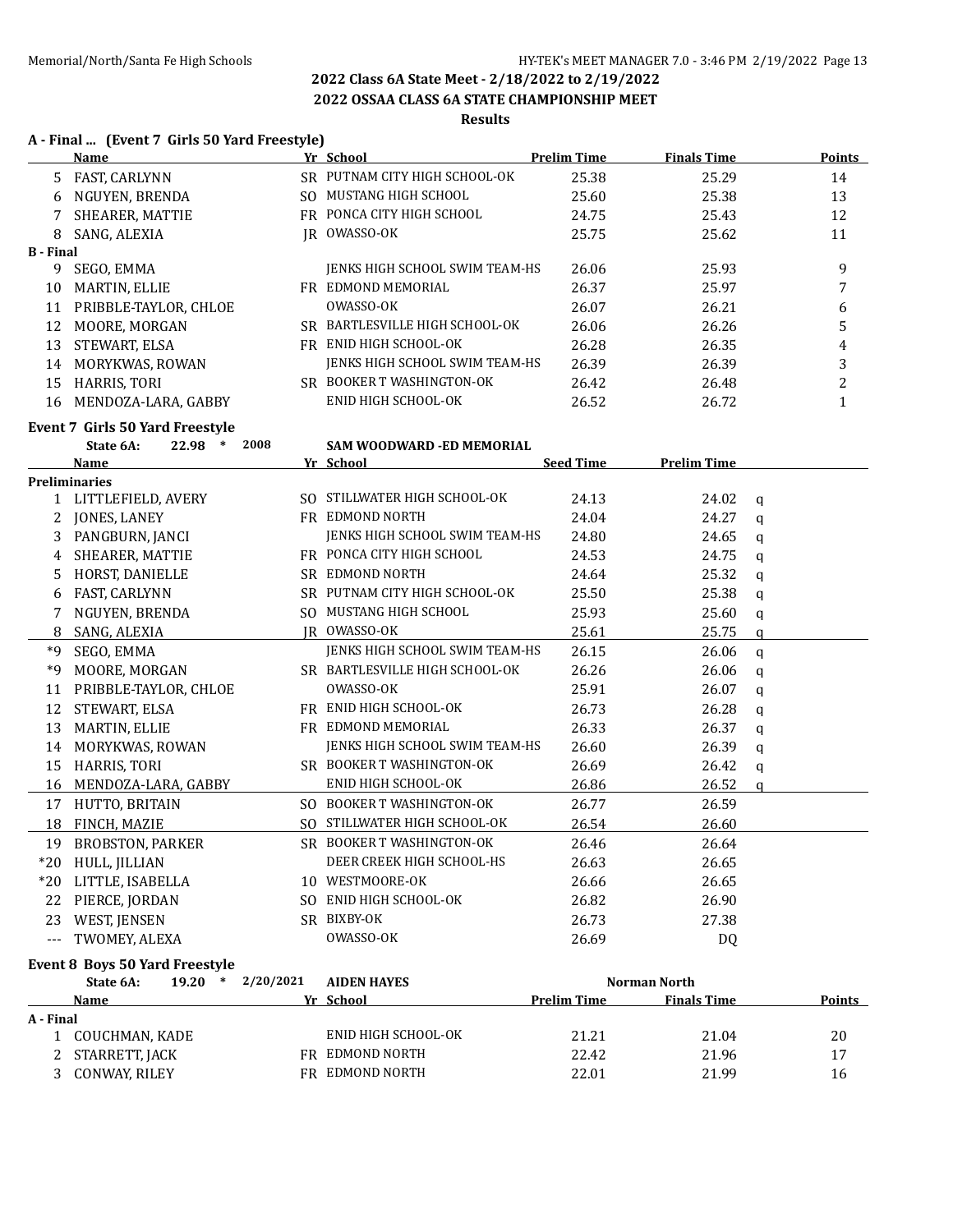## **2022 OSSAA CLASS 6A STATE CHAMPIONSHIP MEET**

## **Results**

# **A - Final ... (Event 7 Girls 50 Yard Freestyle)**

|                  | $A$ - Final  (Event / Girls 50 Taru Freestyle)<br><u>Name_</u> |      | Yr School                             | <b>Prelim Time</b> | <b>Finals Time</b> | <b>Points</b> |
|------------------|----------------------------------------------------------------|------|---------------------------------------|--------------------|--------------------|---------------|
|                  | 5 FAST, CARLYNN                                                |      | SR PUTNAM CITY HIGH SCHOOL-OK         | 25.38              | 25.29              | 14            |
|                  | 6 NGUYEN, BRENDA                                               |      | SO MUSTANG HIGH SCHOOL                | 25.60              | 25.38              | 13            |
|                  | 7 SHEARER, MATTIE                                              |      | FR PONCA CITY HIGH SCHOOL             | 24.75              | 25.43              | 12            |
| 8                | SANG, ALEXIA                                                   |      | IR OWASSO-OK                          | 25.75              | 25.62              | 11            |
| <b>B</b> - Final |                                                                |      |                                       |                    |                    |               |
|                  | 9 SEGO, EMMA                                                   |      | JENKS HIGH SCHOOL SWIM TEAM-HS        | 26.06              | 25.93              | 9             |
| 10               | MARTIN, ELLIE                                                  |      | FR EDMOND MEMORIAL                    | 26.37              | 25.97              | 7             |
|                  | 11 PRIBBLE-TAYLOR, CHLOE                                       |      | OWASSO-OK                             | 26.07              | 26.21              | 6             |
|                  | 12 MOORE, MORGAN                                               |      | SR BARTLESVILLE HIGH SCHOOL-OK        | 26.06              | 26.26              | 5             |
|                  | 13 STEWART, ELSA                                               |      | FR ENID HIGH SCHOOL-OK                | 26.28              | 26.35              | 4             |
|                  | 14 MORYKWAS, ROWAN                                             |      | JENKS HIGH SCHOOL SWIM TEAM-HS        | 26.39              | 26.39              | 3             |
| 15               | HARRIS, TORI                                                   |      | SR BOOKER T WASHINGTON-OK             | 26.42              | 26.48              | 2             |
|                  | 16 MENDOZA-LARA, GABBY                                         |      | ENID HIGH SCHOOL-OK                   | 26.52              | 26.72              | $\mathbf{1}$  |
|                  | <b>Event 7 Girls 50 Yard Freestyle</b>                         |      |                                       |                    |                    |               |
|                  | 22.98<br>$\ast$<br>State 6A:                                   | 2008 | SAM WOODWARD -ED MEMORIAL             |                    |                    |               |
|                  | Name                                                           |      | Yr School                             | <b>Seed Time</b>   | <b>Prelim Time</b> |               |
|                  | <b>Preliminaries</b>                                           |      |                                       |                    |                    |               |
|                  | 1 LITTLEFIELD, AVERY                                           |      | SO STILLWATER HIGH SCHOOL-OK          | 24.13              | 24.02              | q             |
| 2                | JONES, LANEY                                                   |      | FR EDMOND NORTH                       | 24.04              | 24.27              | $\mathbf q$   |
| 3                | PANGBURN, JANCI                                                |      | JENKS HIGH SCHOOL SWIM TEAM-HS        | 24.80              | 24.65              | $\mathbf q$   |
| 4                | SHEARER, MATTIE                                                |      | FR PONCA CITY HIGH SCHOOL             | 24.53              | 24.75              | q             |
| 5                | HORST, DANIELLE                                                |      | SR EDMOND NORTH                       | 24.64              | 25.32              | $\mathbf q$   |
| 6                | FAST, CARLYNN                                                  |      | SR PUTNAM CITY HIGH SCHOOL-OK         | 25.50              | 25.38              | q             |
| 7                | NGUYEN, BRENDA                                                 |      | SO MUSTANG HIGH SCHOOL                | 25.93              | 25.60              | q             |
| 8                | SANG, ALEXIA                                                   |      | JR OWASSO-OK                          | 25.61              | 25.75              | $\mathbf q$   |
| $*9$             | SEGO, EMMA                                                     |      | JENKS HIGH SCHOOL SWIM TEAM-HS        | 26.15              | 26.06              | $\mathbf q$   |
| $*9$             | MOORE, MORGAN                                                  |      | SR BARTLESVILLE HIGH SCHOOL-OK        | 26.26              | 26.06              | q             |
| 11               | PRIBBLE-TAYLOR, CHLOE                                          |      | OWASSO-OK                             | 25.91              | 26.07              | $\mathbf q$   |
|                  | 12 STEWART, ELSA                                               |      | FR ENID HIGH SCHOOL-OK                | 26.73              | 26.28              | q             |
| 13               | MARTIN, ELLIE                                                  |      | FR EDMOND MEMORIAL                    | 26.33              | 26.37              | $\mathbf q$   |
|                  | 14 MORYKWAS, ROWAN                                             |      | <b>JENKS HIGH SCHOOL SWIM TEAM-HS</b> | 26.60              | 26.39              | $\mathbf q$   |
| 15               | HARRIS, TORI                                                   |      | SR BOOKER T WASHINGTON-OK             | 26.69              | 26.42              | $\mathsf{q}$  |
|                  | 16 MENDOZA-LARA, GABBY                                         |      | ENID HIGH SCHOOL-OK                   | 26.86              | 26.52              | a             |
|                  | 17 HUTTO, BRITAIN                                              |      | SO BOOKER T WASHINGTON-OK             | 26.77              | 26.59              |               |
|                  | 18 FINCH, MAZIE                                                |      | SO STILLWATER HIGH SCHOOL-OK          | 26.54              | 26.60              |               |
|                  | 19 BROBSTON, PARKER                                            |      | SR BOOKER T WASHINGTON-OK             | 26.46              | 26.64              |               |
| $*20$            | HULL, JILLIAN                                                  |      | DEER CREEK HIGH SCHOOL-HS             | 26.63              | 26.65              |               |
| $*20$            | LITTLE, ISABELLA                                               |      | 10 WESTMOORE-OK                       | 26.66              | 26.65              |               |
| 22               | PIERCE, JORDAN                                                 |      | SO ENID HIGH SCHOOL-OK                | 26.82              | 26.90              |               |
| 23               | WEST, JENSEN                                                   |      | SR BIXBY-OK                           | 26.73              | 27.38              |               |
| $---$            | TWOMEY, ALEXA                                                  |      | OWASSO-OK                             | 26.69              | DQ                 |               |
|                  | <b>Event 8 Boys 50 Yard Freestyle</b>                          |      |                                       |                    |                    |               |
|                  | 19.20 * 2/20/2021<br>State 6A:                                 |      | <b>AIDEN HAYES</b>                    |                    | Norman North       |               |
|                  | Name                                                           |      | Yr School                             | <b>Prelim Time</b> | <b>Finals Time</b> | <b>Points</b> |
| A - Final        |                                                                |      |                                       |                    |                    |               |

| - rinai |                  |                     |       |       |    |
|---------|------------------|---------------------|-------|-------|----|
|         | COUCHMAN. KADE   | ENID HIGH SCHOOL-OK | 21.21 | 21.04 | 20 |
|         | 2 STARRETT, JACK | FR EDMOND NORTH     | 22.42 | 21.96 |    |
|         | 3 CONWAY, RILEY  | FR EDMOND NORTH     | 22.01 | 21.99 | 16 |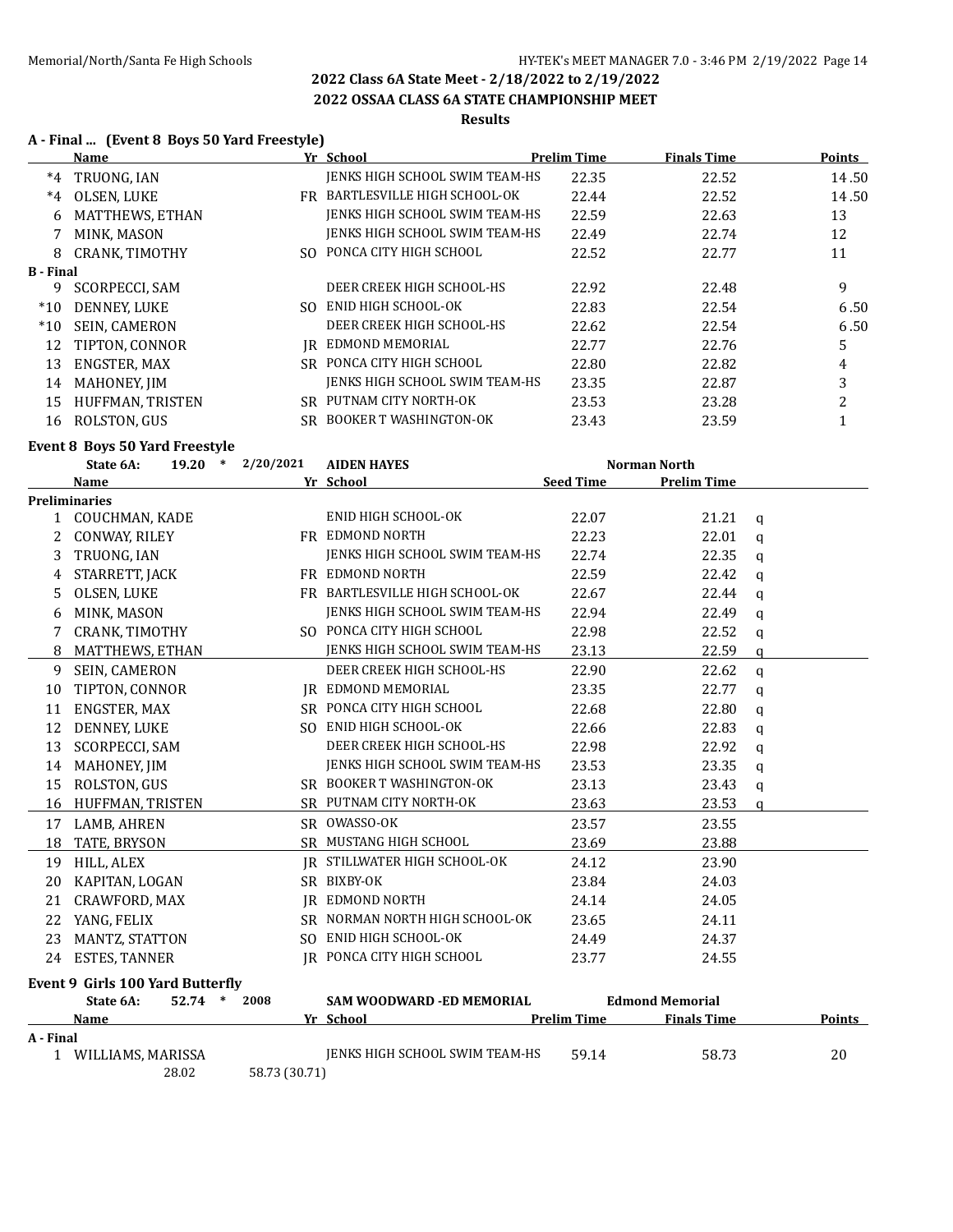### **2022 OSSAA CLASS 6A STATE CHAMPIONSHIP MEET**

## **Results**

## **A - Final ... (Event 8 Boys 50 Yard Freestyle)**

|                  | <b>Name</b>                      |                     | Yr School                      | <b>Prelim Time</b> | <b>Finals Time</b>     |             | <b>Points</b>  |
|------------------|----------------------------------|---------------------|--------------------------------|--------------------|------------------------|-------------|----------------|
| $*4$             | TRUONG, IAN                      |                     | JENKS HIGH SCHOOL SWIM TEAM-HS | 22.35              | 22.52                  |             | 14.50          |
| $*4$             | OLSEN, LUKE                      |                     | FR BARTLESVILLE HIGH SCHOOL-OK | 22.44              | 22.52                  |             | 14.50          |
| 6                | MATTHEWS, ETHAN                  |                     | JENKS HIGH SCHOOL SWIM TEAM-HS | 22.59              | 22.63                  |             | 13             |
| 7                | MINK, MASON                      |                     | JENKS HIGH SCHOOL SWIM TEAM-HS | 22.49              | 22.74                  |             | 12             |
| 8                | CRANK, TIMOTHY                   |                     | SO PONCA CITY HIGH SCHOOL      | 22.52              | 22.77                  |             | 11             |
| <b>B</b> - Final |                                  |                     |                                |                    |                        |             |                |
| 9                | <b>SCORPECCI, SAM</b>            |                     | DEER CREEK HIGH SCHOOL-HS      | 22.92              | 22.48                  |             | 9              |
| $*10$            | DENNEY, LUKE                     |                     | SO ENID HIGH SCHOOL-OK         | 22.83              | 22.54                  |             | 6.50           |
| $*10$            | SEIN, CAMERON                    |                     | DEER CREEK HIGH SCHOOL-HS      | 22.62              | 22.54                  |             | 6.50           |
| 12               | TIPTON, CONNOR                   |                     | <b>IR EDMOND MEMORIAL</b>      | 22.77              | 22.76                  |             | 5              |
| 13               | ENGSTER, MAX                     |                     | SR PONCA CITY HIGH SCHOOL      | 22.80              | 22.82                  |             | 4              |
| 14               | MAHONEY, JIM                     |                     | JENKS HIGH SCHOOL SWIM TEAM-HS | 23.35              | 22.87                  |             | 3              |
| 15               | HUFFMAN, TRISTEN                 |                     | SR PUTNAM CITY NORTH-OK        | 23.53              | 23.28                  |             | $\overline{c}$ |
|                  | 16 ROLSTON, GUS                  |                     | SR BOOKER T WASHINGTON-OK      | 23.43              | 23.59                  |             | $\mathbf{1}$   |
|                  | Event 8 Boys 50 Yard Freestyle   |                     |                                |                    |                        |             |                |
|                  | State 6A:                        | $19.20 * 2/20/2021$ | <b>AIDEN HAYES</b>             |                    | <b>Norman North</b>    |             |                |
|                  | Name                             |                     | Yr School                      | <b>Seed Time</b>   | <b>Prelim Time</b>     |             |                |
|                  | Preliminaries                    |                     |                                |                    |                        |             |                |
|                  | 1 COUCHMAN, KADE                 |                     | ENID HIGH SCHOOL-OK            | 22.07              | 21.21                  | q           |                |
|                  | 2 CONWAY, RILEY                  |                     | FR EDMOND NORTH                | 22.23              | 22.01                  | $\mathbf q$ |                |
| 3                | TRUONG, IAN                      |                     | JENKS HIGH SCHOOL SWIM TEAM-HS | 22.74              | 22.35                  | q           |                |
| 4                | STARRETT, JACK                   |                     | FR EDMOND NORTH                | 22.59              | 22.42                  | $\mathbf q$ |                |
| 5                | OLSEN, LUKE                      |                     | FR BARTLESVILLE HIGH SCHOOL-OK | 22.67              | 22.44                  | q           |                |
| 6                | MINK, MASON                      |                     | JENKS HIGH SCHOOL SWIM TEAM-HS | 22.94              | 22.49                  | $\mathbf q$ |                |
|                  | 7 CRANK, TIMOTHY                 |                     | SO PONCA CITY HIGH SCHOOL      | 22.98              | 22.52                  | q           |                |
| 8                | MATTHEWS, ETHAN                  |                     | JENKS HIGH SCHOOL SWIM TEAM-HS | 23.13              | 22.59                  | a           |                |
| 9                | SEIN, CAMERON                    |                     | DEER CREEK HIGH SCHOOL-HS      | 22.90              | 22.62                  | q           |                |
| 10               | TIPTON, CONNOR                   |                     | JR EDMOND MEMORIAL             | 23.35              | 22.77                  | $\mathbf q$ |                |
| 11               | ENGSTER, MAX                     |                     | SR PONCA CITY HIGH SCHOOL      | 22.68              | 22.80                  | q           |                |
| 12               | DENNEY, LUKE                     |                     | SO ENID HIGH SCHOOL-OK         | 22.66              | 22.83                  | $\mathbf q$ |                |
| 13               | SCORPECCI, SAM                   |                     | DEER CREEK HIGH SCHOOL-HS      | 22.98              | 22.92                  | q           |                |
| 14               | MAHONEY, JIM                     |                     | JENKS HIGH SCHOOL SWIM TEAM-HS | 23.53              | 23.35                  | $\mathbf q$ |                |
| 15               | ROLSTON, GUS                     |                     | SR BOOKER T WASHINGTON-OK      | 23.13              | 23.43                  | q           |                |
| 16               | HUFFMAN, TRISTEN                 |                     | SR PUTNAM CITY NORTH-OK        | 23.63              | 23.53                  | a           |                |
|                  | 17 LAMB, AHREN                   |                     | SR OWASSO-OK                   | 23.57              | 23.55                  |             |                |
|                  | 18 TATE, BRYSON                  |                     | SR MUSTANG HIGH SCHOOL         | 23.69              | 23.88                  |             |                |
|                  | 19 HILL, ALEX                    |                     | IR STILLWATER HIGH SCHOOL-OK   | 24.12              | 23.90                  |             |                |
|                  | 20 KAPITAN, LOGAN                |                     | SR BIXBY-OK                    | 23.84              | 24.03                  |             |                |
|                  | 21 CRAWFORD, MAX                 |                     | <b>IR EDMOND NORTH</b>         | 24.14              | 24.05                  |             |                |
|                  | 22 YANG, FELIX                   |                     | SR NORMAN NORTH HIGH SCHOOL-OK | 23.65              | 24.11                  |             |                |
| 23               | MANTZ, STATTON                   |                     | SO ENID HIGH SCHOOL-OK         | 24.49              | 24.37                  |             |                |
|                  | 24 ESTES, TANNER                 |                     | IR PONCA CITY HIGH SCHOOL      | 23.77              |                        |             |                |
|                  |                                  |                     |                                |                    | 24.55                  |             |                |
|                  | Event 9 Girls 100 Yard Butterfly |                     |                                |                    |                        |             |                |
|                  | 52.74 * 2008<br>State 6A:        |                     | SAM WOODWARD - ED MEMORIAL     |                    | <b>Edmond Memorial</b> |             |                |

**Name Yr School Prelim Time Finals Time Points A - Final** 1 JENKS HIGH SCHOOL SWIM TEAM-HS 59.14 58.73 58.73 28.02 58.73 (30.71)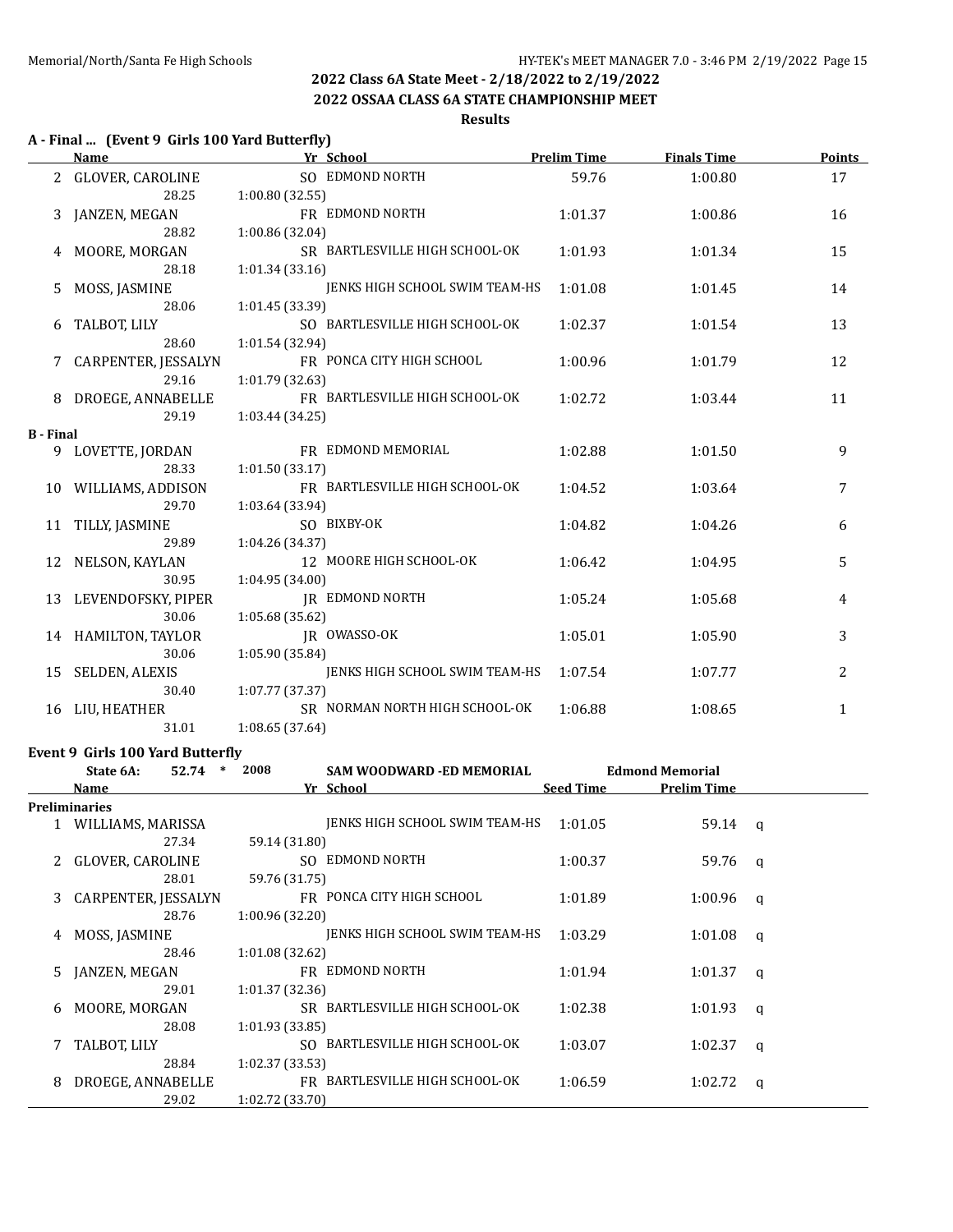### **2022 OSSAA CLASS 6A STATE CHAMPIONSHIP MEET**

### **Results**

## **A - Final ... (Event 9 Girls 100 Yard Butterfly)**

|                  | Name                  |                 | Yr School                      | <b>Prelim Time</b> | <b>Finals Time</b> | <b>Points</b> |
|------------------|-----------------------|-----------------|--------------------------------|--------------------|--------------------|---------------|
|                  | 2 GLOVER, CAROLINE    |                 | SO EDMOND NORTH                | 59.76              | 1:00.80            | 17            |
|                  | 28.25                 | 1:00.80 (32.55) |                                |                    |                    |               |
| 3                | JANZEN, MEGAN         |                 | FR EDMOND NORTH                | 1:01.37            | 1:00.86            | 16            |
|                  | 28.82                 | 1:00.86 (32.04) |                                |                    |                    |               |
| 4                | MOORE, MORGAN         |                 | SR BARTLESVILLE HIGH SCHOOL-OK | 1:01.93            | 1:01.34            | 15            |
|                  | 28.18                 | 1:01.34(33.16)  |                                |                    |                    |               |
| 5.               | MOSS, JASMINE         |                 | JENKS HIGH SCHOOL SWIM TEAM-HS | 1:01.08            | 1:01.45            | 14            |
|                  | 28.06                 | 1:01.45 (33.39) |                                |                    |                    |               |
| 6                | TALBOT, LILY          |                 | SO BARTLESVILLE HIGH SCHOOL-OK | 1:02.37            | 1:01.54            | 13            |
|                  | 28.60                 | 1:01.54 (32.94) |                                |                    |                    |               |
|                  | 7 CARPENTER, JESSALYN |                 | FR PONCA CITY HIGH SCHOOL      | 1:00.96            | 1:01.79            | 12            |
|                  | 29.16                 | 1:01.79 (32.63) |                                |                    |                    |               |
|                  | 8 DROEGE, ANNABELLE   |                 | FR BARTLESVILLE HIGH SCHOOL-OK | 1:02.72            | 1:03.44            | 11            |
|                  | 29.19                 | 1:03.44 (34.25) |                                |                    |                    |               |
| <b>B</b> - Final |                       |                 |                                |                    |                    |               |
|                  | 9 LOVETTE, JORDAN     |                 | FR EDMOND MEMORIAL             | 1:02.88            | 1:01.50            | 9             |
|                  | 28.33                 | 1:01.50(33.17)  |                                |                    |                    |               |
|                  | 10 WILLIAMS, ADDISON  |                 | FR BARTLESVILLE HIGH SCHOOL-OK | 1:04.52            | 1:03.64            | 7             |
|                  | 29.70                 | 1:03.64 (33.94) |                                |                    |                    |               |
| 11               | TILLY, JASMINE        |                 | SO BIXBY-OK                    | 1:04.82            | 1:04.26            | 6             |
|                  | 29.89                 | 1:04.26 (34.37) |                                |                    |                    |               |
| 12               | NELSON, KAYLAN        |                 | 12 MOORE HIGH SCHOOL-OK        | 1:06.42            | 1:04.95            | 5             |
|                  | 30.95                 | 1:04.95 (34.00) |                                |                    |                    |               |
| 13               | LEVENDOFSKY, PIPER    |                 | <b>JR EDMOND NORTH</b>         | 1:05.24            | 1:05.68            | 4             |
|                  | 30.06                 | 1:05.68 (35.62) |                                |                    |                    |               |
|                  | 14 HAMILTON, TAYLOR   |                 | JR OWASSO-OK                   | 1:05.01            | 1:05.90            | 3             |
|                  | 30.06                 | 1:05.90 (35.84) |                                |                    |                    |               |
|                  | 15 SELDEN, ALEXIS     |                 | JENKS HIGH SCHOOL SWIM TEAM-HS | 1:07.54            | 1:07.77            | 2             |
|                  | 30.40                 | 1:07.77 (37.37) |                                |                    |                    |               |
| 16               | LIU, HEATHER          |                 | SR NORMAN NORTH HIGH SCHOOL-OK | 1:06.88            | 1:08.65            | 1             |
|                  | 31.01                 | 1:08.65(37.64)  |                                |                    |                    |               |

### **Event 9 Girls 100 Yard Butterfly**

|    | State 6A:<br>52.74   | $\ast$ | 2008            | SAM WOODWARD -ED MEMORIAL      |                  | <b>Edmond Memorial</b> |   |
|----|----------------------|--------|-----------------|--------------------------------|------------------|------------------------|---|
|    | <b>Name</b>          |        |                 | Yr School                      | <b>Seed Time</b> | <b>Prelim Time</b>     |   |
|    | <b>Preliminaries</b> |        |                 |                                |                  |                        |   |
|    | WILLIAMS, MARISSA    |        |                 | JENKS HIGH SCHOOL SWIM TEAM-HS | 1:01.05          | 59.14                  | q |
|    | 27.34                |        | 59.14 (31.80)   |                                |                  |                        |   |
|    | GLOVER, CAROLINE     |        |                 | SO EDMOND NORTH                | 1:00.37          | 59.76                  | q |
|    | 28.01                |        | 59.76 (31.75)   |                                |                  |                        |   |
| 3  | CARPENTER, JESSALYN  |        |                 | FR PONCA CITY HIGH SCHOOL      | 1:01.89          | 1:00.96                | q |
|    | 28.76                |        | 1:00.96(32.20)  |                                |                  |                        |   |
| 4  | MOSS, JASMINE        |        |                 | JENKS HIGH SCHOOL SWIM TEAM-HS | 1:03.29          | 1:01.08                | a |
|    | 28.46                |        | 1:01.08(32.62)  |                                |                  |                        |   |
| 5. | JANZEN, MEGAN        |        |                 | FR EDMOND NORTH                | 1:01.94          | 1:01.37                | a |
|    | 29.01                |        | 1:01.37(32.36)  |                                |                  |                        |   |
| 6  | MOORE, MORGAN        |        |                 | SR BARTLESVILLE HIGH SCHOOL-OK | 1:02.38          | 1:01.93                | q |
|    | 28.08                |        | 1:01.93(33.85)  |                                |                  |                        |   |
|    | TALBOT, LILY         |        |                 | SO BARTLESVILLE HIGH SCHOOL-OK | 1:03.07          | 1:02.37                | q |
|    | 28.84                |        | 1:02.37(33.53)  |                                |                  |                        |   |
| 8  | DROEGE, ANNABELLE    |        |                 | FR BARTLESVILLE HIGH SCHOOL-OK | 1:06.59          | 1:02.72                | q |
|    | 29.02                |        | 1:02.72 (33.70) |                                |                  |                        |   |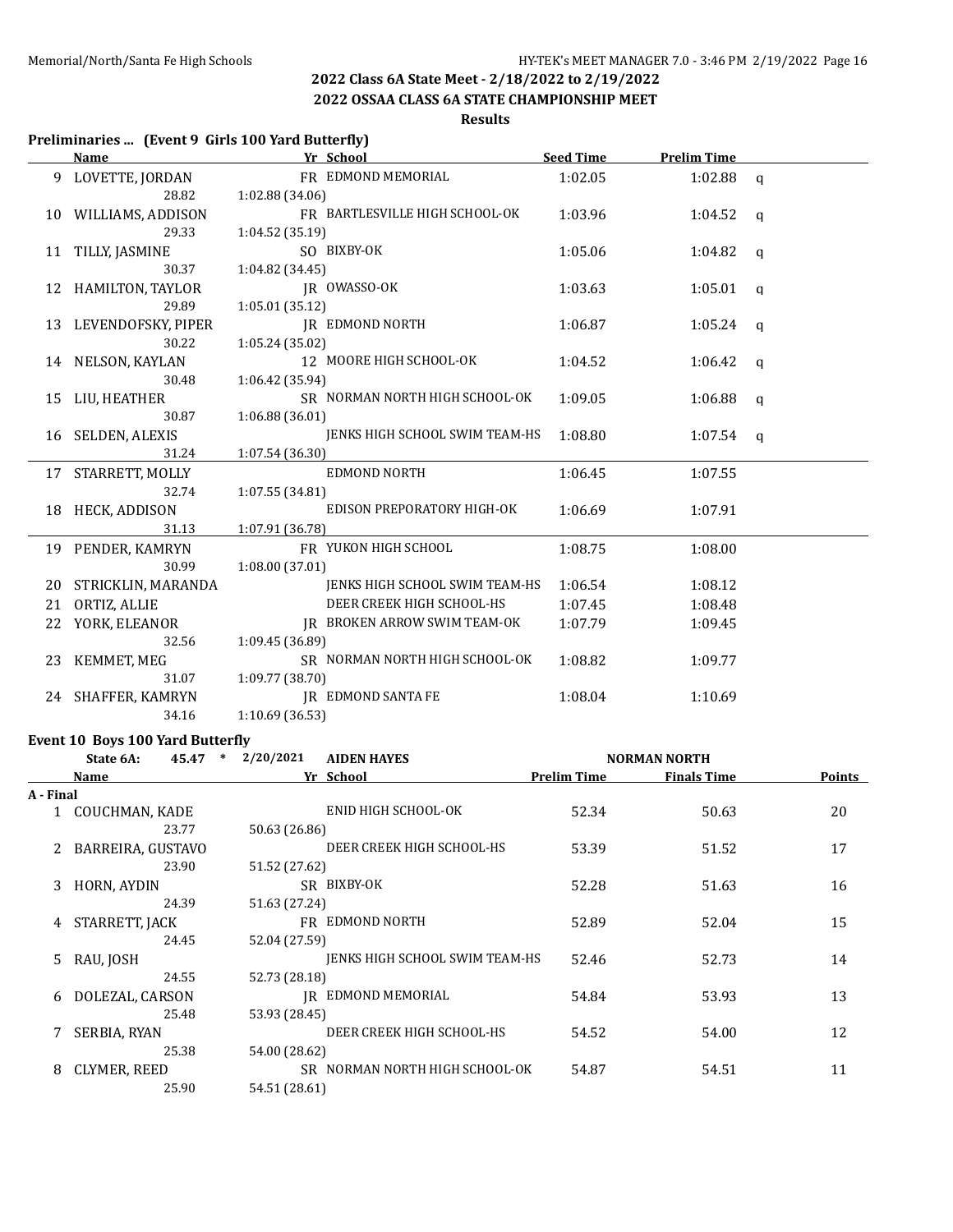**2022 OSSAA CLASS 6A STATE CHAMPIONSHIP MEET**

## **Results**

## **Preliminaries ... (Event 9 Girls 100 Yard Butterfly)**

|    | <b>Name</b>           | Yr School                             | <b>Seed Time</b> | <b>Prelim Time</b> |              |
|----|-----------------------|---------------------------------------|------------------|--------------------|--------------|
|    | LOVETTE, JORDAN       | FR EDMOND MEMORIAL                    | 1:02.05          | $1:02.88$ q        |              |
|    | 28.82                 | 1:02.88(34.06)                        |                  |                    |              |
|    | 10 WILLIAMS, ADDISON  | FR BARTLESVILLE HIGH SCHOOL-OK        | 1:03.96          | 1:04.52            | $\mathbf{q}$ |
|    | 29.33                 | 1:04.52(35.19)                        |                  |                    |              |
|    | 11 TILLY, JASMINE     | SO BIXBY-OK                           | 1:05.06          | 1:04.82 $q$        |              |
|    | 30.37                 | 1:04.82(34.45)                        |                  |                    |              |
|    | 12 HAMILTON, TAYLOR   | JR OWASSO-OK                          | 1:03.63          | 1:05.01            | $\alpha$     |
|    | 29.89                 | 1:05.01(35.12)                        |                  |                    |              |
|    | 13 LEVENDOFSKY, PIPER | <b>IR EDMOND NORTH</b>                | 1:06.87          | 1:05.24 $q$        |              |
|    | 30.22                 | 1:05.24 (35.02)                       |                  |                    |              |
|    | 14 NELSON, KAYLAN     | 12 MOORE HIGH SCHOOL-OK               | 1:04.52          | 1:06.42 $q$        |              |
|    | 30.48                 | 1:06.42(35.94)                        |                  |                    |              |
|    | 15 LIU, HEATHER       | SR NORMAN NORTH HIGH SCHOOL-OK        | 1:09.05          | 1:06.88            | q            |
|    | 30.87                 | 1:06.88 (36.01)                       |                  |                    |              |
|    | 16 SELDEN, ALEXIS     | JENKS HIGH SCHOOL SWIM TEAM-HS        | 1:08.80          | $1:07.54$ q        |              |
|    | 31.24                 | 1:07.54 (36.30)                       |                  |                    |              |
|    | 17 STARRETT, MOLLY    | EDMOND NORTH                          | 1:06.45          | 1:07.55            |              |
|    | 32.74                 | 1:07.55(34.81)                        |                  |                    |              |
|    | 18 HECK, ADDISON      | EDISON PREPORATORY HIGH-OK            | 1:06.69          | 1:07.91            |              |
|    | 31.13                 | 1:07.91 (36.78)                       |                  |                    |              |
|    | 19 PENDER, KAMRYN     | FR YUKON HIGH SCHOOL                  | 1:08.75          | 1:08.00            |              |
|    | 30.99                 | 1:08.00(37.01)                        |                  |                    |              |
| 20 | STRICKLIN, MARANDA    | <b>JENKS HIGH SCHOOL SWIM TEAM-HS</b> | 1:06.54          | 1:08.12            |              |
| 21 | ORTIZ, ALLIE          | DEER CREEK HIGH SCHOOL-HS             | 1:07.45          | 1:08.48            |              |
|    | 22 YORK, ELEANOR      | JR BROKEN ARROW SWIM TEAM-OK          | 1:07.79          | 1:09.45            |              |
|    | 32.56                 | 1:09.45(36.89)                        |                  |                    |              |
|    | 23 KEMMET, MEG        | SR NORMAN NORTH HIGH SCHOOL-OK        | 1:08.82          | 1:09.77            |              |
|    | 31.07                 | 1:09.77 (38.70)                       |                  |                    |              |
|    | 24 SHAFFER, KAMRYN    | <b>IR EDMOND SANTA FE</b>             | 1:08.04          | 1:10.69            |              |
|    | 34.16                 | 1:10.69 (36.53)                       |                  |                    |              |

## **Event 10 Boys 100 Yard Butterfly**

| $\ast$<br>State 6A:<br>45.47 |                   | 2/20/2021<br><b>AIDEN HAYES</b> |                                | <b>NORMAN NORTH</b> |                    |        |
|------------------------------|-------------------|---------------------------------|--------------------------------|---------------------|--------------------|--------|
|                              | Name              |                                 | Yr School                      | <b>Prelim Time</b>  | <b>Finals Time</b> | Points |
| A - Final                    |                   |                                 |                                |                     |                    |        |
|                              | 1 COUCHMAN, KADE  |                                 | ENID HIGH SCHOOL-OK            | 52.34               | 50.63              | 20     |
|                              | 23.77             | 50.63 (26.86)                   |                                |                     |                    |        |
|                              | BARREIRA, GUSTAVO |                                 | DEER CREEK HIGH SCHOOL-HS      | 53.39               | 51.52              | 17     |
|                              | 23.90             | 51.52 (27.62)                   |                                |                     |                    |        |
| 3.                           | HORN, AYDIN       |                                 | SR BIXBY-OK                    | 52.28               | 51.63              | 16     |
|                              | 24.39             | 51.63 (27.24)                   |                                |                     |                    |        |
| 4                            | STARRETT, JACK    |                                 | FR EDMOND NORTH                | 52.89               | 52.04              | 15     |
|                              | 24.45             | 52.04 (27.59)                   |                                |                     |                    |        |
| 5.                           | RAU, JOSH         |                                 | JENKS HIGH SCHOOL SWIM TEAM-HS | 52.46               | 52.73              | 14     |
|                              | 24.55             | 52.73 (28.18)                   |                                |                     |                    |        |
| 6                            | DOLEZAL, CARSON   |                                 | IR EDMOND MEMORIAL             | 54.84               | 53.93              | 13     |
|                              | 25.48             | 53.93 (28.45)                   |                                |                     |                    |        |
|                              | SERBIA, RYAN      |                                 | DEER CREEK HIGH SCHOOL-HS      | 54.52               | 54.00              | 12     |
|                              | 25.38             | 54.00 (28.62)                   |                                |                     |                    |        |
| 8                            | CLYMER, REED      |                                 | SR NORMAN NORTH HIGH SCHOOL-OK | 54.87               | 54.51              | 11     |
|                              | 25.90             | 54.51 (28.61)                   |                                |                     |                    |        |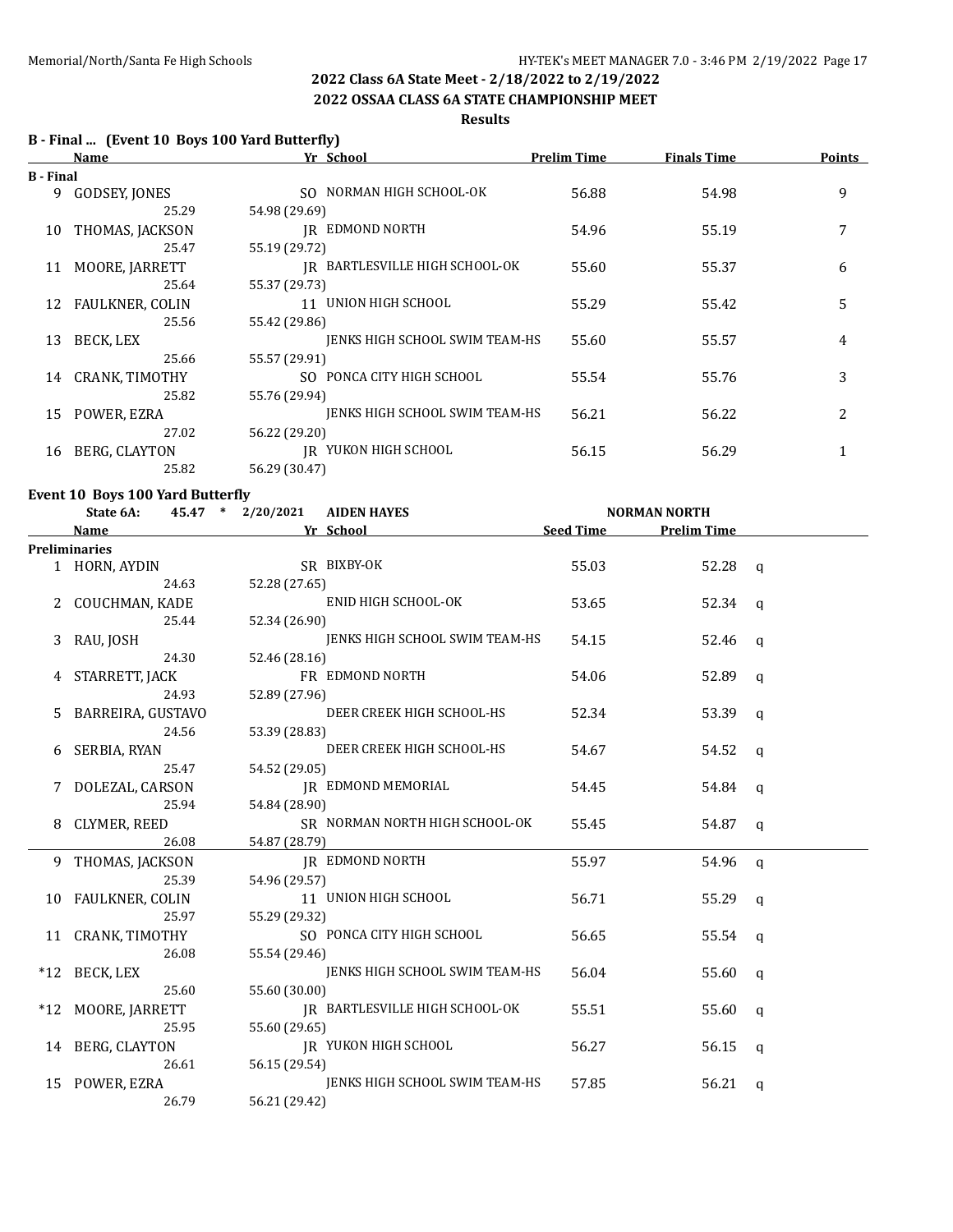### **2022 OSSAA CLASS 6A STATE CHAMPIONSHIP MEET**

### **Results**

## **B - Final ... (Event 10 Boys 100 Yard Butterfly)**

|                  | <b>Name</b>     | Yr School                      | <b>Prelim Time</b> | <b>Finals Time</b> | <b>Points</b> |
|------------------|-----------------|--------------------------------|--------------------|--------------------|---------------|
| <b>B</b> - Final |                 |                                |                    |                    |               |
| 9.               | GODSEY, JONES   | SO NORMAN HIGH SCHOOL-OK       | 56.88              | 54.98              | 9             |
|                  | 25.29           | 54.98 (29.69)                  |                    |                    |               |
| 10               | THOMAS, JACKSON | IR EDMOND NORTH                | 54.96              | 55.19              | 7             |
|                  | 25.47           | 55.19 (29.72)                  |                    |                    |               |
| 11               | MOORE, JARRETT  | IR BARTLESVILLE HIGH SCHOOL-OK | 55.60              | 55.37              | 6             |
|                  | 25.64           | 55.37 (29.73)                  |                    |                    |               |
| 12               | FAULKNER, COLIN | 11 UNION HIGH SCHOOL           | 55.29              | 55.42              | 5             |
|                  | 25.56           | 55.42 (29.86)                  |                    |                    |               |
| 13               | BECK, LEX       | JENKS HIGH SCHOOL SWIM TEAM-HS | 55.60              | 55.57              | 4             |
|                  | 25.66           | 55.57 (29.91)                  |                    |                    |               |
| 14               | CRANK, TIMOTHY  | SO PONCA CITY HIGH SCHOOL      | 55.54              | 55.76              | 3             |
|                  | 25.82           | 55.76 (29.94)                  |                    |                    |               |
| 15               | POWER, EZRA     | JENKS HIGH SCHOOL SWIM TEAM-HS | 56.21              | 56.22              | 2             |
|                  | 27.02           | 56.22 (29.20)                  |                    |                    |               |
| 16               | BERG, CLAYTON   | IR YUKON HIGH SCHOOL           | 56.15              | 56.29              |               |
|                  | 25.82           | 56.29 (30.47)                  |                    |                    |               |

### **Event 10 Boys 100 Yard Butterfly**

|   | State 6A:            | 45.47 * 2/20/2021 | <b>AIDEN HAYES</b>                    |                  | <b>NORMAN NORTH</b> |              |
|---|----------------------|-------------------|---------------------------------------|------------------|---------------------|--------------|
|   | <b>Name</b>          |                   | Yr School                             | <b>Seed Time</b> | <b>Prelim Time</b>  |              |
|   | <b>Preliminaries</b> |                   |                                       |                  |                     |              |
|   | 1 HORN, AYDIN        |                   | SR BIXBY-OK                           | 55.03            | 52.28 $q$           |              |
|   | 24.63                | 52.28 (27.65)     |                                       |                  |                     |              |
|   | 2 COUCHMAN, KADE     |                   | ENID HIGH SCHOOL-OK                   | 53.65            | 52.34 $q$           |              |
|   | 25.44                | 52.34 (26.90)     |                                       |                  |                     |              |
|   | 3 RAU, JOSH          |                   | JENKS HIGH SCHOOL SWIM TEAM-HS        | 54.15            | 52.46               | q            |
|   | 24.30                | 52.46 (28.16)     |                                       |                  |                     |              |
|   | 4 STARRETT, JACK     |                   | FR EDMOND NORTH                       | 54.06            | 52.89               | $\mathbf{q}$ |
|   | 24.93                | 52.89 (27.96)     |                                       |                  |                     |              |
|   | 5 BARREIRA, GUSTAVO  |                   | DEER CREEK HIGH SCHOOL-HS             | 52.34            | 53.39 q             |              |
|   | 24.56                | 53.39 (28.83)     |                                       |                  |                     |              |
| 6 | SERBIA, RYAN         |                   | DEER CREEK HIGH SCHOOL-HS             | 54.67            | 54.52               | $\alpha$     |
|   | 25.47                | 54.52 (29.05)     |                                       |                  |                     |              |
|   | DOLEZAL, CARSON      |                   | IR EDMOND MEMORIAL                    | 54.45            | 54.84               | $\mathbf{q}$ |
|   | 25.94                | 54.84 (28.90)     |                                       |                  |                     |              |
|   | CLYMER, REED         |                   | SR NORMAN NORTH HIGH SCHOOL-OK        | 55.45            | 54.87               | q            |
|   | 26.08                | 54.87 (28.79)     |                                       |                  |                     |              |
|   | 9 THOMAS, JACKSON    |                   | IR EDMOND NORTH                       | 55.97            | 54.96               | $\mathbf{q}$ |
|   | 25.39                | 54.96 (29.57)     |                                       |                  |                     |              |
|   | 10 FAULKNER, COLIN   |                   | 11 UNION HIGH SCHOOL                  | 56.71            | $55.29$ q           |              |
|   | 25.97                | 55.29 (29.32)     |                                       |                  |                     |              |
|   | 11 CRANK, TIMOTHY    |                   | SO PONCA CITY HIGH SCHOOL             | 56.65            | $55.54$ q           |              |
|   | 26.08                | 55.54 (29.46)     |                                       |                  |                     |              |
|   | *12 BECK, LEX        |                   | <b>JENKS HIGH SCHOOL SWIM TEAM-HS</b> | 56.04            | 55.60               | $\mathbf{q}$ |
|   | 25.60                | 55.60 (30.00)     |                                       |                  |                     |              |
|   | *12 MOORE, JARRETT   |                   | JR BARTLESVILLE HIGH SCHOOL-OK        | 55.51            | 55.60               | $\mathsf{q}$ |
|   | 25.95                | 55.60 (29.65)     |                                       |                  |                     |              |
|   | 14 BERG, CLAYTON     |                   | IR YUKON HIGH SCHOOL                  | 56.27            | 56.15               | <sub>q</sub> |
|   | 26.61                | 56.15 (29.54)     |                                       |                  |                     |              |
|   | 15 POWER, EZRA       |                   | JENKS HIGH SCHOOL SWIM TEAM-HS        | 57.85            | 56.21               | q            |
|   | 26.79                | 56.21 (29.42)     |                                       |                  |                     |              |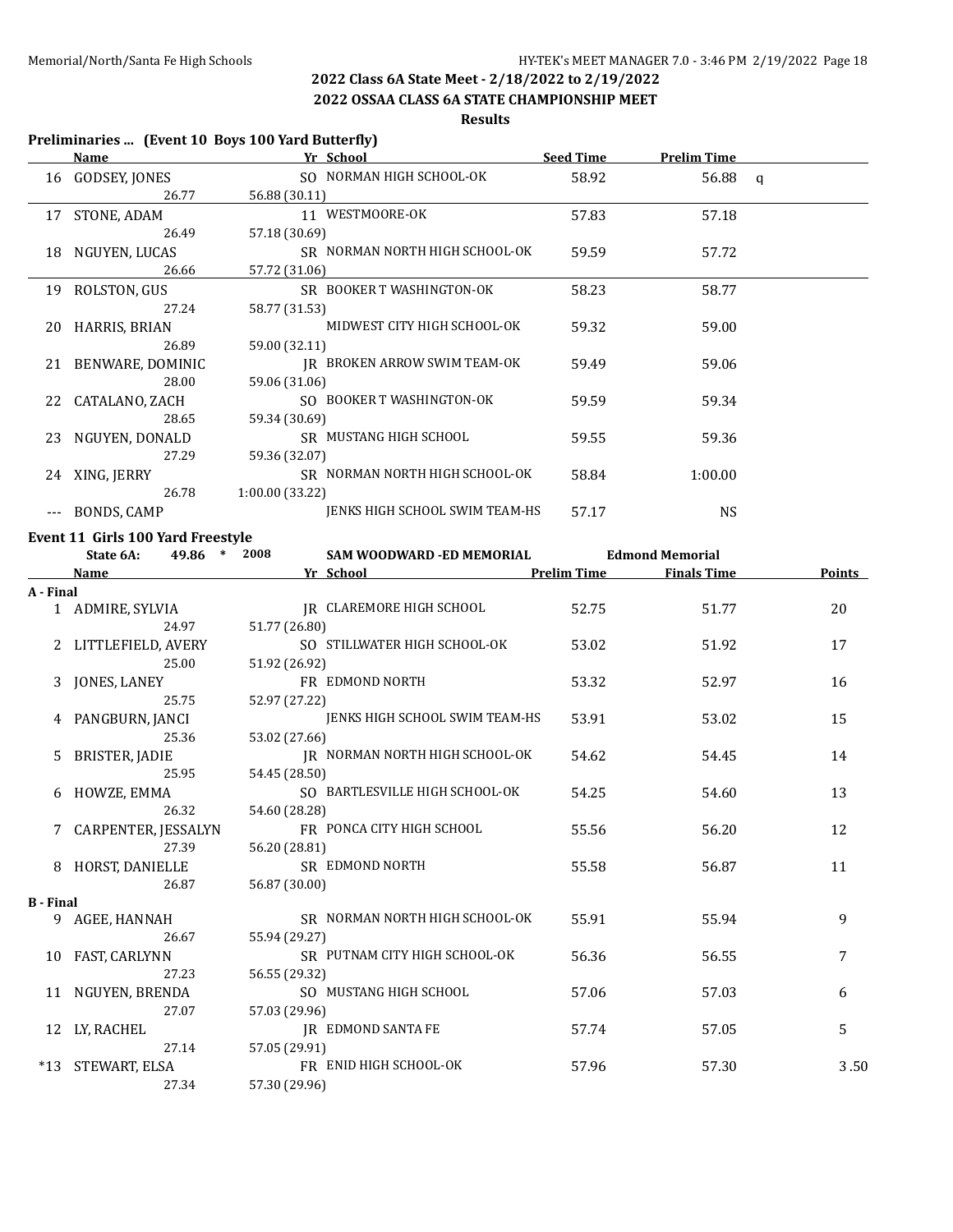## **2022 OSSAA CLASS 6A STATE CHAMPIONSHIP MEET**

**Results**

## **Preliminaries ... (Event 10 Boys 100 Yard Butterfly)**

|    | <u>Name</u>      | Yr School                      | <b>Seed Time</b> | <b>Prelim Time</b> |  |
|----|------------------|--------------------------------|------------------|--------------------|--|
|    | 16 GODSEY, JONES | SO NORMAN HIGH SCHOOL-OK       | 58.92            | 56.88 $q$          |  |
|    | 26.77            | 56.88 (30.11)                  |                  |                    |  |
| 17 | STONE, ADAM      | 11 WESTMOORE-OK                | 57.83            | 57.18              |  |
|    | 26.49            | 57.18 (30.69)                  |                  |                    |  |
| 18 | NGUYEN, LUCAS    | SR NORMAN NORTH HIGH SCHOOL-OK | 59.59            | 57.72              |  |
|    | 26.66            | 57.72 (31.06)                  |                  |                    |  |
| 19 | ROLSTON, GUS     | SR BOOKER T WASHINGTON-OK      | 58.23            | 58.77              |  |
|    | 27.24            | 58.77 (31.53)                  |                  |                    |  |
| 20 | HARRIS, BRIAN    | MIDWEST CITY HIGH SCHOOL-OK    | 59.32            | 59.00              |  |
|    | 26.89            | 59.00 (32.11)                  |                  |                    |  |
| 21 | BENWARE, DOMINIC | IR BROKEN ARROW SWIM TEAM-OK   | 59.49            | 59.06              |  |
|    | 28.00            | 59.06 (31.06)                  |                  |                    |  |
| 22 | CATALANO, ZACH   | SO BOOKER T WASHINGTON-OK      | 59.59            | 59.34              |  |
|    | 28.65            | 59.34 (30.69)                  |                  |                    |  |
| 23 | NGUYEN, DONALD   | SR MUSTANG HIGH SCHOOL         | 59.55            | 59.36              |  |
|    | 27.29            | 59.36 (32.07)                  |                  |                    |  |
| 24 | XING, JERRY      | SR NORMAN NORTH HIGH SCHOOL-OK | 58.84            | 1:00.00            |  |
|    | 26.78            | 1:00.00 (33.22)                |                  |                    |  |
|    | BONDS, CAMP      | JENKS HIGH SCHOOL SWIM TEAM-HS | 57.17            | NS                 |  |

### **Event 11 Girls 100 Yard Freestyle**

| State 6A:<br>$\ast$<br>49.86 |                       | 2008 | SAM WOODWARD -ED MEMORIAL |                                | <b>Edmond Memorial</b> |                    |               |
|------------------------------|-----------------------|------|---------------------------|--------------------------------|------------------------|--------------------|---------------|
|                              | Name                  |      |                           | Yr School                      | <b>Prelim Time</b>     | <b>Finals Time</b> | <b>Points</b> |
| A - Final                    |                       |      |                           |                                |                        |                    |               |
|                              | 1 ADMIRE, SYLVIA      |      |                           | IR CLAREMORE HIGH SCHOOL       | 52.75                  | 51.77              | 20            |
|                              | 24.97                 |      | 51.77 (26.80)             |                                |                        |                    |               |
|                              | 2 LITTLEFIELD, AVERY  |      |                           | SO STILLWATER HIGH SCHOOL-OK   | 53.02                  | 51.92              | 17            |
|                              | 25.00                 |      | 51.92 (26.92)             |                                |                        |                    |               |
|                              | 3 JONES, LANEY        |      |                           | FR EDMOND NORTH                | 53.32                  | 52.97              | 16            |
|                              | 25.75                 |      | 52.97 (27.22)             |                                |                        |                    |               |
|                              | 4 PANGBURN, JANCI     |      |                           | JENKS HIGH SCHOOL SWIM TEAM-HS | 53.91                  | 53.02              | 15            |
|                              | 25.36                 |      | 53.02 (27.66)             |                                |                        |                    |               |
| 5                            | BRISTER, JADIE        |      |                           | IR NORMAN NORTH HIGH SCHOOL-OK | 54.62                  | 54.45              | 14            |
|                              | 25.95                 |      | 54.45 (28.50)             |                                |                        |                    |               |
|                              | 6 HOWZE, EMMA         |      |                           | SO BARTLESVILLE HIGH SCHOOL-OK | 54.25                  | 54.60              | 13            |
|                              | 26.32                 |      | 54.60 (28.28)             |                                |                        |                    |               |
|                              | 7 CARPENTER, JESSALYN |      |                           | FR PONCA CITY HIGH SCHOOL      | 55.56                  | 56.20              | 12            |
|                              | 27.39                 |      | 56.20 (28.81)             |                                |                        |                    |               |
|                              | 8 HORST, DANIELLE     |      |                           | SR EDMOND NORTH                | 55.58                  | 56.87              | 11            |
|                              | 26.87                 |      | 56.87 (30.00)             |                                |                        |                    |               |
| <b>B</b> - Final             |                       |      |                           |                                |                        |                    |               |
|                              | 9 AGEE, HANNAH        |      |                           | SR NORMAN NORTH HIGH SCHOOL-OK | 55.91                  | 55.94              | 9             |
|                              | 26.67                 |      | 55.94 (29.27)             |                                |                        |                    |               |
|                              | 10 FAST, CARLYNN      |      |                           | SR PUTNAM CITY HIGH SCHOOL-OK  | 56.36                  | 56.55              | 7             |
|                              | 27.23                 |      | 56.55 (29.32)             |                                |                        |                    |               |
|                              | 11 NGUYEN, BRENDA     |      |                           | SO MUSTANG HIGH SCHOOL         | 57.06                  | 57.03              | 6             |
|                              | 27.07                 |      | 57.03 (29.96)             |                                |                        |                    |               |
|                              | 12 LY, RACHEL         |      |                           | <b>IR EDMOND SANTA FE</b>      | 57.74                  | 57.05              | 5             |
|                              | 27.14                 |      | 57.05 (29.91)             |                                |                        |                    |               |
|                              | *13 STEWART, ELSA     |      |                           | FR ENID HIGH SCHOOL-OK         | 57.96                  | 57.30              | 3.50          |
|                              | 27.34                 |      | 57.30 (29.96)             |                                |                        |                    |               |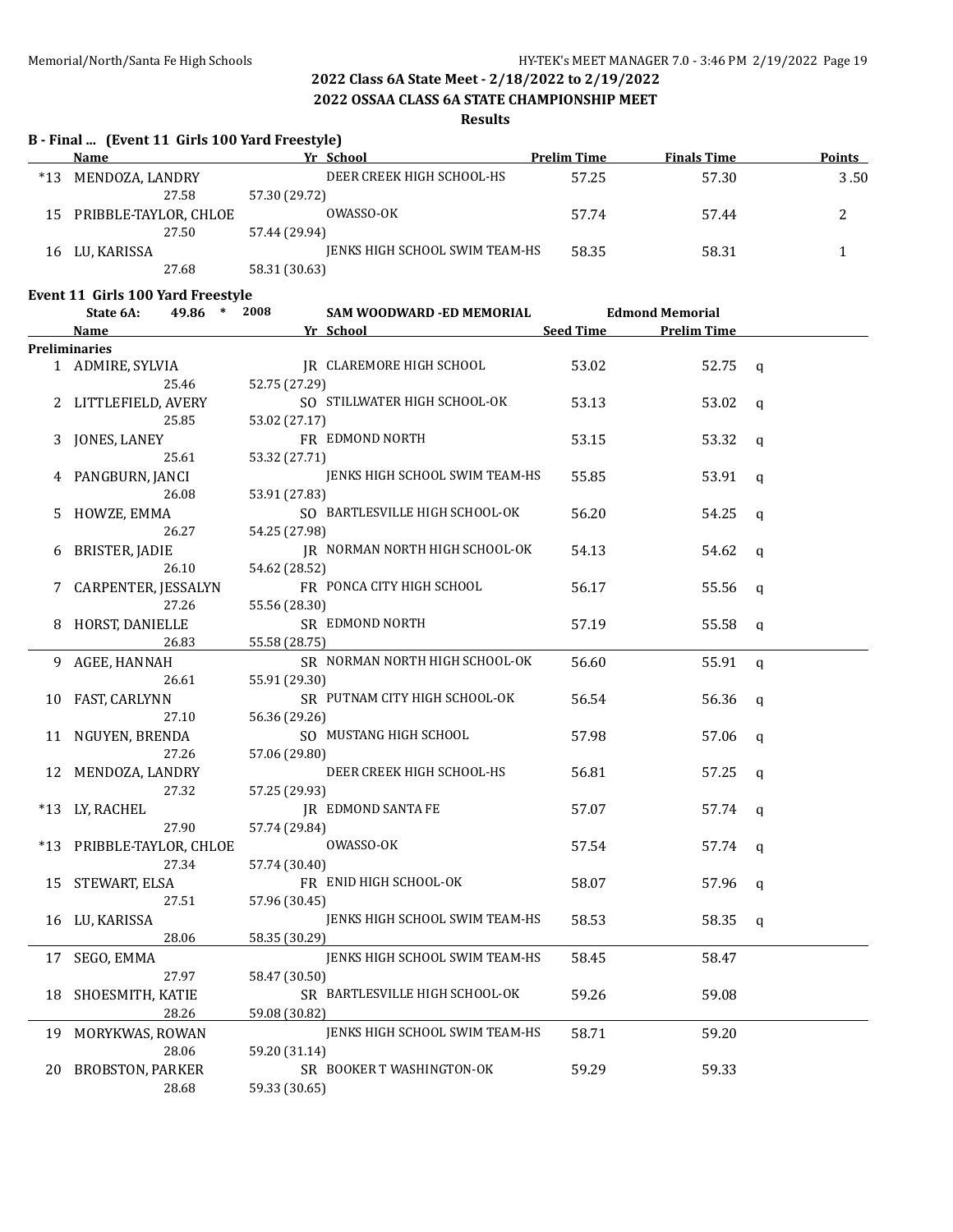### **2022 OSSAA CLASS 6A STATE CHAMPIONSHIP MEET**

### **Results**

## **B - Final ... (Event 11 Girls 100 Yard Freestyle)**

|       | Name                  | Yr School                      | <b>Prelim Time</b> | <b>Finals Time</b> | <b>Points</b> |
|-------|-----------------------|--------------------------------|--------------------|--------------------|---------------|
| $*13$ | MENDOZA, LANDRY       | DEER CREEK HIGH SCHOOL-HS      | 57.25              | 57.30              | 3.50          |
|       | 27.58                 | 57.30 (29.72)                  |                    |                    |               |
| 15    | PRIBBLE-TAYLOR, CHLOE | OWASSO-OK                      | 57.74              | 57.44              |               |
|       | 27.50                 | 57.44 (29.94)                  |                    |                    |               |
| 16    | LU, KARISSA           | JENKS HIGH SCHOOL SWIM TEAM-HS | 58.35              | 58.31              |               |
|       | 27.68                 | 58.31 (30.63)                  |                    |                    |               |

### **Event 11 Girls 100 Yard Freestyle**

|     | State 6A:<br>49.86<br>$\ast$ | 2008          | SAM WOODWARD -ED MEMORIAL      |                  | <b>Edmond Memorial</b> |              |
|-----|------------------------------|---------------|--------------------------------|------------------|------------------------|--------------|
|     | Name                         |               | <u>Yr School</u>               | <b>Seed Time</b> | <b>Prelim Time</b>     |              |
|     | <b>Preliminaries</b>         |               |                                |                  |                        |              |
|     | 1 ADMIRE, SYLVIA             |               | IR CLAREMORE HIGH SCHOOL       | 53.02            | 52.75                  | q            |
|     | 25.46                        | 52.75 (27.29) |                                |                  |                        |              |
| 2   | LITTLEFIELD, AVERY           |               | SO STILLWATER HIGH SCHOOL-OK   | 53.13            | 53.02                  | q            |
|     | 25.85                        | 53.02 (27.17) |                                |                  |                        |              |
| 3   | JONES, LANEY                 |               | FR EDMOND NORTH                | 53.15            | 53.32                  | q            |
|     | 25.61                        | 53.32 (27.71) |                                |                  |                        |              |
|     | PANGBURN, JANCI              |               | JENKS HIGH SCHOOL SWIM TEAM-HS | 55.85            | 53.91                  | q            |
|     | 26.08                        | 53.91 (27.83) |                                |                  |                        |              |
| 5   | HOWZE, EMMA                  |               | SO BARTLESVILLE HIGH SCHOOL-OK | 56.20            | 54.25                  | q            |
|     | 26.27                        | 54.25 (27.98) |                                |                  |                        |              |
| 6   | BRISTER, JADIE               |               | JR NORMAN NORTH HIGH SCHOOL-OK | 54.13            | 54.62                  | q            |
|     | 26.10                        | 54.62 (28.52) |                                |                  |                        |              |
| 7   | CARPENTER, JESSALYN          |               | FR PONCA CITY HIGH SCHOOL      | 56.17            | 55.56                  | q            |
|     | 27.26                        | 55.56 (28.30) |                                |                  |                        |              |
| 8   | HORST, DANIELLE              |               | SR EDMOND NORTH                | 57.19            | 55.58                  | $\mathsf{q}$ |
|     | 26.83                        | 55.58 (28.75) |                                |                  |                        |              |
| 9   | AGEE, HANNAH                 |               | SR NORMAN NORTH HIGH SCHOOL-OK | 56.60            | 55.91                  | $\mathbf q$  |
|     | 26.61                        | 55.91 (29.30) |                                |                  |                        |              |
| 10  | FAST, CARLYNN                |               | SR PUTNAM CITY HIGH SCHOOL-OK  | 56.54            | 56.36                  | $\mathsf{q}$ |
|     | 27.10                        | 56.36 (29.26) |                                |                  |                        |              |
| 11  | NGUYEN, BRENDA               |               | SO MUSTANG HIGH SCHOOL         | 57.98            | 57.06                  | $\mathsf{q}$ |
|     | 27.26                        | 57.06 (29.80) |                                |                  |                        |              |
| 12  | MENDOZA, LANDRY              |               | DEER CREEK HIGH SCHOOL-HS      | 56.81            | 57.25                  | q            |
|     | 27.32                        | 57.25 (29.93) |                                |                  |                        |              |
|     | *13 LY, RACHEL               |               | <b>JR EDMOND SANTA FE</b>      | 57.07            | 57.74                  | $\mathsf{q}$ |
|     | 27.90                        | 57.74 (29.84) |                                |                  |                        |              |
| *13 | PRIBBLE-TAYLOR, CHLOE        |               | OWASSO-OK                      | 57.54            | 57.74                  | $\mathsf{q}$ |
|     | 27.34                        | 57.74 (30.40) |                                |                  |                        |              |
| 15  | STEWART, ELSA                |               | FR ENID HIGH SCHOOL-OK         | 58.07            | 57.96                  | q            |
|     | 27.51                        | 57.96 (30.45) |                                |                  |                        |              |
|     | 16 LU, KARISSA               |               | JENKS HIGH SCHOOL SWIM TEAM-HS | 58.53            | 58.35                  | $\mathsf{q}$ |
|     | 28.06                        | 58.35 (30.29) |                                |                  |                        |              |
|     | 17 SEGO, EMMA                |               | JENKS HIGH SCHOOL SWIM TEAM-HS | 58.45            | 58.47                  |              |
|     | 27.97                        | 58.47 (30.50) |                                |                  |                        |              |
| 18  | SHOESMITH, KATIE             |               | SR BARTLESVILLE HIGH SCHOOL-OK | 59.26            | 59.08                  |              |
|     | 28.26                        | 59.08 (30.82) |                                |                  |                        |              |
| 19  | MORYKWAS, ROWAN              |               | JENKS HIGH SCHOOL SWIM TEAM-HS | 58.71            | 59.20                  |              |
|     | 28.06                        | 59.20 (31.14) |                                |                  |                        |              |
| 20  | BROBSTON, PARKER             |               | SR BOOKER T WASHINGTON-OK      | 59.29            | 59.33                  |              |
|     | 28.68                        | 59.33 (30.65) |                                |                  |                        |              |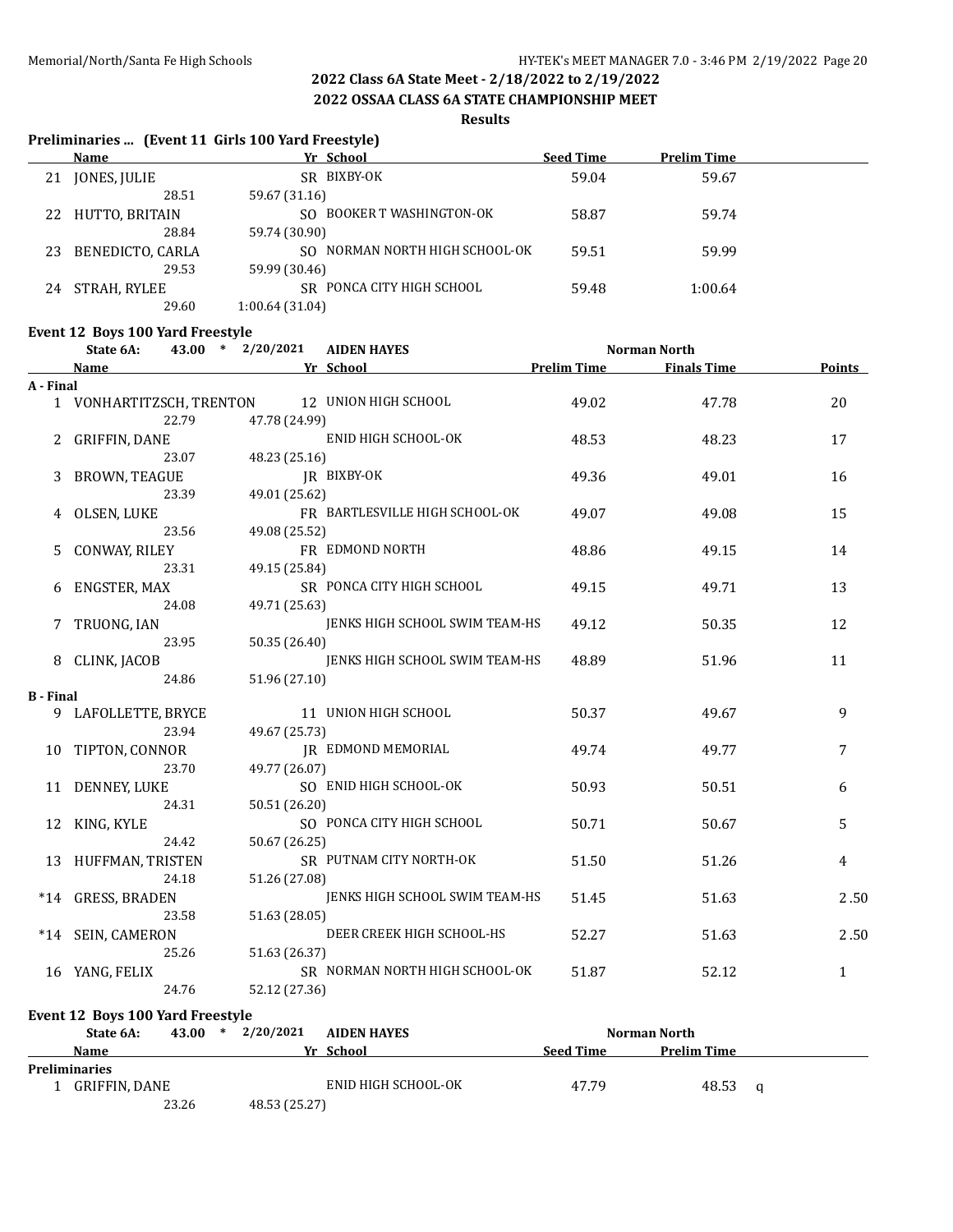**2022 OSSAA CLASS 6A STATE CHAMPIONSHIP MEET**

### **Results**

## **Preliminaries ... (Event 11 Girls 100 Yard Freestyle) Name Yr School Seed Time Prelim Time** 21 JONES, JULIE SR BIXBY-OK 59.04 59.04 59.67 28.51 59.67 (31.16) 22 HUTTO, BRITAIN SO BOOKER T WASHINGTON-OK 58.87 59.74 28.84 59.74 (30.90) 23 BENEDICTO, CARLA SO NORMAN NORTH HIGH SCHOOL-OK 59.51 59.99 29.53 59.99 (30.46) 24 STRAH, RYLEE SR PONCA CITY HIGH SCHOOL 59.48 1:00.64 29.60 1:00.64 (31.04) **Event 12 Boys 100 Yard Freestyle State 6A: 43.00 \* 2/20/2021 AIDEN HAYES Norman North Name Yr School Prelim Time Finals Time Points A - Final** 1 VONHARTITZSCH, TRENTON 12 UNION HIGH SCHOOL 49.02 47.78 47.78 22.79 47.78 (24.99) 2 GRIFFIN, DANE ENID HIGH SCHOOL-OK 48.53 48.23 48.23 17 23.07 48.23 (25.16) 3 BROWN, TEAGUE JR BIXBY-OK 49.36 49.01 16 23.39 49.01 (25.62) 4 OLSEN, LUKE FR BARTLESVILLE HIGH SCHOOL-OK 49.07 49.08 15 23.56 49.08 (25.52) 5 CONWAY, RILEY **FR** EDMOND NORTH 48.86 49.15 48.7 49.15 23.31 49.15 (25.84) 6 ENGSTER, MAX SR PONCA CITY HIGH SCHOOL 49.15 49.71 49.71 13 24.08 49.71 (25.63) 7 TRUONG, IAN JENKS HIGH SCHOOL SWIM TEAM-HS 49.12 50.35 50.35 23.95 50.35 (26.40) 8 CLINK, JACOB JENKS HIGH SCHOOL SWIM TEAM-HS 48.89 51.96 11 24.86 51.96 (27.10) **B - Final**

9 LAFOLLETTE, BRYCE 11 UNION HIGH SCHOOL 50.37 49.67 9 23.94 49.67 (25.73) 10 TIPTON, CONNOR TREDMOND MEMORIAL 49.74 49.77 7 23.70 49.77 (26.07) 11 DENNEY, LUKE SO ENID HIGH SCHOOL-OK 50.93 50.51 6 24.31 50.51 (26.20) 12 KING, KYLE SO PONCA CITY HIGH SCHOOL 50.71 50.67 50.67 24.42 50.67 (26.25) 13 HUFFMAN, TRISTEN SR PUTNAM CITY NORTH-OK 51.50 51.26 51.26 24.18 51.26 (27.08) \*14 GRESS, BRADEN JENKS HIGH SCHOOL SWIM TEAM-HS 51.45 51.63 2 . 50 23.58 51.63 (28.05) \*14 SEIN, CAMERON DEER CREEK HIGH SCHOOL-HS 52.27 51.63 52.50 25.26 51.63 (26.37) 16 YANG, FELIX SR NORMAN NORTH HIGH SCHOOL-OK 51.87 52.12 52.12 24.76 52.12 (27.36)

**Event 12 Boys 100 Yard Freestyle**

| State 6A:            | 43.00 | ∗ | 2/20/2021     | <b>AIDEN HAYES</b>  |  |                  | Norman North |                    |  |
|----------------------|-------|---|---------------|---------------------|--|------------------|--------------|--------------------|--|
| <b>Name</b>          |       |   | Vr            | School              |  | <b>Seed Time</b> |              | <b>Prelim Time</b> |  |
| <b>Preliminaries</b> |       |   |               |                     |  |                  |              |                    |  |
| GRIFFIN, DANE        |       |   |               | ENID HIGH SCHOOL-OK |  | 47.79            |              | 48.53              |  |
|                      | 23.26 |   | 48.53 (25.27) |                     |  |                  |              |                    |  |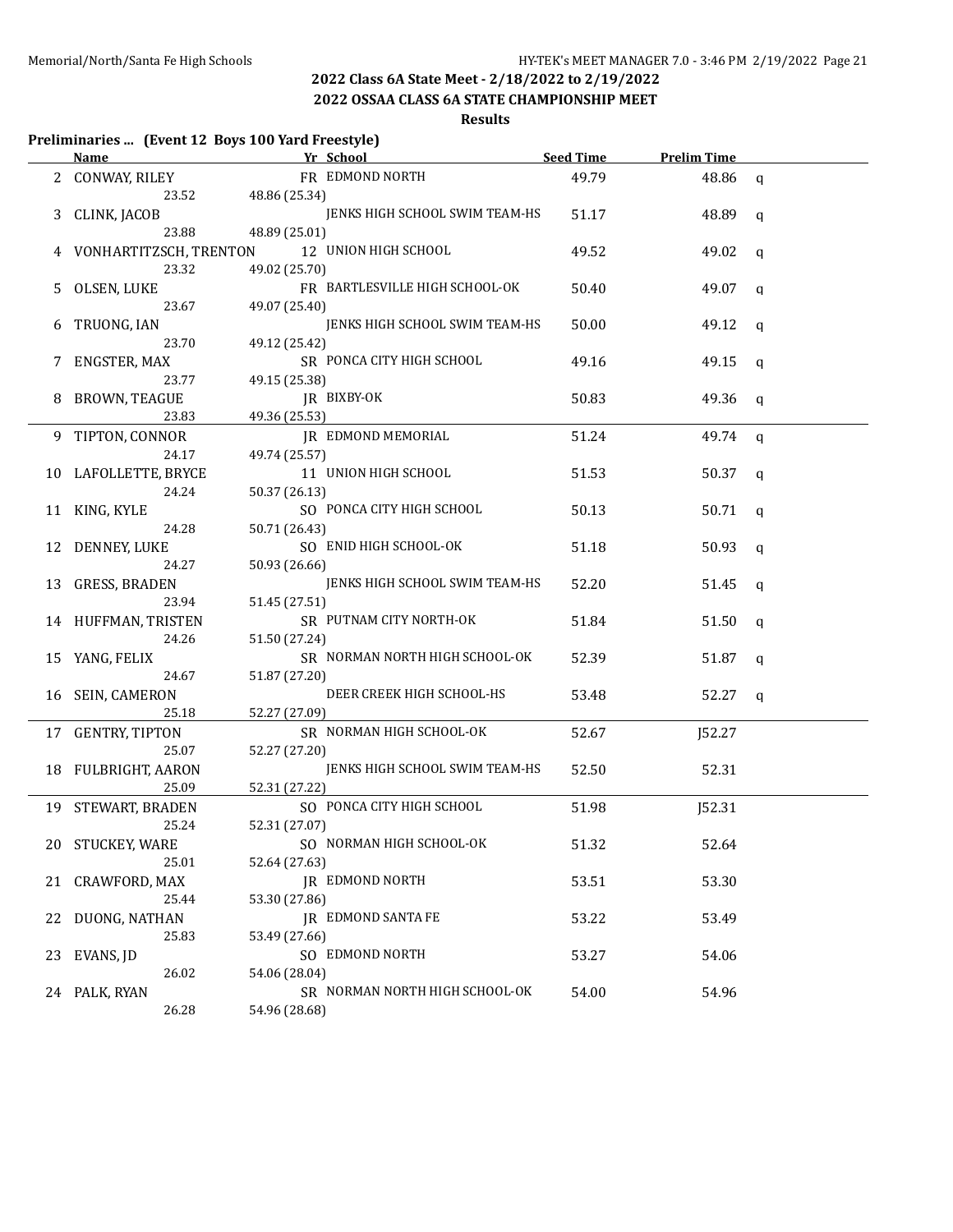**2022 OSSAA CLASS 6A STATE CHAMPIONSHIP MEET**

## **Results**

### **Preliminaries ... (Event 12 Boys 100 Yard Freestyle)**

|    |                      | Name <b>Name Example 26 Yr School CONSERVANT PROPERTY</b> School |       | Seed Time Prelim Time |              |
|----|----------------------|------------------------------------------------------------------|-------|-----------------------|--------------|
|    | 2 CONWAY, RILEY      | FR EDMOND NORTH                                                  | 49.79 | 48.86 q               |              |
|    |                      | 23.52 48.86 (25.34)                                              |       |                       |              |
| 3  | CLINK, JACOB         | JENKS HIGH SCHOOL SWIM TEAM-HS                                   | 51.17 | 48.89 q               |              |
|    | 23.88                | 48.89 (25.01)                                                    |       |                       |              |
|    |                      | VONHARTITZSCH, TRENTON 12 UNION HIGH SCHOOL                      | 49.52 | 49.02                 | q            |
|    | 23.32                | 49.02 (25.70)                                                    |       |                       |              |
|    | 5 OLSEN, LUKE        | FR BARTLESVILLE HIGH SCHOOL-OK                                   | 50.40 | 49.07                 | q            |
|    | 23.67                | 49.07 (25.40)                                                    |       |                       |              |
|    | TRUONG, IAN          | JENKS HIGH SCHOOL SWIM TEAM-HS                                   | 50.00 | 49.12                 | q            |
|    | 23.70                | 49.12 (25.42)                                                    |       |                       |              |
|    | 7 ENGSTER, MAX       | SR PONCA CITY HIGH SCHOOL                                        | 49.16 | 49.15                 | q            |
|    | 23.77                | 49.15 (25.38)                                                    |       |                       |              |
|    | 8 BROWN, TEAGUE      | JR BIXBY-OK                                                      | 50.83 | 49.36                 | q            |
|    | 23.83                | 49.36 (25.53)                                                    |       |                       |              |
|    | 9 TIPTON, CONNOR     | JR EDMOND MEMORIAL                                               | 51.24 | $49.74$ q             |              |
|    | 24.17                | 49.74 (25.57)                                                    |       |                       |              |
|    | 10 LAFOLLETTE, BRYCE | 11 UNION HIGH SCHOOL                                             | 51.53 | $50.37 \text{ q}$     |              |
|    | 24.24                | 50.37 (26.13)                                                    |       |                       |              |
|    | 11 KING, KYLE        | SO PONCA CITY HIGH SCHOOL                                        | 50.13 | 50.71 $q$             |              |
|    | 24.28                | 50.71 (26.43)                                                    |       |                       |              |
| 12 | DENNEY, LUKE         | SO ENID HIGH SCHOOL-OK                                           | 51.18 | 50.93                 | q            |
|    | 24.27                | 50.93 (26.66)                                                    |       |                       |              |
|    | 13 GRESS, BRADEN     | JENKS HIGH SCHOOL SWIM TEAM-HS                                   | 52.20 | 51.45                 | q            |
|    | 23.94                | 51.45 (27.51)                                                    |       |                       |              |
|    | 14 HUFFMAN, TRISTEN  | SR PUTNAM CITY NORTH-OK                                          | 51.84 | 51.50                 | q            |
|    | 24.26                | 51.50 (27.24)                                                    |       |                       |              |
|    | 15 YANG, FELIX       | SR NORMAN NORTH HIGH SCHOOL-OK                                   | 52.39 | 51.87                 | $\mathsf{q}$ |
|    | 24.67                | 51.87 (27.20)                                                    |       |                       |              |
|    | 16 SEIN, CAMERON     | DEER CREEK HIGH SCHOOL-HS                                        | 53.48 | 52.27                 | q            |
|    | 25.18                | 52.27 (27.09)                                                    |       |                       |              |
|    | 17 GENTRY, TIPTON    | SR NORMAN HIGH SCHOOL-OK                                         | 52.67 | J52.27                |              |
|    | 25.07                | 52.27 (27.20)                                                    |       |                       |              |
|    | 18 FULBRIGHT, AARON  | JENKS HIGH SCHOOL SWIM TEAM-HS                                   | 52.50 | 52.31                 |              |
|    | 25.09                | 52.31 (27.22)                                                    |       |                       |              |
|    | 19 STEWART, BRADEN   | SO PONCA CITY HIGH SCHOOL                                        | 51.98 | J52.31                |              |
|    | 25.24                | 52.31 (27.07)                                                    |       |                       |              |
|    | 20 STUCKEY, WARE     | SO NORMAN HIGH SCHOOL-OK                                         | 51.32 | 52.64                 |              |
|    | 25.01                | 52.64 (27.63)                                                    |       |                       |              |
| 21 | CRAWFORD, MAX        | JR EDMOND NORTH                                                  | 53.51 | 53.30                 |              |
|    | 25.44                | 53.30 (27.86)                                                    |       |                       |              |
| 22 | DUONG, NATHAN        | JR EDMOND SANTA FE                                               | 53.22 | 53.49                 |              |
|    | 25.83                | 53.49 (27.66)                                                    |       |                       |              |
| 23 | EVANS, JD            | SO EDMOND NORTH                                                  | 53.27 | 54.06                 |              |
|    | 26.02                | 54.06 (28.04)                                                    |       |                       |              |
|    | 24 PALK, RYAN        | SR NORMAN NORTH HIGH SCHOOL-OK                                   | 54.00 | 54.96                 |              |
|    | 26.28                | 54.96 (28.68)                                                    |       |                       |              |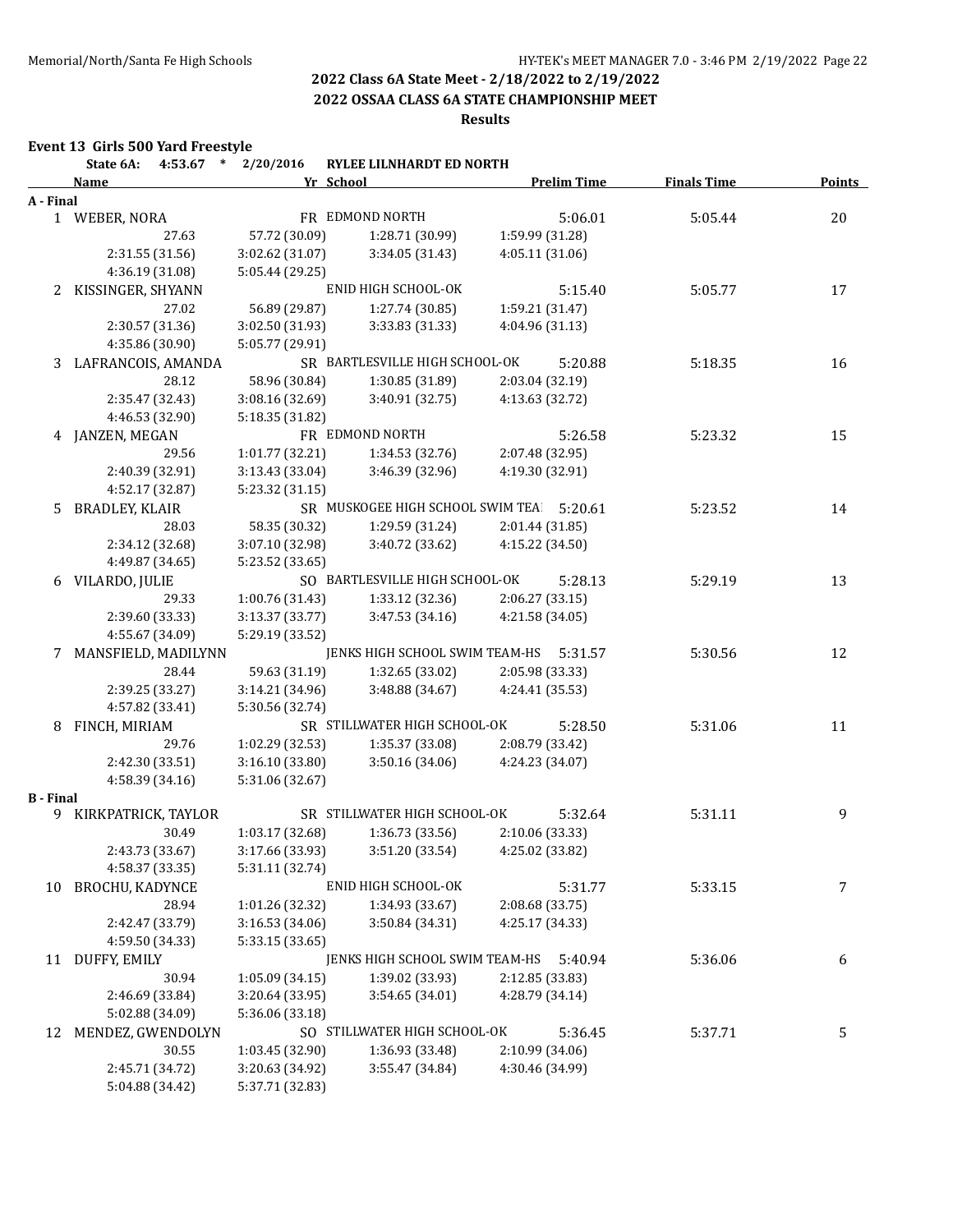**2022 OSSAA CLASS 6A STATE CHAMPIONSHIP MEET**

**Results**

## **Event 13 Girls 500 Yard Freestyle**

|                  | State 6A:              | 4:53.67 * 2/20/2016 | RYLEE LILNHARDT ED NORTH                        |                    |                    |               |
|------------------|------------------------|---------------------|-------------------------------------------------|--------------------|--------------------|---------------|
|                  | <b>Name</b>            |                     | Yr School                                       | <b>Prelim Time</b> | <b>Finals Time</b> | <b>Points</b> |
| A - Final        |                        |                     |                                                 |                    |                    |               |
|                  | 1 WEBER, NORA          |                     | FR EDMOND NORTH                                 | 5:06.01            | 5:05.44            | 20            |
|                  | 27.63                  | 57.72 (30.09)       | 1:28.71 (30.99)                                 | 1:59.99 (31.28)    |                    |               |
|                  | 2:31.55 (31.56)        | 3:02.62 (31.07)     | 3:34.05 (31.43)                                 | 4:05.11 (31.06)    |                    |               |
|                  | 4:36.19 (31.08)        | 5:05.44 (29.25)     |                                                 |                    |                    |               |
|                  | 2 KISSINGER, SHYANN    |                     | ENID HIGH SCHOOL-OK                             | 5:15.40            | 5:05.77            | 17            |
|                  | 27.02                  | 56.89 (29.87)       | 1:27.74 (30.85)                                 | 1:59.21 (31.47)    |                    |               |
|                  | 2:30.57 (31.36)        | 3:02.50 (31.93)     | 3:33.83 (31.33)                                 | 4:04.96 (31.13)    |                    |               |
|                  | 4:35.86 (30.90)        | 5:05.77 (29.91)     |                                                 |                    |                    |               |
| 3                | LAFRANCOIS, AMANDA     |                     | SR BARTLESVILLE HIGH SCHOOL-OK                  | 5:20.88            | 5:18.35            | 16            |
|                  | 28.12                  | 58.96 (30.84)       | 1:30.85 (31.89)                                 | 2:03.04 (32.19)    |                    |               |
|                  | 2:35.47 (32.43)        | 3:08.16 (32.69)     | 3:40.91 (32.75)                                 | 4:13.63 (32.72)    |                    |               |
|                  | 4:46.53 (32.90)        | 5:18.35 (31.82)     |                                                 |                    |                    |               |
|                  | 4 JANZEN, MEGAN        |                     | FR EDMOND NORTH                                 | 5:26.58            | 5:23.32            | 15            |
|                  | 29.56                  | 1:01.77(32.21)      | 1:34.53 (32.76)                                 | 2:07.48 (32.95)    |                    |               |
|                  | 2:40.39 (32.91)        | 3:13.43 (33.04)     | 3:46.39 (32.96)                                 | 4:19.30 (32.91)    |                    |               |
|                  | 4:52.17 (32.87)        | 5:23.32 (31.15)     |                                                 |                    |                    |               |
| 5.               | <b>BRADLEY, KLAIR</b>  |                     | SR MUSKOGEE HIGH SCHOOL SWIM TEA                | 5:20.61            | 5:23.52            | 14            |
|                  | 28.03                  | 58.35 (30.32)       | 1:29.59 (31.24)                                 | 2:01.44 (31.85)    |                    |               |
|                  | 2:34.12 (32.68)        | 3:07.10 (32.98)     | 3:40.72 (33.62)                                 | 4:15.22 (34.50)    |                    |               |
|                  | 4:49.87 (34.65)        | 5:23.52 (33.65)     |                                                 |                    |                    |               |
|                  | 6 VILARDO, JULIE       |                     | SO BARTLESVILLE HIGH SCHOOL-OK                  | 5:28.13            | 5:29.19            | 13            |
|                  | 29.33                  | 1:00.76 (31.43)     | 1:33.12 (32.36)                                 | 2:06.27 (33.15)    |                    |               |
|                  | 2:39.60 (33.33)        | 3:13.37 (33.77)     | 3:47.53 (34.16)                                 | 4:21.58 (34.05)    |                    |               |
|                  | 4:55.67 (34.09)        | 5:29.19 (33.52)     |                                                 |                    |                    |               |
| 7                | MANSFIELD, MADILYNN    |                     | JENKS HIGH SCHOOL SWIM TEAM-HS                  | 5:31.57            | 5:30.56            | 12            |
|                  | 28.44                  | 59.63 (31.19)       | 1:32.65 (33.02)                                 | 2:05.98 (33.33)    |                    |               |
|                  | 2:39.25 (33.27)        | 3:14.21 (34.96)     | 3:48.88 (34.67)                                 | 4:24.41 (35.53)    |                    |               |
|                  | 4:57.82 (33.41)        | 5:30.56 (32.74)     |                                                 |                    |                    |               |
| 8                | FINCH, MIRIAM          |                     | SR STILLWATER HIGH SCHOOL-OK                    | 5:28.50            | 5:31.06            | 11            |
|                  | 29.76                  | 1:02.29(32.53)      | 1:35.37(33.08)                                  | 2:08.79 (33.42)    |                    |               |
|                  | 2:42.30 (33.51)        | 3:16.10 (33.80)     | 3:50.16(34.06)                                  | 4:24.23 (34.07)    |                    |               |
|                  | 4:58.39 (34.16)        | 5:31.06 (32.67)     |                                                 |                    |                    |               |
| <b>B</b> - Final |                        |                     |                                                 |                    |                    |               |
|                  | 9 KIRKPATRICK, TAYLOR  |                     | SR STILLWATER HIGH SCHOOL-OK                    | 5:32.64            | 5:31.11            | 9             |
|                  | 30.49                  | 1:03.17 (32.68)     | 1:36.73 (33.56)                                 | 2:10.06 (33.33)    |                    |               |
|                  | 2:43.73 (33.67)        |                     | 3:17.66 (33.93) 3:51.20 (33.54) 4:25.02 (33.82) |                    |                    |               |
|                  | 4:58.37 (33.35)        | 5:31.11 (32.74)     |                                                 |                    |                    |               |
| 10               | <b>BROCHU, KADYNCE</b> |                     | ENID HIGH SCHOOL-OK                             | 5:31.77            | 5:33.15            | 7             |
|                  | 28.94                  | 1:01.26 (32.32)     | 1:34.93 (33.67)                                 | 2:08.68 (33.75)    |                    |               |
|                  | 2:42.47 (33.79)        | 3:16.53 (34.06)     | 3:50.84 (34.31)                                 | 4:25.17 (34.33)    |                    |               |
|                  | 4:59.50 (34.33)        | 5:33.15 (33.65)     |                                                 |                    |                    |               |
| 11               | DUFFY, EMILY           |                     | JENKS HIGH SCHOOL SWIM TEAM-HS                  | 5:40.94            | 5:36.06            | 6             |
|                  | 30.94                  | 1:05.09(34.15)      | 1:39.02 (33.93)                                 | 2:12.85 (33.83)    |                    |               |
|                  | 2:46.69 (33.84)        | 3:20.64 (33.95)     | 3:54.65 (34.01)                                 | 4:28.79 (34.14)    |                    |               |
|                  | 5:02.88 (34.09)        | 5:36.06 (33.18)     |                                                 |                    |                    |               |
| 12               | MENDEZ, GWENDOLYN      |                     | SO STILLWATER HIGH SCHOOL-OK                    | 5:36.45            | 5:37.71            | 5             |
|                  | 30.55                  | 1:03.45 (32.90)     | 1:36.93 (33.48)                                 | 2:10.99 (34.06)    |                    |               |
|                  | 2:45.71 (34.72)        | 3:20.63 (34.92)     | 3:55.47 (34.84)                                 | 4:30.46 (34.99)    |                    |               |
|                  | 5:04.88 (34.42)        | 5:37.71 (32.83)     |                                                 |                    |                    |               |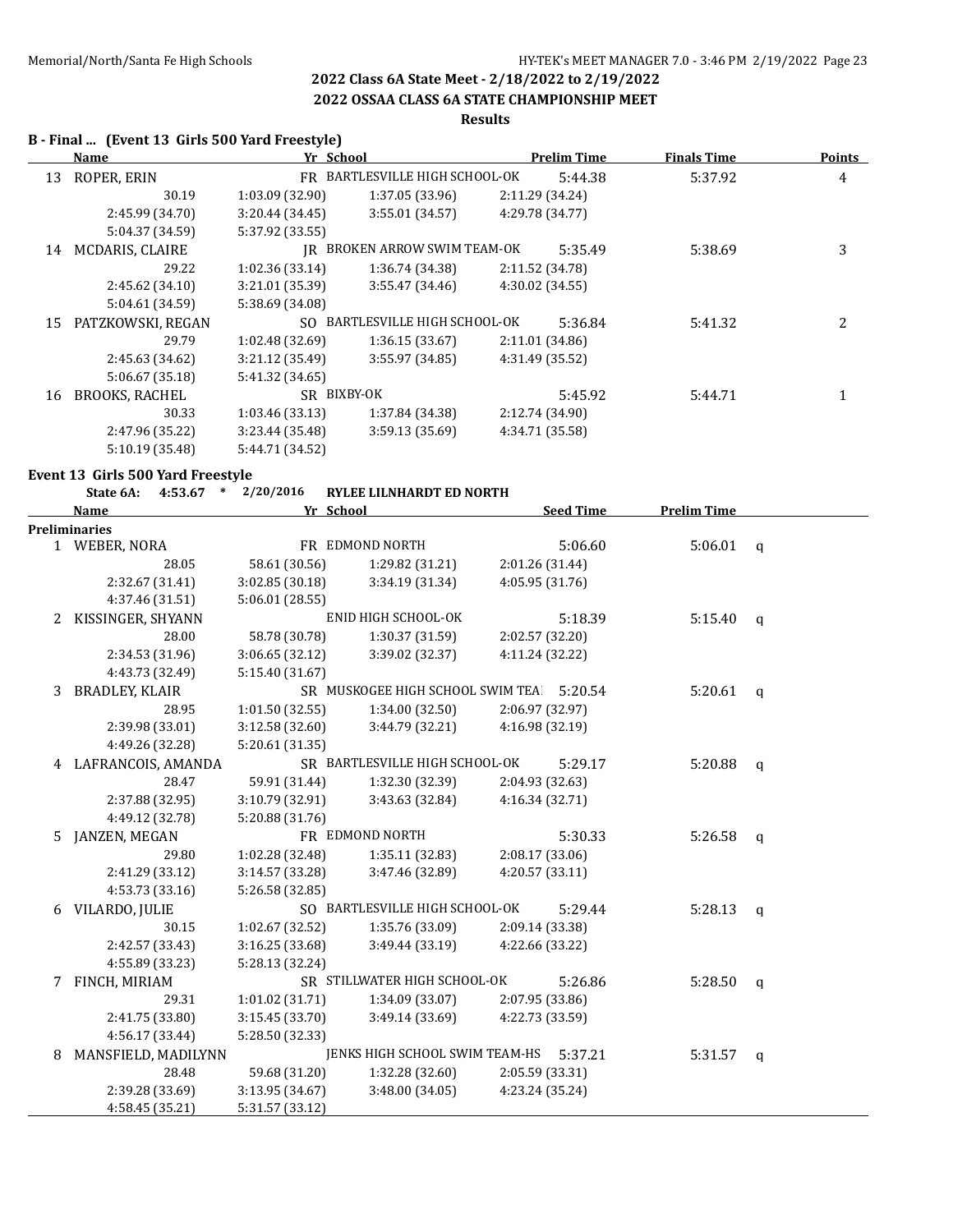## **2022 OSSAA CLASS 6A STATE CHAMPIONSHIP MEET**

## **Results**

## **B - Final ... (Event 13 Girls 500 Yard Freestyle)**

|    | Name                  | Yr School       |                                | <b>Prelim Time</b> |         | <b>Finals Time</b> | <b>Points</b>  |
|----|-----------------------|-----------------|--------------------------------|--------------------|---------|--------------------|----------------|
| 13 | ROPER, ERIN           |                 | FR BARTLESVILLE HIGH SCHOOL-OK |                    | 5:44.38 | 5:37.92            | 4              |
|    | 30.19                 | 1:03.09(32.90)  | 1:37.05 (33.96)                | 2:11.29 (34.24)    |         |                    |                |
|    | 2:45.99 (34.70)       | 3:20.44(34.45)  | 3:55.01 (34.57)                | 4:29.78 (34.77)    |         |                    |                |
|    | 5:04.37 (34.59)       | 5:37.92 (33.55) |                                |                    |         |                    |                |
| 14 | MCDARIS, CLAIRE       | IR              | BROKEN ARROW SWIM TEAM-OK      |                    | 5:35.49 | 5:38.69            | 3              |
|    | 29.22                 | 1:02.36(33.14)  | 1:36.74 (34.38)                | 2:11.52 (34.78)    |         |                    |                |
|    | 2:45.62(34.10)        | 3:21.01 (35.39) | 3:55.47(34.46)                 | 4:30.02 (34.55)    |         |                    |                |
|    | 5:04.61 (34.59)       | 5:38.69 (34.08) |                                |                    |         |                    |                |
| 15 | PATZKOWSKI, REGAN     | SO.             | BARTLESVILLE HIGH SCHOOL-OK    |                    | 5:36.84 | 5:41.32            | $\overline{2}$ |
|    | 29.79                 | 1:02.48(32.69)  | 1:36.15(33.67)                 | 2:11.01 (34.86)    |         |                    |                |
|    | 2:45.63 (34.62)       | 3:21.12(35.49)  | 3:55.97(34.85)                 | 4:31.49 (35.52)    |         |                    |                |
|    | 5:06.67 (35.18)       | 5:41.32 (34.65) |                                |                    |         |                    |                |
| 16 | <b>BROOKS, RACHEL</b> |                 | SR BIXBY-OK                    |                    | 5:45.92 | 5:44.71            |                |
|    | 30.33                 | 1:03.46(33.13)  | 1:37.84 (34.38)                | 2:12.74 (34.90)    |         |                    |                |
|    | 2:47.96 (35.22)       | 3:23.44 (35.48) | 3:59.13 (35.69)                | 4:34.71 (35.58)    |         |                    |                |
|    | 5:10.19 (35.48)       | 5:44.71 (34.52) |                                |                    |         |                    |                |

### **Event 13 Girls 500 Yard Freestyle**

|   | 4:53.67 * 2/20/2016<br>State 6A: |                 | <b>RYLEE LILNHARDT ED NORTH</b>  |                 |                  |                    |              |
|---|----------------------------------|-----------------|----------------------------------|-----------------|------------------|--------------------|--------------|
|   | <b>Name</b>                      |                 | Yr School                        |                 | <b>Seed Time</b> | <b>Prelim Time</b> |              |
|   | <b>Preliminaries</b>             |                 |                                  |                 |                  |                    |              |
|   | 1 WEBER, NORA                    |                 | FR EDMOND NORTH                  |                 | 5:06.60          | 5:06.01            | $\mathsf{q}$ |
|   | 28.05                            | 58.61 (30.56)   | 1:29.82 (31.21)                  | 2:01.26 (31.44) |                  |                    |              |
|   | 2:32.67 (31.41)                  | 3:02.85(30.18)  | 3:34.19 (31.34)                  | 4:05.95 (31.76) |                  |                    |              |
|   | 4:37.46 (31.51)                  | 5:06.01 (28.55) |                                  |                 |                  |                    |              |
| 2 | KISSINGER, SHYANN                |                 | ENID HIGH SCHOOL-OK              |                 | 5:18.39          | 5:15.40            | $\mathsf{q}$ |
|   | 28.00                            | 58.78 (30.78)   | 1:30.37 (31.59)                  | 2:02.57 (32.20) |                  |                    |              |
|   | 2:34.53 (31.96)                  | 3:06.65 (32.12) | 3:39.02 (32.37)                  | 4:11.24 (32.22) |                  |                    |              |
|   | 4:43.73 (32.49)                  | 5:15.40 (31.67) |                                  |                 |                  |                    |              |
| 3 | BRADLEY, KLAIR                   |                 | SR MUSKOGEE HIGH SCHOOL SWIM TEA |                 | 5:20.54          | 5:20.61            | $\mathsf{q}$ |
|   | 28.95                            | 1:01.50(32.55)  | 1:34.00 (32.50)                  | 2:06.97 (32.97) |                  |                    |              |
|   | 2:39.98 (33.01)                  | 3:12.58 (32.60) | 3:44.79 (32.21)                  | 4:16.98 (32.19) |                  |                    |              |
|   | 4:49.26 (32.28)                  | 5:20.61 (31.35) |                                  |                 |                  |                    |              |
| 4 | LAFRANCOIS, AMANDA               |                 | SR BARTLESVILLE HIGH SCHOOL-OK   |                 | 5:29.17          | 5:20.88            | $\mathbf{q}$ |
|   | 28.47                            | 59.91 (31.44)   | 1:32.30 (32.39)                  | 2:04.93 (32.63) |                  |                    |              |
|   | 2:37.88 (32.95)                  | 3:10.79 (32.91) | 3:43.63 (32.84)                  | 4:16.34 (32.71) |                  |                    |              |
|   | 4:49.12 (32.78)                  | 5:20.88 (31.76) |                                  |                 |                  |                    |              |
| 5 | JANZEN, MEGAN                    |                 | FR EDMOND NORTH                  |                 | 5:30.33          | 5:26.58            | $\mathsf{q}$ |
|   | 29.80                            | 1:02.28 (32.48) | 1:35.11 (32.83)                  | 2:08.17 (33.06) |                  |                    |              |
|   | 2:41.29 (33.12)                  | 3:14.57 (33.28) | 3:47.46 (32.89)                  | 4:20.57 (33.11) |                  |                    |              |
|   | 4:53.73 (33.16)                  | 5:26.58 (32.85) |                                  |                 |                  |                    |              |
|   | 6 VILARDO, JULIE                 |                 | SO BARTLESVILLE HIGH SCHOOL-OK   |                 | 5:29.44          | 5:28.13            | $\mathsf{q}$ |
|   | 30.15                            | 1:02.67 (32.52) | 1:35.76(33.09)                   | 2:09.14 (33.38) |                  |                    |              |
|   | 2:42.57 (33.43)                  | 3:16.25(33.68)  | 3:49.44 (33.19)                  | 4:22.66 (33.22) |                  |                    |              |
|   | 4:55.89 (33.23)                  | 5:28.13 (32.24) |                                  |                 |                  |                    |              |
| 7 | FINCH, MIRIAM                    |                 | SR STILLWATER HIGH SCHOOL-OK     |                 | 5:26.86          | 5:28.50            | $\mathsf{q}$ |
|   | 29.31                            | 1:01.02 (31.71) | 1:34.09 (33.07)                  | 2:07.95 (33.86) |                  |                    |              |
|   | 2:41.75 (33.80)                  | 3:15.45 (33.70) | 3:49.14 (33.69)                  | 4:22.73 (33.59) |                  |                    |              |
|   | 4:56.17 (33.44)                  | 5:28.50 (32.33) |                                  |                 |                  |                    |              |
| 8 | MANSFIELD, MADILYNN              |                 | JENKS HIGH SCHOOL SWIM TEAM-HS   |                 | 5:37.21          | 5:31.57            | $\mathsf{q}$ |
|   | 28.48                            | 59.68 (31.20)   | 1:32.28 (32.60)                  | 2:05.59 (33.31) |                  |                    |              |
|   | 2:39.28 (33.69)                  | 3:13.95 (34.67) | 3:48.00(34.05)                   | 4:23.24 (35.24) |                  |                    |              |
|   | 4:58.45(35.21)                   | 5:31.57 (33.12) |                                  |                 |                  |                    |              |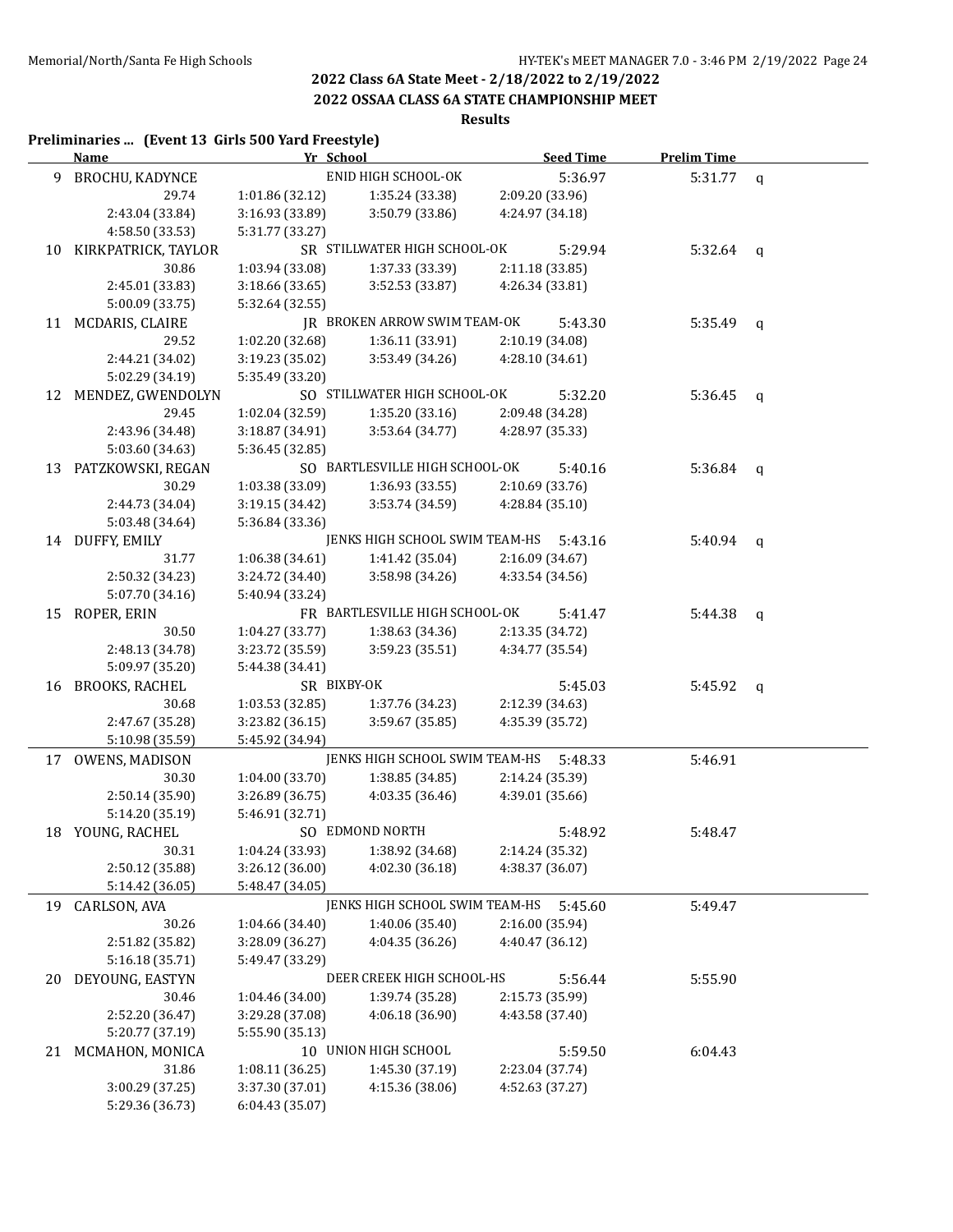## **2022 OSSAA CLASS 6A STATE CHAMPIONSHIP MEET**

# **Results**

### **Preliminaries ... (Event 13 Girls 500 Yard Freestyle)**

|    | <b>Name</b>            | Yr School       |                                | <b>Seed Time</b> | <b>Prelim Time</b> |              |
|----|------------------------|-----------------|--------------------------------|------------------|--------------------|--------------|
|    | 9 BROCHU, KADYNCE      |                 | ENID HIGH SCHOOL-OK            | 5:36.97          | 5:31.77            | $\mathsf{q}$ |
|    | 29.74                  | 1:01.86 (32.12) | 1:35.24 (33.38)                | 2:09.20 (33.96)  |                    |              |
|    | 2:43.04 (33.84)        | 3:16.93 (33.89) | 3:50.79 (33.86)                | 4:24.97 (34.18)  |                    |              |
|    | 4:58.50 (33.53)        | 5:31.77 (33.27) |                                |                  |                    |              |
|    | 10 KIRKPATRICK, TAYLOR |                 | SR STILLWATER HIGH SCHOOL-OK   | 5:29.94          | $5:32.64$ q        |              |
|    | 30.86                  | 1:03.94 (33.08) | 1:37.33 (33.39)                | 2:11.18 (33.85)  |                    |              |
|    | 2:45.01 (33.83)        | 3:18.66 (33.65) | 3:52.53 (33.87)                | 4:26.34 (33.81)  |                    |              |
|    | 5:00.09 (33.75)        | 5:32.64 (32.55) |                                |                  |                    |              |
|    | 11 MCDARIS, CLAIRE     |                 | JR BROKEN ARROW SWIM TEAM-OK   | 5:43.30          | $5:35.49$ q        |              |
|    | 29.52                  | 1:02.20 (32.68) | 1:36.11 (33.91)                | 2:10.19 (34.08)  |                    |              |
|    | 2:44.21 (34.02)        | 3:19.23 (35.02) | 3:53.49 (34.26)                | 4:28.10 (34.61)  |                    |              |
|    | 5:02.29 (34.19)        | 5:35.49 (33.20) |                                |                  |                    |              |
| 12 | MENDEZ, GWENDOLYN      |                 | SO STILLWATER HIGH SCHOOL-OK   | 5:32.20          | 5:36.45            | $\mathbf{q}$ |
|    | 29.45                  | 1:02.04 (32.59) | 1:35.20 (33.16)                | 2:09.48 (34.28)  |                    |              |
|    | 2:43.96 (34.48)        | 3:18.87 (34.91) | 3:53.64 (34.77)                | 4:28.97 (35.33)  |                    |              |
|    | 5:03.60 (34.63)        | 5:36.45 (32.85) |                                |                  |                    |              |
|    | 13 PATZKOWSKI, REGAN   |                 | SO BARTLESVILLE HIGH SCHOOL-OK | 5:40.16          | 5:36.84 $q$        |              |
|    | 30.29                  | 1:03.38 (33.09) | 1:36.93(33.55)                 | 2:10.69 (33.76)  |                    |              |
|    | 2:44.73 (34.04)        | 3:19.15 (34.42) | 3:53.74 (34.59)                | 4:28.84 (35.10)  |                    |              |
|    | 5:03.48 (34.64)        | 5:36.84 (33.36) |                                |                  |                    |              |
|    | 14 DUFFY, EMILY        |                 | JENKS HIGH SCHOOL SWIM TEAM-HS | 5:43.16          | $5:40.94$ q        |              |
|    | 31.77                  | 1:06.38 (34.61) | 1:41.42 (35.04)                | 2:16.09 (34.67)  |                    |              |
|    | 2:50.32 (34.23)        | 3:24.72 (34.40) | 3:58.98 (34.26)                | 4:33.54 (34.56)  |                    |              |
|    | 5:07.70 (34.16)        | 5:40.94 (33.24) |                                |                  |                    |              |
|    | 15 ROPER, ERIN         |                 | FR BARTLESVILLE HIGH SCHOOL-OK | 5:41.47          | 5:44.38            | q            |
|    | 30.50                  | 1:04.27(33.77)  | 1:38.63 (34.36)                | 2:13.35 (34.72)  |                    |              |
|    | 2:48.13 (34.78)        | 3:23.72 (35.59) | 3:59.23 (35.51)                | 4:34.77 (35.54)  |                    |              |
|    | 5:09.97 (35.20)        | 5:44.38 (34.41) |                                |                  |                    |              |
|    | 16 BROOKS, RACHEL      | SR BIXBY-OK     |                                | 5:45.03          | $5:45.92$ q        |              |
|    | 30.68                  | 1:03.53 (32.85) | 1:37.76 (34.23)                | 2:12.39 (34.63)  |                    |              |
|    | 2:47.67 (35.28)        | 3:23.82 (36.15) | 3:59.67 (35.85)                | 4:35.39 (35.72)  |                    |              |
|    | 5:10.98 (35.59)        | 5:45.92 (34.94) |                                |                  |                    |              |
|    | 17 OWENS, MADISON      |                 | JENKS HIGH SCHOOL SWIM TEAM-HS | 5:48.33          | 5:46.91            |              |
|    | 30.30                  | 1:04.00 (33.70) | 1:38.85 (34.85)                | 2:14.24 (35.39)  |                    |              |
|    | 2:50.14 (35.90)        | 3:26.89(36.75)  | 4:03.35(36.46)                 | 4:39.01 (35.66)  |                    |              |
|    | 5:14.20 (35.19)        | 5:46.91 (32.71) |                                |                  |                    |              |
|    | 18 YOUNG, RACHEL       |                 | SO EDMOND NORTH                | 5:48.92          | 5:48.47            |              |
|    | 30.31                  | 1:04.24 (33.93) | 1:38.92 (34.68)                | 2:14.24 (35.32)  |                    |              |
|    | 2:50.12 (35.88)        | 3:26.12 (36.00) | 4:02.30 (36.18)                | 4:38.37 (36.07)  |                    |              |
|    | 5:14.42 (36.05)        | 5:48.47 (34.05) |                                |                  |                    |              |
| 19 | CARLSON, AVA           |                 | JENKS HIGH SCHOOL SWIM TEAM-HS | 5:45.60          | 5:49.47            |              |
|    | 30.26                  | 1:04.66 (34.40) | 1:40.06 (35.40)                | 2:16.00 (35.94)  |                    |              |
|    | 2:51.82 (35.82)        | 3:28.09 (36.27) | 4:04.35 (36.26)                | 4:40.47 (36.12)  |                    |              |
|    | 5:16.18 (35.71)        | 5:49.47 (33.29) |                                |                  |                    |              |
| 20 | DEYOUNG, EASTYN        |                 | DEER CREEK HIGH SCHOOL-HS      | 5:56.44          | 5:55.90            |              |
|    | 30.46                  | 1:04.46 (34.00) | 1:39.74 (35.28)                | 2:15.73 (35.99)  |                    |              |
|    | 2:52.20 (36.47)        | 3:29.28 (37.08) | 4:06.18 (36.90)                | 4:43.58 (37.40)  |                    |              |
|    | 5:20.77 (37.19)        | 5:55.90 (35.13) |                                |                  |                    |              |
|    | 21 MCMAHON, MONICA     |                 | 10 UNION HIGH SCHOOL           | 5:59.50          | 6:04.43            |              |
|    | 31.86                  | 1:08.11 (36.25) | 1:45.30 (37.19)                | 2:23.04 (37.74)  |                    |              |
|    | 3:00.29 (37.25)        | 3:37.30 (37.01) | 4:15.36 (38.06)                | 4:52.63 (37.27)  |                    |              |
|    | 5:29.36 (36.73)        | 6:04.43 (35.07) |                                |                  |                    |              |
|    |                        |                 |                                |                  |                    |              |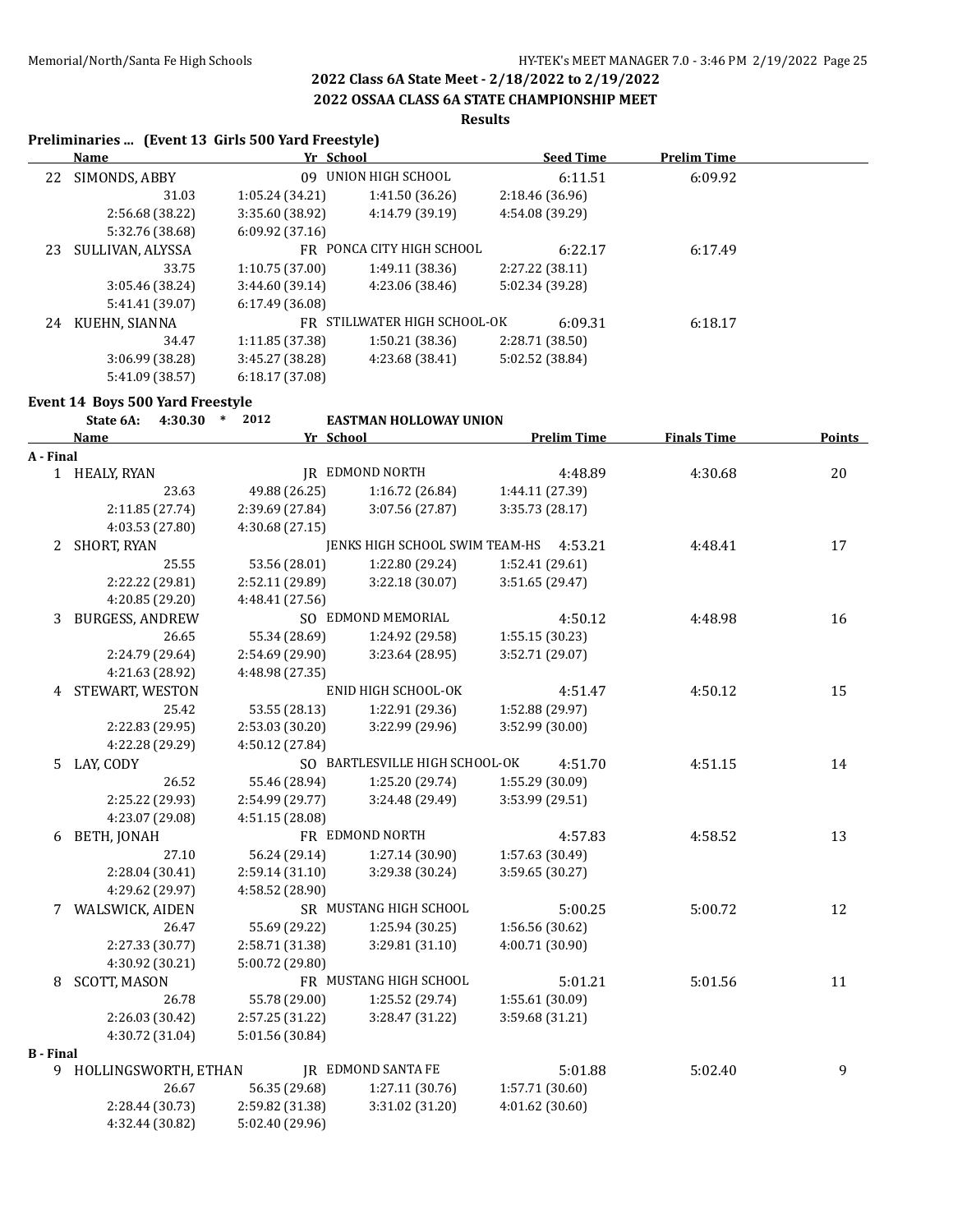### **2022 OSSAA CLASS 6A STATE CHAMPIONSHIP MEET**

### **Results**

### **Preliminaries ... (Event 13 Girls 500 Yard Freestyle)**

|    | Name             | Yr School       |                              | <b>Seed Time</b> | <b>Prelim Time</b> |  |
|----|------------------|-----------------|------------------------------|------------------|--------------------|--|
| 22 | SIMONDS, ABBY    | 09.             | UNION HIGH SCHOOL            | 6:11.51          | 6:09.92            |  |
|    | 31.03            | 1:05.24(34.21)  | 1:41.50(36.26)               | 2:18.46 (36.96)  |                    |  |
|    | 2:56.68 (38.22)  | 3:35.60 (38.92) | 4:14.79 (39.19)              | 4:54.08 (39.29)  |                    |  |
|    | 5:32.76 (38.68)  | 6:09.92(37.16)  |                              |                  |                    |  |
| 23 | SULLIVAN, ALYSSA |                 | FR PONCA CITY HIGH SCHOOL    | 6:22.17          | 6:17.49            |  |
|    | 33.75            | 1:10.75(37.00)  | 1:49.11 (38.36)              | 2:27.22 (38.11)  |                    |  |
|    | 3:05.46(38.24)   | 3:44.60(39.14)  | 4:23.06 (38.46)              | 5:02.34 (39.28)  |                    |  |
|    | 5:41.41 (39.07)  | 6:17.49(36.08)  |                              |                  |                    |  |
| 24 | KUEHN, SIANNA    |                 | FR STILLWATER HIGH SCHOOL-OK | 6:09.31          | 6:18.17            |  |
|    | 34.47            | 1:11.85(37.38)  | 1:50.21(38.36)               | 2:28.71 (38.50)  |                    |  |
|    | 3:06.99(38.28)   | 3:45.27(38.28)  | 4:23.68 (38.41)              | 5:02.52 (38.84)  |                    |  |
|    | 5:41.09 (38.57)  | 6:18.17(37.08)  |                              |                  |                    |  |

# **Event 14 Boys 500 Yard Freestyle**<br> **External Language 1013**

|                  | State 6A: 4:30.30 * 2012 |                 | <b>EASTMAN HOLLOWAY UNION</b>          |                    |                    |               |
|------------------|--------------------------|-----------------|----------------------------------------|--------------------|--------------------|---------------|
|                  | Name                     | Yr School       |                                        | <b>Prelim Time</b> | <b>Finals Time</b> | <b>Points</b> |
| A - Final        |                          |                 |                                        |                    |                    |               |
|                  | 1 HEALY, RYAN            |                 | JR EDMOND NORTH                        | 4:48.89            | 4:30.68            | 20            |
|                  | 23.63                    | 49.88 (26.25)   | 1:16.72(26.84)                         | 1:44.11 (27.39)    |                    |               |
|                  | 2:11.85 (27.74)          | 2:39.69 (27.84) | 3:07.56 (27.87)                        | 3:35.73(28.17)     |                    |               |
|                  | 4:03.53 (27.80)          | 4:30.68 (27.15) |                                        |                    |                    |               |
|                  | 2 SHORT, RYAN            |                 | JENKS HIGH SCHOOL SWIM TEAM-HS 4:53.21 |                    | 4:48.41            | 17            |
|                  | 25.55                    | 53.56 (28.01)   | 1:22.80 (29.24)                        | 1:52.41 (29.61)    |                    |               |
|                  | 2:22.22 (29.81)          | 2:52.11 (29.89) | 3:22.18 (30.07)                        | 3:51.65 (29.47)    |                    |               |
|                  | 4:20.85 (29.20)          | 4:48.41 (27.56) |                                        |                    |                    |               |
|                  | 3 BURGESS, ANDREW        |                 | SO EDMOND MEMORIAL                     | 4:50.12            | 4:48.98            | 16            |
|                  | 26.65                    | 55.34 (28.69)   | 1:24.92 (29.58)                        | 1:55.15 (30.23)    |                    |               |
|                  | 2:24.79 (29.64)          | 2:54.69 (29.90) | 3:23.64 (28.95)                        | 3:52.71 (29.07)    |                    |               |
|                  | 4:21.63 (28.92)          | 4:48.98 (27.35) |                                        |                    |                    |               |
|                  | 4 STEWART, WESTON        |                 | ENID HIGH SCHOOL-OK                    | 4:51.47            | 4:50.12            | 15            |
|                  | 25.42                    | 53.55 (28.13)   | 1:22.91 (29.36)                        | 1:52.88 (29.97)    |                    |               |
|                  | 2:22.83 (29.95)          | 2:53.03 (30.20) | 3:22.99 (29.96)                        | 3:52.99 (30.00)    |                    |               |
|                  | 4:22.28 (29.29)          | 4:50.12 (27.84) |                                        |                    |                    |               |
|                  | 5 LAY, CODY              |                 | SO BARTLESVILLE HIGH SCHOOL-OK         | 4:51.70            | 4:51.15            | 14            |
|                  | 26.52                    | 55.46 (28.94)   | 1:25.20 (29.74)                        | 1:55.29 (30.09)    |                    |               |
|                  | 2:25.22 (29.93)          | 2:54.99 (29.77) | 3:24.48 (29.49)                        | 3:53.99 (29.51)    |                    |               |
|                  | 4:23.07 (29.08)          | 4:51.15 (28.08) |                                        |                    |                    |               |
|                  | 6 BETH, JONAH            |                 | FR EDMOND NORTH                        | 4:57.83            | 4:58.52            | 13            |
|                  | 27.10                    | 56.24 (29.14)   | 1:27.14(30.90)                         | 1:57.63 (30.49)    |                    |               |
|                  | 2:28.04 (30.41)          | 2:59.14 (31.10) | 3:29.38 (30.24)                        | 3:59.65 (30.27)    |                    |               |
|                  | 4:29.62 (29.97)          | 4:58.52 (28.90) |                                        |                    |                    |               |
|                  | 7 WALSWICK, AIDEN        |                 | SR MUSTANG HIGH SCHOOL                 | 5:00.25            | 5:00.72            | 12            |
|                  | 26.47                    | 55.69 (29.22)   | 1:25.94 (30.25)                        | 1:56.56 (30.62)    |                    |               |
|                  | 2:27.33 (30.77)          | 2:58.71 (31.38) | 3:29.81 (31.10)                        | 4:00.71 (30.90)    |                    |               |
|                  | 4:30.92 (30.21)          | 5:00.72 (29.80) |                                        |                    |                    |               |
|                  | 8 SCOTT, MASON           |                 | FR MUSTANG HIGH SCHOOL                 | 5:01.21            | 5:01.56            | 11            |
|                  | 26.78                    | 55.78 (29.00)   | 1:25.52 (29.74)                        | 1:55.61 (30.09)    |                    |               |
|                  | 2:26.03 (30.42)          | 2:57.25 (31.22) | 3:28.47 (31.22)                        | 3:59.68 (31.21)    |                    |               |
|                  | 4:30.72 (31.04)          | 5:01.56 (30.84) |                                        |                    |                    |               |
| <b>B</b> - Final |                          |                 |                                        |                    |                    |               |
|                  | 9 HOLLINGSWORTH, ETHAN   |                 | <b>IR EDMOND SANTA FE</b>              | 5:01.88            | 5:02.40            | 9             |
|                  | 26.67                    | 56.35 (29.68)   | 1:27.11(30.76)                         | 1:57.71 (30.60)    |                    |               |
|                  | 2:28.44 (30.73)          | 2:59.82 (31.38) | 3:31.02 (31.20)                        | 4:01.62(30.60)     |                    |               |
|                  | 4:32.44 (30.82)          | 5:02.40 (29.96) |                                        |                    |                    |               |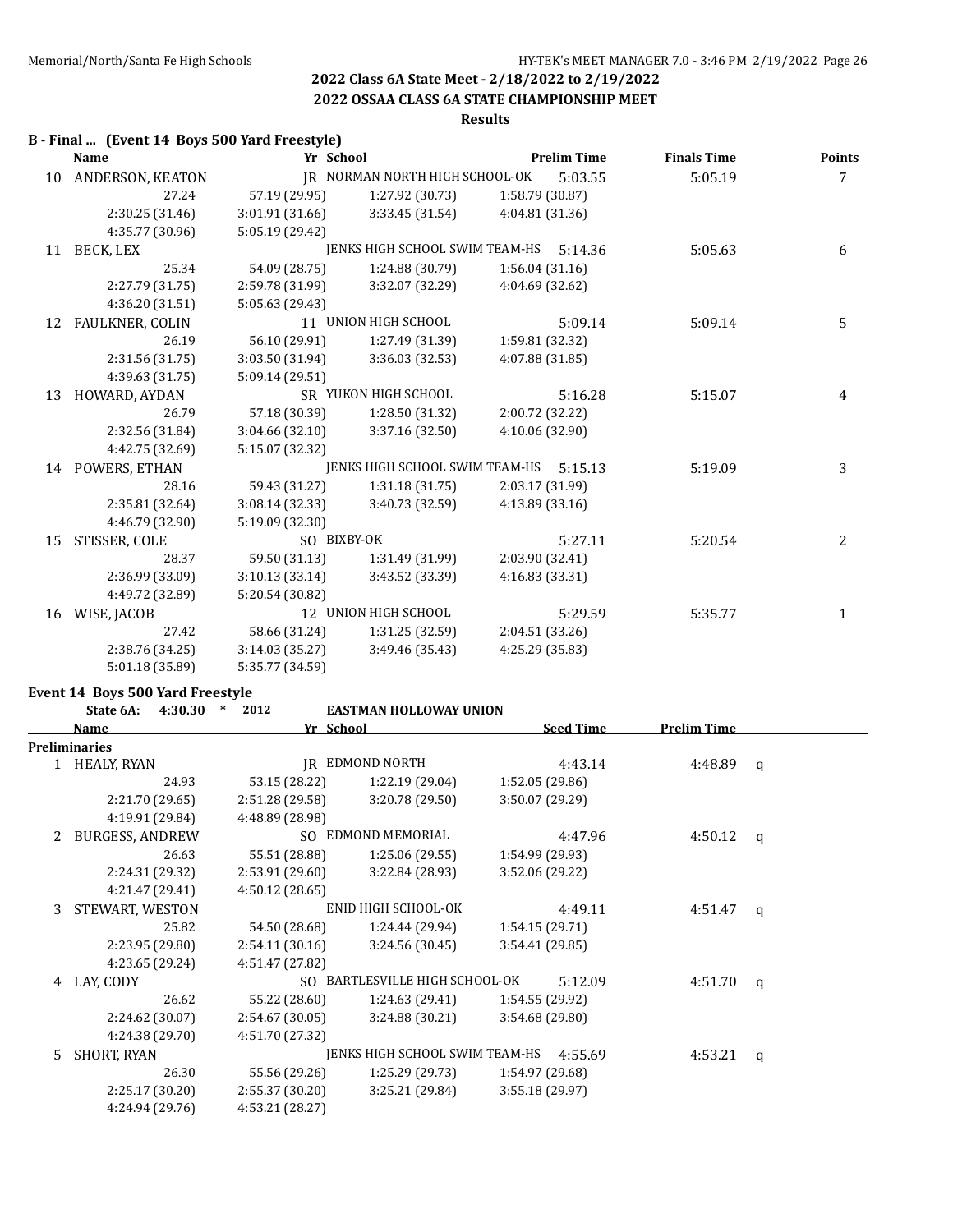## **2022 OSSAA CLASS 6A STATE CHAMPIONSHIP MEET**

# **Results**

### **B - Final ... (Event 14 Boys 500 Yard Freestyle)**

|    | <b>Name</b>            | Yr School       |                                |                 | <b>Prelim Time</b> | <b>Finals Time</b> | <b>Points</b> |
|----|------------------------|-----------------|--------------------------------|-----------------|--------------------|--------------------|---------------|
| 10 | ANDERSON, KEATON       |                 | IR NORMAN NORTH HIGH SCHOOL-OK |                 | 5:03.55            | 5:05.19            | 7             |
|    | 27.24                  | 57.19 (29.95)   | 1:27.92 (30.73)                | 1:58.79 (30.87) |                    |                    |               |
|    | 2:30.25 (31.46)        | 3:01.91 (31.66) | 3:33.45(31.54)                 | 4:04.81 (31.36) |                    |                    |               |
|    | 4:35.77 (30.96)        | 5:05.19 (29.42) |                                |                 |                    |                    |               |
| 11 | BECK, LEX              |                 | JENKS HIGH SCHOOL SWIM TEAM-HS |                 | 5:14.36            | 5:05.63            | 6             |
|    | 25.34                  | 54.09 (28.75)   | 1:24.88 (30.79)                | 1:56.04(31.16)  |                    |                    |               |
|    | 2:27.79 (31.75)        | 2:59.78 (31.99) | 3:32.07 (32.29)                | 4:04.69 (32.62) |                    |                    |               |
|    | 4:36.20 (31.51)        | 5:05.63 (29.43) |                                |                 |                    |                    |               |
| 12 | <b>FAULKNER, COLIN</b> |                 | 11 UNION HIGH SCHOOL           |                 | 5:09.14            | 5:09.14            | 5             |
|    | 26.19                  | 56.10 (29.91)   | 1:27.49 (31.39)                | 1:59.81 (32.32) |                    |                    |               |
|    | 2:31.56 (31.75)        | 3:03.50 (31.94) | 3:36.03 (32.53)                | 4:07.88 (31.85) |                    |                    |               |
|    | 4:39.63 (31.75)        | 5:09.14 (29.51) |                                |                 |                    |                    |               |
| 13 | HOWARD, AYDAN          |                 | SR YUKON HIGH SCHOOL           |                 | 5:16.28            | 5:15.07            | 4             |
|    | 26.79                  | 57.18 (30.39)   | 1:28.50 (31.32)                | 2:00.72 (32.22) |                    |                    |               |
|    | 2:32.56 (31.84)        | 3:04.66 (32.10) | 3:37.16 (32.50)                | 4:10.06 (32.90) |                    |                    |               |
|    | 4:42.75 (32.69)        | 5:15.07 (32.32) |                                |                 |                    |                    |               |
| 14 | POWERS, ETHAN          |                 | JENKS HIGH SCHOOL SWIM TEAM-HS |                 | 5:15.13            | 5:19.09            | 3             |
|    | 28.16                  | 59.43 (31.27)   | 1:31.18(31.75)                 | 2:03.17 (31.99) |                    |                    |               |
|    | 2:35.81 (32.64)        | 3:08.14 (32.33) | 3:40.73 (32.59)                | 4:13.89 (33.16) |                    |                    |               |
|    | 4:46.79 (32.90)        | 5:19.09 (32.30) |                                |                 |                    |                    |               |
| 15 | STISSER, COLE          | SO BIXBY-OK     |                                |                 | 5:27.11            | 5:20.54            | 2             |
|    | 28.37                  | 59.50 (31.13)   | 1:31.49 (31.99)                | 2:03.90 (32.41) |                    |                    |               |
|    | 2:36.99 (33.09)        | 3:10.13(33.14)  | 3:43.52 (33.39)                | 4:16.83 (33.31) |                    |                    |               |
|    | 4:49.72 (32.89)        | 5:20.54 (30.82) |                                |                 |                    |                    |               |
| 16 | WISE, JACOB            |                 | 12 UNION HIGH SCHOOL           |                 | 5:29.59            | 5:35.77            | $\mathbf{1}$  |
|    | 27.42                  | 58.66 (31.24)   | 1:31.25 (32.59)                | 2:04.51 (33.26) |                    |                    |               |
|    | 2:38.76 (34.25)        | 3:14.03 (35.27) | 3:49.46 (35.43)                | 4:25.29 (35.83) |                    |                    |               |
|    | 5:01.18 (35.89)        | 5:35.77 (34.59) |                                |                 |                    |                    |               |

### **Event 14 Boys 500 Yard Freestyle**

|    | 4:30.30<br>State 6A:   | 2012<br>$\ast$  | <b>EASTMAN HOLLOWAY UNION</b>          |                  |                    |          |
|----|------------------------|-----------------|----------------------------------------|------------------|--------------------|----------|
|    | Name                   | Yr School       |                                        | <b>Seed Time</b> | <b>Prelim Time</b> |          |
|    | <b>Preliminaries</b>   |                 |                                        |                  |                    |          |
|    | 1 HEALY, RYAN          |                 | IR EDMOND NORTH                        | 4:43.14          | 4:48.89            | q        |
|    | 24.93                  | 53.15 (28.22)   | 1:22.19 (29.04)                        | 1:52.05 (29.86)  |                    |          |
|    | 2:21.70 (29.65)        | 2:51.28 (29.58) | 3:20.78(29.50)                         | 3:50.07 (29.29)  |                    |          |
|    | 4:19.91 (29.84)        | 4:48.89 (28.98) |                                        |                  |                    |          |
| 2  | <b>BURGESS, ANDREW</b> |                 | SO EDMOND MEMORIAL                     | 4:47.96          | 4:50.12            | $\alpha$ |
|    | 26.63                  | 55.51 (28.88)   | 1:25.06(29.55)                         | 1:54.99 (29.93)  |                    |          |
|    | 2:24.31 (29.32)        | 2:53.91(29.60)  | 3:22.84 (28.93)                        | 3:52.06 (29.22)  |                    |          |
|    | 4:21.47 (29.41)        | 4:50.12(28.65)  |                                        |                  |                    |          |
| 3  | STEWART, WESTON        |                 | ENID HIGH SCHOOL-OK                    | 4:49.11          | 4:51.47            | q        |
|    | 25.82                  | 54.50 (28.68)   | 1:24.44 (29.94)                        | 1:54.15(29.71)   |                    |          |
|    | 2:23.95 (29.80)        | 2:54.11(30.16)  | 3:24.56(30.45)                         | 3:54.41(29.85)   |                    |          |
|    | 4:23.65 (29.24)        | 4:51.47 (27.82) |                                        |                  |                    |          |
| 4  | LAY, CODY              |                 | SO BARTLESVILLE HIGH SCHOOL-OK         | 5:12.09          | 4:51.70            | a        |
|    | 26.62                  | 55.22 (28.60)   | 1:24.63 (29.41)                        | 1:54.55 (29.92)  |                    |          |
|    | 2:24.62 (30.07)        | 2:54.67(30.05)  | 3:24.88(30.21)                         | 3:54.68(29.80)   |                    |          |
|    | 4:24.38 (29.70)        | 4:51.70 (27.32) |                                        |                  |                    |          |
| 5. | SHORT, RYAN            |                 | JENKS HIGH SCHOOL SWIM TEAM-HS 4:55.69 |                  | 4:53.21            | q        |
|    | 26.30                  | 55.56 (29.26)   | 1:25.29 (29.73)                        | 1:54.97 (29.68)  |                    |          |
|    | 2:25.17(30.20)         | 2:55.37(30.20)  | 3:25.21(29.84)                         | 3:55.18(29.97)   |                    |          |
|    | 4:24.94 (29.76)        | 4:53.21(28.27)  |                                        |                  |                    |          |
|    |                        |                 |                                        |                  |                    |          |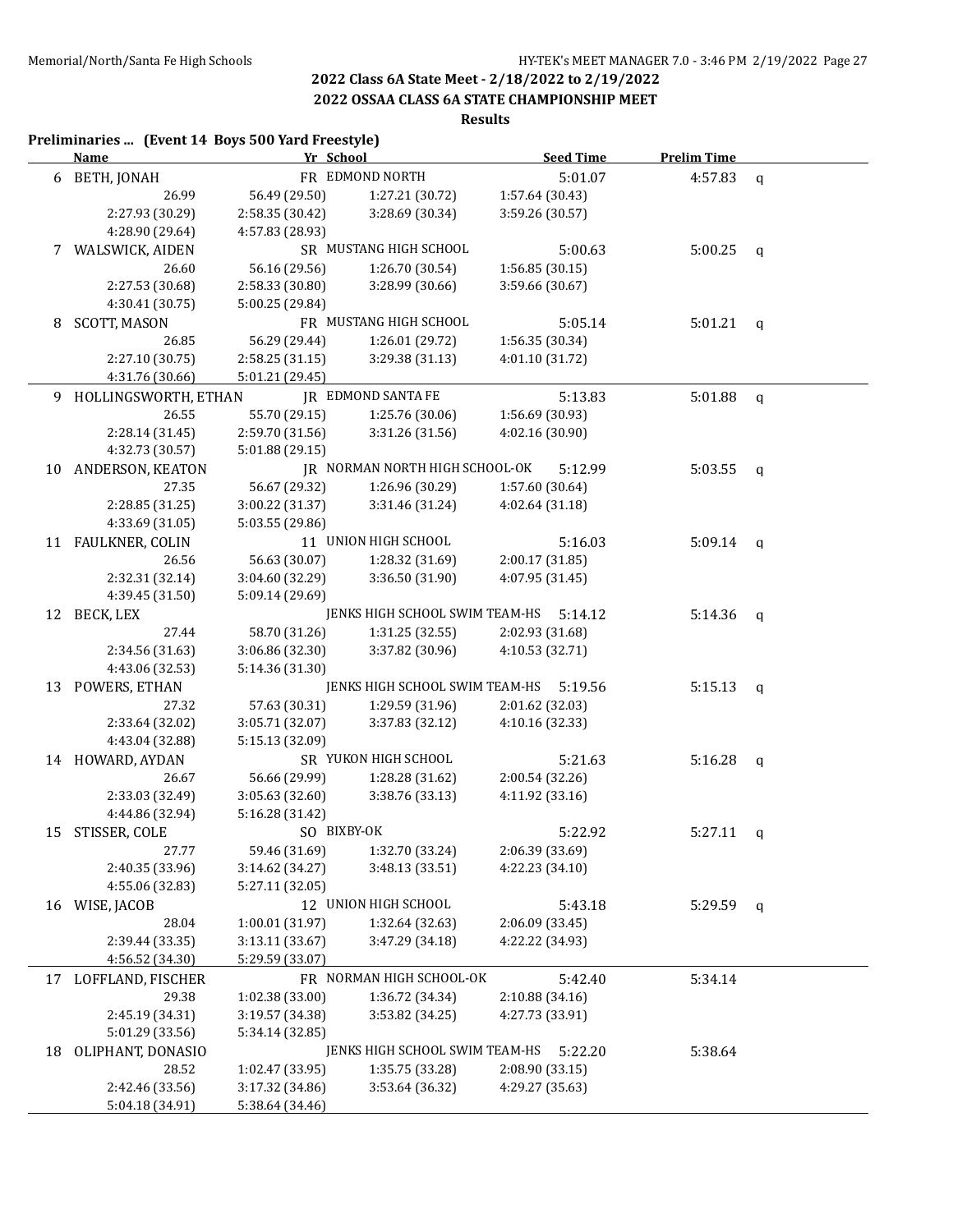### **2022 OSSAA CLASS 6A STATE CHAMPIONSHIP MEET**

# **Results**

### **Preliminaries ... (Event 14 Boys 500 Yard Freestyle) Name Yr School Seed Time Prelim Time** 6 BETH, JONAH FR EDMOND NORTH 5:01.07 4:57.83 q 26.99 56.49 (29.50) 1:27.21 (30.72) 1:57.64 (30.43) 2:27.93 (30.29) 2:58.35 (30.42) 3:28.69 (30.34) 3:59.26 (30.57) 4:28.90 (29.64) 4:57.83 (28.93) 7 WALSWICK, AIDEN SR MUSTANG HIGH SCHOOL 5:00.63 5:00.25 q 26.60 56.16 (29.56) 1:26.70 (30.54) 1:56.85 (30.15) 2:27.53 (30.68) 2:58.33 (30.80) 3:28.99 (30.66) 3:59.66 (30.67) 4:30.41 (30.75) 5:00.25 (29.84) 8 SCOTT, MASON FR MUSTANG HIGH SCHOOL 5:05.14 5:01.21 q 26.85 56.29 (29.44) 1:26.01 (29.72) 1:56.35 (30.34) 2:27.10 (30.75) 2:58.25 (31.15) 3:29.38 (31.13) 4:01.10 (31.72) 4:31.76 (30.66) 5:01.21 (29.45) 9 HOLLINGSWORTH, ETHAN JR EDMOND SANTA FE 5:13.83 5:01.88 q 26.55 55.70 (29.15) 1:25.76 (30.06) 1:56.69 (30.93) 2:28.14 (31.45) 2:59.70 (31.56) 3:31.26 (31.56) 4:02.16 (30.90) 4:32.73 (30.57) 5:01.88 (29.15) 10 ANDERSON, KEATON JR NORMAN NORTH HIGH SCHOOL-OK 5:12.99 5:03.55 q 27.35 56.67 (29.32) 1:26.96 (30.29) 1:57.60 (30.64) 2:28.85 (31.25) 3:00.22 (31.37) 3:31.46 (31.24) 4:02.64 (31.18) 4:33.69 (31.05) 5:03.55 (29.86) 11 FAULKNER, COLIN 11 UNION HIGH SCHOOL 5:16.03 5:09.14 q 26.56 56.63 (30.07) 1:28.32 (31.69) 2:00.17 (31.85) 2:32.31 (32.14) 3:04.60 (32.29) 3:36.50 (31.90) 4:07.95 (31.45) 4:39.45 (31.50) 5:09.14 (29.69) 12 BECK, LEX **JENKS HIGH SCHOOL SWIM TEAM-HS** 5:14.12 5:14.36 q 27.44 58.70 (31.26) 1:31.25 (32.55) 2:02.93 (31.68) 2:34.56 (31.63) 3:06.86 (32.30) 3:37.82 (30.96) 4:10.53 (32.71) 4:43.06 (32.53) 5:14.36 (31.30) 13 POWERS, ETHAN JENKS HIGH SCHOOL SWIM TEAM-HS 5:19.56 5:15.13 q 27.32 57.63 (30.31) 1:29.59 (31.96) 2:01.62 (32.03) 2:33.64 (32.02) 3:05.71 (32.07) 3:37.83 (32.12) 4:10.16 (32.33) 4:43.04 (32.88) 5:15.13 (32.09) 14 HOWARD, AYDAN SR YUKON HIGH SCHOOL 5:21.63 5:16.28 q 26.67 56.66 (29.99) 1:28.28 (31.62) 2:00.54 (32.26) 2:33.03 (32.49) 3:05.63 (32.60) 3:38.76 (33.13) 4:11.92 (33.16) 4:44.86 (32.94) 5:16.28 (31.42) 15 STISSER, COLE SO BIXBY-OK 5:22.92 5:27.11 q 27.77 59.46 (31.69) 1:32.70 (33.24) 2:06.39 (33.69) 2:40.35 (33.96) 3:14.62 (34.27) 3:48.13 (33.51) 4:22.23 (34.10) 4:55.06 (32.83) 5:27.11 (32.05) 16 WISE, JACOB 12 UNION HIGH SCHOOL 5:43.18 5:29.59 q 28.04 1:00.01 (31.97) 1:32.64 (32.63) 2:06.09 (33.45) 2:39.44 (33.35) 3:13.11 (33.67) 3:47.29 (34.18) 4:22.22 (34.93) 4:56.52 (34.30) 5:29.59 (33.07) 17 LOFFLAND, FISCHER FR NORMAN HIGH SCHOOL-OK 5:42.40 5:34.14 29.38 1:02.38 (33.00) 1:36.72 (34.34) 2:10.88 (34.16) 2:45.19 (34.31) 3:19.57 (34.38) 3:53.82 (34.25) 4:27.73 (33.91) 5:01.29 (33.56) 5:34.14 (32.85) 18 OLIPHANT, DONASIO JENKS HIGH SCHOOL SWIM TEAM-HS 5:22.20 5:38.64 28.52 1:02.47 (33.95) 1:35.75 (33.28) 2:08.90 (33.15) 2:42.46 (33.56) 3:17.32 (34.86) 3:53.64 (36.32) 4:29.27 (35.63) 5:04.18 (34.91) 5:38.64 (34.46)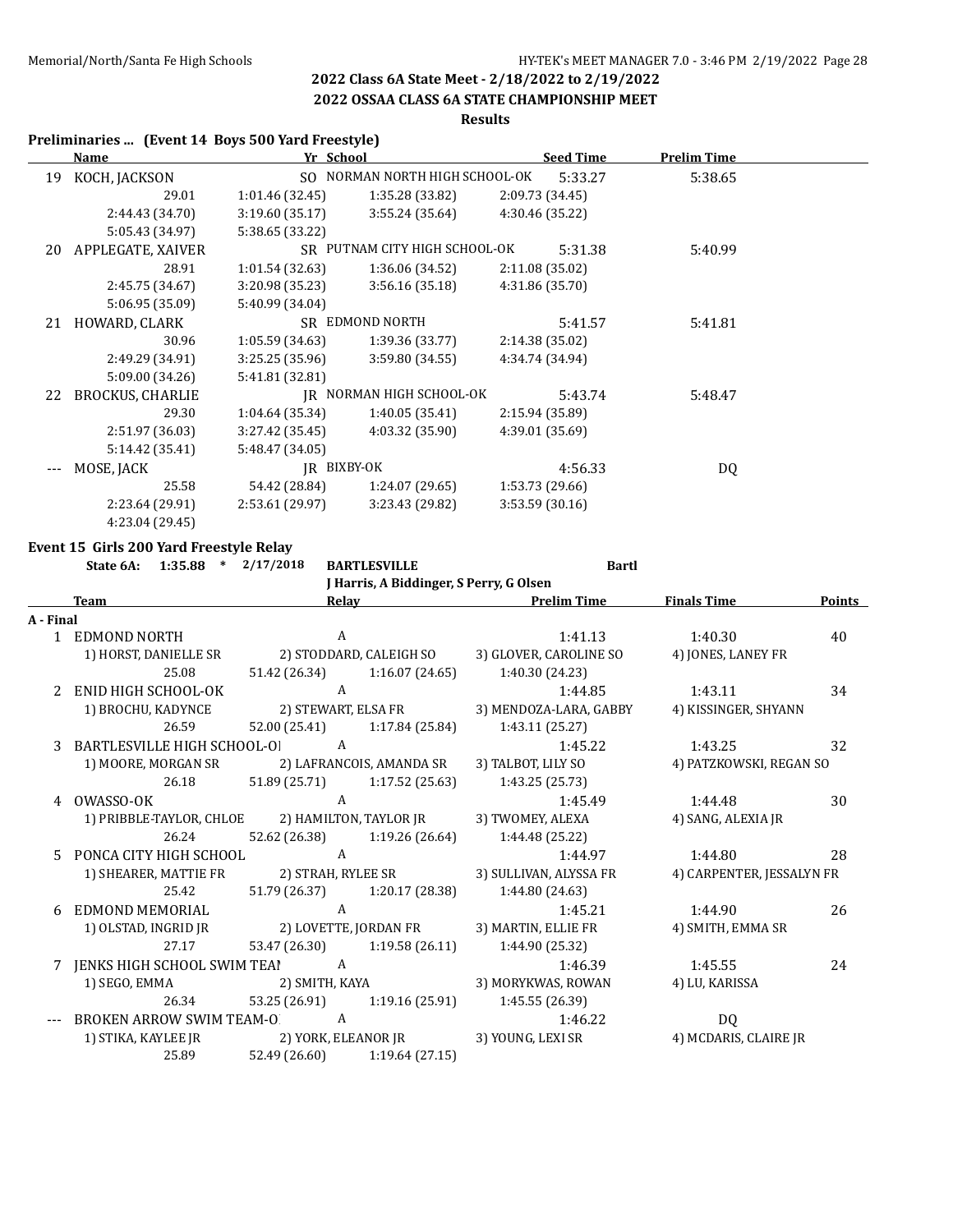### **2022 OSSAA CLASS 6A STATE CHAMPIONSHIP MEET**

## **Results**

### **Preliminaries ... (Event 14 Boys 500 Yard Freestyle)**

|    | <u>Name</u>             |                 | Yr School                      | <b>Seed Time</b> | <b>Prelim Time</b> |  |
|----|-------------------------|-----------------|--------------------------------|------------------|--------------------|--|
| 19 | KOCH, JACKSON           |                 | SO NORMAN NORTH HIGH SCHOOL-OK | 5:33.27          | 5:38.65            |  |
|    | 29.01                   | 1:01.46(32.45)  | 1:35.28 (33.82)                | 2:09.73 (34.45)  |                    |  |
|    | 2:44.43 (34.70)         | 3:19.60(35.17)  | 3:55.24(35.64)                 | 4:30.46 (35.22)  |                    |  |
|    | 5:05.43 (34.97)         | 5:38.65 (33.22) |                                |                  |                    |  |
| 20 | APPLEGATE, XAIVER       |                 | SR PUTNAM CITY HIGH SCHOOL-OK  | 5:31.38          | 5:40.99            |  |
|    | 28.91                   | 1:01.54(32.63)  | 1:36.06 (34.52)                | 2:11.08 (35.02)  |                    |  |
|    | 2:45.75 (34.67)         | 3:20.98 (35.23) | 3:56.16(35.18)                 | 4:31.86 (35.70)  |                    |  |
|    | 5:06.95 (35.09)         | 5:40.99 (34.04) |                                |                  |                    |  |
| 21 | HOWARD, CLARK           |                 | SR EDMOND NORTH                | 5:41.57          | 5:41.81            |  |
|    | 30.96                   | 1:05.59(34.63)  | 1:39.36 (33.77)                | 2:14.38 (35.02)  |                    |  |
|    | 2:49.29 (34.91)         | 3:25.25(35.96)  | 3:59.80 (34.55)                | 4:34.74 (34.94)  |                    |  |
|    | 5:09.00 (34.26)         | 5:41.81 (32.81) |                                |                  |                    |  |
| 22 | <b>BROCKUS, CHARLIE</b> |                 | IR NORMAN HIGH SCHOOL-OK       | 5:43.74          | 5:48.47            |  |
|    | 29.30                   | 1:04.64(35.34)  | 1:40.05 (35.41)                | 2:15.94 (35.89)  |                    |  |
|    | 2:51.97 (36.03)         | 3:27.42(35.45)  | 4:03.32 (35.90)                | 4:39.01 (35.69)  |                    |  |
|    | 5:14.42 (35.41)         | 5:48.47 (34.05) |                                |                  |                    |  |
|    | MOSE, JACK              |                 | IR BIXBY-OK                    | 4:56.33          | DQ.                |  |
|    | 25.58                   | 54.42 (28.84)   | 1:24.07(29.65)                 | 1:53.73 (29.66)  |                    |  |
|    | 2:23.64 (29.91)         | 2:53.61 (29.97) | 3:23.43 (29.82)                | 3:53.59 (30.16)  |                    |  |
|    | 4:23.04 (29.45)         |                 |                                |                  |                    |  |

### **Event 15 Girls 200 Yard Freestyle Relay**

|           | $1:35.88$ * $2/17/2018$<br>State 6A: |                     | <b>BARTLESVILLE</b>                                                                                                                                                                                                           | <b>Bartl</b>           |                           |        |
|-----------|--------------------------------------|---------------------|-------------------------------------------------------------------------------------------------------------------------------------------------------------------------------------------------------------------------------|------------------------|---------------------------|--------|
|           |                                      |                     | J Harris, A Biddinger, S Perry, G Olsen                                                                                                                                                                                       |                        |                           |        |
|           | <b>Team</b>                          |                     | Relay and the state of the state of the state of the state of the state of the state of the state of the state of the state of the state of the state of the state of the state of the state of the state of the state of the | <b>Prelim Time</b>     | <b>Finals Time</b>        | Points |
| A - Final |                                      |                     |                                                                                                                                                                                                                               |                        |                           |        |
|           | 1 EDMOND NORTH                       | A                   |                                                                                                                                                                                                                               | 1:41.13                | 1:40.30                   | 40     |
|           | 1) HORST, DANIELLE SR                |                     | 2) STODDARD, CALEIGH SO                                                                                                                                                                                                       | 3) GLOVER, CAROLINE SO | 4) JONES, LANEY FR        |        |
|           | 25.08                                | 51.42 (26.34)       | 1:16.07(24.65)                                                                                                                                                                                                                | 1:40.30 (24.23)        |                           |        |
| 2         | ENID HIGH SCHOOL-OK                  | $\mathbf{A}$        |                                                                                                                                                                                                                               | 1:44.85                | 1:43.11                   | 34     |
|           | 1) BROCHU, KADYNCE                   |                     | 2) STEWART, ELSA FR                                                                                                                                                                                                           | 3) MENDOZA-LARA, GABBY | 4) KISSINGER, SHYANN      |        |
|           | 26.59                                | 52.00 (25.41)       | 1:17.84 (25.84)                                                                                                                                                                                                               | 1:43.11(25.27)         |                           |        |
| 3         | BARTLESVILLE HIGH SCHOOL-OI          | $\mathbf{A}$        |                                                                                                                                                                                                                               | 1:45.22                | 1:43.25                   | 32     |
|           | 1) MOORE, MORGAN SR                  |                     | 2) LAFRANCOIS, AMANDA SR                                                                                                                                                                                                      | 3) TALBOT, LILY SO     | 4) PATZKOWSKI, REGAN SO   |        |
|           | 26.18                                | 51.89 (25.71)       | 1:17.52(25.63)                                                                                                                                                                                                                | 1:43.25 (25.73)        |                           |        |
| 4         | OWASSO-OK                            | A                   |                                                                                                                                                                                                                               | 1:45.49                | 1:44.48                   | 30     |
|           | 1) PRIBBLE-TAYLOR, CHLOE             |                     | 2) HAMILTON, TAYLOR JR                                                                                                                                                                                                        | 3) TWOMEY, ALEXA       | 4) SANG, ALEXIA JR        |        |
|           | 26.24                                | 52.62 (26.38)       | 1:19.26 (26.64)                                                                                                                                                                                                               | 1:44.48 (25.22)        |                           |        |
| 5.        | PONCA CITY HIGH SCHOOL               | A                   |                                                                                                                                                                                                                               | 1:44.97                | 1:44.80                   | 28     |
|           | 1) SHEARER, MATTIE FR                | 2) STRAH, RYLEE SR  |                                                                                                                                                                                                                               | 3) SULLIVAN, ALYSSA FR | 4) CARPENTER, JESSALYN FR |        |
|           | 25.42                                | 51.79 (26.37)       | 1:20.17 (28.38)                                                                                                                                                                                                               | 1:44.80 (24.63)        |                           |        |
| 6         | EDMOND MEMORIAL                      | A                   |                                                                                                                                                                                                                               | 1:45.21                | 1:44.90                   | 26     |
|           | 1) OLSTAD, INGRID JR                 |                     | 2) LOVETTE, JORDAN FR                                                                                                                                                                                                         | 3) MARTIN, ELLIE FR    | 4) SMITH, EMMA SR         |        |
|           | 27.17                                |                     | 53.47 (26.30) 1:19.58 (26.11)                                                                                                                                                                                                 | 1:44.90 (25.32)        |                           |        |
|           | JENKS HIGH SCHOOL SWIM TEAI          | A                   |                                                                                                                                                                                                                               | 1:46.39                | 1:45.55                   | 24     |
|           | 1) SEGO, EMMA                        | 2) SMITH, KAYA      |                                                                                                                                                                                                                               | 3) MORYKWAS, ROWAN     | 4) LU, KARISSA            |        |
|           | 26.34                                | 53.25 (26.91)       | 1:19.16(25.91)                                                                                                                                                                                                                | 1:45.55 (26.39)        |                           |        |
|           | <b>BROKEN ARROW SWIM TEAM-O</b>      | A                   |                                                                                                                                                                                                                               | 1:46.22                | DQ                        |        |
|           | 1) STIKA, KAYLEE JR                  | 2) YORK, ELEANOR JR |                                                                                                                                                                                                                               | 3) YOUNG, LEXI SR      | 4) MCDARIS, CLAIRE JR     |        |
|           | 25.89                                | 52.49 (26.60)       | 1:19.64(27.15)                                                                                                                                                                                                                |                        |                           |        |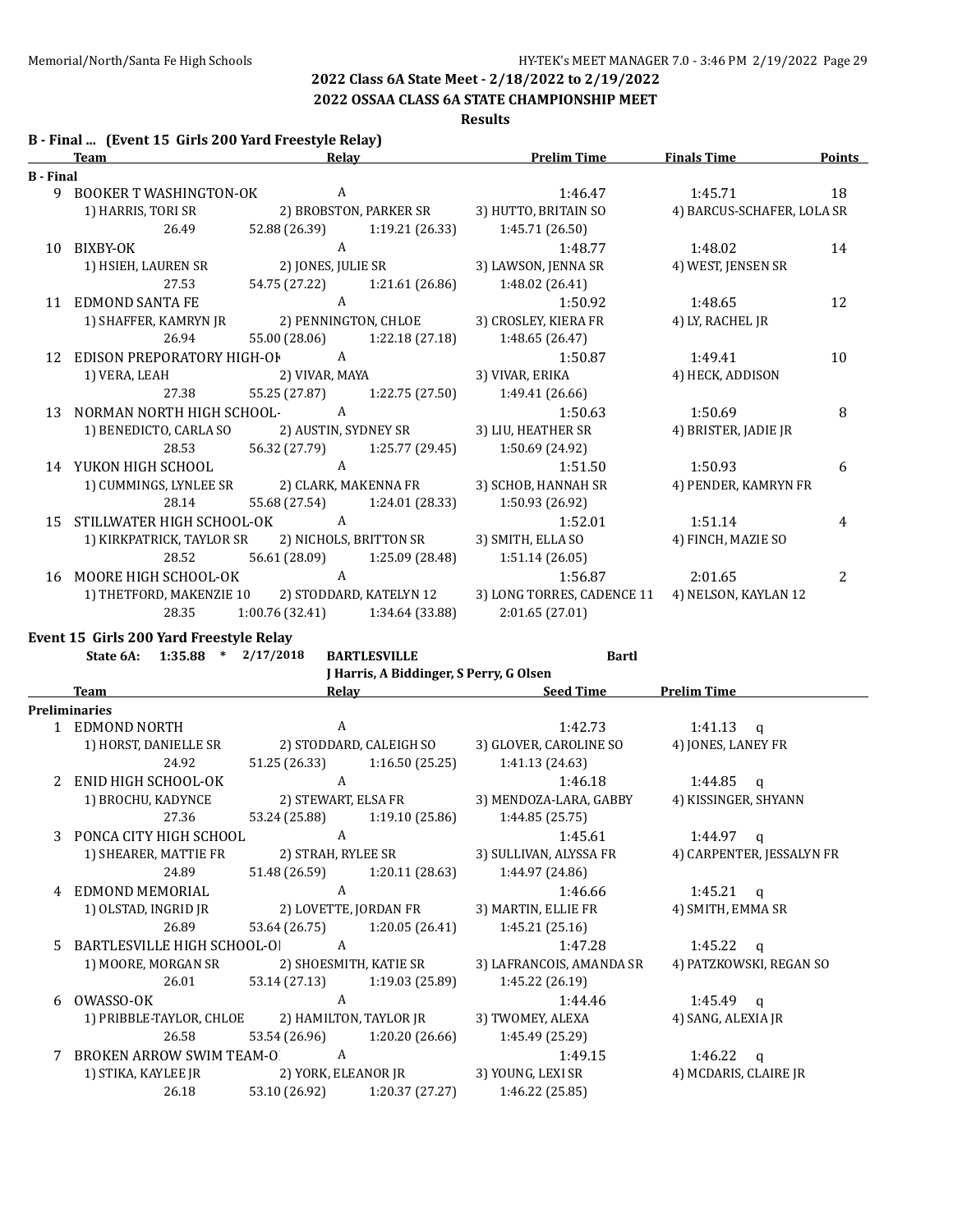**2022 OSSAA CLASS 6A STATE CHAMPIONSHIP MEET**

**Results**

|  |  |  | B - Final  (Event 15 Girls 200 Yard Freestyle Relay) |  |
|--|--|--|------------------------------------------------------|--|
|--|--|--|------------------------------------------------------|--|

|                  | <b>Team</b>                    | Relay                |                         | <b>Prelim Time</b>         | <b>Finals Time</b>         | Points |
|------------------|--------------------------------|----------------------|-------------------------|----------------------------|----------------------------|--------|
| <b>B</b> - Final |                                |                      |                         |                            |                            |        |
| 9                | <b>BOOKER T WASHINGTON-OK</b>  | A                    |                         | 1:46.47                    | 1:45.71                    | 18     |
|                  | 1) HARRIS, TORI SR             |                      | 2) BROBSTON, PARKER SR  | 3) HUTTO, BRITAIN SO       | 4) BARCUS-SCHAFER, LOLA SR |        |
|                  | 26.49                          | 52.88 (26.39)        | 1:19.21 (26.33)         | 1:45.71 (26.50)            |                            |        |
| 10               | BIXBY-OK                       | A                    |                         | 1:48.77                    | 1:48.02                    | 14     |
|                  | 1) HSIEH, LAUREN SR            | 2) JONES, JULIE SR   |                         | 3) LAWSON, JENNA SR        | 4) WEST, JENSEN SR         |        |
|                  | 27.53                          | 54.75 (27.22)        | 1:21.61 (26.86)         | 1:48.02 (26.41)            |                            |        |
| 11               | <b>EDMOND SANTA FE</b>         | $\mathbf{A}$         |                         | 1:50.92                    | 1:48.65                    | 12     |
|                  | 1) SHAFFER, KAMRYN JR          | 2) PENNINGTON, CHLOE |                         | 3) CROSLEY, KIERA FR       | 4) LY, RACHEL JR           |        |
|                  | 26.94                          | 55.00 (28.06)        | 1:22.18 (27.18)         | 1:48.65 (26.47)            |                            |        |
| 12               | EDISON PREPORATORY HIGH-OF     | A                    |                         | 1:50.87                    | 1:49.41                    | 10     |
|                  | 1) VERA, LEAH                  | 2) VIVAR, MAYA       |                         | 3) VIVAR, ERIKA            | 4) HECK, ADDISON           |        |
|                  | 27.38                          | 55.25 (27.87)        | 1:22.75 (27.50)         | 1:49.41 (26.66)            |                            |        |
| 13               | NORMAN NORTH HIGH SCHOOL-<br>A |                      | 1:50.63                 | 1:50.69                    | 8                          |        |
|                  | 1) BENEDICTO, CARLA SO         | 2) AUSTIN, SYDNEY SR |                         | 3) LIU, HEATHER SR         | 4) BRISTER, JADIE JR       |        |
|                  | 28.53                          | 56.32 (27.79)        | 1:25.77 (29.45)         | 1:50.69 (24.92)            |                            |        |
|                  | 14 YUKON HIGH SCHOOL           | $\mathsf{A}$         |                         | 1:51.50                    | 1:50.93                    | 6      |
|                  | 1) CUMMINGS, LYNLEE SR         |                      | 2) CLARK, MAKENNA FR    | 3) SCHOB, HANNAH SR        | 4) PENDER, KAMRYN FR       |        |
|                  | 28.14                          | 55.68 (27.54)        | 1:24.01 (28.33)         | 1:50.93 (26.92)            |                            |        |
| 15               | STILLWATER HIGH SCHOOL-OK      | A                    |                         | 1:52.01                    | 1:51.14                    | 4      |
|                  | 1) KIRKPATRICK, TAYLOR SR      |                      | 2) NICHOLS, BRITTON SR  | 3) SMITH, ELLA SO          | 4) FINCH, MAZIE SO         |        |
|                  | 28.52                          | 56.61 (28.09)        | 1:25.09 (28.48)         | 1:51.14(26.05)             |                            |        |
| 16               | MOORE HIGH SCHOOL-OK           | $\mathbf{A}$         |                         | 1:56.87                    | 2:01.65                    | 2      |
|                  | 1) THETFORD, MAKENZIE 10       |                      | 2) STODDARD, KATELYN 12 | 3) LONG TORRES, CADENCE 11 | 4) NELSON, KAYLAN 12       |        |
|                  | 28.35                          | 1:00.76(32.41)       | 1:34.64 (33.88)         | 2:01.65(27.01)             |                            |        |
|                  |                                |                      |                         |                            |                            |        |

**Event 15 Girls 200 Yard Freestyle Relay**

**State 6A: 1:35.88 \* 2/17/2018 BARTLESVILLE Bartl**

**J Harris, A Biddinger, S Perry, G Olsen**

|               | <b>Team</b>                                     | Relay               |                         | <b>Seed Time</b>         | <b>Prelim Time</b>        |
|---------------|-------------------------------------------------|---------------------|-------------------------|--------------------------|---------------------------|
|               | Preliminaries                                   |                     |                         |                          |                           |
|               | 1 EDMOND NORTH                                  | A                   |                         | 1:42.73                  | $1:41.13$ q               |
|               | 1) HORST, DANIELLE SR                           |                     | 2) STODDARD, CALEIGH SO | 3) GLOVER, CAROLINE SO   | 4) JONES, LANEY FR        |
|               | 24.92                                           | 51.25 (26.33)       | 1:16.50(25.25)          | 1:41.13 (24.63)          |                           |
| $\mathcal{L}$ | ENID HIGH SCHOOL-OK                             | A                   |                         | 1:46.18                  | $1:44.85$ q               |
|               | 1) BROCHU, KADYNCE                              | 2) STEWART, ELSA FR |                         | 3) MENDOZA-LARA, GABBY   | 4) KISSINGER, SHYANN      |
|               | 27.36                                           | 53.24 (25.88)       | 1:19.10 (25.86)         | 1:44.85(25.75)           |                           |
| 3             | PONCA CITY HIGH SCHOOL                          | A                   |                         | 1:45.61                  | $1:44.97$ q               |
|               | 1) SHEARER, MATTIE FR                           | 2) STRAH, RYLEE SR  |                         | 3) SULLIVAN, ALYSSA FR   | 4) CARPENTER, JESSALYN FR |
|               | 24.89                                           | 51.48 (26.59)       | 1:20.11 (28.63)         | 1:44.97 (24.86)          |                           |
| 4             | EDMOND MEMORIAL                                 | A                   |                         | 1:46.66                  | 1:45.21 $q$               |
|               | 1) OLSTAD, INGRID JR                            |                     | 2) LOVETTE, JORDAN FR   | 3) MARTIN, ELLIE FR      | 4) SMITH, EMMA SR         |
|               | 26.89                                           | 53.64 (26.75)       | 1:20.05 (26.41)         | 1:45.21(25.16)           |                           |
| 5.            | BARTLESVILLE HIGH SCHOOL-OI                     | A                   |                         | 1:47.28                  | 1:45.22<br>$\alpha$       |
|               | 1) MOORE, MORGAN SR                             |                     | 2) SHOESMITH, KATIE SR  | 3) LAFRANCOIS, AMANDA SR | 4) PATZKOWSKI, REGAN SO   |
|               | 26.01                                           | 53.14 (27.13)       | 1:19.03 (25.89)         | 1:45.22(26.19)           |                           |
| 6             | OWASSO-OK                                       | A                   |                         | 1:44.46                  | $1:45.49$ a               |
|               | 1) PRIBBLE-TAYLOR, CHLOE 2) HAMILTON, TAYLOR JR |                     |                         | 3) TWOMEY, ALEXA         | 4) SANG, ALEXIA JR        |
|               | 26.58                                           | 53.54 (26.96)       | 1:20.20(26.66)          | 1:45.49 (25.29)          |                           |
|               | <b>BROKEN ARROW SWIM TEAM-O</b>                 | A                   |                         | 1:49.15                  | 1:46.22<br>q              |
|               | 1) STIKA, KAYLEE JR                             |                     | 2) YORK, ELEANOR JR     | 3) YOUNG, LEXI SR        | 4) MCDARIS, CLAIRE JR     |
|               | 26.18                                           | 53.10 (26.92)       | 1:20.37 (27.27)         | 1:46.22 (25.85)          |                           |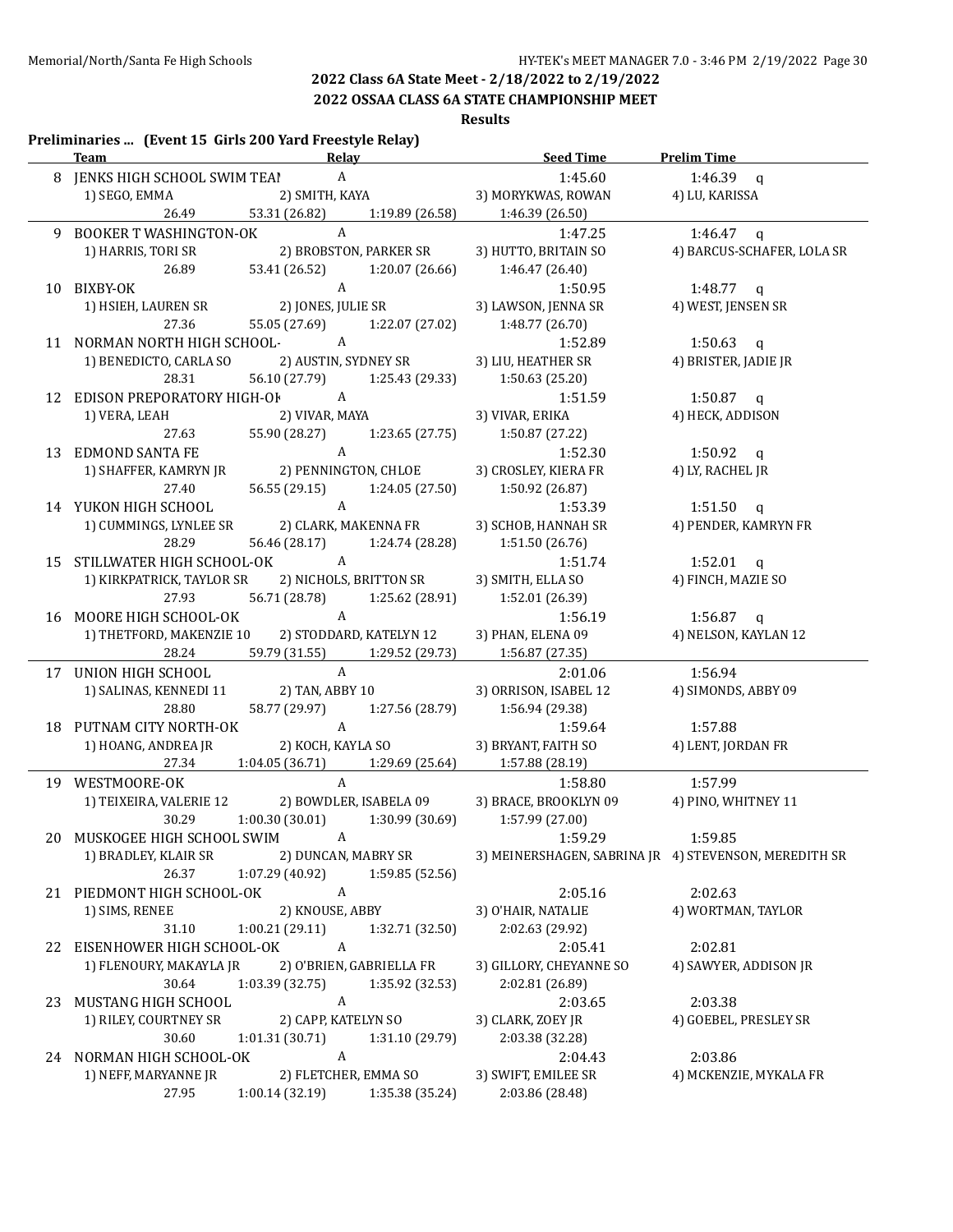**2022 OSSAA CLASS 6A STATE CHAMPIONSHIP MEET**

**Results**

|    | Preliminaries  (Event 15 Girls 200 Yard Freestyle Relay)<br><b>Team</b> |                                   | <b>Relay Example 20</b> | Seed Time                         | <b>Prelim Time</b>                                    |
|----|-------------------------------------------------------------------------|-----------------------------------|-------------------------|-----------------------------------|-------------------------------------------------------|
|    | 8 JENKS HIGH SCHOOL SWIM TEAI                                           | $\boldsymbol{\mathsf{A}}$         |                         | 1:45.60                           | $1:46.39$ q                                           |
|    | 1) SEGO, EMMA                                                           | 2) SMITH, KAYA                    |                         | 3) MORYKWAS, ROWAN                | 4) LU, KARISSA                                        |
|    |                                                                         | 53.31 (26.82) 1:19.89 (26.58)     |                         | 1:46.39 (26.50)                   |                                                       |
|    | 9 BOOKER T WASHINGTON-OK                                                | $\mathbf{A}$                      |                         | 1:47.25                           | 1:46.47 $q$                                           |
|    | 1) HARRIS, TORI SR                                                      | 2) BROBSTON, PARKER SR            |                         | 3) HUTTO, BRITAIN SO              | 4) BARCUS-SCHAFER, LOLA SR                            |
|    | 26.89                                                                   | 53.41 (26.52)                     | 1:20.07 (26.66)         | 1:46.47 (26.40)                   |                                                       |
|    | 10 BIXBY-OK                                                             | A                                 |                         | 1:50.95                           | 1:48.77 $q$                                           |
|    | 1) HSIEH, LAUREN SR                                                     | 2) JONES, JULIE SR                |                         | 3) LAWSON, JENNA SR               | 4) WEST, JENSEN SR                                    |
|    | 27.36                                                                   | 55.05 (27.69)                     | 1:22.07 (27.02)         | 1:48.77 (26.70)                   |                                                       |
|    | 11 NORMAN NORTH HIGH SCHOOL-                                            | $\overline{A}$                    |                         | 1:52.89                           | 1:50.63 $q$                                           |
|    | 1) BENEDICTO, CARLA SO                                                  |                                   | 2) AUSTIN, SYDNEY SR    | 3) LIU, HEATHER SR                | 4) BRISTER, JADIE JR                                  |
|    | 28.31                                                                   | 56.10 (27.79)                     |                         | $1:25.43(29.33)$ $1:50.63(25.20)$ |                                                       |
|    | 12 EDISON PREPORATORY HIGH-OF A                                         |                                   |                         | 1:51.59                           | 1:50.87 q                                             |
|    | 1) VERA, LEAH                                                           | 2) VIVAR, MAYA                    |                         | 3) VIVAR, ERIKA                   | 4) HECK, ADDISON                                      |
|    | 27.63                                                                   | 55.90 (28.27) 1:23.65 (27.75)     |                         | 1:50.87 (27.22)                   |                                                       |
|    | 13 EDMOND SANTA FE                                                      | $\mathbf{A}$                      |                         | 1:52.30                           | 1:50.92 $q$                                           |
|    | 1) SHAFFER, KAMRYN JR                                                   |                                   | 2) PENNINGTON, CHLOE    | 3) CROSLEY, KIERA FR              | 4) LY, RACHEL JR                                      |
|    | 27.40                                                                   | 56.55 (29.15) 1:24.05 (27.50)     |                         | 1:50.92 (26.87)                   |                                                       |
|    | 14 YUKON HIGH SCHOOL                                                    | A                                 |                         | 1:53.39                           | $1:51.50$ q                                           |
|    | 1) CUMMINGS, LYNLEE SR                                                  |                                   | 2) CLARK, MAKENNA FR    | 3) SCHOB, HANNAH SR               | 4) PENDER, KAMRYN FR                                  |
|    | 28.29                                                                   | 56.46 (28.17) 1:24.74 (28.28)     |                         | 1:51.50 (26.76)                   |                                                       |
|    | 15 STILLWATER HIGH SCHOOL-OK                                            | $\mathbf{A}$                      |                         | 1:51.74                           | 1:52.01 $q$                                           |
|    | 1) KIRKPATRICK, TAYLOR SR                                               | 2) NICHOLS, BRITTON SR            |                         | 3) SMITH, ELLA SO                 | 4) FINCH, MAZIE SO                                    |
|    | 27.93                                                                   | 56.71 (28.78) 1:25.62 (28.91)     |                         | 1:52.01 (26.39)                   |                                                       |
|    | 16 MOORE HIGH SCHOOL-OK                                                 | $\mathbf{A}$                      |                         | 1:56.19                           | 1:56.87 $q$                                           |
|    | 1) THETFORD, MAKENZIE 10                                                | 2) STODDARD, KATELYN 12           |                         | 3) PHAN, ELENA 09                 | 4) NELSON, KAYLAN 12                                  |
|    | 28.24                                                                   | 59.79 (31.55) 1:29.52 (29.73)     |                         | 1:56.87 (27.35)                   |                                                       |
|    | 17 UNION HIGH SCHOOL                                                    | $\mathbf{A}$                      |                         | 2:01.06                           | 1:56.94                                               |
|    | 1) SALINAS, KENNEDI 11                                                  | 2) TAN, ABBY 10                   |                         | 3) ORRISON, ISABEL 12             | 4) SIMONDS, ABBY 09                                   |
|    | 28.80                                                                   | 58.77 (29.97) 1:27.56 (28.79)     |                         | 1:56.94 (29.38)                   |                                                       |
|    | 18 PUTNAM CITY NORTH-OK                                                 | $\mathbf{A}$                      |                         | 1:59.64                           | 1:57.88                                               |
|    | 1) HOANG, ANDREA JR                                                     | 2) KOCH, KAYLA SO                 |                         | 3) BRYANT, FAITH SO               | 4) LENT, JORDAN FR                                    |
|    | 27.34                                                                   | $1:04.05(36.71)$ $1:29.69(25.64)$ |                         | 1:57.88 (28.19)                   |                                                       |
|    | 19 WESTMOORE-OK                                                         | $\mathbf{A}$                      |                         | 1:58.80                           | 1:57.99                                               |
|    | 1) TEIXEIRA, VALERIE 12 2) BOWDLER, ISABELA 09                          |                                   |                         | 3) BRACE, BROOKLYN 09             | 4) PINO, WHITNEY 11                                   |
|    | 30.29                                                                   | $1:00.30(30.01)$ $1:30.99(30.69)$ |                         | 1:57.99 (27.00)                   |                                                       |
|    | 20 MUSKOGEE HIGH SCHOOL SWIM                                            | A                                 |                         | 1:59.29                           | 1:59.85                                               |
|    | 1) BRADLEY, KLAIR SR                                                    | 2) DUNCAN, MABRY SR               |                         |                                   | 3) MEINERSHAGEN, SABRINA JR 4) STEVENSON, MEREDITH SR |
|    | 26.37                                                                   | 1:07.29 (40.92)                   | 1:59.85 (52.56)         |                                   |                                                       |
|    | 21 PIEDMONT HIGH SCHOOL-OK                                              | A                                 |                         | 2:05.16                           | 2:02.63                                               |
|    | 1) SIMS, RENEE                                                          | 2) KNOUSE, ABBY                   |                         | 3) O'HAIR, NATALIE                | 4) WORTMAN, TAYLOR                                    |
|    | 31.10                                                                   | 1:00.21(29.11)                    | 1:32.71 (32.50)         | 2:02.63 (29.92)                   |                                                       |
|    | 22 EISENHOWER HIGH SCHOOL-OK                                            | A                                 |                         | 2:05.41                           | 2:02.81                                               |
|    | 1) FLENOURY, MAKAYLA JR                                                 | 2) O'BRIEN, GABRIELLA FR          |                         | 3) GILLORY, CHEYANNE SO           | 4) SAWYER, ADDISON JR                                 |
|    | 30.64                                                                   | 1:03.39 (32.75)                   | 1:35.92 (32.53)         | 2:02.81 (26.89)                   |                                                       |
| 23 | MUSTANG HIGH SCHOOL                                                     | $\boldsymbol{A}$                  |                         | 2:03.65                           | 2:03.38                                               |
|    | 1) RILEY, COURTNEY SR                                                   | 2) CAPP, KATELYN SO               |                         | 3) CLARK, ZOEY JR                 | 4) GOEBEL, PRESLEY SR                                 |
|    | 30.60                                                                   | 1:01.31(30.71)                    | 1:31.10 (29.79)         | 2:03.38 (32.28)                   |                                                       |
|    | 24 NORMAN HIGH SCHOOL-OK                                                | A                                 |                         | 2:04.43                           | 2:03.86                                               |
|    | 1) NEFF, MARYANNE JR                                                    | 2) FLETCHER, EMMA SO              |                         | 3) SWIFT, EMILEE SR               | 4) MCKENZIE, MYKALA FR                                |
|    |                                                                         |                                   |                         |                                   |                                                       |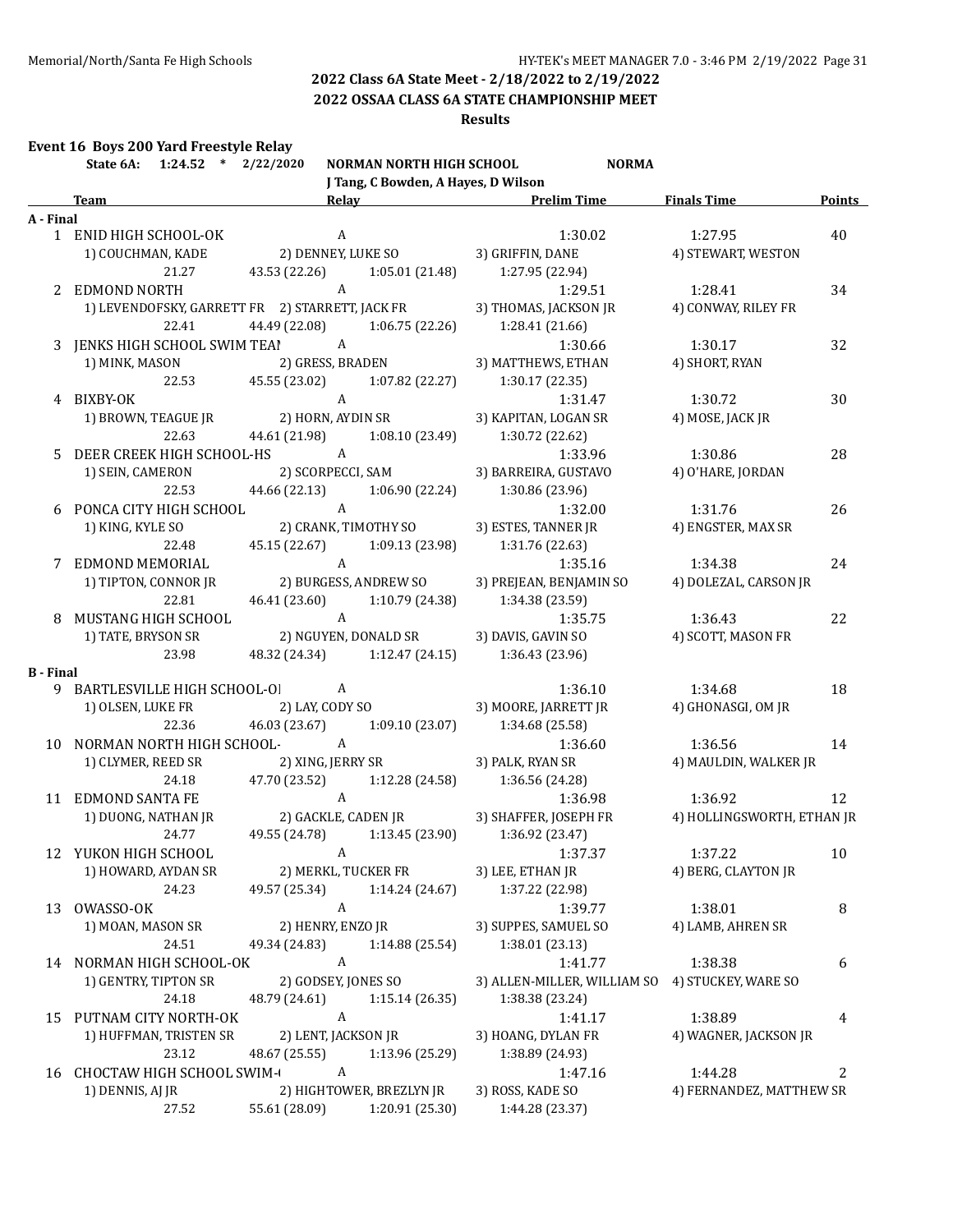**2022 OSSAA CLASS 6A STATE CHAMPIONSHIP MEET**

### **Results**

## **Event 16 Boys 200 Yard Freestyle Relay**

|                  | State 6A: 1:24.52 * 2/22/2020                   |                     | <b>NORMAN NORTH HIGH SCHOOL</b>     | <b>NORMA</b>                                    |                            |               |
|------------------|-------------------------------------------------|---------------------|-------------------------------------|-------------------------------------------------|----------------------------|---------------|
|                  |                                                 |                     | J Tang, C Bowden, A Hayes, D Wilson | Relay Prelim Time                               | <b>Finals Time</b>         |               |
|                  | <b>Team</b>                                     |                     |                                     |                                                 |                            | <b>Points</b> |
| A - Final        | 1 ENID HIGH SCHOOL-OK                           | $\mathbf{A}$        |                                     | 1:30.02                                         | 1:27.95                    | 40            |
|                  | 1) COUCHMAN, KADE 2) DENNEY, LUKE SO            |                     |                                     | 3) GRIFFIN, DANE                                | 4) STEWART, WESTON         |               |
|                  | 21.27                                           |                     | 43.53 (22.26) 1:05.01 (21.48)       | 1:27.95 (22.94)                                 |                            |               |
|                  | 2 EDMOND NORTH                                  | $\mathbf{A}$        |                                     | 1:29.51                                         | 1:28.41                    | 34            |
|                  | 1) LEVENDOFSKY, GARRETT FR 2) STARRETT, JACK FR |                     |                                     | 3) THOMAS, JACKSON JR                           | 4) CONWAY, RILEY FR        |               |
|                  | 22.41                                           |                     | 44.49 (22.08) 1:06.75 (22.26)       | 1:28.41(21.66)                                  |                            |               |
|                  | 3 JENKS HIGH SCHOOL SWIM TEAI                   | $\mathbf{A}$        |                                     | 1:30.66                                         | 1:30.17                    | 32            |
|                  | 1) MINK, MASON 2) GRESS, BRADEN                 |                     |                                     |                                                 | 4) SHORT, RYAN             |               |
|                  | 22.53                                           |                     |                                     | 3) MATTHEWS, ETHAN                              |                            |               |
|                  |                                                 |                     |                                     | 45.55 (23.02) 1:07.82 (22.27) 1:30.17 (22.35)   |                            |               |
|                  | 4 BIXBY-OK                                      | $\mathbf{A}$        |                                     | 1:31.47                                         | 1:30.72                    | 30            |
|                  | 1) BROWN, TEAGUE JR                             |                     | 2) HORN, AYDIN SR                   | 3) KAPITAN, LOGAN SR                            | 4) MOSE, JACK JR           |               |
|                  | 22.63                                           |                     |                                     | 44.61 (21.98) 1:08.10 (23.49) 1:30.72 (22.62)   |                            |               |
|                  | 5 DEER CREEK HIGH SCHOOL-HS A                   |                     |                                     | 1:33.96                                         | 1:30.86                    | 28            |
|                  | 1) SEIN, CAMERON                                |                     |                                     | 2) SCORPECCI, SAM 3) BARREIRA, GUSTAVO          | 4) O'HARE, JORDAN          |               |
|                  | 22.53                                           |                     |                                     | 44.66 (22.13) 1:06.90 (22.24) 1:30.86 (23.96)   |                            |               |
|                  | 6 PONCA CITY HIGH SCHOOL A                      |                     |                                     | 1:32.00                                         | 1:31.76                    | 26            |
|                  | 1) KING, KYLE SO                                |                     | 2) CRANK, TIMOTHY SO                | 3) ESTES, TANNER JR                             | 4) ENGSTER, MAX SR         |               |
|                  | 22.48                                           |                     |                                     | 45.15 (22.67) 1:09.13 (23.98) 1:31.76 (22.63)   |                            |               |
|                  | 7 EDMOND MEMORIAL                               |                     | A<br>2) BURGESS, ANDREW SO          | 1:35.16                                         | 1:34.38                    | 24            |
|                  | 1) TIPTON, CONNOR JR                            |                     |                                     | 3) PREJEAN, BENJAMIN SO                         | 4) DOLEZAL, CARSON JR      |               |
|                  | 22.81                                           |                     |                                     | 46.41 (23.60) 1:10.79 (24.38) 1:34.38 (23.59)   |                            |               |
|                  | 8 MUSTANG HIGH SCHOOL                           | $\overline{A}$      |                                     | 1:35.75                                         | 1:36.43                    | 22            |
|                  | 1) TATE, BRYSON SR                              |                     | 2) NGUYEN, DONALD SR                | 3) DAVIS, GAVIN SO                              | 4) SCOTT, MASON FR         |               |
|                  | 23.98                                           |                     | 48.32 (24.34) 1:12.47 (24.15)       | 1:36.43 (23.96)                                 |                            |               |
| <b>B</b> - Final |                                                 |                     |                                     |                                                 |                            |               |
|                  | 9 BARTLESVILLE HIGH SCHOOL-OI                   | A                   |                                     | 1:36.10                                         | 1:34.68                    | 18            |
|                  | 1) OLSEN, LUKE FR                               |                     |                                     | 2) LAY, CODY SO 3) MOORE, JARRETT JR            | 4) GHONASGI, OM JR         |               |
|                  | 22.36                                           |                     |                                     | 46.03 (23.67) 1:09.10 (23.07) 1:34.68 (25.58)   |                            |               |
|                  | 10 NORMAN NORTH HIGH SCHOOL-                    | $\overline{A}$      |                                     | 1:36.60                                         | 1:36.56                    | 14            |
|                  | 1) CLYMER, REED SR                              |                     |                                     | 2) XING, JERRY SR 3) PALK, RYAN SR              | 4) MAULDIN, WALKER JR      |               |
|                  | 24.18                                           | 47.70 (23.52)       |                                     | 1:12.28 (24.58) 1:36.56 (24.28)                 |                            |               |
|                  | 11 EDMOND SANTA FE                              | A                   |                                     | 1:36.98                                         | 1:36.92                    | 12            |
|                  | 1) DUONG, NATHAN JR                             |                     |                                     | 2) GACKLE, CADEN JR 3) SHAFFER, JOSEPH FR       | 4) HOLLINGSWORTH, ETHAN JR |               |
|                  | 24.77                                           |                     |                                     | 49.55 (24.78) 1:13.45 (23.90) 1:36.92 (23.47)   |                            |               |
|                  | 12 YUKON HIGH SCHOOL                            |                     | $\overline{A}$                      | 1:37.37                                         | 1:37.22                    | 10            |
|                  | 1) HOWARD, AYDAN SR                             |                     | 2) MERKL, TUCKER FR                 | 3) LEE, ETHAN JR                                | 4) BERG, CLAYTON JR        |               |
|                  | 24.23                                           | 49.57 (25.34)       | 1:14.24 (24.67)                     | 1:37.22 (22.98)                                 |                            |               |
|                  | 13 OWASSO-OK                                    | A                   |                                     | 1:39.77                                         | 1:38.01                    | 8             |
|                  | 1) MOAN, MASON SR                               | 2) HENRY, ENZO JR   |                                     | 3) SUPPES, SAMUEL SO                            | 4) LAMB, AHREN SR          |               |
|                  | 24.51                                           | 49.34 (24.83)       | 1:14.88 (25.54)                     | 1:38.01 (23.13)                                 |                            |               |
|                  | 14 NORMAN HIGH SCHOOL-OK                        | A                   |                                     | 1:41.77                                         | 1:38.38                    | 6             |
|                  | 1) GENTRY, TIPTON SR                            | 2) GODSEY, JONES SO |                                     | 3) ALLEN-MILLER, WILLIAM SO 4) STUCKEY, WARE SO |                            |               |
|                  | 24.18                                           | 48.79 (24.61)       | 1:15.14(26.35)                      | 1:38.38 (23.24)                                 |                            |               |
| 15               | PUTNAM CITY NORTH-OK                            | A                   |                                     | 1:41.17                                         | 1:38.89                    | 4             |
|                  | 1) HUFFMAN, TRISTEN SR                          | 2) LENT, JACKSON JR |                                     | 3) HOANG, DYLAN FR                              | 4) WAGNER, JACKSON JR      |               |
|                  | 23.12                                           | 48.67 (25.55)       | 1:13.96 (25.29)                     | 1:38.89 (24.93)                                 |                            |               |
| 16               | <b>CHOCTAW HIGH SCHOOL SWIM-</b>                | A                   |                                     | 1:47.16                                         | 1:44.28                    | 2             |
|                  | 1) DENNIS, AJ JR                                |                     | 2) HIGHTOWER, BREZLYN JR            | 3) ROSS, KADE SO                                | 4) FERNANDEZ, MATTHEW SR   |               |
|                  | 27.52                                           | 55.61 (28.09)       | 1:20.91 (25.30)                     | 1:44.28 (23.37)                                 |                            |               |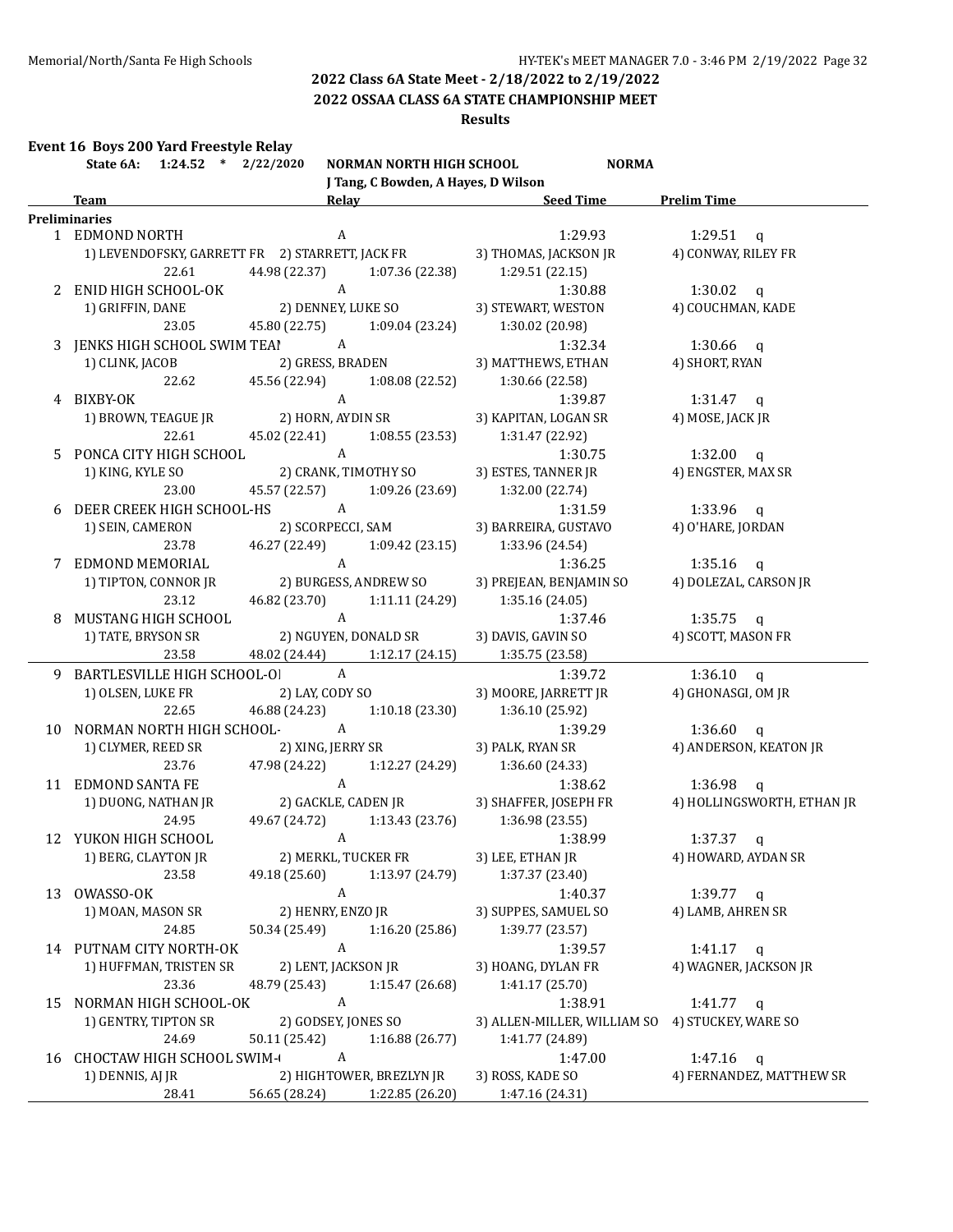**2022 OSSAA CLASS 6A STATE CHAMPIONSHIP MEET**

### **Results**

## **Event 16 Boys 200 Yard Freestyle Relay**

|    | State 6A: 1:24.52 * 2/22/2020    | NORMAN NORTH HIGH SCHOOL                        |                 | <b>NORMA</b>                                    |                            |
|----|----------------------------------|-------------------------------------------------|-----------------|-------------------------------------------------|----------------------------|
|    |                                  | J Tang, C Bowden, A Hayes, D Wilson             |                 |                                                 |                            |
|    | Team                             |                                                 |                 | Relay Seed Time Prelim Time                     |                            |
|    | <b>Preliminaries</b>             |                                                 |                 |                                                 |                            |
|    | 1 EDMOND NORTH                   | A                                               |                 | 1:29.93                                         | $1:29.51$ q                |
|    |                                  | 1) LEVENDOFSKY, GARRETT FR 2) STARRETT, JACK FR |                 | 3) THOMAS, JACKSON JR                           | 4) CONWAY, RILEY FR        |
|    | 22.61                            | 44.98 (22.37)                                   | 1:07.36 (22.38) | 1:29.51(22.15)                                  |                            |
|    | 2 ENID HIGH SCHOOL-OK            | $\mathbf{A}$                                    |                 | 1:30.88                                         | 1:30.02 $q$                |
|    | 1) GRIFFIN, DANE                 | 2) DENNEY, LUKE SO                              |                 | 3) STEWART, WESTON                              | 4) COUCHMAN, KADE          |
|    | 23.05                            | 45.80 (22.75) 1:09.04 (23.24)                   |                 | 1:30.02 (20.98)                                 |                            |
|    | 3 JENKS HIGH SCHOOL SWIM TEAI A  |                                                 |                 | 1:32.34                                         | $1:30.66$ q                |
|    | 1) CLINK, JACOB                  | 2) GRESS, BRADEN                                |                 | 3) MATTHEWS, ETHAN                              | 4) SHORT, RYAN             |
|    | 22.62                            | 45.56 (22.94) 1:08.08 (22.52)                   |                 | 1:30.66 (22.58)                                 |                            |
|    | 4 BIXBY-OK                       | A<br>2) HORN, AYDIN SR                          |                 | 1:39.87                                         | $1:31.47$ q                |
|    | 1) BROWN, TEAGUE JR              |                                                 |                 | 3) KAPITAN, LOGAN SR                            | 4) MOSE, JACK JR           |
|    | 22.61                            | 45.02 (22.41) 1:08.55 (23.53)                   |                 | 1:31.47 (22.92)                                 |                            |
|    | 5 PONCA CITY HIGH SCHOOL A       |                                                 |                 | 1:30.75                                         | $1:32.00$ q                |
|    | 1) KING, KYLE SO                 | 2) CRANK, TIMOTHY SO                            |                 | 3) ESTES, TANNER JR                             | 4) ENGSTER, MAX SR         |
|    | 23.00                            | 45.57 (22.57) 1:09.26 (23.69)                   |                 | 1:32.00 (22.74)                                 |                            |
|    | 6 DEER CREEK HIGH SCHOOL-HS A    |                                                 |                 | 1:31.59                                         | $1:33.96$ q                |
|    |                                  | 1) SEIN, CAMERON 2) SCORPECCI, SAM              |                 | 3) BARREIRA, GUSTAVO                            | 4) O'HARE, JORDAN          |
|    | 23.78                            | 46.27 (22.49) 1:09.42 (23.15)                   |                 | 1:33.96 (24.54)                                 |                            |
|    | 7 EDMOND MEMORIAL                |                                                 |                 | 1:36.25                                         | 1:35.16 $q$                |
|    | 1) TIPTON, CONNOR JR             | A<br>2) BURGESS, ANDREW SO                      |                 | 3) PREJEAN, BENJAMIN SO                         | 4) DOLEZAL, CARSON JR      |
|    | 23.12                            | 46.82 (23.70) 1:11.11 (24.29)                   |                 | 1:35.16 (24.05)                                 |                            |
|    | 8 MUSTANG HIGH SCHOOL            | $\mathbf{A}$                                    |                 | 1:37.46                                         | $1:35.75$ q                |
|    | 1) TATE, BRYSON SR               | 2) NGUYEN, DONALD SR                            |                 | 3) DAVIS, GAVIN SO                              | 4) SCOTT, MASON FR         |
|    | 23.58                            | 48.02 (24.44) 1:12.17 (24.15)                   |                 | 1:35.75 (23.58)                                 |                            |
|    | 9 BARTLESVILLE HIGH SCHOOL-OI A  |                                                 |                 | 1:39.72                                         | 1:36.10 $q$                |
|    | 1) OLSEN, LUKE FR                | 2) LAY, CODY SO                                 |                 | 3) MOORE, JARRETT JR                            | 4) GHONASGI, OM JR         |
|    | 22.65                            | 46.88 (24.23) 1:10.18 (23.30)                   |                 | 1:36.10 (25.92)                                 |                            |
|    | 10 NORMAN NORTH HIGH SCHOOL-A    |                                                 |                 | 1:39.29                                         | 1:36.60 $q$                |
|    |                                  | 1) CLYMER, REED SR 2) XING, JERRY SR            |                 | 3) PALK, RYAN SR                                | 4) ANDERSON, KEATON JR     |
|    | 23.76                            | 47.98 (24.22)                                   |                 | $1:12.27(24.29)$ $1:36.60(24.33)$               |                            |
|    | 11 EDMOND SANTA FE               | $\mathbf{A}$                                    |                 | 1:38.62                                         | $1:36.98$ q                |
|    | 1) DUONG, NATHAN JR              | 2) GACKLE, CADEN JR                             |                 | 3) SHAFFER, JOSEPH FR                           | 4) HOLLINGSWORTH, ETHAN JR |
|    | 24.95                            | 49.67 (24.72)                                   | 1:13.43 (23.76) | 1:36.98 (23.55)                                 |                            |
|    | 12 YUKON HIGH SCHOOL             | A                                               |                 | 1:38.99                                         | 1:37.37<br>$\mathbf{q}$    |
|    | 1) BERG, CLAYTON JR              | 2) MERKL, TUCKER FR                             |                 | 3) LEE, ETHAN JR                                | 4) HOWARD, AYDAN SR        |
|    | 23.58                            | 49.18 (25.60)                                   | 1:13.97 (24.79) | 1:37.37 (23.40)                                 |                            |
| 13 | OWASSO-OK                        | $\boldsymbol{A}$                                |                 | 1:40.37                                         | 1:39.77 $q$                |
|    | 1) MOAN, MASON SR                | 2) HENRY, ENZO JR                               |                 | 3) SUPPES, SAMUEL SO                            | 4) LAMB, AHREN SR          |
|    | 24.85                            | 50.34 (25.49)                                   | 1:16.20 (25.86) | 1:39.77 (23.57)                                 |                            |
|    | 14 PUTNAM CITY NORTH-OK          | $\boldsymbol{A}$                                |                 | 1:39.57                                         | 1:41.17 $q$                |
|    | 1) HUFFMAN, TRISTEN SR           | 2) LENT, JACKSON JR                             |                 | 3) HOANG, DYLAN FR                              | 4) WAGNER, JACKSON JR      |
|    | 23.36                            | 48.79 (25.43)                                   | 1:15.47 (26.68) | 1:41.17 (25.70)                                 |                            |
| 15 | NORMAN HIGH SCHOOL-OK            | $\boldsymbol{A}$                                |                 | 1:38.91                                         | 1:41.77 $q$                |
|    | 1) GENTRY, TIPTON SR             | 2) GODSEY, JONES SO                             |                 | 3) ALLEN-MILLER, WILLIAM SO 4) STUCKEY, WARE SO |                            |
|    | 24.69                            | 50.11 (25.42)                                   | 1:16.88(26.77)  | 1:41.77 (24.89)                                 |                            |
| 16 | <b>CHOCTAW HIGH SCHOOL SWIM-</b> | $\boldsymbol{A}$                                |                 | 1:47.00                                         | 1:47.16<br>$\mathbf{q}$    |
|    | 1) DENNIS, AJ JR                 | 2) HIGHTOWER, BREZLYN JR                        |                 | 3) ROSS, KADE SO                                | 4) FERNANDEZ, MATTHEW SR   |
|    | 28.41                            | 56.65 (28.24)                                   | 1:22.85 (26.20) | 1:47.16 (24.31)                                 |                            |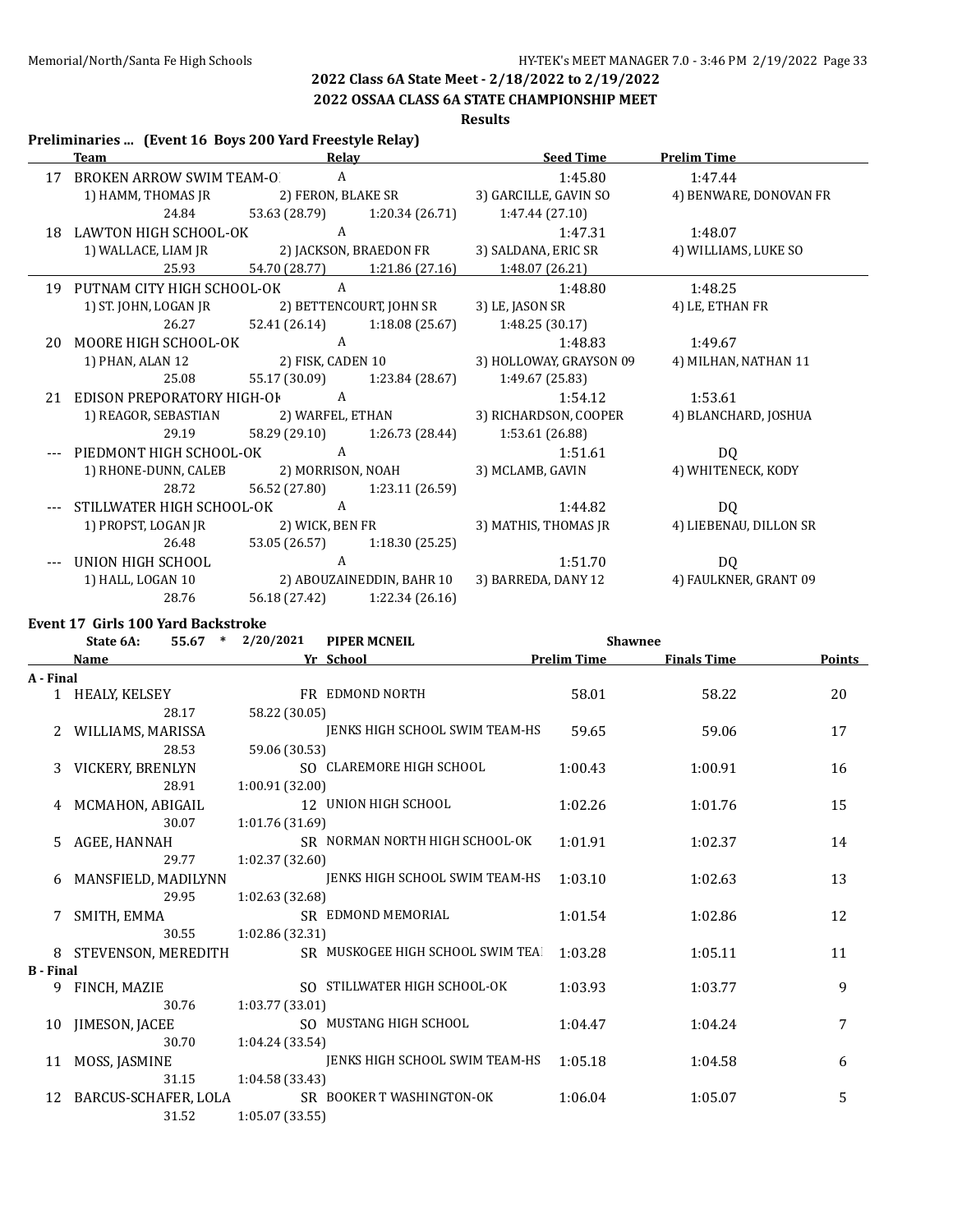## **2022 OSSAA CLASS 6A STATE CHAMPIONSHIP MEET**

## **Results**

### **Preliminaries ... (Event 16 Boys 200 Yard Freestyle Relay)**

|    | <b>Team</b> and the state of the state of the state of the state of the state of the state of the state of the state of the state of the state of the state of the state of the state of the state of the state of the state of the |                | <b>Relay</b> Relay            | <b>Seed Time</b>                                           | <b>Prelim Time</b>     |
|----|-------------------------------------------------------------------------------------------------------------------------------------------------------------------------------------------------------------------------------------|----------------|-------------------------------|------------------------------------------------------------|------------------------|
|    | 17 BROKEN ARROW SWIM TEAM-O A                                                                                                                                                                                                       |                |                               | 1:45.80                                                    | 1:47.44                |
|    | 1) HAMM, THOMAS JR                                                                                                                                                                                                                  |                | 2) FERON, BLAKE SR            | 3) GARCILLE, GAVIN SO                                      | 4) BENWARE, DONOVAN FR |
|    | 24.84                                                                                                                                                                                                                               |                |                               | 53.63 (28.79) 1:20.34 (26.71) 1:47.44 (27.10)              |                        |
| 18 | LAWTON HIGH SCHOOL-OK                                                                                                                                                                                                               | $\overline{A}$ |                               | 1:47.31                                                    | 1:48.07                |
|    |                                                                                                                                                                                                                                     |                |                               |                                                            | 4) WILLIAMS, LUKE SO   |
|    | 25.93                                                                                                                                                                                                                               |                | 54.70 (28.77) 1:21.86 (27.16) | 1:48.07 (26.21)                                            |                        |
|    | 19 PUTNAM CITY HIGH SCHOOL-OK                                                                                                                                                                                                       | A              |                               | 1:48.80                                                    | 1:48.25                |
|    | 1) ST. JOHN, LOGAN JR 2) BETTENCOURT, JOHN SR                                                                                                                                                                                       |                |                               | 3) LE, JASON SR                                            | 4) LE, ETHAN FR        |
|    | 26.27                                                                                                                                                                                                                               |                | 52.41 (26.14) 1:18.08 (25.67) | 1:48.25 (30.17)                                            |                        |
| 20 | MOORE HIGH SCHOOL-OK                                                                                                                                                                                                                | $\overline{A}$ |                               | 1:48.83                                                    | 1:49.67                |
|    |                                                                                                                                                                                                                                     |                |                               | 1) PHAN, ALAN 12 2) FISK, CADEN 10 3) HOLLOWAY, GRAYSON 09 | 4) MILHAN, NATHAN 11   |
|    | 25.08                                                                                                                                                                                                                               |                |                               | 55.17 (30.09) 1:23.84 (28.67) 1:49.67 (25.83)              |                        |
|    | 21 EDISON PREPORATORY HIGH-OF A                                                                                                                                                                                                     |                |                               | 1:54.12                                                    | 1:53.61                |
|    | 1) REAGOR, SEBASTIAN 2) WARFEL, ETHAN                                                                                                                                                                                               |                |                               | 3) RICHARDSON, COOPER                                      | 4) BLANCHARD, JOSHUA   |
|    | 29.19                                                                                                                                                                                                                               |                |                               | 58.29 (29.10) 1:26.73 (28.44) 1:53.61 (26.88)              |                        |
|    | PIEDMONT HIGH SCHOOL-OK A                                                                                                                                                                                                           |                |                               | 1:51.61                                                    | DQ                     |
|    | 1) RHONE-DUNN, CALEB 2) MORRISON, NOAH                                                                                                                                                                                              |                |                               | 3) MCLAMB, GAVIN                                           | 4) WHITENECK, KODY     |
|    | 28.72                                                                                                                                                                                                                               |                | 56.52 (27.80) 1:23.11 (26.59) |                                                            |                        |
|    | STILLWATER HIGH SCHOOL-OK A                                                                                                                                                                                                         |                |                               | 1:44.82                                                    | D <sub>O</sub>         |
|    | 1) PROPST, LOGAN JR 2) WICK, BEN FR                                                                                                                                                                                                 |                |                               | 3) MATHIS, THOMAS JR                                       | 4) LIEBENAU, DILLON SR |
|    | 26.48                                                                                                                                                                                                                               |                | 53.05 (26.57) 1:18.30 (25.25) |                                                            |                        |
|    | UNION HIGH SCHOOL                                                                                                                                                                                                                   | A              |                               | 1:51.70                                                    | DQ                     |
|    | 1) HALL, LOGAN 10 2) ABOUZAINEDDIN, BAHR 10                                                                                                                                                                                         |                |                               | 3) BARREDA, DANY 12 4) FAULKNER, GRANT 09                  |                        |
|    | 28.76                                                                                                                                                                                                                               |                | 56.18 (27.42) 1:22.34 (26.16) |                                                            |                        |

### **Event 17 Girls 100 Yard Backstroke**

|                  | State 6A:<br>$55.67$ * | 2/20/2021       | <b>PIPER MCNEIL</b>              | <b>Shawnee</b>     |                    |               |
|------------------|------------------------|-----------------|----------------------------------|--------------------|--------------------|---------------|
|                  | <b>Name</b>            |                 | Yr School                        | <b>Prelim Time</b> | <b>Finals Time</b> | <b>Points</b> |
| A - Final        |                        |                 |                                  |                    |                    |               |
|                  | 1 HEALY, KELSEY        |                 | FR EDMOND NORTH                  | 58.01              | 58.22              | 20            |
|                  | 28.17                  | 58.22 (30.05)   |                                  |                    |                    |               |
|                  | WILLIAMS, MARISSA      |                 | JENKS HIGH SCHOOL SWIM TEAM-HS   | 59.65              | 59.06              | 17            |
|                  | 28.53                  | 59.06 (30.53)   |                                  |                    |                    |               |
| 3                | VICKERY, BRENLYN       |                 | SO CLAREMORE HIGH SCHOOL         | 1:00.43            | 1:00.91            | 16            |
|                  | 28.91                  | 1:00.91 (32.00) |                                  |                    |                    |               |
|                  | 4 MCMAHON, ABIGAIL     |                 | 12 UNION HIGH SCHOOL             | 1:02.26            | 1:01.76            | 15            |
|                  | 30.07                  | 1:01.76 (31.69) |                                  |                    |                    |               |
| 5.               | AGEE, HANNAH           |                 | SR NORMAN NORTH HIGH SCHOOL-OK   | 1:01.91            | 1:02.37            | 14            |
|                  | 29.77                  | 1:02.37 (32.60) |                                  |                    |                    |               |
| 6                | MANSFIELD, MADILYNN    |                 | JENKS HIGH SCHOOL SWIM TEAM-HS   | 1:03.10            | 1:02.63            | 13            |
|                  | 29.95                  | 1:02.63 (32.68) |                                  |                    |                    |               |
|                  | SMITH, EMMA            |                 | SR EDMOND MEMORIAL               | 1:01.54            | 1:02.86            | 12            |
|                  | 30.55                  | 1:02.86 (32.31) |                                  |                    |                    |               |
| 8                | STEVENSON, MEREDITH    |                 | SR MUSKOGEE HIGH SCHOOL SWIM TEA | 1:03.28            | 1:05.11            | 11            |
| <b>B</b> - Final |                        |                 |                                  |                    |                    |               |
| 9                | FINCH, MAZIE           |                 | SO STILLWATER HIGH SCHOOL-OK     | 1:03.93            | 1:03.77            | 9             |
|                  | 30.76                  | 1:03.77 (33.01) |                                  |                    |                    |               |
| 10               | JIMESON, JACEE         |                 | SO MUSTANG HIGH SCHOOL           | 1:04.47            | 1:04.24            | 7             |
|                  | 30.70                  | 1:04.24 (33.54) |                                  |                    |                    |               |
| 11               | MOSS, JASMINE          |                 | JENKS HIGH SCHOOL SWIM TEAM-HS   | 1:05.18            | 1:04.58            | 6             |
|                  | 31.15                  | 1:04.58 (33.43) |                                  |                    |                    |               |
| 12               | BARCUS-SCHAFER, LOLA   |                 | SR BOOKER T WASHINGTON-OK        | 1:06.04            | 1:05.07            | 5             |
|                  | 31.52                  | 1:05.07(33.55)  |                                  |                    |                    |               |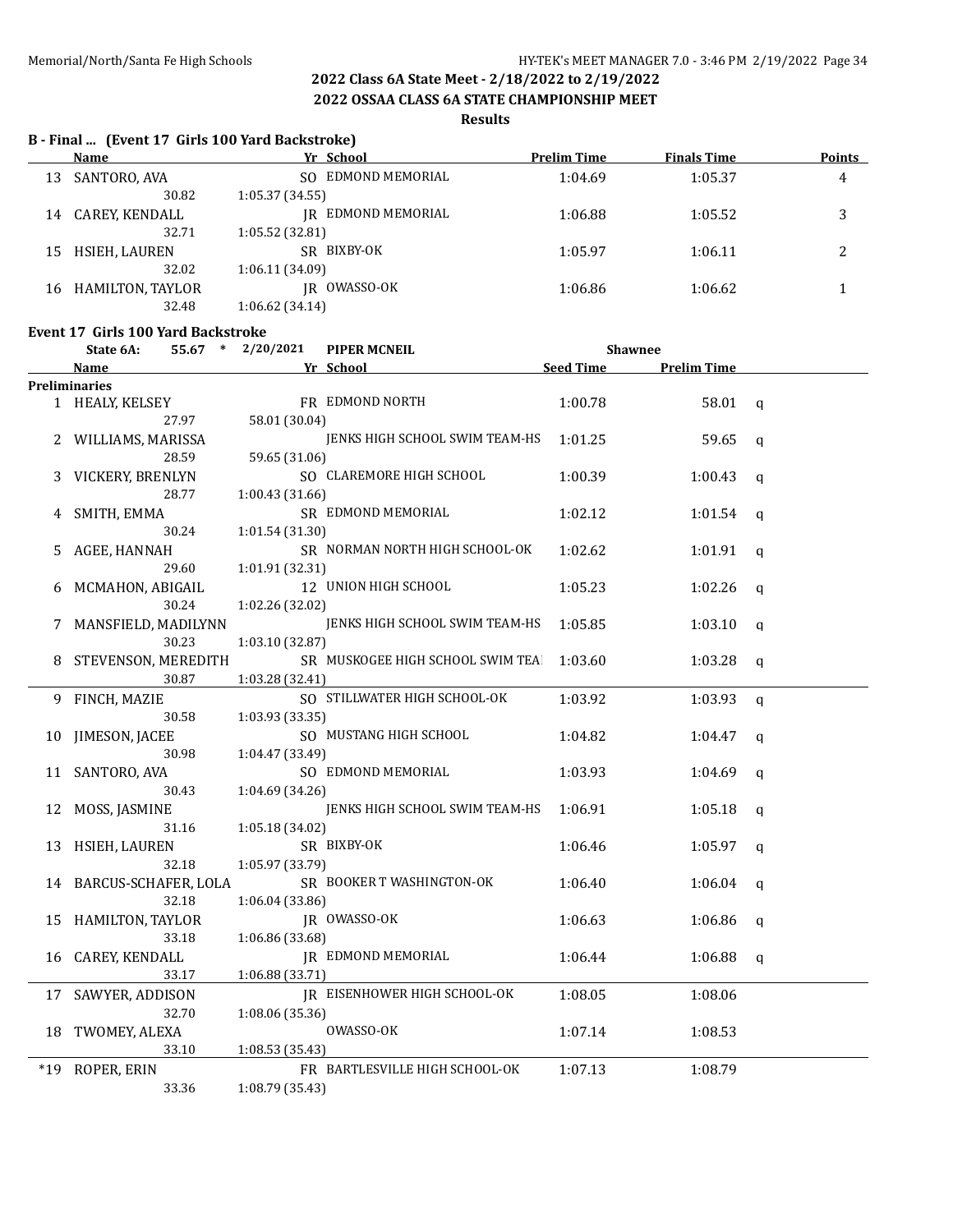**2022 OSSAA CLASS 6A STATE CHAMPIONSHIP MEET**

### **Results**

### **B - Final ... (Event 17 Girls 100 Yard Backstroke)**

|    | Name             | Yr School              | Prelim Time | <b>Finals Time</b> | <b>Points</b> |
|----|------------------|------------------------|-------------|--------------------|---------------|
| 13 | SANTORO, AVA     | EDMOND MEMORIAL<br>SO. | 1:04.69     | 1:05.37            | 4             |
|    | 30.82            | 1:05.37(34.55)         |             |                    |               |
| 14 | CAREY, KENDALL   | IR EDMOND MEMORIAL     | 1:06.88     | 1:05.52            | 3             |
|    | 32.71            | 1:05.52 (32.81)        |             |                    |               |
| 15 | HSIEH, LAUREN    | SR BIXBY-OK            | 1:05.97     | 1:06.11            | 2             |
|    | 32.02            | 1:06.11(34.09)         |             |                    |               |
| 16 | HAMILTON, TAYLOR | JR OWASSO-OK           | 1:06.86     | 1:06.62            |               |
|    | 32.48            | 1:06.62(34.14)         |             |                    |               |

### **Event 17 Girls 100 Yard Backstroke**

|    | Little 17 - Gillis 100-lard Dathströßt<br>State 6A: | $55.67$ * $2/20/2021$ | <b>PIPER MCNEIL</b>                 | <b>Shawnee</b>   |                    |                |
|----|-----------------------------------------------------|-----------------------|-------------------------------------|------------------|--------------------|----------------|
|    | Name                                                |                       | Yr School                           | <b>Seed Time</b> | <b>Prelim Time</b> |                |
|    | <b>Preliminaries</b>                                |                       |                                     |                  |                    |                |
|    | 1 HEALY, KELSEY                                     |                       | FR EDMOND NORTH                     | 1:00.78          | 58.01              | $\mathbf{q}$   |
|    | 27.97                                               | 58.01 (30.04)         |                                     |                  |                    |                |
|    | 2 WILLIAMS, MARISSA                                 |                       | JENKS HIGH SCHOOL SWIM TEAM-HS      | 1:01.25          | 59.65              | $\mathbf q$    |
|    | 28.59                                               | 59.65 (31.06)         |                                     |                  |                    |                |
|    | VICKERY, BRENLYN                                    |                       | SO CLAREMORE HIGH SCHOOL            | 1:00.39          | 1:00.43            | $\mathbf q$    |
|    | 28.77                                               | 1:00.43(31.66)        |                                     |                  |                    |                |
|    | SMITH, EMMA                                         |                       | SR EDMOND MEMORIAL                  | 1:02.12          | 1:01.54            | q              |
|    | 30.24                                               | 1:01.54(31.30)        |                                     |                  |                    |                |
| 5. | AGEE, HANNAH                                        |                       | SR NORMAN NORTH HIGH SCHOOL-OK      | 1:02.62          | 1:01.91            | $\mathbf{q}$   |
|    | 29.60                                               | 1:01.91 (32.31)       |                                     |                  |                    |                |
| 6  | MCMAHON, ABIGAIL                                    |                       | 12 UNION HIGH SCHOOL                | 1:05.23          | 1:02.26            | $\mathbf q$    |
|    | 30.24                                               | 1:02.26 (32.02)       |                                     |                  |                    |                |
| 7  | MANSFIELD, MADILYNN                                 |                       | JENKS HIGH SCHOOL SWIM TEAM-HS      | 1:05.85          | 1:03.10            | $\mathbf{q}$   |
|    | 30.23                                               | 1:03.10 (32.87)       |                                     |                  |                    |                |
| 8  | STEVENSON, MEREDITH                                 |                       | SR MUSKOGEE HIGH SCHOOL SWIM TEA    | 1:03.60          | 1:03.28            | $\mathbf q$    |
|    | 30.87                                               | 1:03.28 (32.41)       |                                     |                  |                    |                |
|    | 9 FINCH, MAZIE                                      |                       | SO STILLWATER HIGH SCHOOL-OK        | 1:03.92          | 1:03.93            | $\mathfrak{a}$ |
|    | 30.58                                               | 1:03.93(33.35)        |                                     |                  |                    |                |
| 10 | JIMESON, JACEE                                      |                       | SO MUSTANG HIGH SCHOOL              | 1:04.82          | 1:04.47            | $\mathbf q$    |
|    | 30.98                                               | 1:04.47 (33.49)       |                                     |                  |                    |                |
|    | 11 SANTORO, AVA                                     |                       | SO EDMOND MEMORIAL                  | 1:03.93          | 1:04.69            | q              |
|    | 30.43                                               | 1:04.69 (34.26)       |                                     |                  |                    |                |
| 12 | MOSS, JASMINE                                       |                       | JENKS HIGH SCHOOL SWIM TEAM-HS      | 1:06.91          | 1:05.18            | $\mathbf q$    |
|    | 31.16                                               | 1:05.18 (34.02)       |                                     |                  |                    |                |
|    | 13 HSIEH, LAUREN                                    |                       | SR BIXBY-OK                         | 1:06.46          | 1:05.97            | $\mathbf q$    |
|    | 32.18                                               | 1:05.97 (33.79)       |                                     |                  |                    |                |
|    | 14 BARCUS-SCHAFER, LOLA                             |                       | SR BOOKER T WASHINGTON-OK           | 1:06.40          | 1:06.04            | $\mathbf q$    |
|    | 32.18                                               | 1:06.04(33.86)        |                                     |                  |                    |                |
| 15 | HAMILTON, TAYLOR                                    |                       | JR OWASSO-OK                        | 1:06.63          | 1:06.86            | q              |
|    | 33.18                                               | 1:06.86 (33.68)       |                                     |                  |                    |                |
| 16 | CAREY, KENDALL                                      |                       | JR EDMOND MEMORIAL                  | 1:06.44          | 1:06.88            | q              |
|    | 33.17                                               | 1:06.88 (33.71)       |                                     |                  |                    |                |
|    | 17 SAWYER, ADDISON                                  |                       | <b>IR EISENHOWER HIGH SCHOOL-OK</b> | 1:08.05          | 1:08.06            |                |
|    | 32.70                                               | 1:08.06 (35.36)       |                                     |                  |                    |                |
|    | 18 TWOMEY, ALEXA                                    |                       | OWASSO-OK                           | 1:07.14          | 1:08.53            |                |
|    | 33.10                                               | 1:08.53 (35.43)       |                                     |                  |                    |                |
|    | *19 ROPER, ERIN                                     |                       | FR BARTLESVILLE HIGH SCHOOL-OK      | 1:07.13          | 1:08.79            |                |
|    | 33.36                                               | 1:08.79 (35.43)       |                                     |                  |                    |                |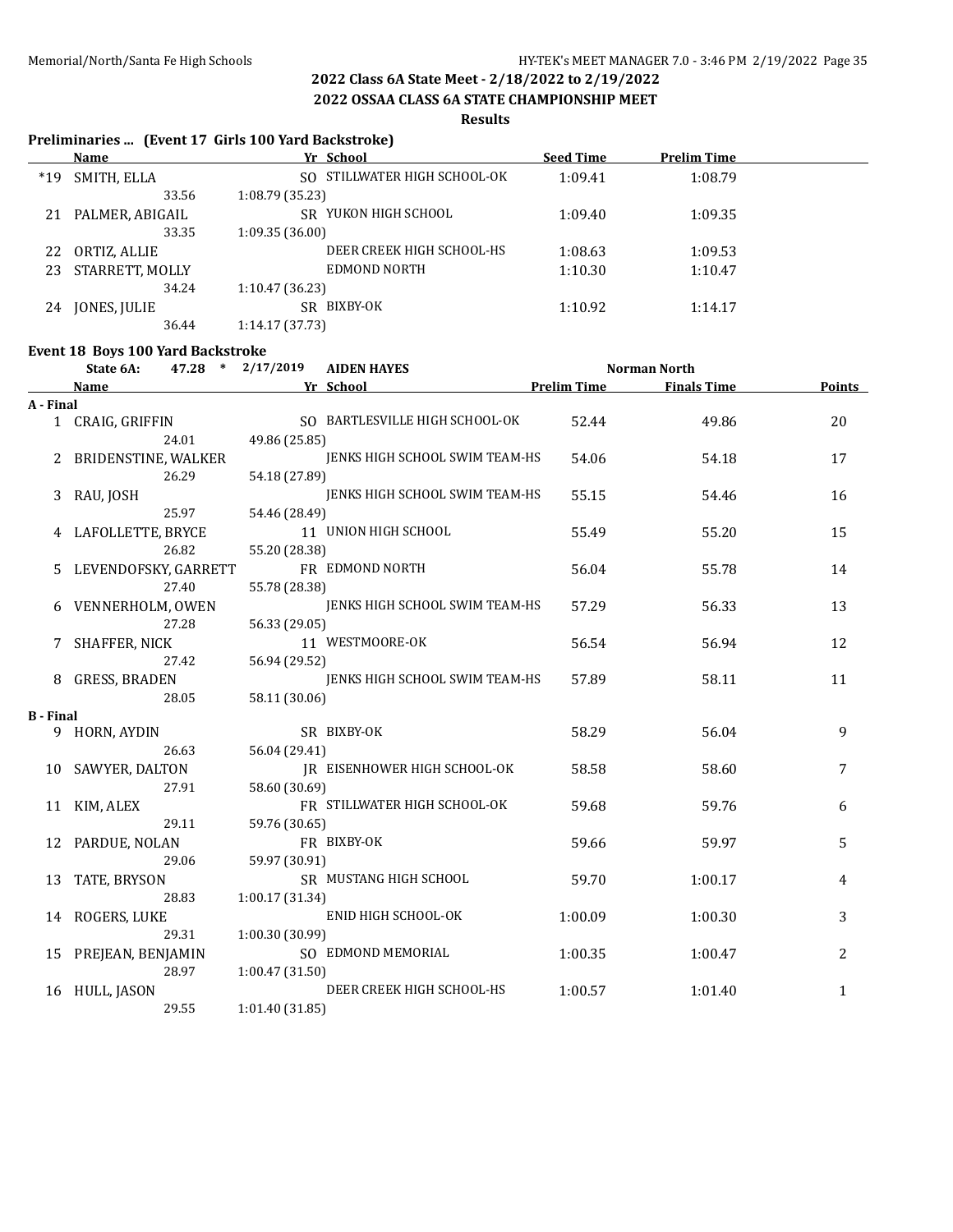**2022 OSSAA CLASS 6A STATE CHAMPIONSHIP MEET**

### **Results**

### **Preliminaries ... (Event 17 Girls 100 Yard Backstroke)**

|       | Name            | Yr School                    | <b>Seed Time</b> | <b>Prelim Time</b> |  |
|-------|-----------------|------------------------------|------------------|--------------------|--|
| $*19$ | SMITH, ELLA     | SO STILLWATER HIGH SCHOOL-OK | 1:09.41          | 1:08.79            |  |
|       | 33.56           | 1:08.79(35.23)               |                  |                    |  |
| 21    | PALMER, ABIGAIL | YUKON HIGH SCHOOL<br>SR.     | 1:09.40          | 1:09.35            |  |
|       | 33.35           | 1:09.35(36.00)               |                  |                    |  |
| 22    | ORTIZ, ALLIE    | DEER CREEK HIGH SCHOOL-HS    | 1:08.63          | 1:09.53            |  |
| 23    | STARRETT, MOLLY | EDMOND NORTH                 | 1:10.30          | 1:10.47            |  |
|       | 34.24           | 1:10.47(36.23)               |                  |                    |  |
| 24    | JONES, JULIE    | BIXBY-OK<br>SR.              | 1:10.92          | 1:14.17            |  |
|       | 36.44           | 1:14.17 (37.73)              |                  |                    |  |

# **Event 18 Boys 100 Yard Backstroke**

|                  | Littlit To Dovs Too Turk Duckstrokt<br>State 6A: | 47.28 * 2/17/2019 | <b>AIDEN HAYES</b>                  |                    | Norman North       |               |
|------------------|--------------------------------------------------|-------------------|-------------------------------------|--------------------|--------------------|---------------|
|                  | <b>Name</b>                                      |                   | Yr School                           | <b>Prelim Time</b> | <b>Finals Time</b> | <b>Points</b> |
| A - Final        |                                                  |                   |                                     |                    |                    |               |
|                  | 1 CRAIG, GRIFFIN                                 |                   | SO BARTLESVILLE HIGH SCHOOL-OK      | 52.44              | 49.86              | 20            |
|                  | 24.01                                            | 49.86 (25.85)     |                                     |                    |                    |               |
|                  | 2 BRIDENSTINE, WALKER                            |                   | JENKS HIGH SCHOOL SWIM TEAM-HS      | 54.06              | 54.18              | 17            |
|                  | 26.29                                            | 54.18 (27.89)     |                                     |                    |                    |               |
|                  | 3 RAU, JOSH                                      |                   | JENKS HIGH SCHOOL SWIM TEAM-HS      | 55.15              | 54.46              | 16            |
|                  | 25.97                                            | 54.46 (28.49)     |                                     |                    |                    |               |
|                  | 4 LAFOLLETTE, BRYCE                              |                   | 11 UNION HIGH SCHOOL                | 55.49              | 55.20              | 15            |
|                  | 26.82                                            | 55.20 (28.38)     |                                     |                    |                    |               |
| 5.               | LEVENDOFSKY, GARRETT                             |                   | FR EDMOND NORTH                     | 56.04              | 55.78              | 14            |
|                  | 27.40                                            | 55.78 (28.38)     |                                     |                    |                    |               |
|                  | 6 VENNERHOLM, OWEN                               |                   | JENKS HIGH SCHOOL SWIM TEAM-HS      | 57.29              | 56.33              | 13            |
|                  | 27.28                                            | 56.33 (29.05)     |                                     |                    |                    |               |
|                  | SHAFFER, NICK                                    |                   | 11 WESTMOORE-OK                     | 56.54              | 56.94              | 12            |
|                  | 27.42                                            | 56.94 (29.52)     |                                     |                    |                    |               |
| 8                | GRESS, BRADEN                                    |                   | JENKS HIGH SCHOOL SWIM TEAM-HS      | 57.89              | 58.11              | 11            |
|                  | 28.05                                            | 58.11 (30.06)     |                                     |                    |                    |               |
| <b>B</b> - Final |                                                  |                   |                                     |                    |                    |               |
|                  | 9 HORN, AYDIN                                    |                   | SR BIXBY-OK                         | 58.29              | 56.04              | 9             |
|                  | 26.63                                            | 56.04 (29.41)     |                                     |                    |                    |               |
|                  | 10 SAWYER, DALTON                                |                   | <b>IR EISENHOWER HIGH SCHOOL-OK</b> | 58.58              | 58.60              | 7             |
|                  | 27.91                                            | 58.60 (30.69)     |                                     |                    |                    |               |
|                  | 11 KIM, ALEX                                     |                   | FR STILLWATER HIGH SCHOOL-OK        | 59.68              | 59.76              | 6             |
|                  | 29.11                                            | 59.76 (30.65)     |                                     |                    |                    |               |
|                  | 12 PARDUE, NOLAN                                 |                   | FR BIXBY-OK                         | 59.66              | 59.97              | 5             |
|                  | 29.06                                            | 59.97 (30.91)     |                                     |                    |                    |               |
| 13               | TATE, BRYSON                                     |                   | SR MUSTANG HIGH SCHOOL              | 59.70              | 1:00.17            | 4             |
|                  | 28.83                                            | 1:00.17 (31.34)   |                                     |                    |                    |               |
|                  | 14 ROGERS, LUKE                                  |                   | ENID HIGH SCHOOL-OK                 | 1:00.09            | 1:00.30            | 3             |
|                  | 29.31                                            | 1:00.30 (30.99)   |                                     |                    |                    |               |
|                  | 15 PREJEAN, BENJAMIN                             |                   | SO EDMOND MEMORIAL                  | 1:00.35            | 1:00.47            | 2             |
|                  | 28.97                                            | 1:00.47 (31.50)   |                                     |                    |                    |               |
|                  | 16 HULL, JASON                                   |                   | DEER CREEK HIGH SCHOOL-HS           | 1:00.57            | 1:01.40            | $\mathbf{1}$  |
|                  | 29.55                                            | 1:01.40 (31.85)   |                                     |                    |                    |               |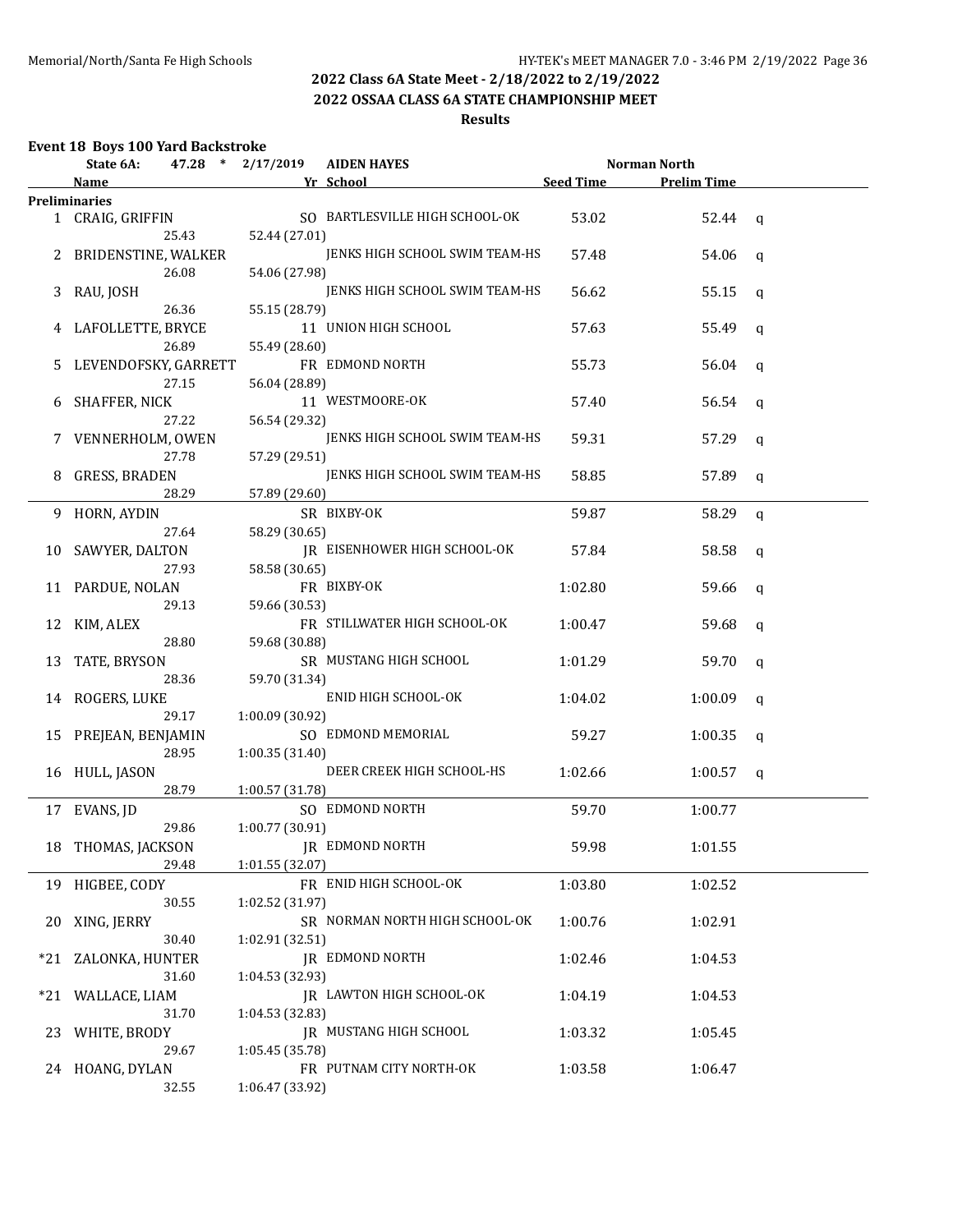## **2022 OSSAA CLASS 6A STATE CHAMPIONSHIP MEET**

## **Results**

# **Event 18 Boys 100 Yard Backstroke**

|       | 47.28 * 2/17/2019<br><b>AIDEN HAYES</b><br>Norman North<br>State 6A: |                 |                                |           |                    |              |
|-------|----------------------------------------------------------------------|-----------------|--------------------------------|-----------|--------------------|--------------|
|       | Name                                                                 |                 | Yr School                      | Seed Time | <b>Prelim Time</b> |              |
|       | <b>Preliminaries</b>                                                 |                 |                                |           |                    |              |
|       | 1 CRAIG, GRIFFIN<br>25.43                                            | 52.44 (27.01)   | SO BARTLESVILLE HIGH SCHOOL-OK | 53.02     | 52.44              | $\mathbf{q}$ |
|       | 2 BRIDENSTINE, WALKER                                                |                 | JENKS HIGH SCHOOL SWIM TEAM-HS | 57.48     | 54.06              | q            |
|       | 26.08                                                                | 54.06 (27.98)   |                                |           |                    |              |
|       | 3 RAU, JOSH<br>26.36                                                 | 55.15 (28.79)   | JENKS HIGH SCHOOL SWIM TEAM-HS | 56.62     | 55.15              | q            |
|       | 4 LAFOLLETTE, BRYCE                                                  |                 | 11 UNION HIGH SCHOOL           | 57.63     | 55.49              | q            |
|       | 26.89<br>5 LEVENDOFSKY, GARRETT                                      | 55.49 (28.60)   | FR EDMOND NORTH                |           |                    |              |
|       | 27.15                                                                | 56.04 (28.89)   |                                | 55.73     | 56.04              | q            |
|       | 6 SHAFFER, NICK                                                      |                 | 11 WESTMOORE-OK                | 57.40     | 56.54              | q            |
|       | 27.22                                                                | 56.54 (29.32)   |                                |           |                    |              |
|       | 7 VENNERHOLM, OWEN                                                   |                 | JENKS HIGH SCHOOL SWIM TEAM-HS | 59.31     | 57.29              | $\mathsf{q}$ |
|       | 27.78                                                                | 57.29 (29.51)   |                                |           |                    |              |
| 8     | GRESS, BRADEN                                                        |                 | JENKS HIGH SCHOOL SWIM TEAM-HS | 58.85     | 57.89              | q            |
|       | 28.29                                                                | 57.89 (29.60)   |                                |           |                    |              |
|       | 9 HORN, AYDIN                                                        |                 | SR BIXBY-OK                    | 59.87     | 58.29              | $\mathsf{q}$ |
|       | 27.64                                                                | 58.29 (30.65)   |                                |           |                    |              |
|       | 10 SAWYER, DALTON                                                    |                 | JR EISENHOWER HIGH SCHOOL-OK   | 57.84     | 58.58              | q            |
|       | 27.93                                                                | 58.58 (30.65)   |                                |           |                    |              |
|       | 11 PARDUE, NOLAN                                                     |                 | FR BIXBY-OK                    | 1:02.80   | 59.66              | q            |
|       | 29.13                                                                | 59.66 (30.53)   |                                |           |                    |              |
|       | 12 KIM, ALEX                                                         |                 | FR STILLWATER HIGH SCHOOL-OK   | 1:00.47   | 59.68              | q            |
|       | 28.80                                                                | 59.68 (30.88)   |                                |           |                    |              |
|       | 13 TATE, BRYSON                                                      |                 | SR MUSTANG HIGH SCHOOL         | 1:01.29   | 59.70              | q            |
|       | 28.36                                                                | 59.70 (31.34)   |                                |           |                    |              |
|       | 14 ROGERS, LUKE                                                      |                 | ENID HIGH SCHOOL-OK            | 1:04.02   | 1:00.09            | q            |
|       | 29.17                                                                | 1:00.09 (30.92) |                                |           |                    |              |
|       | 15 PREJEAN, BENJAMIN                                                 |                 | SO EDMOND MEMORIAL             | 59.27     | 1:00.35            | q            |
|       | 28.95                                                                | 1:00.35(31.40)  | DEER CREEK HIGH SCHOOL-HS      |           |                    |              |
|       | 16 HULL, JASON<br>28.79                                              |                 |                                | 1:02.66   | 1:00.57            | q            |
|       | 17 EVANS, JD                                                         | 1:00.57 (31.78) | SO EDMOND NORTH                | 59.70     | 1:00.77            |              |
|       | 29.86                                                                | 1:00.77 (30.91) |                                |           |                    |              |
|       | 18 THOMAS, JACKSON                                                   |                 | IR EDMOND NORTH                | 59.98     | 1:01.55            |              |
|       | 29.48                                                                | 1:01.55 (32.07) |                                |           |                    |              |
|       | 19 HIGBEE, CODY                                                      |                 | FR ENID HIGH SCHOOL-OK         | 1:03.80   | 1:02.52            |              |
|       | 30.55                                                                | 1:02.52 (31.97) |                                |           |                    |              |
| 20    | XING, JERRY                                                          |                 | SR NORMAN NORTH HIGH SCHOOL-OK | 1:00.76   | 1:02.91            |              |
|       | 30.40                                                                | 1:02.91 (32.51) |                                |           |                    |              |
| $*21$ | ZALONKA, HUNTER                                                      |                 | <b>JR EDMOND NORTH</b>         | 1:02.46   | 1:04.53            |              |
|       | 31.60                                                                | 1:04.53 (32.93) |                                |           |                    |              |
| $*21$ | WALLACE, LIAM                                                        |                 | JR LAWTON HIGH SCHOOL-OK       | 1:04.19   | 1:04.53            |              |
|       | 31.70                                                                | 1:04.53 (32.83) |                                |           |                    |              |
|       | 23 WHITE, BRODY                                                      |                 | <b>IR MUSTANG HIGH SCHOOL</b>  | 1:03.32   | 1:05.45            |              |
|       | 29.67                                                                | 1:05.45 (35.78) |                                |           |                    |              |
|       | 24 HOANG, DYLAN                                                      |                 | FR PUTNAM CITY NORTH-OK        | 1:03.58   | 1:06.47            |              |
|       | 32.55                                                                | 1:06.47 (33.92) |                                |           |                    |              |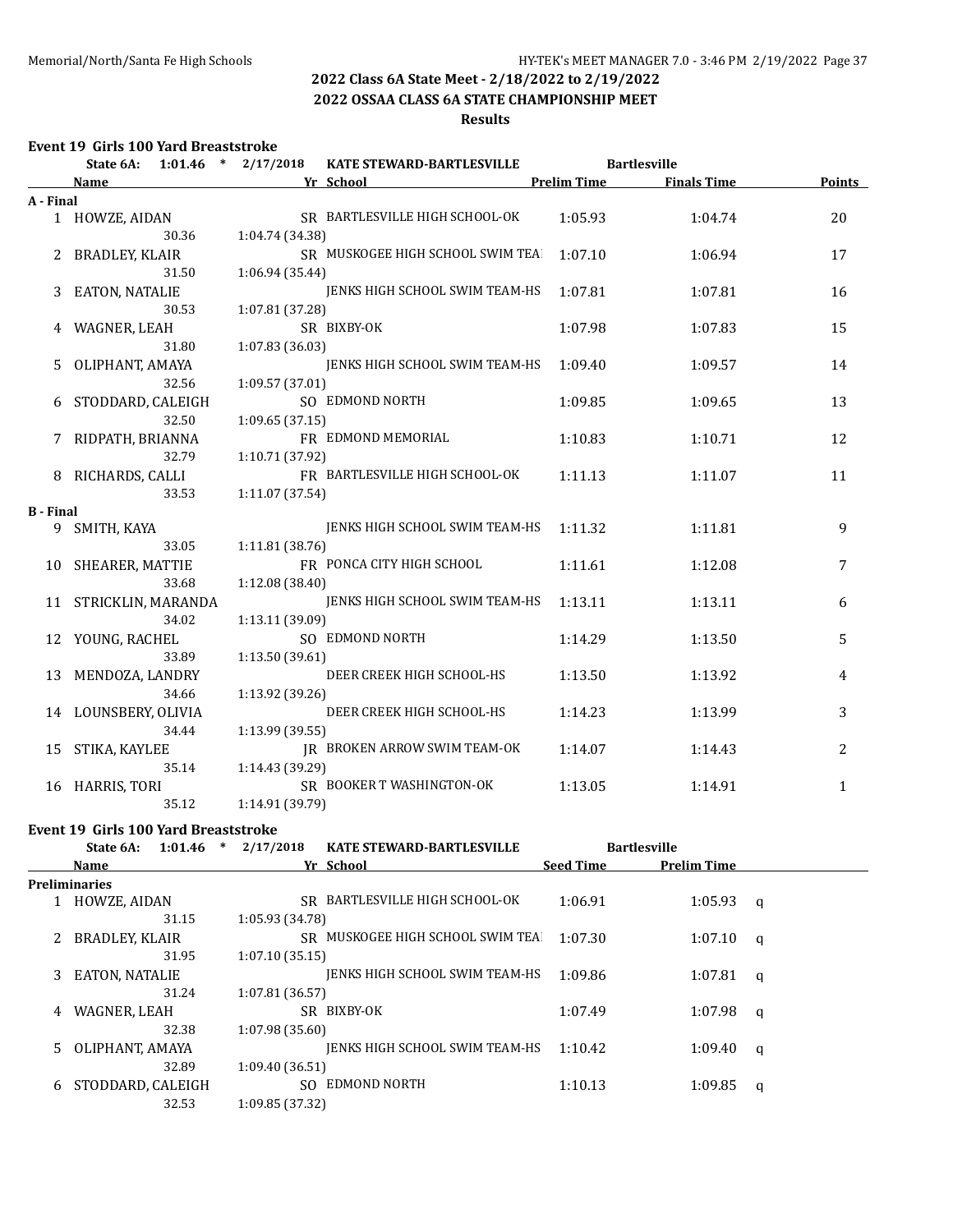## **2022 OSSAA CLASS 6A STATE CHAMPIONSHIP MEET**

## **Results**

## **Event 19 Girls 100 Yard Breaststroke**

|                  | State 6A:             | $1:01.46$ * $2/17/2018$ | <b>KATE STEWARD-BARTLESVILLE</b> |                    | <b>Bartlesville</b> |               |
|------------------|-----------------------|-------------------------|----------------------------------|--------------------|---------------------|---------------|
|                  | <b>Name</b>           |                         | Yr School                        | <b>Prelim Time</b> | <b>Finals Time</b>  | <b>Points</b> |
| A - Final        |                       |                         |                                  |                    |                     |               |
|                  | 1 HOWZE, AIDAN        |                         | SR BARTLESVILLE HIGH SCHOOL-OK   | 1:05.93            | 1:04.74             | 20            |
|                  | 30.36                 | 1:04.74 (34.38)         |                                  |                    |                     |               |
|                  | BRADLEY, KLAIR        |                         | SR MUSKOGEE HIGH SCHOOL SWIM TEA | 1:07.10            | 1:06.94             | 17            |
|                  | 31.50                 | 1:06.94 (35.44)         |                                  |                    |                     |               |
| 3                | EATON, NATALIE        |                         | JENKS HIGH SCHOOL SWIM TEAM-HS   | 1:07.81            | 1:07.81             | 16            |
|                  | 30.53                 | 1:07.81 (37.28)         |                                  |                    |                     |               |
|                  | WAGNER, LEAH          |                         | SR BIXBY-OK                      | 1:07.98            | 1:07.83             | 15            |
|                  | 31.80                 | 1:07.83 (36.03)         |                                  |                    |                     |               |
| 5.               | OLIPHANT, AMAYA       |                         | JENKS HIGH SCHOOL SWIM TEAM-HS   | 1:09.40            | 1:09.57             | 14            |
|                  | 32.56                 | 1:09.57 (37.01)         |                                  |                    |                     |               |
|                  | 6 STODDARD, CALEIGH   |                         | SO EDMOND NORTH                  | 1:09.85            | 1:09.65             | 13            |
|                  | 32.50                 | 1:09.65(37.15)          |                                  |                    |                     |               |
|                  | 7 RIDPATH, BRIANNA    |                         | FR EDMOND MEMORIAL               | 1:10.83            | 1:10.71             | 12            |
|                  | 32.79                 | 1:10.71 (37.92)         |                                  |                    |                     |               |
| 8                | RICHARDS, CALLI       |                         | FR BARTLESVILLE HIGH SCHOOL-OK   | 1:11.13            | 1:11.07             | 11            |
| <b>B</b> - Final | 33.53                 | 1:11.07 (37.54)         |                                  |                    |                     |               |
| 9                | SMITH, KAYA           |                         | JENKS HIGH SCHOOL SWIM TEAM-HS   | 1:11.32            | 1:11.81             | 9             |
|                  | 33.05                 | 1:11.81 (38.76)         |                                  |                    |                     |               |
| 10               | SHEARER, MATTIE       |                         | FR PONCA CITY HIGH SCHOOL        | 1:11.61            | 1:12.08             | 7             |
|                  | 33.68                 | 1:12.08 (38.40)         |                                  |                    |                     |               |
|                  | 11 STRICKLIN, MARANDA |                         | JENKS HIGH SCHOOL SWIM TEAM-HS   | 1:13.11            | 1:13.11             | 6             |
|                  | 34.02                 | 1:13.11 (39.09)         |                                  |                    |                     |               |
| 12               | YOUNG, RACHEL         |                         | SO EDMOND NORTH                  | 1:14.29            | 1:13.50             | 5             |
|                  | 33.89                 | 1:13.50 (39.61)         |                                  |                    |                     |               |
| 13               | MENDOZA, LANDRY       |                         | DEER CREEK HIGH SCHOOL-HS        | 1:13.50            | 1:13.92             | 4             |
|                  | 34.66                 | 1:13.92 (39.26)         |                                  |                    |                     |               |
|                  | 14 LOUNSBERY, OLIVIA  |                         | DEER CREEK HIGH SCHOOL-HS        | 1:14.23            | 1:13.99             | 3             |
|                  | 34.44                 | 1:13.99 (39.55)         |                                  |                    |                     |               |
| 15               | STIKA, KAYLEE         |                         | IR BROKEN ARROW SWIM TEAM-OK     | 1:14.07            | 1:14.43             | 2             |
|                  | 35.14                 | 1:14.43 (39.29)         |                                  |                    |                     |               |
| 16               | HARRIS, TORI          |                         | SR BOOKER T WASHINGTON-OK        | 1:13.05            | 1:14.91             | $\mathbf{1}$  |
|                  | 35.12                 | 1:14.91 (39.79)         |                                  |                    |                     |               |

### **Event 19 Girls 100 Yard Breaststroke**

|    | 1:01.46<br>State 6A: | $\ast$<br>2/17/2018 | <b>KATE STEWARD-BARTLESVILLE</b> |                  | <b>Bartlesville</b> |   |
|----|----------------------|---------------------|----------------------------------|------------------|---------------------|---|
|    | <b>Name</b>          |                     | Yr School                        | <b>Seed Time</b> | <b>Prelim Time</b>  |   |
|    | <b>Preliminaries</b> |                     |                                  |                  |                     |   |
|    | HOWZE, AIDAN         |                     | SR BARTLESVILLE HIGH SCHOOL-OK   | 1:06.91          | 1:05.93             | q |
|    | 31.15                | 1:05.93 (34.78)     |                                  |                  |                     |   |
|    | BRADLEY, KLAIR       | SR                  | MUSKOGEE HIGH SCHOOL SWIM TEA    | 1:07.30          | 1:07.10             | q |
|    | 31.95                | 1:07.10(35.15)      |                                  |                  |                     |   |
| 3  | EATON, NATALIE       |                     | JENKS HIGH SCHOOL SWIM TEAM-HS   | 1:09.86          | 1:07.81             | a |
|    | 31.24                | 1:07.81(36.57)      |                                  |                  |                     |   |
| 4  | WAGNER, LEAH         |                     | SR BIXBY-OK                      | 1:07.49          | 1:07.98             | a |
|    | 32.38                | 1:07.98 (35.60)     |                                  |                  |                     |   |
| 5. | OLIPHANT, AMAYA      |                     | JENKS HIGH SCHOOL SWIM TEAM-HS   | 1:10.42          | 1:09.40             | q |
|    | 32.89                | 1:09.40(36.51)      |                                  |                  |                     |   |
| 6  | STODDARD, CALEIGH    | SO.                 | EDMOND NORTH                     | 1:10.13          | 1:09.85             | q |
|    | 32.53                | 1:09.85 (37.32)     |                                  |                  |                     |   |
|    |                      |                     |                                  |                  |                     |   |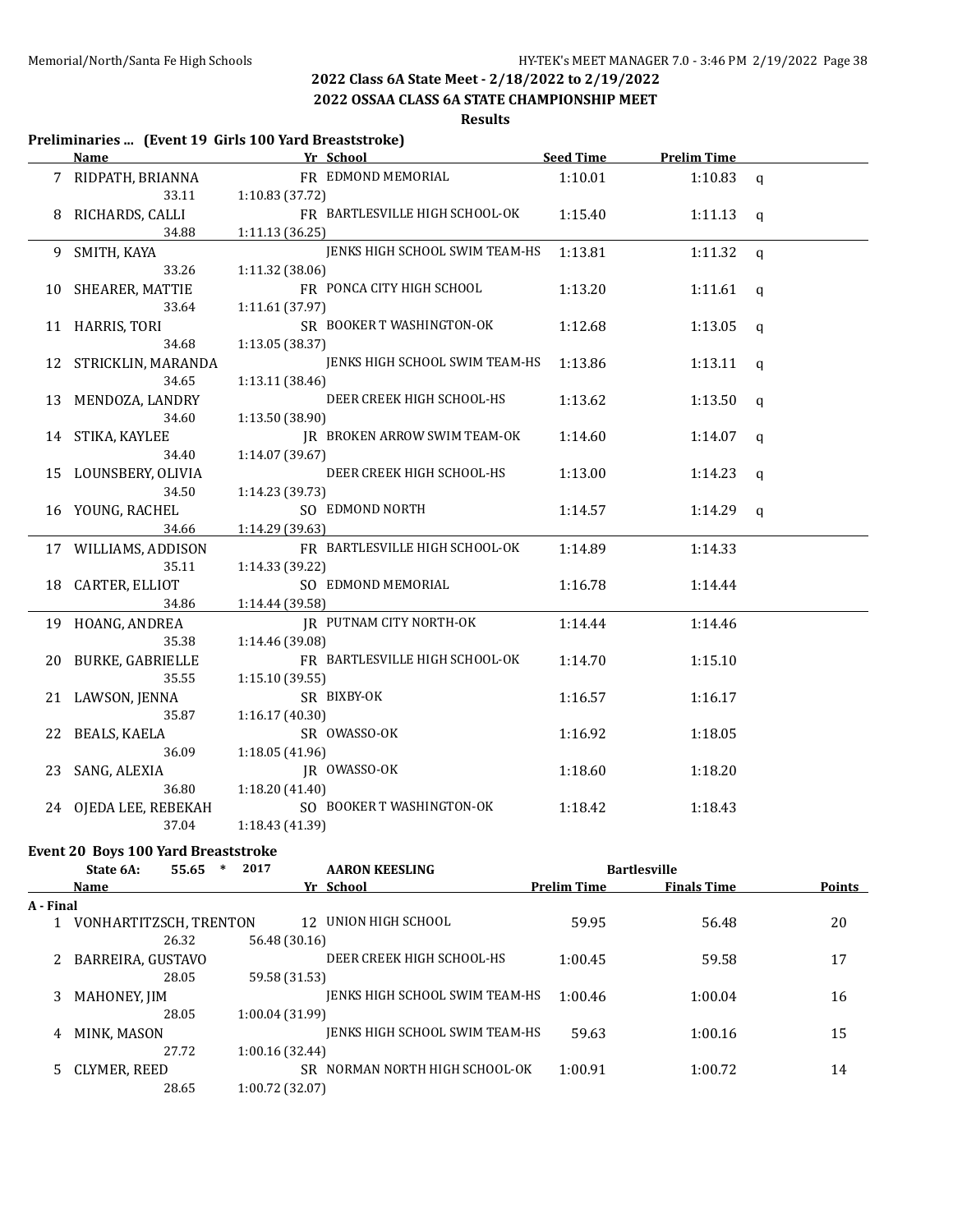**2022 OSSAA CLASS 6A STATE CHAMPIONSHIP MEET**

**Results**

## **Preliminaries ... (Event 19 Girls 100 Yard Breaststroke)**

|                       |                                |         | Seed Time Prelim Time |              |
|-----------------------|--------------------------------|---------|-----------------------|--------------|
| 7 RIDPATH, BRIANNA    | FR EDMOND MEMORIAL             | 1:10.01 | 1:10.83               | q            |
| 33.11                 | 1:10.83 (37.72)                |         |                       |              |
| RICHARDS, CALLI       | FR BARTLESVILLE HIGH SCHOOL-OK | 1:15.40 | 1:11.13               | $\mathbf{q}$ |
| 34.88                 | 1:11.13 (36.25)                |         |                       |              |
| 9 SMITH, KAYA         | JENKS HIGH SCHOOL SWIM TEAM-HS | 1:13.81 | 1:11.32               | q            |
| 33.26                 | 1:11.32 (38.06)                |         |                       |              |
| 10 SHEARER, MATTIE    | FR PONCA CITY HIGH SCHOOL      | 1:13.20 | 1:11.61               | q            |
| 33.64                 | 1:11.61 (37.97)                |         |                       |              |
| 11 HARRIS, TORI       | SR BOOKER T WASHINGTON-OK      | 1:12.68 | 1:13.05               | q            |
| 34.68                 | 1:13.05 (38.37)                |         |                       |              |
| 12 STRICKLIN, MARANDA | JENKS HIGH SCHOOL SWIM TEAM-HS | 1:13.86 | 1:13.11               | q            |
| 34.65                 | 1:13.11(38.46)                 |         |                       |              |
| 13 MENDOZA, LANDRY    | DEER CREEK HIGH SCHOOL-HS      | 1:13.62 | 1:13.50               | q            |
| 34.60                 | 1:13.50 (38.90)                |         |                       |              |
| 14 STIKA, KAYLEE      | JR BROKEN ARROW SWIM TEAM-OK   | 1:14.60 | 1:14.07               | q            |
| 34.40                 | 1:14.07 (39.67)                |         |                       |              |
| 15 LOUNSBERY, OLIVIA  | DEER CREEK HIGH SCHOOL-HS      | 1:13.00 | 1:14.23               | q            |
| 34.50                 | 1:14.23 (39.73)                |         |                       |              |
| 16 YOUNG, RACHEL      | SO EDMOND NORTH                | 1:14.57 | 1:14.29 $q$           |              |
| 34.66                 | 1:14.29 (39.63)                |         |                       |              |
| 17 WILLIAMS, ADDISON  | FR BARTLESVILLE HIGH SCHOOL-OK | 1:14.89 | 1:14.33               |              |
| 35.11                 | 1:14.33 (39.22)                |         |                       |              |
| 18 CARTER, ELLIOT     | SO EDMOND MEMORIAL             | 1:16.78 | 1:14.44               |              |
| 34.86                 | 1:14.44 (39.58)                |         |                       |              |
| 19 HOANG, ANDREA      | JR PUTNAM CITY NORTH-OK        | 1:14.44 | 1:14.46               |              |
| 35.38                 | 1:14.46 (39.08)                |         |                       |              |
| 20 BURKE, GABRIELLE   | FR BARTLESVILLE HIGH SCHOOL-OK | 1:14.70 | 1:15.10               |              |
| 35.55                 | 1:15.10(39.55)                 |         |                       |              |
| 21 LAWSON, JENNA      | SR BIXBY-OK                    | 1:16.57 | 1:16.17               |              |
| 35.87                 | 1:16.17(40.30)                 |         |                       |              |
| 22 BEALS, KAELA       | SR OWASSO-OK                   | 1:16.92 | 1:18.05               |              |
| 36.09                 | 1:18.05 (41.96)                |         |                       |              |
| 23 SANG, ALEXIA       | JR OWASSO-OK                   | 1:18.60 | 1:18.20               |              |
| 36.80                 | 1:18.20 (41.40)                |         |                       |              |
| 24 OJEDA LEE, REBEKAH | SO BOOKER T WASHINGTON-OK      | 1:18.42 | 1:18.43               |              |
| 37.04                 | 1:18.43 (41.39)                |         |                       |              |

## **Event 20 Boys 100 Yard Breaststroke**

| State 6A: |                        | 55.65<br>$\ast$ |  |                 |     | 2017                                  |                    | <b>AARON KEESLING</b> |               | <b>Bartlesville</b> |  |
|-----------|------------------------|-----------------|--|-----------------|-----|---------------------------------------|--------------------|-----------------------|---------------|---------------------|--|
|           | <b>Name</b>            |                 |  |                 |     | Yr School                             | <b>Prelim Time</b> | <b>Finals Time</b>    | <b>Points</b> |                     |  |
| A - Final |                        |                 |  |                 |     |                                       |                    |                       |               |                     |  |
|           | VONHARTITZSCH, TRENTON |                 |  |                 | 12. | UNION HIGH SCHOOL                     | 59.95              | 56.48                 | 20            |                     |  |
|           |                        | 26.32           |  | 56.48 (30.16)   |     |                                       |                    |                       |               |                     |  |
|           | BARREIRA, GUSTAVO      |                 |  |                 |     | DEER CREEK HIGH SCHOOL-HS             | 1:00.45            | 59.58                 | 17            |                     |  |
|           |                        | 28.05           |  | 59.58 (31.53)   |     |                                       |                    |                       |               |                     |  |
| 3         | MAHONEY, JIM           |                 |  |                 |     | <b>JENKS HIGH SCHOOL SWIM TEAM-HS</b> | 1:00.46            | 1:00.04               | 16            |                     |  |
|           |                        | 28.05           |  | 1:00.04 (31.99) |     |                                       |                    |                       |               |                     |  |
| 4         | MINK, MASON            |                 |  |                 |     | JENKS HIGH SCHOOL SWIM TEAM-HS        | 59.63              | 1:00.16               | 15            |                     |  |
|           |                        | 27.72           |  | 1:00.16(32.44)  |     |                                       |                    |                       |               |                     |  |
|           | CLYMER, REED           |                 |  |                 | SR. | NORMAN NORTH HIGH SCHOOL-OK           | 1:00.91            | 1:00.72               | 14            |                     |  |
|           |                        | 28.65           |  | 1:00.72 (32.07) |     |                                       |                    |                       |               |                     |  |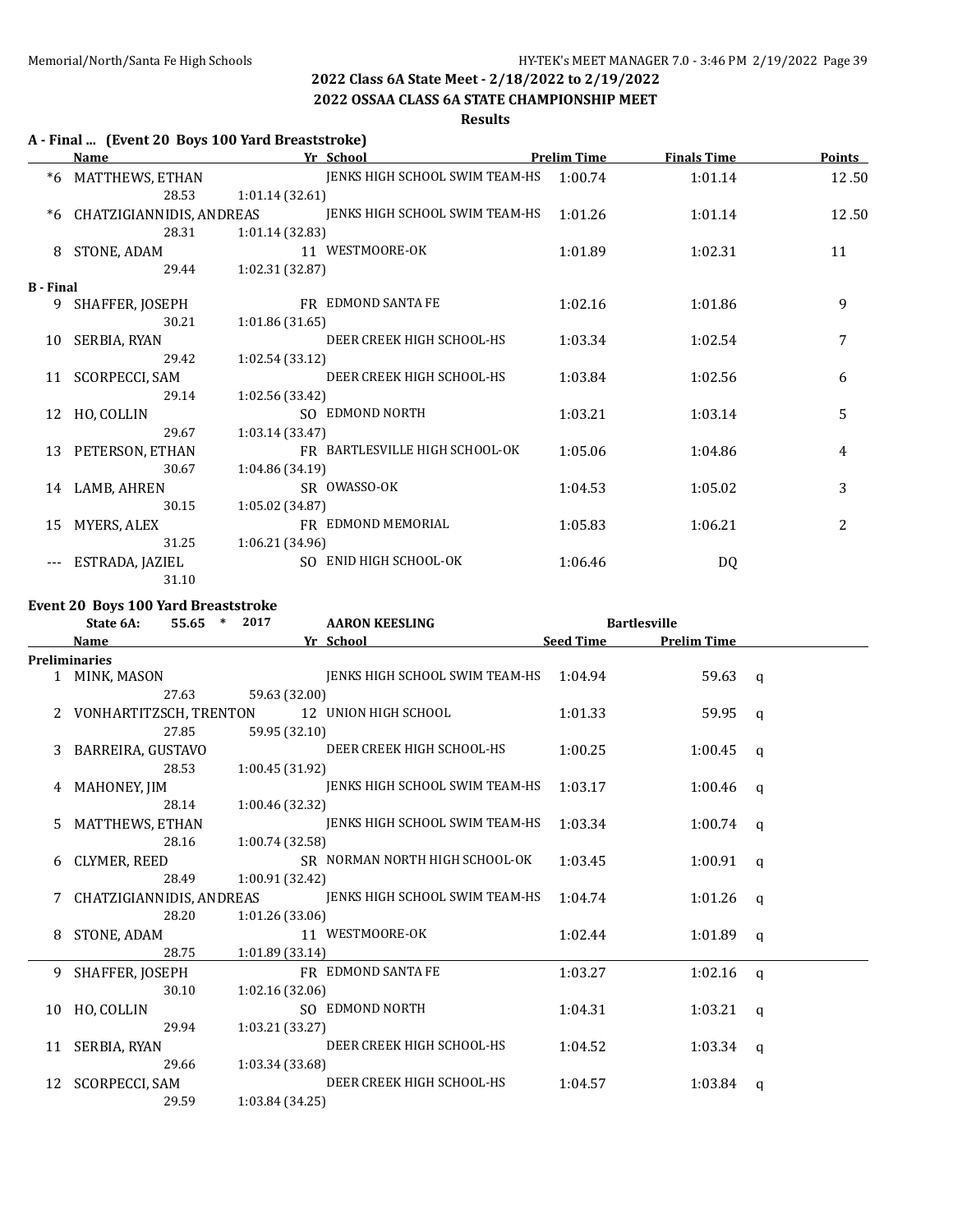### **2022 OSSAA CLASS 6A STATE CHAMPIONSHIP MEET**

**Results**

## **A - Final ... (Event 20 Boys 100 Yard Breaststroke)**

|                  | Name                     | Yr School                      | <b>Prelim Time</b> | <b>Finals Time</b> | <b>Points</b> |
|------------------|--------------------------|--------------------------------|--------------------|--------------------|---------------|
| $*6$             | MATTHEWS, ETHAN          | JENKS HIGH SCHOOL SWIM TEAM-HS | 1:00.74            | 1:01.14            | 12.50         |
|                  | 28.53                    | 1:01.14(32.61)                 |                    |                    |               |
| *6               | CHATZIGIANNIDIS, ANDREAS | JENKS HIGH SCHOOL SWIM TEAM-HS | 1:01.26            | 1:01.14            | 12.50         |
|                  | 28.31                    | 1:01.14 (32.83)                |                    |                    |               |
| 8                | STONE, ADAM              | 11 WESTMOORE-OK                | 1:01.89            | 1:02.31            | 11            |
|                  | 29.44                    | 1:02.31 (32.87)                |                    |                    |               |
| <b>B</b> - Final |                          |                                |                    |                    |               |
| 9                | SHAFFER, JOSEPH          | FR EDMOND SANTA FE             | 1:02.16            | 1:01.86            | 9             |
|                  | 30.21                    | 1:01.86(31.65)                 |                    |                    |               |
| 10               | SERBIA, RYAN             | DEER CREEK HIGH SCHOOL-HS      | 1:03.34            | 1:02.54            | 7             |
|                  | 29.42                    | 1:02.54(33.12)                 |                    |                    |               |
|                  | 11 SCORPECCI, SAM        | DEER CREEK HIGH SCHOOL-HS      | 1:03.84            | 1:02.56            | 6             |
|                  | 29.14                    | 1:02.56(33.42)                 |                    |                    |               |
|                  | 12 HO, COLLIN            | SO EDMOND NORTH                | 1:03.21            | 1:03.14            | 5             |
|                  | 29.67                    | 1:03.14(33.47)                 |                    |                    |               |
| 13               | PETERSON, ETHAN          | FR BARTLESVILLE HIGH SCHOOL-OK | 1:05.06            | 1:04.86            | 4             |
|                  | 30.67                    | 1:04.86 (34.19)                |                    |                    |               |
| 14               | LAMB, AHREN              | SR OWASSO-OK                   | 1:04.53            | 1:05.02            | 3             |
|                  | 30.15                    | 1:05.02(34.87)                 |                    |                    |               |
| 15               | MYERS, ALEX              | FR EDMOND MEMORIAL             | 1:05.83            | 1:06.21            | 2             |
|                  | 31.25                    | 1:06.21(34.96)                 |                    |                    |               |
|                  | ESTRADA, JAZIEL          | SO ENID HIGH SCHOOL-OK         | 1:06.46            | DQ                 |               |
|                  | 31.10                    |                                |                    |                    |               |

### **Event 20 Boys 100 Yard Breaststroke**

|    | 55.65<br>State 6A:       | 2017<br>$\ast$  | <b>AARON KEESLING</b>          |                  | <b>Bartlesville</b> |          |
|----|--------------------------|-----------------|--------------------------------|------------------|---------------------|----------|
|    | Name                     |                 | Yr School                      | <b>Seed Time</b> | <b>Prelim Time</b>  |          |
|    | <b>Preliminaries</b>     |                 |                                |                  |                     |          |
|    | 1 MINK, MASON            |                 | JENKS HIGH SCHOOL SWIM TEAM-HS | 1:04.94          | $59.63 \text{ a}$   |          |
|    | 27.63                    | 59.63 (32.00)   |                                |                  |                     |          |
|    | VONHARTITZSCH, TRENTON   |                 | 12 UNION HIGH SCHOOL           | 1:01.33          | 59.95               | $\alpha$ |
|    | 27.85                    | 59.95 (32.10)   |                                |                  |                     |          |
| 3  | BARREIRA, GUSTAVO        |                 | DEER CREEK HIGH SCHOOL-HS      | 1:00.25          | 1:00.45             | a        |
|    | 28.53                    | 1:00.45(31.92)  |                                |                  |                     |          |
| 4  | MAHONEY, JIM             |                 | JENKS HIGH SCHOOL SWIM TEAM-HS | 1:03.17          | $1:00.46$ q         |          |
|    | 28.14                    | 1:00.46 (32.32) |                                |                  |                     |          |
| 5  | MATTHEWS, ETHAN          |                 | JENKS HIGH SCHOOL SWIM TEAM-HS | 1:03.34          | $1:00.74$ q         |          |
|    | 28.16                    | 1:00.74 (32.58) |                                |                  |                     |          |
| 6  | CLYMER, REED             |                 | SR NORMAN NORTH HIGH SCHOOL-OK | 1:03.45          | $1:00.91$ a         |          |
|    | 28.49                    | 1:00.91 (32.42) |                                |                  |                     |          |
|    | CHATZIGIANNIDIS, ANDREAS |                 | JENKS HIGH SCHOOL SWIM TEAM-HS | 1:04.74          | $1:01.26$ a         |          |
|    | 28.20                    | 1:01.26 (33.06) |                                |                  |                     |          |
| 8  | STONE, ADAM              |                 | 11 WESTMOORE-OK                | 1:02.44          | 1:01.89             | q        |
|    | 28.75                    | 1:01.89 (33.14) |                                |                  |                     |          |
| 9  | SHAFFER, JOSEPH          |                 | FR EDMOND SANTA FE             | 1:03.27          | 1:02.16             | $\alpha$ |
|    | 30.10                    | 1:02.16(32.06)  |                                |                  |                     |          |
| 10 | HO, COLLIN               |                 | SO EDMOND NORTH                | 1:04.31          | 1:03.21             | $\alpha$ |
|    | 29.94                    | 1:03.21 (33.27) |                                |                  |                     |          |
|    | 11 SERBIA, RYAN          |                 | DEER CREEK HIGH SCHOOL-HS      | 1:04.52          | $1:03.34$ a         |          |
|    | 29.66                    | 1:03.34 (33.68) |                                |                  |                     |          |
|    | 12 SCORPECCI, SAM        |                 | DEER CREEK HIGH SCHOOL-HS      | 1:04.57          | 1:03.84             | q        |
|    | 29.59                    | 1:03.84 (34.25) |                                |                  |                     |          |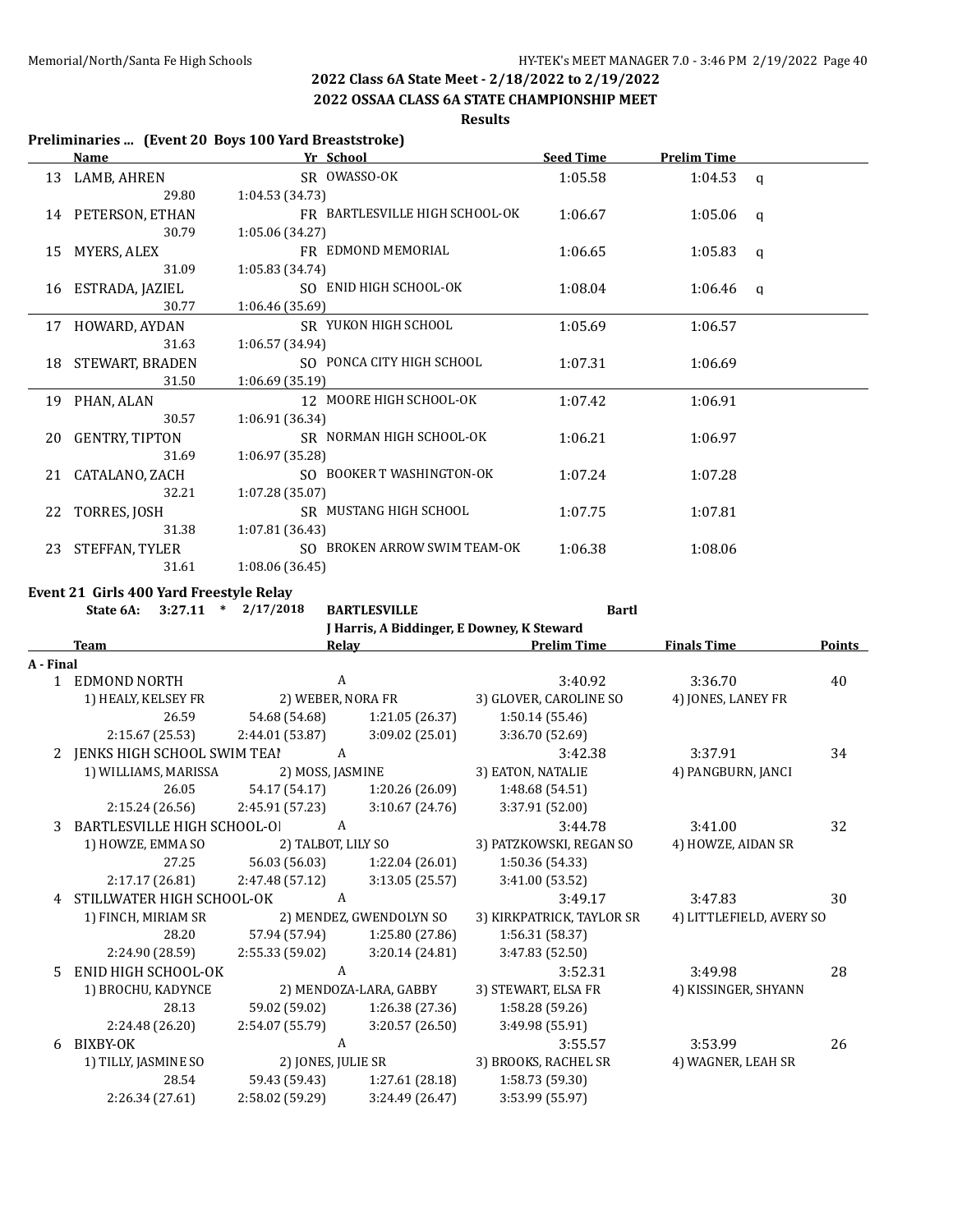**2022 OSSAA CLASS 6A STATE CHAMPIONSHIP MEET**

**Results**

### **Preliminaries ... (Event 20 Boys 100 Yard Breaststroke)**

|    | Name               | Yr School                      | <b>Seed Time</b> | <b>Prelim Time</b> |          |
|----|--------------------|--------------------------------|------------------|--------------------|----------|
|    | 13 LAMB, AHREN     | SR OWASSO-OK                   | 1:05.58          | $1:04.53$ q        |          |
|    | 29.80              | 1:04.53(34.73)                 |                  |                    |          |
|    | 14 PETERSON, ETHAN | FR BARTLESVILLE HIGH SCHOOL-OK | 1:06.67          | $1:05.06$ q        |          |
|    | 30.79              | 1:05.06(34.27)                 |                  |                    |          |
| 15 | MYERS, ALEX        | FR EDMOND MEMORIAL             | 1:06.65          | 1:05.83            | q        |
|    | 31.09              | 1:05.83(34.74)                 |                  |                    |          |
|    | 16 ESTRADA, JAZIEL | SO ENID HIGH SCHOOL-OK         | 1:08.04          | 1:06.46            | $\alpha$ |
|    | 30.77              | 1:06.46 (35.69)                |                  |                    |          |
|    | 17 HOWARD, AYDAN   | SR YUKON HIGH SCHOOL           | 1:05.69          | 1:06.57            |          |
|    | 31.63              | 1:06.57(34.94)                 |                  |                    |          |
|    | 18 STEWART, BRADEN | SO PONCA CITY HIGH SCHOOL      | 1:07.31          | 1:06.69            |          |
|    | 31.50              | 1:06.69(35.19)                 |                  |                    |          |
|    | 19 PHAN, ALAN      | 12 MOORE HIGH SCHOOL-OK        | 1:07.42          | 1:06.91            |          |
|    | 30.57              | 1:06.91 (36.34)                |                  |                    |          |
|    | 20 GENTRY, TIPTON  | SR NORMAN HIGH SCHOOL-OK       | 1:06.21          | 1:06.97            |          |
|    | 31.69              | 1:06.97 (35.28)                |                  |                    |          |
|    | 21 CATALANO, ZACH  | SO BOOKER T WASHINGTON-OK      | 1:07.24          | 1:07.28            |          |
|    | 32.21              | 1:07.28(35.07)                 |                  |                    |          |
|    | 22 TORRES, JOSH    | SR MUSTANG HIGH SCHOOL         | 1:07.75          | 1:07.81            |          |
|    | 31.38              | 1:07.81(36.43)                 |                  |                    |          |
|    | 23 STEFFAN, TYLER  | SO BROKEN ARROW SWIM TEAM-OK   | 1:06.38          | 1:08.06            |          |
|    | 31.61              | 1:08.06 (36.45)                |                  |                    |          |

### **Event 21 Girls 400 Yard Freestyle Relay**

**State 6A: 3:27.11 \* 2/17/2018 BARTLESVILLE Bartl**

**J Harris, A Biddinger, E Downey, K Steward**

|           | <b>Team</b>                 | Relay              |                         | <b>Prelim Time</b>        | <b>Finals Time</b>       | <b>Points</b> |
|-----------|-----------------------------|--------------------|-------------------------|---------------------------|--------------------------|---------------|
| A - Final |                             |                    |                         |                           |                          |               |
|           | 1 EDMOND NORTH              | A                  |                         | 3:40.92                   | 3:36.70                  | 40            |
|           | 1) HEALY, KELSEY FR         | 2) WEBER, NORA FR  |                         | 3) GLOVER, CAROLINE SO    | 4) JONES, LANEY FR       |               |
|           | 26.59                       | 54.68 (54.68)      | 1:21.05 (26.37)         | 1:50.14 (55.46)           |                          |               |
|           | 2:15.67 (25.53)             | 2:44.01 (53.87)    | 3:09.02 (25.01)         | 3:36.70 (52.69)           |                          |               |
| 2         | JENKS HIGH SCHOOL SWIM TEAI | A                  |                         | 3:42.38                   | 3:37.91                  | 34            |
|           | 1) WILLIAMS, MARISSA        | 2) MOSS, JASMINE   |                         | 3) EATON, NATALIE         | 4) PANGBURN, JANCI       |               |
|           | 26.05                       | 54.17 (54.17)      | 1:20.26 (26.09)         | 1:48.68 (54.51)           |                          |               |
|           | 2:15.24(26.56)              | 2:45.91 (57.23)    | 3:10.67(24.76)          | 3:37.91 (52.00)           |                          |               |
| 3         | BARTLESVILLE HIGH SCHOOL-OI | A                  |                         | 3:44.78                   | 3:41.00                  | 32            |
|           | 1) HOWZE, EMMA SO           | 2) TALBOT, LILY SO |                         | 3) PATZKOWSKI, REGAN SO   | 4) HOWZE, AIDAN SR       |               |
|           | 27.25                       | 56.03 (56.03)      | 1:22.04 (26.01)         | 1:50.36 (54.33)           |                          |               |
|           | 2:17.17 (26.81)             | 2:47.48 (57.12)    | 3:13.05 (25.57)         | 3:41.00 (53.52)           |                          |               |
| 4         | STILLWATER HIGH SCHOOL-OK   | A                  |                         | 3:49.17                   | 3:47.83                  | 30            |
|           | 1) FINCH, MIRIAM SR         |                    | 2) MENDEZ, GWENDOLYN SO | 3) KIRKPATRICK, TAYLOR SR | 4) LITTLEFIELD, AVERY SO |               |
|           | 28.20                       | 57.94 (57.94)      | 1:25.80(27.86)          | 1:56.31 (58.37)           |                          |               |
|           | 2:24.90 (28.59)             | 2:55.33 (59.02)    | 3:20.14 (24.81)         | 3:47.83 (52.50)           |                          |               |
| 5.        | ENID HIGH SCHOOL-OK         | A                  |                         | 3:52.31                   | 3:49.98                  | 28            |
|           | 1) BROCHU, KADYNCE          |                    | 2) MENDOZA-LARA, GABBY  | 3) STEWART, ELSA FR       | 4) KISSINGER, SHYANN     |               |
|           | 28.13                       | 59.02 (59.02)      | 1:26.38(27.36)          | 1:58.28 (59.26)           |                          |               |
|           | 2:24.48 (26.20)             | 2:54.07 (55.79)    | 3:20.57 (26.50)         | 3:49.98 (55.91)           |                          |               |
| 6         | BIXBY-OK                    | A                  |                         | 3:55.57                   | 3:53.99                  | 26            |
|           | 1) TILLY, JASMINE SO        | 2) JONES, JULIE SR |                         | 3) BROOKS, RACHEL SR      | 4) WAGNER, LEAH SR       |               |
|           | 28.54                       | 59.43 (59.43)      | 1:27.61 (28.18)         | 1:58.73 (59.30)           |                          |               |
|           | 2:26.34 (27.61)             | 2:58.02 (59.29)    | 3:24.49 (26.47)         | 3:53.99 (55.97)           |                          |               |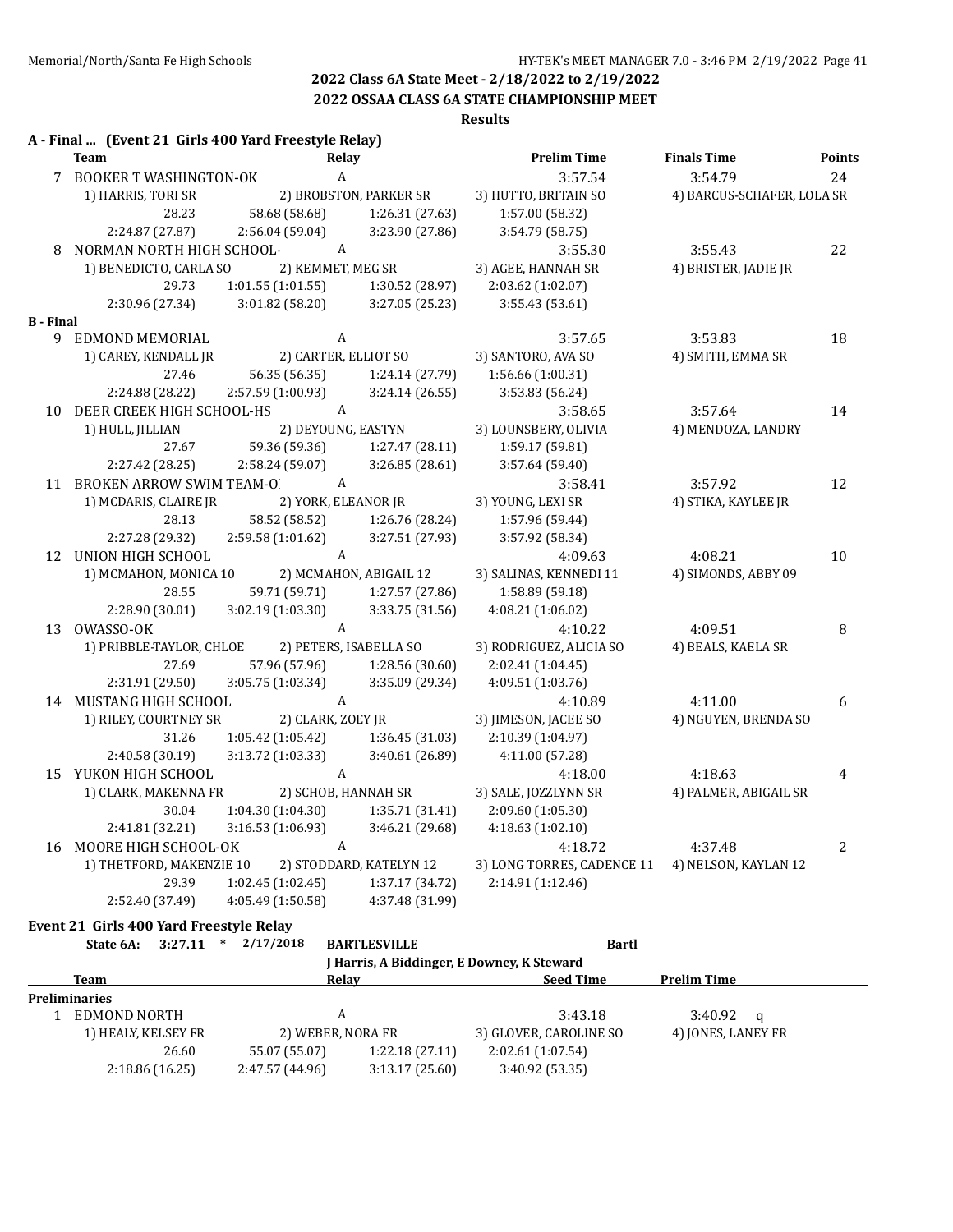### **2022 OSSAA CLASS 6A STATE CHAMPIONSHIP MEET**

### **Results**

|                  | A - Final  (Event 21 Girls 400 Yard Freestyle Relay)<br><b>Team</b> | Relay                     |                         | <b>Prelim Time</b>         | <b>Finals Time</b>         | <b>Points</b>  |
|------------------|---------------------------------------------------------------------|---------------------------|-------------------------|----------------------------|----------------------------|----------------|
|                  | 7 BOOKER T WASHINGTON-OK                                            | $\boldsymbol{A}$          |                         | 3:57.54                    | 3:54.79                    | 24             |
|                  | 1) HARRIS, TORI SR                                                  |                           | 2) BROBSTON, PARKER SR  | 3) HUTTO, BRITAIN SO       | 4) BARCUS-SCHAFER, LOLA SR |                |
|                  | 28.23                                                               | 58.68 (58.68)             | 1:26.31 (27.63)         | 1:57.00 (58.32)            |                            |                |
|                  | 2:24.87 (27.87)                                                     | 2:56.04 (59.04)           | 3:23.90 (27.86)         | 3:54.79 (58.75)            |                            |                |
| 8                | NORMAN NORTH HIGH SCHOOL-                                           | $\boldsymbol{A}$          |                         | 3:55.30                    | 3:55.43                    | 22             |
|                  | 1) BENEDICTO, CARLA SO                                              | 2) KEMMET, MEG SR         |                         | 3) AGEE, HANNAH SR         | 4) BRISTER, JADIE JR       |                |
|                  | 29.73                                                               | 1:01.55(1:01.55)          | 1:30.52 (28.97)         | 2:03.62 (1:02.07)          |                            |                |
|                  | 2:30.96 (27.34)                                                     | 3:01.82(58.20)            | 3:27.05 (25.23)         | 3:55.43(53.61)             |                            |                |
| <b>B</b> - Final |                                                                     |                           |                         |                            |                            |                |
| 9                | EDMOND MEMORIAL                                                     | A                         |                         | 3:57.65                    | 3:53.83                    | 18             |
|                  | 1) CAREY, KENDALL JR                                                | 2) CARTER, ELLIOT SO      |                         | 3) SANTORO, AVA SO         | 4) SMITH, EMMA SR          |                |
|                  | 27.46                                                               | 56.35 (56.35)             | 1:24.14 (27.79)         | 1:56.66 (1:00.31)          |                            |                |
|                  | 2:24.88 (28.22)                                                     | 2:57.59 (1:00.93)         | 3:24.14 (26.55)         | 3:53.83 (56.24)            |                            |                |
| 10               | DEER CREEK HIGH SCHOOL-HS                                           | A                         |                         | 3:58.65                    | 3:57.64                    | 14             |
|                  | 1) HULL, JILLIAN                                                    | 2) DEYOUNG, EASTYN        |                         | 3) LOUNSBERY, OLIVIA       | 4) MENDOZA, LANDRY         |                |
|                  | 27.67                                                               | 59.36 (59.36)             | 1:27.47 (28.11)         | 1:59.17 (59.81)            |                            |                |
|                  | 2:27.42 (28.25)                                                     | 2:58.24 (59.07)           | 3:26.85(28.61)          | 3:57.64 (59.40)            |                            |                |
|                  | 11 BROKEN ARROW SWIM TEAM-O                                         | A                         |                         | 3:58.41                    | 3:57.92                    | 12             |
|                  | 1) MCDARIS, CLAIRE JR                                               | 2) YORK, ELEANOR JR       |                         | 3) YOUNG, LEXI SR          | 4) STIKA, KAYLEE JR        |                |
|                  | 28.13                                                               | 58.52 (58.52)             | 1:26.76 (28.24)         | 1:57.96 (59.44)            |                            |                |
|                  | 2:27.28 (29.32)                                                     | 2:59.58 (1:01.62)         | 3:27.51 (27.93)         | 3:57.92 (58.34)            |                            |                |
|                  | 12 UNION HIGH SCHOOL                                                | A                         |                         | 4:09.63                    | 4:08.21                    | $10\,$         |
|                  | 1) MCMAHON, MONICA 10                                               |                           | 2) MCMAHON, ABIGAIL 12  | 3) SALINAS, KENNEDI 11     | 4) SIMONDS, ABBY 09        |                |
|                  | 28.55                                                               | 59.71 (59.71)             | 1:27.57 (27.86)         | 1:58.89 (59.18)            |                            |                |
|                  | 2:28.90 (30.01)                                                     | 3:02.19(1:03.30)          | 3:33.75 (31.56)         | 4:08.21(1:06.02)           |                            |                |
|                  | 13 OWASSO-OK                                                        | A                         |                         | 4:10.22                    | 4:09.51                    | 8              |
|                  | 1) PRIBBLE-TAYLOR, CHLOE                                            |                           | 2) PETERS, ISABELLA SO  | 3) RODRIGUEZ, ALICIA SO    | 4) BEALS, KAELA SR         |                |
|                  | 27.69                                                               | 57.96 (57.96)             | 1:28.56 (30.60)         | 2:02.41 (1:04.45)          |                            |                |
|                  | 2:31.91 (29.50)                                                     | 3:05.75 (1:03.34)         | 3:35.09 (29.34)         | 4:09.51 (1:03.76)          |                            |                |
|                  | 14 MUSTANG HIGH SCHOOL                                              | A                         |                         | 4:10.89                    | 4:11.00                    | 6              |
|                  | 1) RILEY, COURTNEY SR                                               | 2) CLARK, ZOEY JR         |                         | 3) JIMESON, JACEE SO       | 4) NGUYEN, BRENDA SO       |                |
|                  | 31.26                                                               | 1:05.42 (1:05.42)         | 1:36.45(31.03)          | 2:10.39 (1:04.97)          |                            |                |
|                  | 2:40.58 (30.19)                                                     | 3:13.72(1:03.33)          | 3:40.61 (26.89)         | 4:11.00 (57.28)            |                            |                |
|                  | 15 YUKON HIGH SCHOOL                                                | $\boldsymbol{\mathsf{A}}$ |                         | 4:18.00                    | 4:18.63                    | $\overline{4}$ |
|                  | 1) CLARK, MAKENNA FR                                                | 2) SCHOB, HANNAH SR       |                         | 3) SALE, JOZZLYNN SR       | 4) PALMER, ABIGAIL SR      |                |
|                  | 30.04                                                               | 1:04.30(1:04.30)          | 1:35.71 (31.41)         | 2:09.60 (1:05.30)          |                            |                |
|                  | 2:41.81 (32.21)                                                     | 3:16.53 (1:06.93)         | 3:46.21 (29.68)         | 4:18.63 (1:02.10)          |                            |                |
|                  | 16 MOORE HIGH SCHOOL-OK                                             | A                         |                         | 4:18.72                    | 4:37.48                    | $\overline{2}$ |
|                  | 1) THETFORD, MAKENZIE 10                                            |                           | 2) STODDARD, KATELYN 12 | 3) LONG TORRES, CADENCE 11 | 4) NELSON, KAYLAN 12       |                |
|                  | 29.39                                                               | 1:02.45 (1:02.45)         | 1:37.17 (34.72)         | 2:14.91 (1:12.46)          |                            |                |
|                  | 2:52.40 (37.49)                                                     | 4:05.49 (1:50.58)         | 4:37.48 (31.99)         |                            |                            |                |

### **Event 21 Girls 400 Yard Freestyle Relay**

| State 6A:            | $3:27.11$ *    | 2/17/2018       | <b>BARTLESVILLE</b>                        | <b>Bartl</b>           |                    |  |
|----------------------|----------------|-----------------|--------------------------------------------|------------------------|--------------------|--|
|                      |                |                 | J Harris, A Biddinger, E Downey, K Steward |                        |                    |  |
| Team                 |                |                 | Relay                                      | <b>Seed Time</b>       | <b>Prelim Time</b> |  |
| <b>Preliminaries</b> |                |                 |                                            |                        |                    |  |
| EDMOND NORTH         |                |                 | А                                          | 3:43.18                | $3:40.92$ a        |  |
| 1) HEALY, KELSEY FR  |                |                 | 2) WEBER, NORA FR                          | 3) GLOVER, CAROLINE SO | 4) JONES, LANEY FR |  |
|                      | 26.60          | 55.07 (55.07)   | 1:22.18(27.11)                             | 2:02.61 (1:07.54)      |                    |  |
|                      | 2:18.86(16.25) | 2:47.57 (44.96) | 3:13.17(25.60)                             | 3:40.92 (53.35)        |                    |  |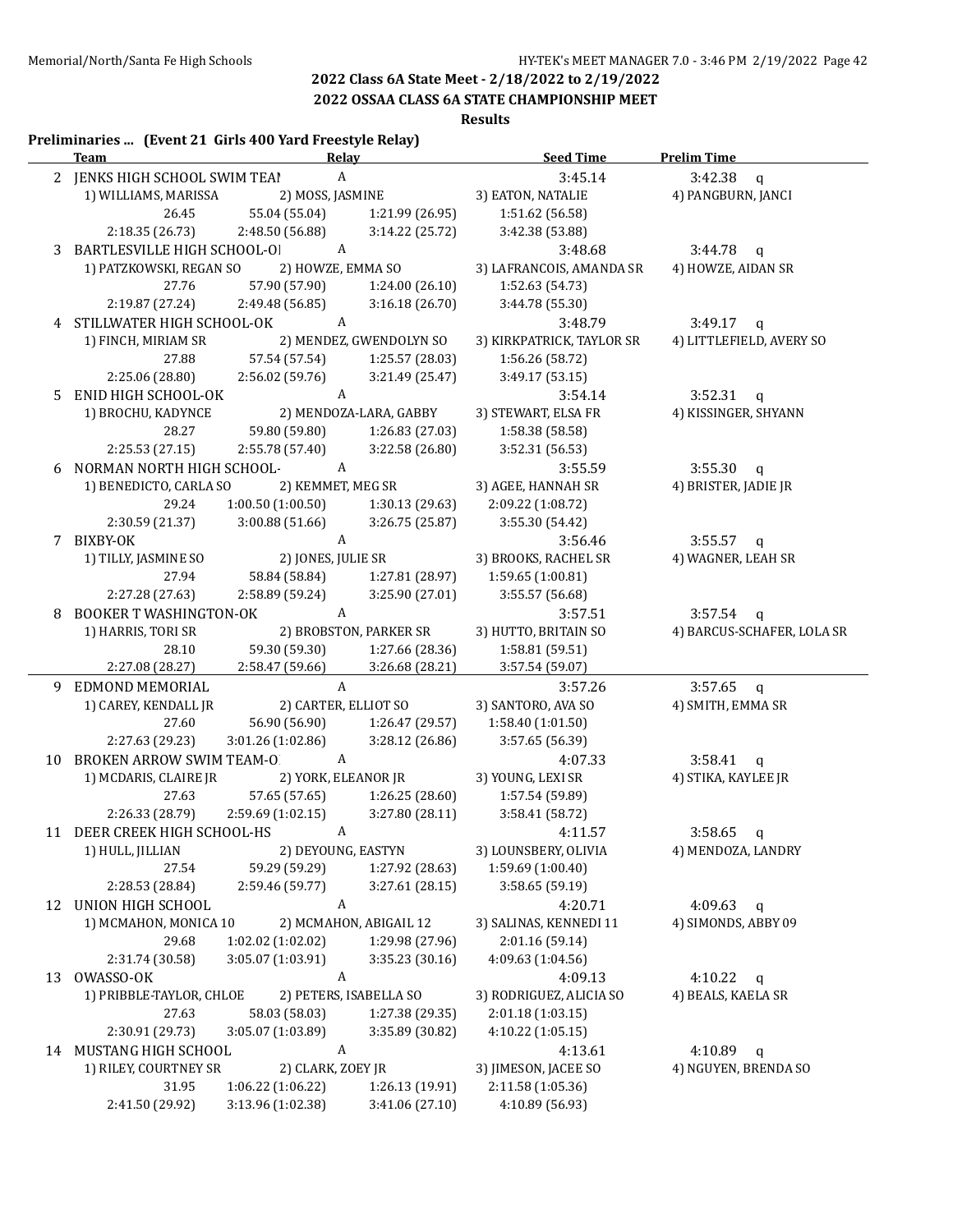## **2022 OSSAA CLASS 6A STATE CHAMPIONSHIP MEET**

### **Results**

## **Preliminaries ... (Event 21 Girls 400 Yard Freestyle Relay) Team Relay Seed Time Prelim Time** 2 JENKS HIGH SCHOOL SWIM TEAI A 3:45.14 3:42.38 q 1) WILLIAMS, MARISSA 2) MOSS, JASMINE 3) EATON, NATALIE 4) PANGBURN, JANCI 26.45 55.04 (55.04) 1:21.99 (26.95) 1:51.62 (56.58) 2:18.35 (26.73) 2:48.50 (56.88) 3:14.22 (25.72) 3:42.38 (53.88) 3 BARTLESVILLE HIGH SCHOOL-O A 3:48.68 3:44.78 q 1) PATZKOWSKI, REGAN SO 2) HOWZE, EMMA SO 3) LAFRANCOIS, AMANDA SR 4) HOWZE, AIDAN SR 27.76 57.90 (57.90) 1:24.00 (26.10) 1:52.63 (54.73) 2:19.87 (27.24) 2:49.48 (56.85) 3:16.18 (26.70) 3:44.78 (55.30) 4 STILLWATER HIGH SCHOOL-OK A 3:48.79 3:49.17 q 1) FINCH, MIRIAM SR 2) MENDEZ, GWENDOLYN SO 3) KIRKPATRICK, TAYLOR SR 4) LITTLEFIELD, AVERY SO 27.88 57.54 (57.54) 1:25.57 (28.03) 1:56.26 (58.72) 2:25.06 (28.80) 2:56.02 (59.76) 3:21.49 (25.47) 3:49.17 (53.15) 5 ENID HIGH SCHOOL-OK A 3:54.14 3:52.31 q<br>1) BROCHU, KADYNCE 2) MENDOZA-LARA, GABBY 3) STEWART, ELSA FR 4) KISSINGER. SI 1) BROCHU, KADYNCE 2) MENDOZA-LARA, GABBY 3) STEWART, ELSA FR 4) KISSINGER, SHYANN 28.27 59.80 (59.80) 1:26.83 (27.03) 1:58.38 (58.58) 2:25.53 (27.15) 2:55.78 (57.40) 3:22.58 (26.80) 3:52.31 (56.53) 6 NORMAN NORTH HIGH SCHOOL-OK A 3:55.59 3:55.30 q 1) BENEDICTO, CARLA SO 2) KEMMET, MEG SR 3) AGEE, HANNAH SR 4) BRISTER, JADIE JR 29.24 1:00.50 (1:00.50) 1:30.13 (29.63) 2:09.22 (1:08.72) 2:30.59 (21.37) 3:00.88 (51.66) 3:26.75 (25.87) 3:55.30 (54.42) 7 BIXBY-OK A 3:56.46 3:55.57 q 1) TILLY, JASMINE SO 2) JONES, JULIE SR 3) BROOKS, RACHEL SR 4) WAGNER, LEAH SR 27.94 58.84 (58.84) 1:27.81 (28.97) 1:59.65 (1:00.81) 2:27.28 (27.63) 2:58.89 (59.24) 3:25.90 (27.01) 3:55.57 (56.68) 8 BOOKER T WASHINGTON-OK A 3:57.51 3:57.54 q 1) HARRIS, TORI SR 2) BROBSTON, PARKER SR 3) HUTTO, BRITAIN SO 4) BARCUS-SCHAFER, LOLA SR 28.10 59.30 (59.30) 1:27.66 (28.36) 1:58.81 (59.51) 2:27.08 (28.27) 2:58.47 (59.66) 3:26.68 (28.21) 3:57.54 (59.07) EDMOND MEMORIAL A A 3:57.26 3:57.65 q 1) CAREY, KENDALL JR 2) CARTER, ELLIOT SO 3) SANTORO, AVA SO 4) SMITH, EMMA SR 27.60 56.90 (56.90) 1:26.47 (29.57) 1:58.40 (1:01.50) 2:27.63 (29.23) 3:01.26 (1:02.86) 3:28.12 (26.86) 3:57.65 (56.39) 10 BROKEN ARROW SWIM TEAM-OK A 4:07.33 3:58.41 q 1) MCDARIS, CLAIRE JR 2) YORK, ELEANOR JR 3) YOUNG, LEXI SR 4) STIKA, KAYLEE JR 27.63 57.65 (57.65) 1:26.25 (28.60) 1:57.54 (59.89) 2:26.33 (28.79) 2:59.69 (1:02.15) 3:27.80 (28.11) 3:58.41 (58.72) 11 DEER CREEK HIGH SCHOOL-HS A 4:11.57 3:58.65 q 1) HULL, JILLIAN 2) DEYOUNG, EASTYN 3) LOUNSBERY, OLIVIA 4) MENDOZA, LANDRY 27.54 59.29 (59.29) 1:27.92 (28.63) 1:59.69 (1:00.40) 2:28.53 (28.84) 2:59.46 (59.77) 3:27.61 (28.15) 3:58.65 (59.19) 12 UNION HIGH SCHOOL A A 4:20.71 4:09.63 q 1) MCMAHON, MONICA 10 2) MCMAHON, ABIGAIL 12 3) SALINAS, KENNEDI 11 4) SIMONDS, ABBY 09 29.68 1:02.02 (1:02.02) 1:29.98 (27.96) 2:01.16 (59.14) 2:31.74 (30.58) 3:05.07 (1:03.91) 3:35.23 (30.16) 4:09.63 (1:04.56) 13 OWASSO-OK A 4:09.13 4:10.22 q 1) PRIBBLE-TAYLOR, CHLOE 2) PETERS, ISABELLA SO 3) RODRIGUEZ, ALICIA SO 4) BEALS, KAELA SR 27.63 58.03 (58.03) 1:27.38 (29.35) 2:01.18 (1:03.15) 2:30.91 (29.73) 3:05.07 (1:03.89) 3:35.89 (30.82) 4:10.22 (1:05.15) 14 MUSTANG HIGH SCHOOL A 4:13.61 4:10.89 q 1) RILEY, COURTNEY SR 2) CLARK, ZOEY JR 3) JIMESON, JACEE SO 4) NGUYEN, BRENDA SO 31.95 1:06.22 (1:06.22) 1:26.13 (19.91) 2:11.58 (1:05.36)

2:41.50 (29.92) 3:13.96 (1:02.38) 3:41.06 (27.10)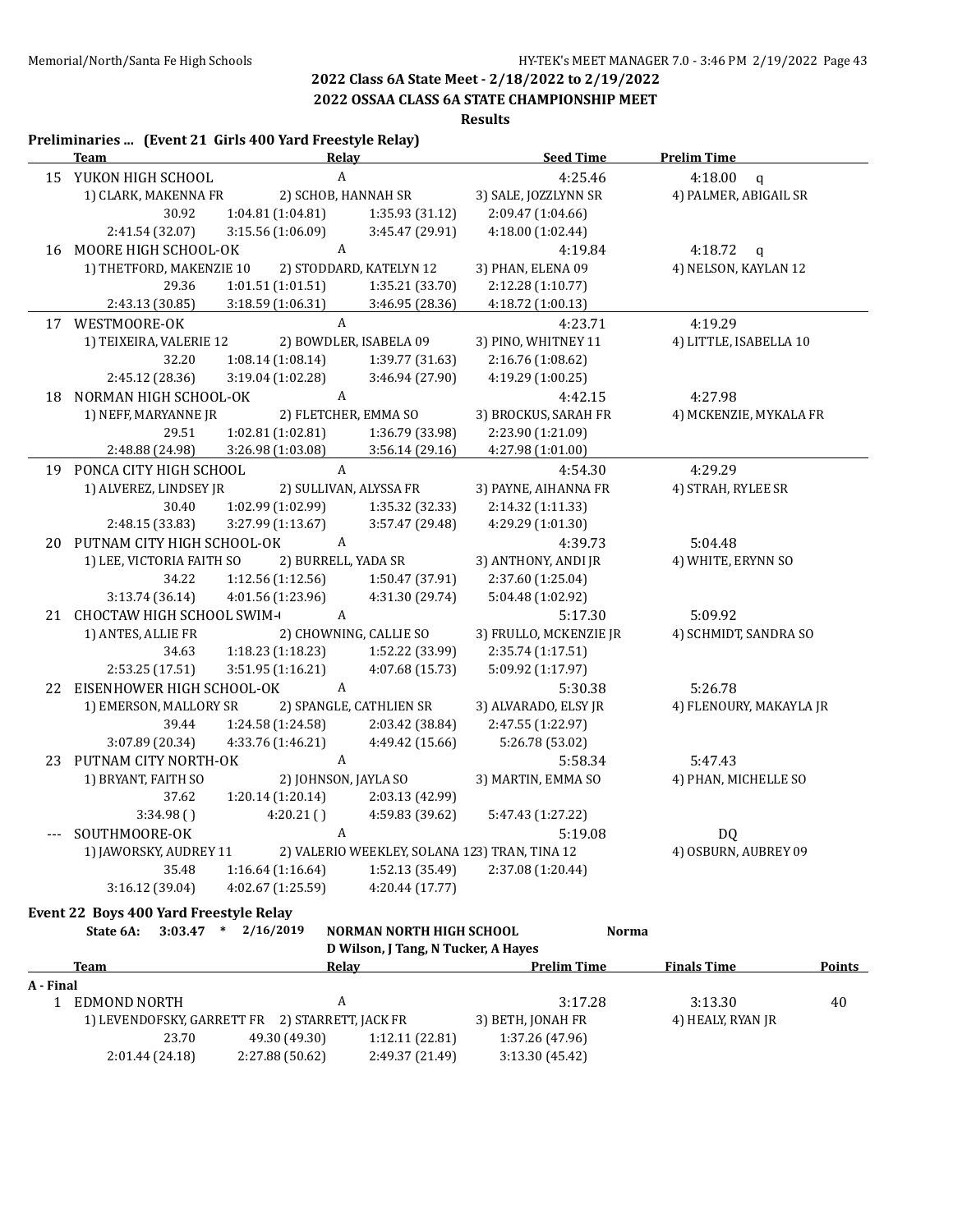## **2022 OSSAA CLASS 6A STATE CHAMPIONSHIP MEET**

**Results**

|    | Preliminaries  (Event 21 Girls 400 Yard Freestyle Relay) |                                        |                                               |                        |                                     |
|----|----------------------------------------------------------|----------------------------------------|-----------------------------------------------|------------------------|-------------------------------------|
|    | <b>Team</b>                                              |                                        | Relay                                         | <b>Seed Time</b>       | <b>Prelim Time</b>                  |
|    | 15 YUKON HIGH SCHOOL                                     |                                        | A                                             | 4:25.46                | 4:18.00<br>$\mathsf{q}$             |
|    | 1) CLARK, MAKENNA FR                                     |                                        | 2) SCHOB, HANNAH SR                           | 3) SALE, JOZZLYNN SR   | 4) PALMER, ABIGAIL SR               |
|    | 30.92                                                    | 1:04.81(1:04.81)                       | 1:35.93 (31.12)                               | 2:09.47 (1:04.66)      |                                     |
|    | 2:41.54 (32.07)                                          | 3:15.56 (1:06.09)                      | 3:45.47 (29.91)                               | 4:18.00 (1:02.44)      |                                     |
|    | 16 MOORE HIGH SCHOOL-OK                                  |                                        | $\mathbf{A}$                                  | 4:19.84                | 4:18.72<br>$\mathbf{q}$             |
|    | 1) THETFORD, MAKENZIE 10                                 |                                        | 2) STODDARD, KATELYN 12                       | 3) PHAN, ELENA 09      | 4) NELSON, KAYLAN 12                |
|    | 29.36                                                    | 1:01.51(1:01.51)                       | 1:35.21 (33.70)                               | 2:12.28 (1:10.77)      |                                     |
|    | 2:43.13 (30.85)                                          | 3:18.59 (1:06.31)                      | 3:46.95 (28.36)                               | 4:18.72 (1:00.13)      |                                     |
|    | 17 WESTMOORE-OK                                          |                                        | $\mathbf{A}$                                  | 4:23.71                | 4:19.29                             |
|    | 1) TEIXEIRA, VALERIE 12                                  |                                        | 2) BOWDLER, ISABELA 09                        | 3) PINO, WHITNEY 11    | 4) LITTLE, ISABELLA 10              |
|    | 32.20                                                    | 1:08.14 (1:08.14)                      | 1:39.77 (31.63)                               | 2:16.76 (1:08.62)      |                                     |
|    | 2:45.12 (28.36)                                          | 3:19.04 (1:02.28)                      | 3:46.94 (27.90)                               | 4:19.29 (1:00.25)      |                                     |
| 18 | NORMAN HIGH SCHOOL-OK                                    |                                        | $\boldsymbol{A}$                              | 4:42.15                | 4:27.98                             |
|    | 1) NEFF, MARYANNE JR                                     |                                        | 2) FLETCHER, EMMA SO                          | 3) BROCKUS, SARAH FR   | 4) MCKENZIE, MYKALA FR              |
|    | 29.51                                                    | 1:02.81 (1:02.81)                      | 1:36.79 (33.98)                               | 2:23.90 (1:21.09)      |                                     |
|    | 2:48.88 (24.98)                                          | 3:26.98 (1:03.08)                      | 3:56.14(29.16)                                | 4:27.98 (1:01.00)      |                                     |
|    | 19 PONCA CITY HIGH SCHOOL                                |                                        | $\mathbf{A}$                                  | 4:54.30                | 4:29.29                             |
|    | 1) ALVEREZ, LINDSEY JR                                   |                                        | 2) SULLIVAN, ALYSSA FR                        | 3) PAYNE, AIHANNA FR   | 4) STRAH, RYLEE SR                  |
|    | 30.40                                                    | 1:02.99 (1:02.99)                      | 1:35.32 (32.33)                               | 2:14.32 (1:11.33)      |                                     |
|    | 2:48.15 (33.83)                                          | 3:27.99 (1:13.67)                      | 3:57.47 (29.48)                               | 4:29.29 (1:01.30)      |                                     |
|    | 20 PUTNAM CITY HIGH SCHOOL-OK                            |                                        | A                                             | 4:39.73                | 5:04.48                             |
|    | 1) LEE, VICTORIA FAITH SO                                |                                        | 2) BURRELL, YADA SR                           | 3) ANTHONY, ANDI JR    | 4) WHITE, ERYNN SO                  |
|    | 34.22                                                    | 1:12.56(1:12.56)                       | 1:50.47 (37.91)                               | 2:37.60 (1:25.04)      |                                     |
|    | 3:13.74 (36.14)                                          | 4:01.56 (1:23.96)                      | 4:31.30 (29.74)                               | 5:04.48 (1:02.92)      |                                     |
|    | 21 CHOCTAW HIGH SCHOOL SWIM-                             |                                        | A                                             | 5:17.30                | 5:09.92                             |
|    | 1) ANTES, ALLIE FR                                       |                                        | 2) CHOWNING, CALLIE SO                        | 3) FRULLO, MCKENZIE JR | 4) SCHMIDT, SANDRA SO               |
|    | 34.63                                                    | 1:18.23(1:18.23)                       | 1:52.22 (33.99)                               | 2:35.74 (1:17.51)      |                                     |
|    | 2:53.25 (17.51)                                          | 3:51.95 (1:16.21)                      | 4:07.68 (15.73)                               | 5:09.92 (1:17.97)      |                                     |
|    | 22 EISENHOWER HIGH SCHOOL-OK                             |                                        | $\boldsymbol{A}$                              | 5:30.38                | 5:26.78                             |
|    | 1) EMERSON, MALLORY SR                                   |                                        | 2) SPANGLE, CATHLIEN SR                       | 3) ALVARADO, ELSY JR   | 4) FLENOURY, MAKAYLA JR             |
|    | 39.44                                                    | 1:24.58 (1:24.58)                      | 2:03.42 (38.84)                               | 2:47.55 (1:22.97)      |                                     |
|    | 3:07.89 (20.34)                                          | 4:33.76 (1:46.21)                      | 4:49.42 (15.66)                               | 5:26.78 (53.02)        |                                     |
| 23 | PUTNAM CITY NORTH-OK                                     |                                        | $\boldsymbol{A}$                              | 5:58.34                | 5:47.43                             |
|    | 1) BRYANT, FAITH SO                                      |                                        | 2) JOHNSON, JAYLA SO                          | 3) MARTIN, EMMA SO     | 4) PHAN, MICHELLE SO                |
|    | 37.62                                                    | 1:20.14(1:20.14)                       | 2:03.13 (42.99)                               |                        |                                     |
|    | 3:34.98()                                                | 4:20.21()                              | 4:59.83 (39.62)                               | 5:47.43 (1:27.22)      |                                     |
|    | SOUTHMOORE-OK                                            |                                        | A                                             | 5:19.08                | DQ                                  |
|    | 1) JAWORSKY, AUDREY 11                                   |                                        | 2) VALERIO WEEKLEY, SOLANA 123) TRAN, TINA 12 |                        | 4) OSBURN, AUBREY 09                |
|    | 35.48                                                    |                                        |                                               | 2:37.08 (1:20.44)      |                                     |
|    |                                                          | 1:16.64 (1:16.64)<br>4:02.67 (1:25.59) | 1:52.13 (35.49)<br>4:20.44 (17.77)            |                        |                                     |
|    | 3:16.12 (39.04)                                          |                                        |                                               |                        |                                     |
|    | Event 22 Boys 400 Yard Freestyle Relay                   |                                        |                                               |                        |                                     |
|    | State 6A:                                                | $3:03.47$ * 2/16/2019                  | <b>NORMAN NORTH HIGH SCHOOL</b>               | <b>Norma</b>           |                                     |
|    |                                                          |                                        | D Wilson, J Tang, N Tucker, A Hayes           |                        |                                     |
|    | <b>Team</b>                                              |                                        | Relay                                         | <b>Prelim Time</b>     | <b>Finals Time</b><br><b>Points</b> |

| A - Final |                                                 |                 |                 |                   |                   |    |  |  |  |
|-----------|-------------------------------------------------|-----------------|-----------------|-------------------|-------------------|----|--|--|--|
|           | EDMOND NORTH                                    |                 |                 | 3:17.28           | 3:13.30           | 40 |  |  |  |
|           | 1) LEVENDOFSKY, GARRETT FR 2) STARRETT, JACK FR |                 |                 | 3) BETH, JONAH FR | 4) HEALY, RYAN JR |    |  |  |  |
|           | 23.70                                           | 49.30 (49.30)   | 1:12.11(22.81)  | 1:37.26 (47.96)   |                   |    |  |  |  |
|           | 2:01.44 (24.18)                                 | 2:27.88 (50.62) | 2:49.37 (21.49) | 3:13.30(45.42)    |                   |    |  |  |  |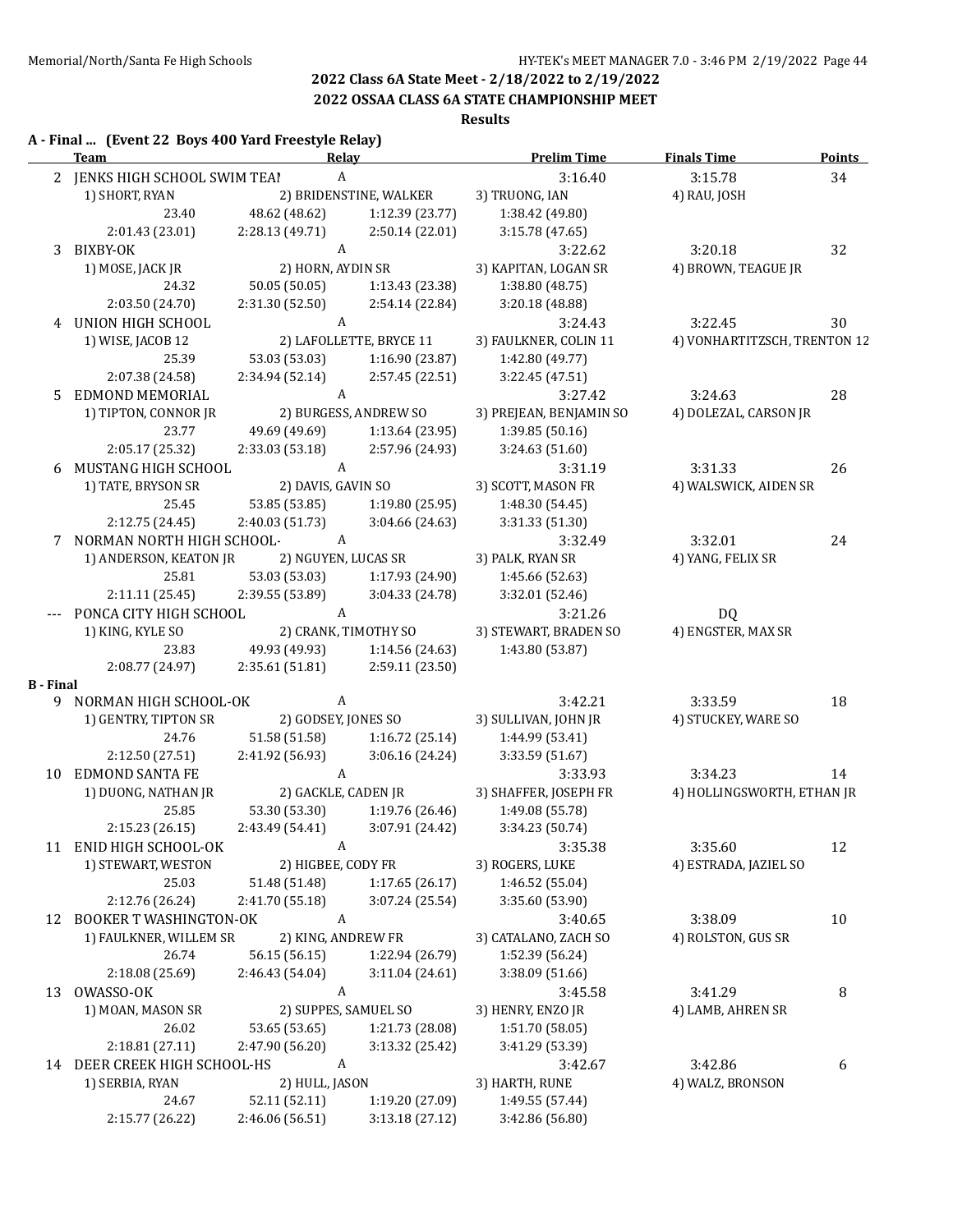### **2022 OSSAA CLASS 6A STATE CHAMPIONSHIP MEET**

### **Results**

### **A - Final ... (Event 22 Boys 400 Yard Freestyle Relay) Team Relay Prelim Time Finals Time Points** 2 JENKS HIGH SCHOOL SWIM TEAI A 3:16.40 3:15.78 34 1) SHORT, RYAN 2) BRIDENSTINE, WALKER 3) TRUONG, IAN 4) RAU, JOSH 23.40 48.62 (48.62) 1:12.39 (23.77) 1:38.42 (49.80) 2:01.43 (23.01) 2:28.13 (49.71) 2:50.14 (22.01) 3:15.78 (47.65) 3 BIXBY-OK A 3:22.62 3:20.18 32 1) MOSE, JACK JR 2) HORN, AYDIN SR 3) KAPITAN, LOGAN SR 4) BROWN, TEAGUE JR 24.32 50.05 (50.05) 1:13.43 (23.38) 1:38.80 (48.75) 2:03.50 (24.70) 2:31.30 (52.50) 2:54.14 (22.84) 3:20.18 (48.88) 4 UNION HIGH SCHOOL A A 3:24.43 3:22.45 30 1) WISE, JACOB 12 2) LAFOLLETTE, BRYCE 11 3) FAULKNER, COLIN 11 4) VONHARTITZSCH, TRENTON 12 25.39 53.03 (53.03) 1:16.90 (23.87) 1:42.80 (49.77) 2:07.38 (24.58) 2:34.94 (52.14) 2:57.45 (22.51) 3:22.45 (47.51) 5 EDMOND MEMORIAL A 3:27.42 3:24.63 28 1) TIPTON, CONNOR JR 2) BURGESS, ANDREW SO 3) PREJEAN, BENJAMIN SO 4) DOLEZAL, CARSON JR 23.77 49.69 (49.69) 1:13.64 (23.95) 1:39.85 (50.16) 2:05.17 (25.32) 2:33.03 (53.18) 2:57.96 (24.93) 3:24.63 (51.60) 6 MUSTANG HIGH SCHOOL A 3:31.19 3:31.33 26 1) TATE, BRYSON SR 2) DAVIS, GAVIN SO 3) SCOTT, MASON FR 4) WALSWICK, AIDEN SR 25.45 53.85 (53.85) 1:19.80 (25.95) 1:48.30 (54.45) 2:12.75 (24.45) 2:40.03 (51.73) 3:04.66 (24.63) 3:31.33 (51.30) 7 NORMAN NORTH HIGH SCHOOL-OK A 3:32.49 3:32.01 24 1) ANDERSON, KEATON JR 2) NGUYEN, LUCAS SR 3) PALK, RYAN SR 4) YANG, FELIX SR 25.81 53.03 (53.03) 1:17.93 (24.90) 1:45.66 (52.63) 2:11.11 (25.45) 2:39.55 (53.89) 3:04.33 (24.78) 3:32.01 (52.46) --- PONCA CITY HIGH SCHOOL A 3:21.26 DQ 1) KING, KYLE SO 2) CRANK, TIMOTHY SO 3) STEWART, BRADEN SO 4) ENGSTER, MAX SR 23.83 49.93 (49.93) 1:14.56 (24.63) 1:43.80 (53.87) 2:08.77 (24.97) 2:35.61 (51.81) 2:59.11 (23.50) **B - Final** 9 NORMAN HIGH SCHOOL-OK A 3:42.21 3:33.59 18 1) GENTRY, TIPTON SR 2) GODSEY, JONES SO 3) SULLIVAN, JOHN JR 4) STUCKEY, WARE SO 24.76 51.58 (51.58) 1:16.72 (25.14) 1:44.99 (53.41) 2:12.50 (27.51) 2:41.92 (56.93) 3:06.16 (24.24) 3:33.59 (51.67) 10 EDMOND SANTA FE A 2:33.93 3:34.23 14 1) DUONG, NATHAN JR 2) GACKLE, CADEN JR 3) SHAFFER, JOSEPH FR 4) HOLLINGSWORTH, ETHAN JR 25.85 53.30 (53.30) 1:19.76 (26.46) 1:49.08 (55.78) 2:15.23 (26.15) 2:43.49 (54.41) 3:07.91 (24.42) 3:34.23 (50.74) 11 ENID HIGH SCHOOL-OK A 3:35.38 3:35.60 12 1) STEWART, WESTON 2) HIGBEE, CODY FR 3) ROGERS, LUKE 4) ESTRADA, JAZIEL SO 25.03 51.48 (51.48) 1:17.65 (26.17) 1:46.52 (55.04) 2:12.76 (26.24) 2:41.70 (55.18) 3:07.24 (25.54) 3:35.60 (53.90) 12 BOOKER T WASHINGTON-OK A 3:40.65 3:38.09 10 1) FAULKNER, WILLEM SR 2) KING, ANDREW FR 3) CATALANO, ZACH SO 4) ROLSTON, GUS SR 26.74 56.15 (56.15) 1:22.94 (26.79) 1:52.39 (56.24) 2:18.08 (25.69) 2:46.43 (54.04) 3:11.04 (24.61) 3:38.09 (51.66) 13 OWASSO-OK A 3:45.58 3:41.29 8 1) MOAN, MASON SR 2) SUPPES, SAMUEL SO 3) HENRY, ENZO JR 4) LAMB, AHREN SR 26.02 53.65 (53.65) 1:21.73 (28.08) 1:51.70 (58.05) 2:18.81 (27.11) 2:47.90 (56.20) 3:13.32 (25.42) 3:41.29 (53.39) 14 DEER CREEK HIGH SCHOOL-HS A 3:42.67 3:42.86 6 1) SERBIA, RYAN 2) HULL, JASON 3) HARTH, RUNE 4) WALZ, BRONSON 24.67 52.11 (52.11) 1:19.20 (27.09) 1:49.55 (57.44)

2:15.77 (26.22) 2:46.06 (56.51) 3:13.18 (27.12) 3:42.86 (56.80)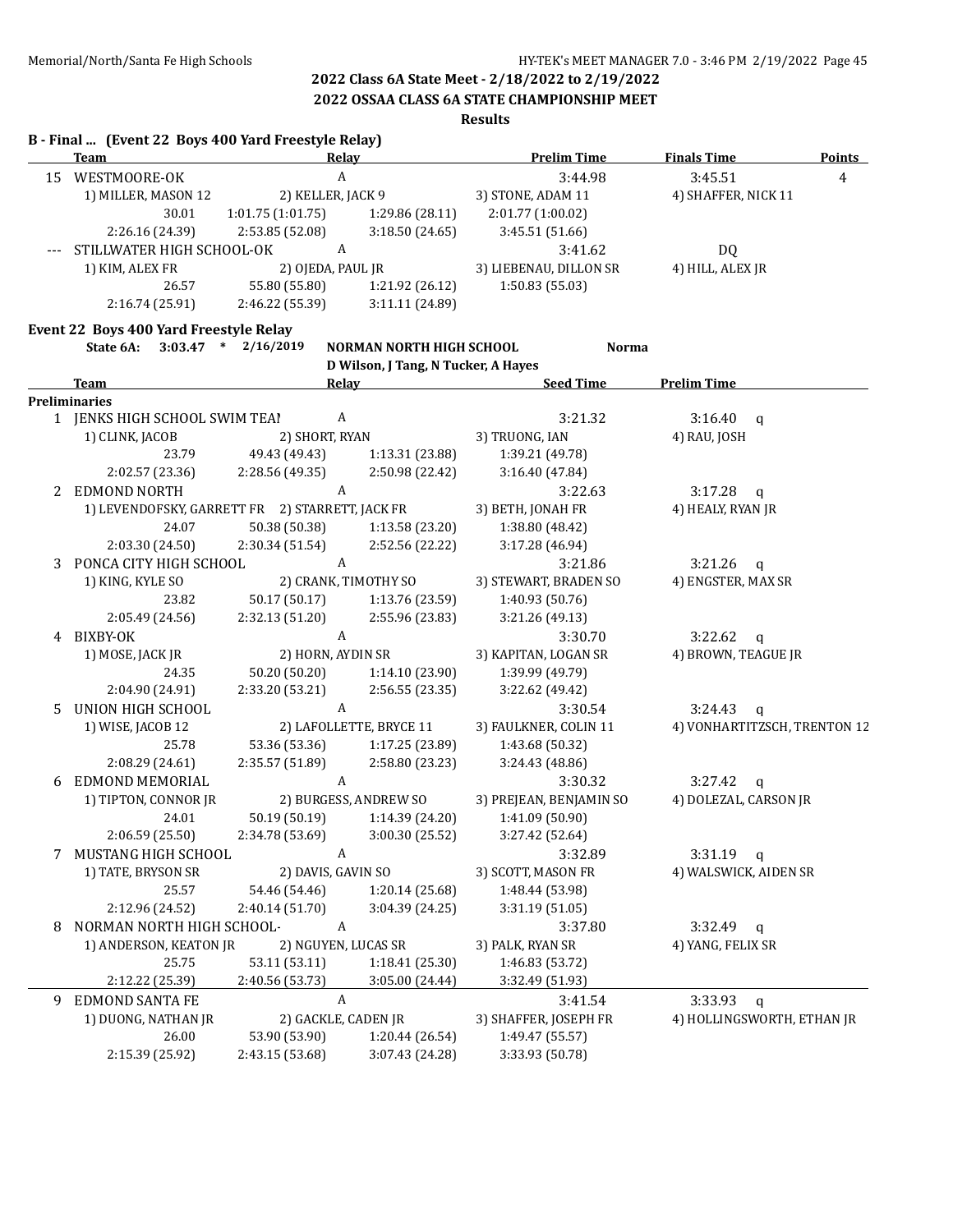**2022 OSSAA CLASS 6A STATE CHAMPIONSHIP MEET**

### **Results**

|    | B - Final  (Event 22 Boys 400 Yard Freestyle Relay)<br><b>Team</b> | <b>Relay</b>            |                                     | <b>Prelim Time</b>      | <b>Finals Time</b>           | <b>Points</b>  |
|----|--------------------------------------------------------------------|-------------------------|-------------------------------------|-------------------------|------------------------------|----------------|
| 15 | WESTMOORE-OK                                                       | A                       |                                     | 3:44.98                 | 3:45.51                      | $\overline{4}$ |
|    | 1) MILLER, MASON 12                                                | 2) KELLER, JACK 9       |                                     | 3) STONE, ADAM 11       | 4) SHAFFER, NICK 11          |                |
|    | 30.01                                                              | 1:01.75(1:01.75)        | 1:29.86(28.11)                      | 2:01.77 (1:00.02)       |                              |                |
|    | 2:26.16 (24.39)                                                    | 2:53.85 (52.08)         | 3:18.50(24.65)                      | 3:45.51 (51.66)         |                              |                |
|    | STILLWATER HIGH SCHOOL-OK                                          | A                       |                                     | 3:41.62                 | DQ                           |                |
|    | 1) KIM, ALEX FR                                                    | 2) OJEDA, PAUL JR       |                                     | 3) LIEBENAU, DILLON SR  | 4) HILL, ALEX JR             |                |
|    | 26.57                                                              | 55.80 (55.80)           | 1:21.92 (26.12)                     | 1:50.83 (55.03)         |                              |                |
|    | 2:16.74 (25.91)                                                    | 2:46.22 (55.39)         | 3:11.11 (24.89)                     |                         |                              |                |
|    | Event 22 Boys 400 Yard Freestyle Relay                             |                         |                                     |                         |                              |                |
|    | State 6A:                                                          | $3:03.47$ * $2/16/2019$ | NORMAN NORTH HIGH SCHOOL            | <b>Norma</b>            |                              |                |
|    |                                                                    |                         | D Wilson, J Tang, N Tucker, A Hayes |                         |                              |                |
|    | Team                                                               | <b>Relay</b>            |                                     | <b>Seed Time</b>        | <b>Prelim Time</b>           |                |
|    | <b>Preliminaries</b>                                               |                         |                                     |                         |                              |                |
|    | 1 JENKS HIGH SCHOOL SWIM TEAI                                      | A                       |                                     | 3:21.32                 | $3:16.40$ q                  |                |
|    | 1) CLINK, JACOB                                                    | 2) SHORT, RYAN          |                                     | 3) TRUONG, IAN          | 4) RAU, JOSH                 |                |
|    | 23.79                                                              | 49.43 (49.43)           | 1:13.31 (23.88)                     | 1:39.21 (49.78)         |                              |                |
|    | 2:02.57 (23.36)                                                    | 2:28.56 (49.35)         | 2:50.98 (22.42)                     | 3:16.40 (47.84)         |                              |                |
|    | 2 EDMOND NORTH                                                     | A                       |                                     | 3:22.63                 | $3:17.28$ q                  |                |
|    | 1) LEVENDOFSKY, GARRETT FR 2) STARRETT, JACK FR                    |                         |                                     | 3) BETH, JONAH FR       | 4) HEALY, RYAN JR            |                |
|    | 24.07                                                              | 50.38 (50.38)           | 1:13.58 (23.20)                     | 1:38.80 (48.42)         |                              |                |
|    | 2:03.30 (24.50)                                                    | 2:30.34 (51.54)         | 2:52.56 (22.22)                     | 3:17.28 (46.94)         |                              |                |
| 3  | PONCA CITY HIGH SCHOOL                                             | A                       |                                     | 3:21.86                 | 3:21.26<br>$\mathbf{q}$      |                |
|    | 1) KING, KYLE SO                                                   |                         | 2) CRANK, TIMOTHY SO                | 3) STEWART, BRADEN SO   | 4) ENGSTER, MAX SR           |                |
|    | 23.82                                                              | 50.17 (50.17)           | 1:13.76 (23.59)                     | 1:40.93 (50.76)         |                              |                |
|    | 2:05.49 (24.56)                                                    | 2:32.13 (51.20)         | 2:55.96 (23.83)                     | 3:21.26 (49.13)         |                              |                |
|    | 4 BIXBY-OK                                                         | A                       |                                     | 3:30.70                 | $3:22.62$ q                  |                |
|    | 1) MOSE, JACK JR                                                   | 2) HORN, AYDIN SR       |                                     | 3) KAPITAN, LOGAN SR    | 4) BROWN, TEAGUE JR          |                |
|    | 24.35                                                              | 50.20 (50.20)           | 1:14.10 (23.90)                     | 1:39.99 (49.79)         |                              |                |
|    | 2:04.90 (24.91)                                                    | 2:33.20 (53.21)         | 2:56.55 (23.35)                     | 3:22.62 (49.42)         |                              |                |
| 5. | UNION HIGH SCHOOL                                                  | A                       |                                     | 3:30.54                 | 3:24.43<br>$\mathsf{q}$      |                |
|    | 1) WISE, JACOB 12                                                  |                         | 2) LAFOLLETTE, BRYCE 11             | 3) FAULKNER, COLIN 11   | 4) VONHARTITZSCH, TRENTON 12 |                |
|    | 25.78                                                              | 53.36 (53.36)           | 1:17.25 (23.89)                     | 1:43.68 (50.32)         |                              |                |
|    |                                                                    |                         |                                     |                         |                              |                |
|    | 2:08.29 (24.61)                                                    | 2:35.57 (51.89)         | 2:58.80 (23.23)                     | 3:24.43 (48.86)         |                              |                |
| 6  | EDMOND MEMORIAL                                                    | A                       |                                     | 3:30.32                 | 3:27.42<br>q                 |                |
|    | 1) TIPTON, CONNOR JR                                               |                         | 2) BURGESS, ANDREW SO               | 3) PREJEAN, BENJAMIN SO | 4) DOLEZAL, CARSON JR        |                |
|    | 24.01                                                              | 50.19 (50.19)           | 1:14.39 (24.20)                     | 1:41.09 (50.90)         |                              |                |
|    | 2:06.59 (25.50)                                                    | 2:34.78 (53.69)         | 3:00.30 (25.52)                     | 3:27.42 (52.64)         |                              |                |
|    | 7 MUSTANG HIGH SCHOOL                                              | A                       |                                     | 3:32.89                 | 3:31.19<br>$\mathbf{q}$      |                |
|    | 1) TATE, BRYSON SR                                                 | 2) DAVIS, GAVIN SO      |                                     | 3) SCOTT, MASON FR      | 4) WALSWICK, AIDEN SR        |                |
|    | 25.57                                                              | 54.46 (54.46)           | 1:20.14(25.68)                      | 1:48.44 (53.98)         |                              |                |
|    | 2:12.96 (24.52)                                                    | 2:40.14(51.70)          | 3:04.39 (24.25)                     | 3:31.19 (51.05)         |                              |                |
| 8  | NORMAN NORTH HIGH SCHOOL-                                          | A                       |                                     | 3:37.80                 | 3:32.49<br>$\mathsf{q}$      |                |
|    | 1) ANDERSON, KEATON JR                                             | 2) NGUYEN, LUCAS SR     |                                     | 3) PALK, RYAN SR        | 4) YANG, FELIX SR            |                |
|    | 25.75                                                              | 53.11 (53.11)           | 1:18.41 (25.30)                     | 1:46.83 (53.72)         |                              |                |
|    | 2:12.22 (25.39)                                                    | 2:40.56 (53.73)         | 3:05.00 (24.44)                     | 3:32.49 (51.93)         |                              |                |
| 9  | <b>EDMOND SANTA FE</b>                                             | $\boldsymbol{A}$        |                                     | 3:41.54                 | 3:33.93<br>q                 |                |
|    | 1) DUONG, NATHAN JR                                                | 2) GACKLE, CADEN JR     |                                     | 3) SHAFFER, JOSEPH FR   | 4) HOLLINGSWORTH, ETHAN JR   |                |
|    | 26.00                                                              | 53.90 (53.90)           | 1:20.44 (26.54)                     | 1:49.47 (55.57)         |                              |                |
|    | 2:15.39 (25.92)                                                    | 2:43.15 (53.68)         | 3:07.43 (24.28)                     | 3:33.93 (50.78)         |                              |                |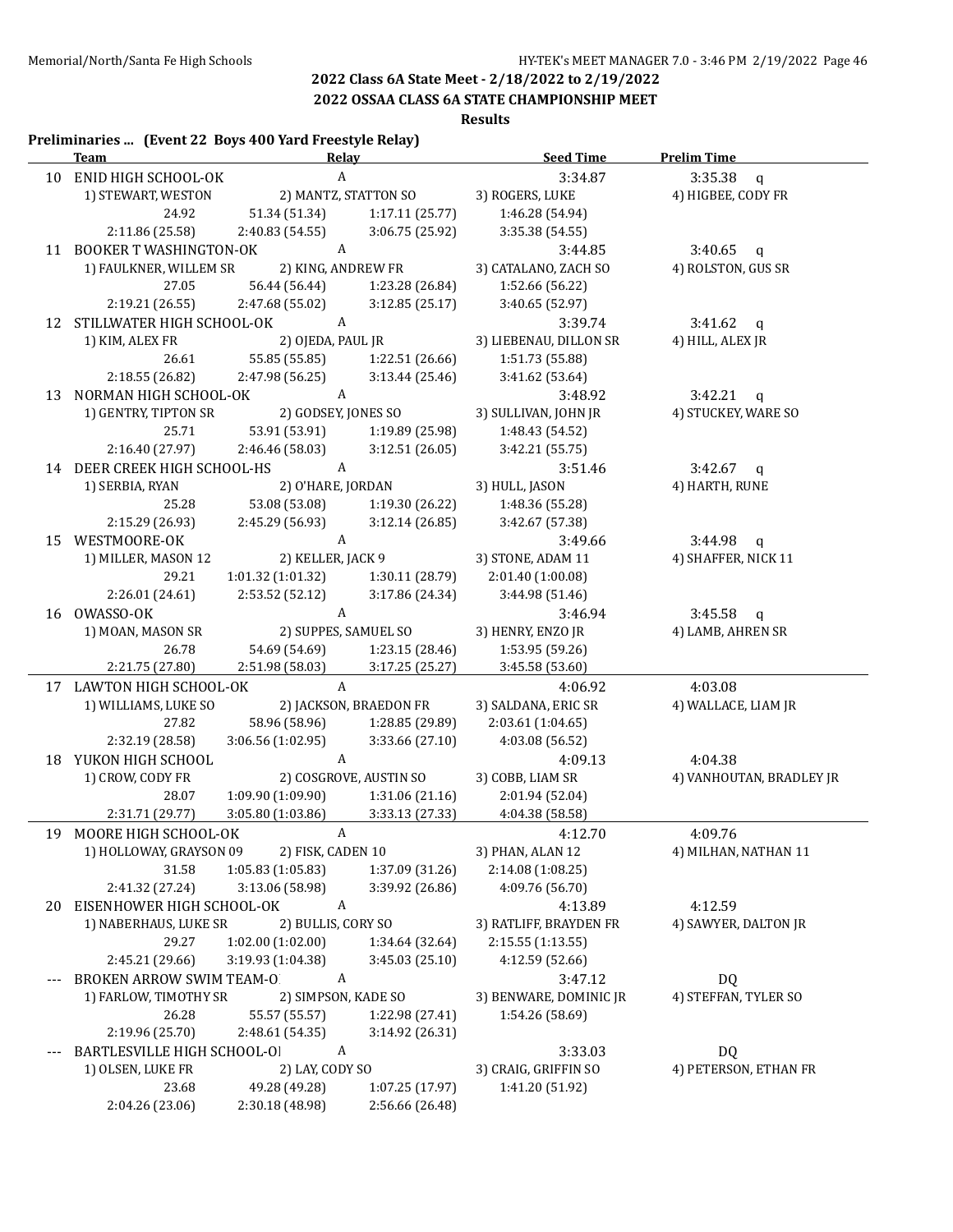# **2022 OSSAA CLASS 6A STATE CHAMPIONSHIP MEET**

**Results**

|    | Preliminaries  (Event 22 Boys 400 Yard Freestyle Relay)<br><b>Team</b> | Relay                            |                        | <b>Seed Time</b>                        | <b>Prelim Time</b>       |
|----|------------------------------------------------------------------------|----------------------------------|------------------------|-----------------------------------------|--------------------------|
|    | 10 ENID HIGH SCHOOL-OK                                                 | A                                |                        | 3:34.87                                 | 3:35.38<br>$\mathbf{q}$  |
|    | 1) STEWART, WESTON                                                     |                                  | 2) MANTZ, STATTON SO   | 3) ROGERS, LUKE                         | 4) HIGBEE, CODY FR       |
|    | 24.92                                                                  | 51.34 (51.34)                    | 1:17.11(25.77)         | 1:46.28 (54.94)                         |                          |
|    | 2:11.86 (25.58)                                                        | 2:40.83 (54.55)                  | 3:06.75 (25.92)        | 3:35.38 (54.55)                         |                          |
|    | 11 BOOKER T WASHINGTON-OK                                              | A                                |                        | 3:44.85                                 | 3:40.65 $q$              |
|    | 1) FAULKNER, WILLEM SR                                                 | 2) KING, ANDREW FR               |                        | 3) CATALANO, ZACH SO                    | 4) ROLSTON, GUS SR       |
|    | 27.05                                                                  | 56.44 (56.44)                    | 1:23.28 (26.84)        | 1:52.66 (56.22)                         |                          |
|    | 2:19.21 (26.55)                                                        | 2:47.68(55.02)                   | 3:12.85(25.17)         | 3:40.65 (52.97)                         |                          |
|    | 12 STILLWATER HIGH SCHOOL-OK                                           | $\mathbf{A}$                     |                        | 3:39.74                                 | 3:41.62<br>$\mathbf{q}$  |
|    | 1) KIM, ALEX FR                                                        | 2) OJEDA, PAUL JR                |                        | 3) LIEBENAU, DILLON SR                  | 4) HILL, ALEX JR         |
|    | 26.61                                                                  | 55.85 (55.85)                    | 1:22.51 (26.66)        | 1:51.73 (55.88)                         |                          |
|    | 2:18.55 (26.82)                                                        | 2:47.98 (56.25)                  | 3:13.44 (25.46)        | 3:41.62 (53.64)                         |                          |
|    | 13 NORMAN HIGH SCHOOL-OK                                               | A                                |                        | 3:48.92                                 | $3:42.21$ q              |
|    |                                                                        | 2) GODSEY, JONES SO              |                        | 3) SULLIVAN, JOHN JR                    | 4) STUCKEY, WARE SO      |
|    | 1) GENTRY, TIPTON SR<br>25.71                                          |                                  |                        |                                         |                          |
|    |                                                                        | 53.91 (53.91)                    | 1:19.89 (25.98)        | 1:48.43 (54.52)                         |                          |
|    | 2:16.40 (27.97)                                                        | 2:46.46 (58.03)                  | 3:12.51(26.05)         | 3:42.21 (55.75)                         |                          |
|    | 14 DEER CREEK HIGH SCHOOL-HS                                           | A                                |                        | 3:51.46                                 | $3:42.67$ q              |
|    | 1) SERBIA, RYAN                                                        | 2) O'HARE, JORDAN                |                        | 3) HULL, JASON                          | 4) HARTH, RUNE           |
|    | 25.28                                                                  | 53.08 (53.08)                    | 1:19.30 (26.22)        | 1:48.36 (55.28)                         |                          |
|    | 2:15.29 (26.93)                                                        | 2:45.29 (56.93)                  | 3:12.14(26.85)         | 3:42.67 (57.38)                         |                          |
|    | 15 WESTMOORE-OK                                                        | A                                |                        | 3:49.66                                 | $3:44.98$ q              |
|    | 1) MILLER, MASON 12                                                    | 2) KELLER, JACK 9                |                        | 3) STONE, ADAM 11                       | 4) SHAFFER, NICK 11      |
|    | 29.21                                                                  | 1:01.32(1:01.32)                 | 1:30.11 (28.79)        | 2:01.40 (1:00.08)                       |                          |
|    | 2:26.01 (24.61)                                                        | 2:53.52 (52.12)                  | 3:17.86 (24.34)        | 3:44.98 (51.46)                         |                          |
|    | 16 OWASSO-OK                                                           | $\mathbf{A}$                     |                        | 3:46.94                                 | $3:45.58$ q              |
|    | 1) MOAN, MASON SR                                                      | 2) SUPPES, SAMUEL SO             |                        | 3) HENRY, ENZO JR                       | 4) LAMB, AHREN SR        |
|    | 26.78                                                                  | 54.69 (54.69)                    | 1:23.15 (28.46)        | 1:53.95 (59.26)                         |                          |
|    | 2:21.75 (27.80)                                                        | 2:51.98 (58.03)                  | 3:17.25 (25.27)        | 3:45.58 (53.60)                         |                          |
|    | 17 LAWTON HIGH SCHOOL-OK                                               | $\mathbf{A}$                     |                        | 4:06.92                                 | 4:03.08                  |
|    | 1) WILLIAMS, LUKE SO                                                   |                                  | 2) JACKSON, BRAEDON FR | 3) SALDANA, ERIC SR                     | 4) WALLACE, LIAM JR      |
|    | 27.82                                                                  | 58.96 (58.96)                    | 1:28.85 (29.89)        | 2:03.61 (1:04.65)                       |                          |
|    | 2:32.19 (28.58)                                                        | 3:06.56 (1:02.95)                | 3:33.66 (27.10)        | 4:03.08 (56.52)                         |                          |
|    | 18 YUKON HIGH SCHOOL                                                   | $\boldsymbol{A}$                 |                        | 4:09.13                                 | 4:04.38                  |
|    | 1) CROW, CODY FR                                                       |                                  | 2) COSGROVE, AUSTIN SO | 3) COBB, LIAM SR                        | 4) VANHOUTAN, BRADLEY JR |
|    | 28.07                                                                  | 1:09.90 (1:09.90)                | 1:31.06 (21.16)        | 2:01.94 (52.04)                         |                          |
|    | 2:31.71 (29.77)                                                        | 3:05.80 (1:03.86)                | 3:33.13 (27.33)        | 4:04.38 (58.58)                         |                          |
|    | MOORE HIGH SCHOOL-OK                                                   | A                                |                        |                                         | 4:09.76                  |
| 19 |                                                                        |                                  |                        | 4:12.70                                 |                          |
|    | 1) HOLLOWAY, GRAYSON 09                                                | 2) FISK, CADEN 10                |                        | 3) PHAN, ALAN 12                        | 4) MILHAN, NATHAN 11     |
|    | 31.58                                                                  | 1:05.83(1:05.83)                 | 1:37.09 (31.26)        | 2:14.08 (1:08.25)                       |                          |
|    | 2:41.32 (27.24)                                                        | 3:13.06 (58.98)                  | 3:39.92 (26.86)        | 4:09.76 (56.70)                         |                          |
|    | 20 EISENHOWER HIGH SCHOOL-OK                                           | A                                |                        | 4:13.89                                 | 4:12.59                  |
|    | 1) NABERHAUS, LUKE SR                                                  | 2) BULLIS, CORY SO               |                        | 3) RATLIFF, BRAYDEN FR                  | 4) SAWYER, DALTON JR     |
|    | 29.27                                                                  | 1:02.00 (1:02.00)                | 1:34.64 (32.64)        | 2:15.55 (1:13.55)                       |                          |
|    | 2:45.21 (29.66)                                                        | 3:19.93 (1:04.38)                | 3:45.03 (25.10)        | 4:12.59 (52.66)                         |                          |
|    | <b>BROKEN ARROW SWIM TEAM-O</b>                                        | A                                |                        | 3:47.12                                 | DQ                       |
|    | 1) FARLOW, TIMOTHY SR                                                  | 2) SIMPSON, KADE SO              |                        | 3) BENWARE, DOMINIC JR                  | 4) STEFFAN, TYLER SO     |
|    | 26.28                                                                  | 55.57 (55.57)                    | 1:22.98 (27.41)        | 1:54.26 (58.69)                         |                          |
|    | 2:19.96 (25.70)                                                        | 2:48.61 (54.35)                  | 3:14.92 (26.31)        |                                         |                          |
|    | BARTLESVILLE HIGH SCHOOL-OI                                            | A                                |                        | 3:33.03                                 | DQ                       |
|    |                                                                        |                                  |                        |                                         |                          |
|    |                                                                        |                                  |                        |                                         |                          |
|    | 1) OLSEN, LUKE FR<br>23.68                                             | 2) LAY, CODY SO<br>49.28 (49.28) | 1:07.25 (17.97)        | 3) CRAIG, GRIFFIN SO<br>1:41.20 (51.92) | 4) PETERSON, ETHAN FR    |